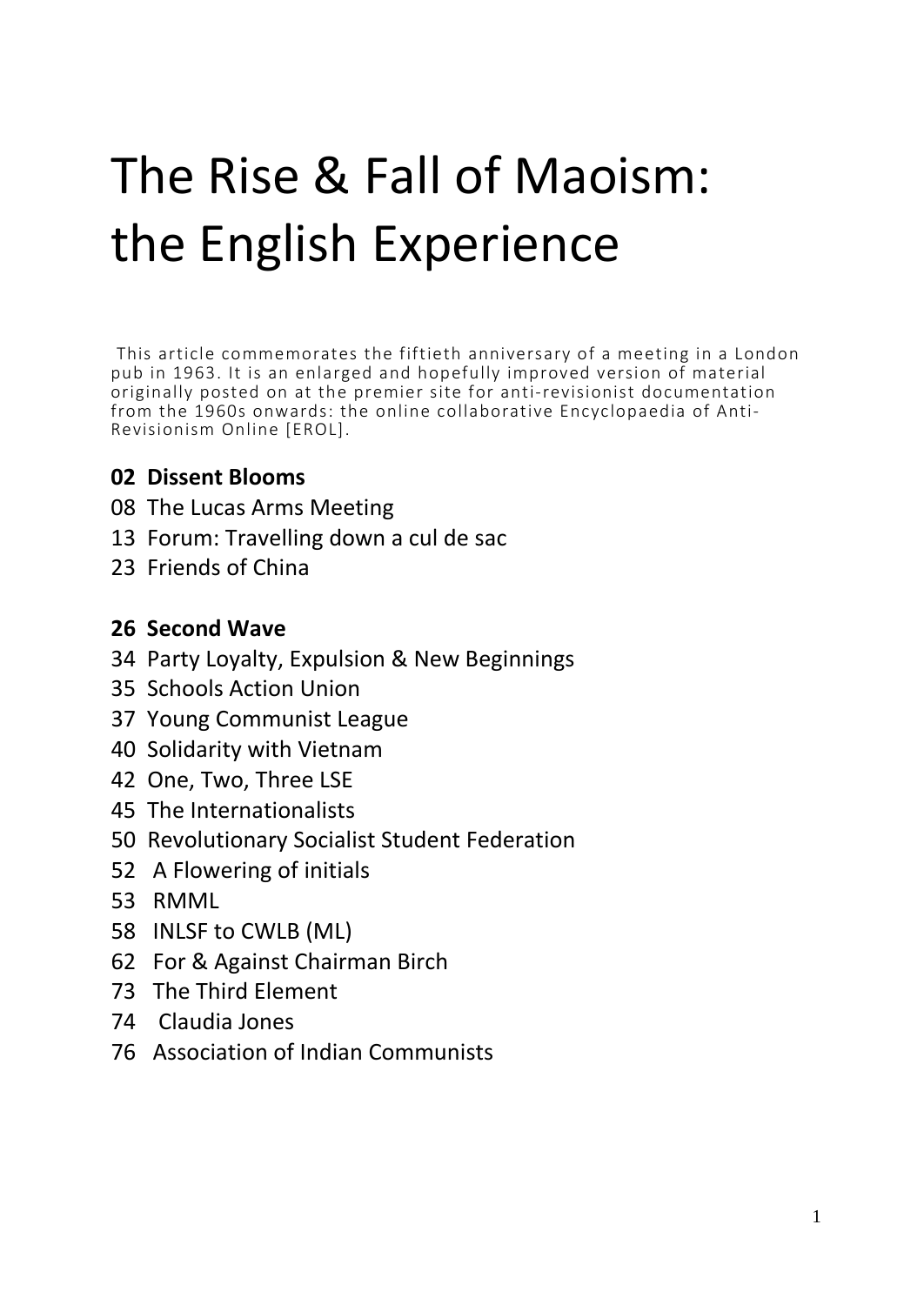# The Rise & Fall of Maoism: the English Experience

This article commemorates the fiftieth anniversary of a meeting in a London pub in 1963. It is an enlarged and hopefully improved version of material originally posted on at the premier site for anti-revisionist documentation from the 1960s onwards: the online collaborative Encyclopaedia of Anti-Revisionism Online [EROL].

#### **02 Dissent Blooms**

- 08 The Lucas Arms Meeting
- 13 Forum: Travelling down a cul de sac
- 23 Friends of China

#### **26 Second Wave**

- 34 Party Loyalty, Expulsion & New Beginnings
- 35 Schools Action Union
- 37 Young Communist League
- 40 Solidarity with Vietnam
- 42 One, Two, Three LSE
- 45 The Internationalists
- 50 Revolutionary Socialist Student Federation
- 52 A Flowering of initials
- 53 RMML
- 58 INLSF to CWLB (ML)
- 62 For & Against Chairman Birch
- 73 The Third Element
- 74 Claudia Jones
- 76 Association of Indian Communists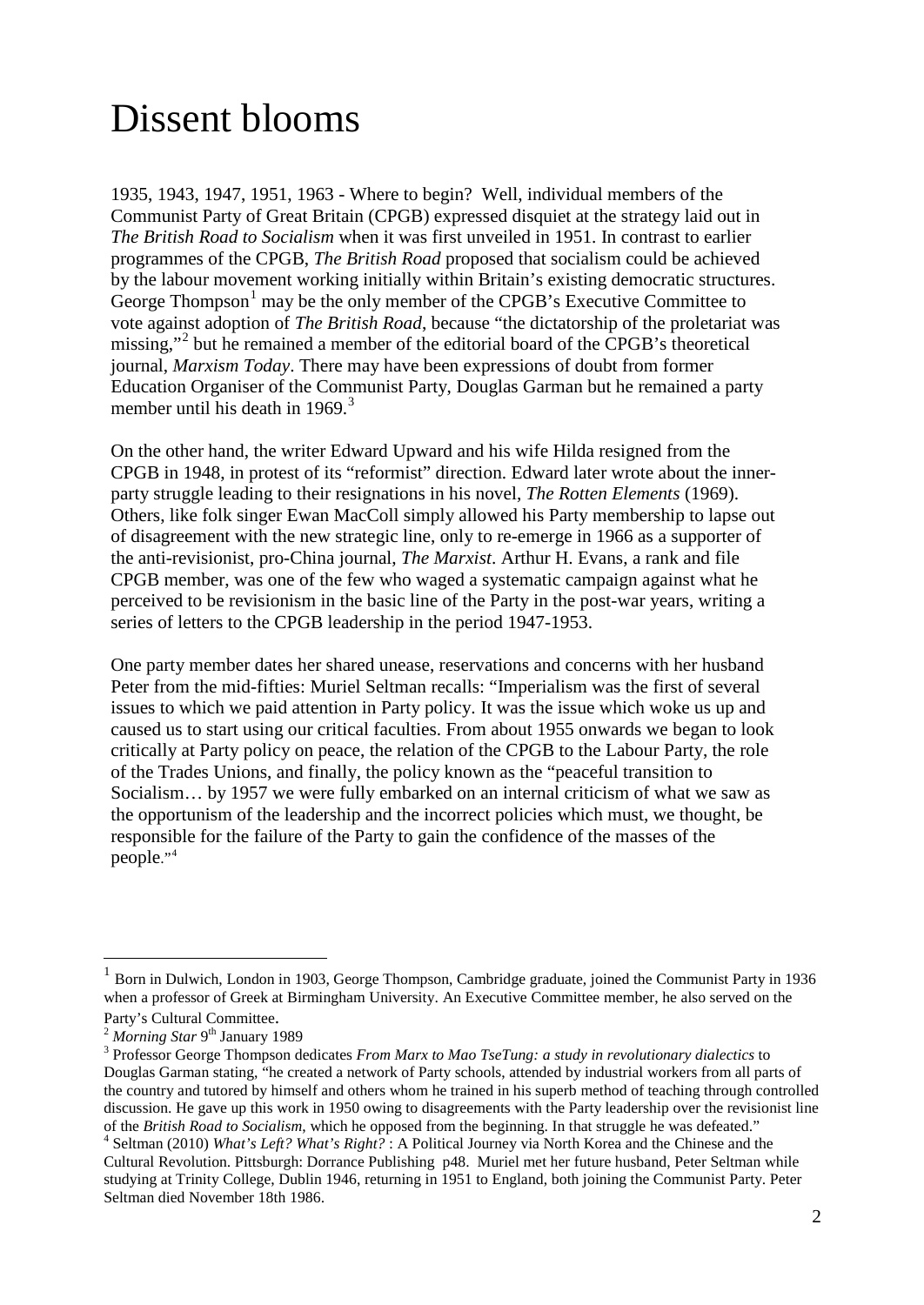# Dissent blooms

1935, 1943, 1947, 1951, 1963 - Where to begin? Well, individual members of the Communist Party of Great Britain (CPGB) expressed disquiet at the strategy laid out in *The British Road to Socialism* when it was first unveiled in 1951. In contrast to earlier programmes of the CPGB, *The British Road* proposed that socialism could be achieved by the labour movement working initially within Britain's existing democratic structures. George Thompson<sup>[1](#page-1-0)</sup> may be the only member of the CPGB's Executive Committee to vote against adoption of *The British Road*, because "the dictatorship of the proletariat was missing,"<sup>[2](#page-1-1)</sup> but he remained a member of the editorial board of the CPGB's theoretical journal, *Marxism Today*. There may have been expressions of doubt from former Education Organiser of the Communist Party, Douglas Garman but he remained a party member until his death in 1969. $3$ 

On the other hand, the writer Edward Upward and his wife Hilda resigned from the CPGB in 1948, in protest of its "reformist" direction. Edward later wrote about the innerparty struggle leading to their resignations in his novel, *The Rotten Elements* (1969). Others, like folk singer Ewan MacColl simply allowed his Party membership to lapse out of disagreement with the new strategic line, only to re-emerge in 1966 as a supporter of the anti-revisionist, pro-China journal, *The Marxist*. Arthur H. Evans, a rank and file CPGB member, was one of the few who waged a systematic campaign against what he perceived to be revisionism in the basic line of the Party in the post-war years, writing a series of letters to the CPGB leadership in the period 1947-1953.

One party member dates her shared unease, reservations and concerns with her husband Peter from the mid-fifties: Muriel Seltman recalls: "Imperialism was the first of several issues to which we paid attention in Party policy. It was the issue which woke us up and caused us to start using our critical faculties. From about 1955 onwards we began to look critically at Party policy on peace, the relation of the CPGB to the Labour Party, the role of the Trades Unions, and finally, the policy known as the "peaceful transition to Socialism… by 1957 we were fully embarked on an internal criticism of what we saw as the opportunism of the leadership and the incorrect policies which must, we thought, be responsible for the failure of the Party to gain the confidence of the masses of the people."[4](#page-1-3)

<span id="page-1-0"></span> <sup>1</sup> Born in Dulwich, London in 1903, George Thompson, Cambridge graduate, joined the Communist Party in 1936 when a professor of Greek at Birmingham University. An Executive Committee member, he also served on the

<span id="page-1-2"></span>

<span id="page-1-1"></span>Party's Cultural Committee.<br><sup>2</sup> *Morning Star* 9<sup>th</sup> January 1989<br><sup>3</sup> Professor George Thompson dedicates *From Marx to Mao TseTung: a study in revolutionary dialectics* to Douglas Garman stating, "he created a network of Party schools, attended by industrial workers from all parts of the country and tutored by himself and others whom he trained in his superb method of teaching through controlled discussion. He gave up this work in 1950 owing to disagreements with the Party leadership over the revisionist line of the *British Road to Socialism*, which he opposed from the beginning. In that struggle he was defeated."<br><sup>4</sup> Seltman (2010) *What's Left? What's Right?* : A Political Journey via North Korea and the Chinese and the

<span id="page-1-3"></span>Cultural Revolution. Pittsburgh: Dorrance Publishing p48. Muriel met her future husband, Peter Seltman while studying at Trinity College, Dublin 1946, returning in 1951 to England, both joining the Communist Party. Peter Seltman died November 18th 1986.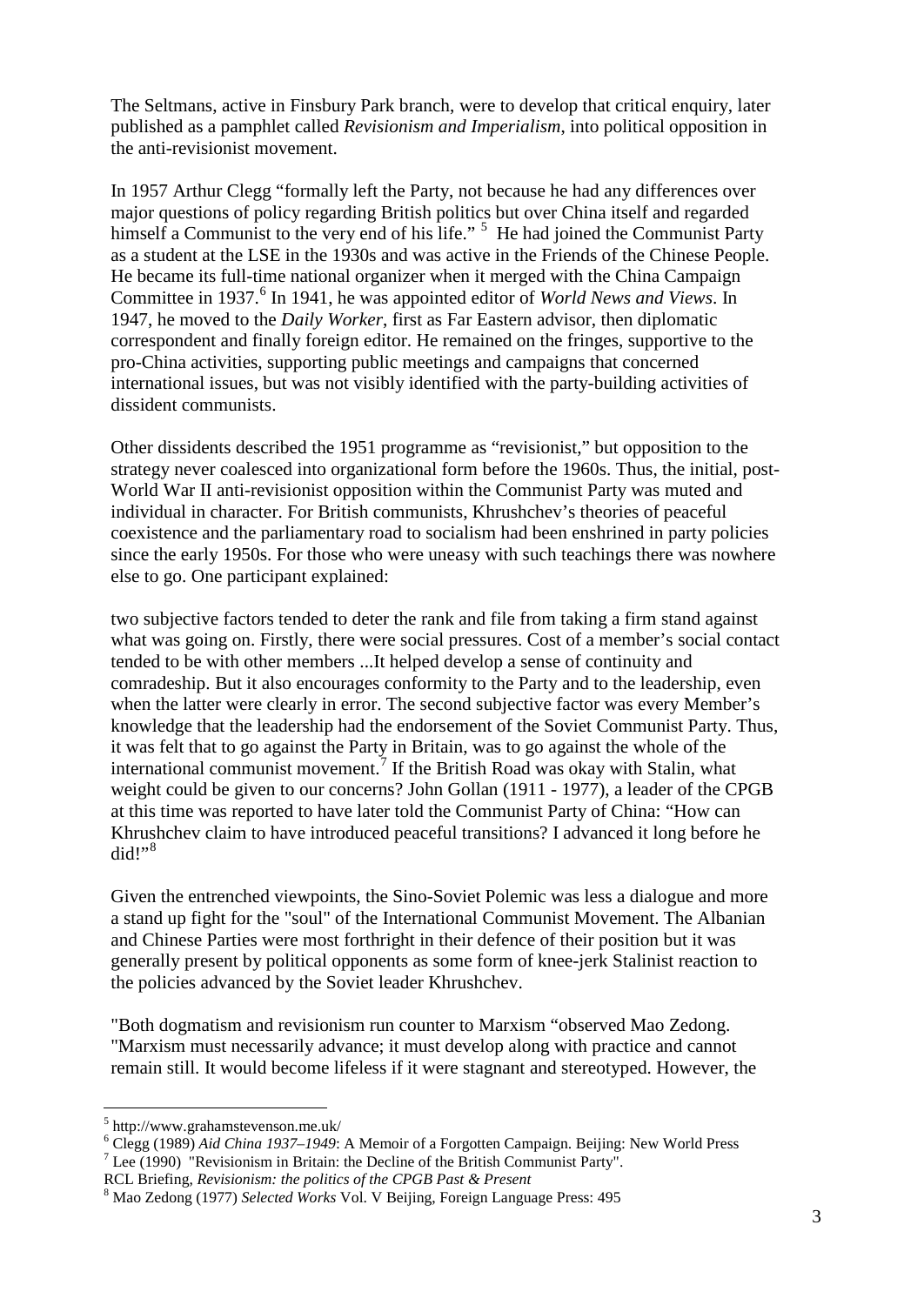The Seltmans, active in Finsbury Park branch, were to develop that critical enquiry, later published as a pamphlet called *Revisionism and Imperialism*, into political opposition in the anti-revisionist movement.

In 1957 Arthur Clegg "formally left the Party, not because he had any differences over major questions of policy regarding British politics but over China itself and regarded himself a Communist to the very end of his life." <sup>[5](#page-2-0)</sup> He had joined the Communist Party as a student at the LSE in the 1930s and was active in the Friends of the Chinese People. He became its full-time national organizer when it merged with the China Campaign Committee in 1937.<sup>[6](#page-2-1)</sup> In 1941, he was appointed editor of *World News and Views*. In 1947, he moved to the *Daily Worker*, first as Far Eastern advisor, then diplomatic correspondent and finally foreign editor. He remained on the fringes, supportive to the pro-China activities, supporting public meetings and campaigns that concerned international issues, but was not visibly identified with the party-building activities of dissident communists.

Other dissidents described the 1951 programme as "revisionist," but opposition to the strategy never coalesced into organizational form before the 1960s. Thus, the initial, post-World War II anti-revisionist opposition within the Communist Party was muted and individual in character. For British communists, Khrushchev's theories of peaceful coexistence and the parliamentary road to socialism had been enshrined in party policies since the early 1950s. For those who were uneasy with such teachings there was nowhere else to go. One participant explained:

two subjective factors tended to deter the rank and file from taking a firm stand against what was going on. Firstly, there were social pressures. Cost of a member's social contact tended to be with other members ...It helped develop a sense of continuity and comradeship. But it also encourages conformity to the Party and to the leadership, even when the latter were clearly in error. The second subjective factor was every Member's knowledge that the leadership had the endorsement of the Soviet Communist Party. Thus, it was felt that to go against the Party in Britain, was to go against the whole of the international communist movement.<sup>[7](#page-2-2)</sup> If the British Road was okay with Stalin, what weight could be given to our concerns? John Gollan (1911 - 1977), a leader of the CPGB at this time was reported to have later told the Communist Party of China: "How can Khrushchev claim to have introduced peaceful transitions? I advanced it long before he  $di$ did!"<sup>[8](#page-2-3)</sup>

Given the entrenched viewpoints, the Sino-Soviet Polemic was less a dialogue and more a stand up fight for the "soul" of the International Communist Movement. The Albanian and Chinese Parties were most forthright in their defence of their position but it was generally present by political opponents as some form of knee-jerk Stalinist reaction to the policies advanced by the Soviet leader Khrushchev.

"Both dogmatism and revisionism run counter to Marxism "observed Mao Zedong. "Marxism must necessarily advance; it must develop along with practice and cannot remain still. It would become lifeless if it were stagnant and stereotyped. However, the

<span id="page-2-0"></span> $5$ http://www.grahamstevenson.me.uk/

<span id="page-2-2"></span><span id="page-2-1"></span><sup>&</sup>lt;sup>6</sup> Clegg (1989) *Aid China 1937–1949*: A Memoir of a Forgotten Campaign. Beijing: New World Press<sup>7</sup> Lee (1990) "Revisionism in Britain: the Decline of the British Communist Party".<br>RCL Briefing, *Revisionism: the politi* 

<span id="page-2-3"></span>RCL Briefing, *Revisionism: the politics of the CPGB Past & Present* <sup>8</sup> Mao Zedong (1977) *Selected Works* Vol. V Beijing, Foreign Language Press: 495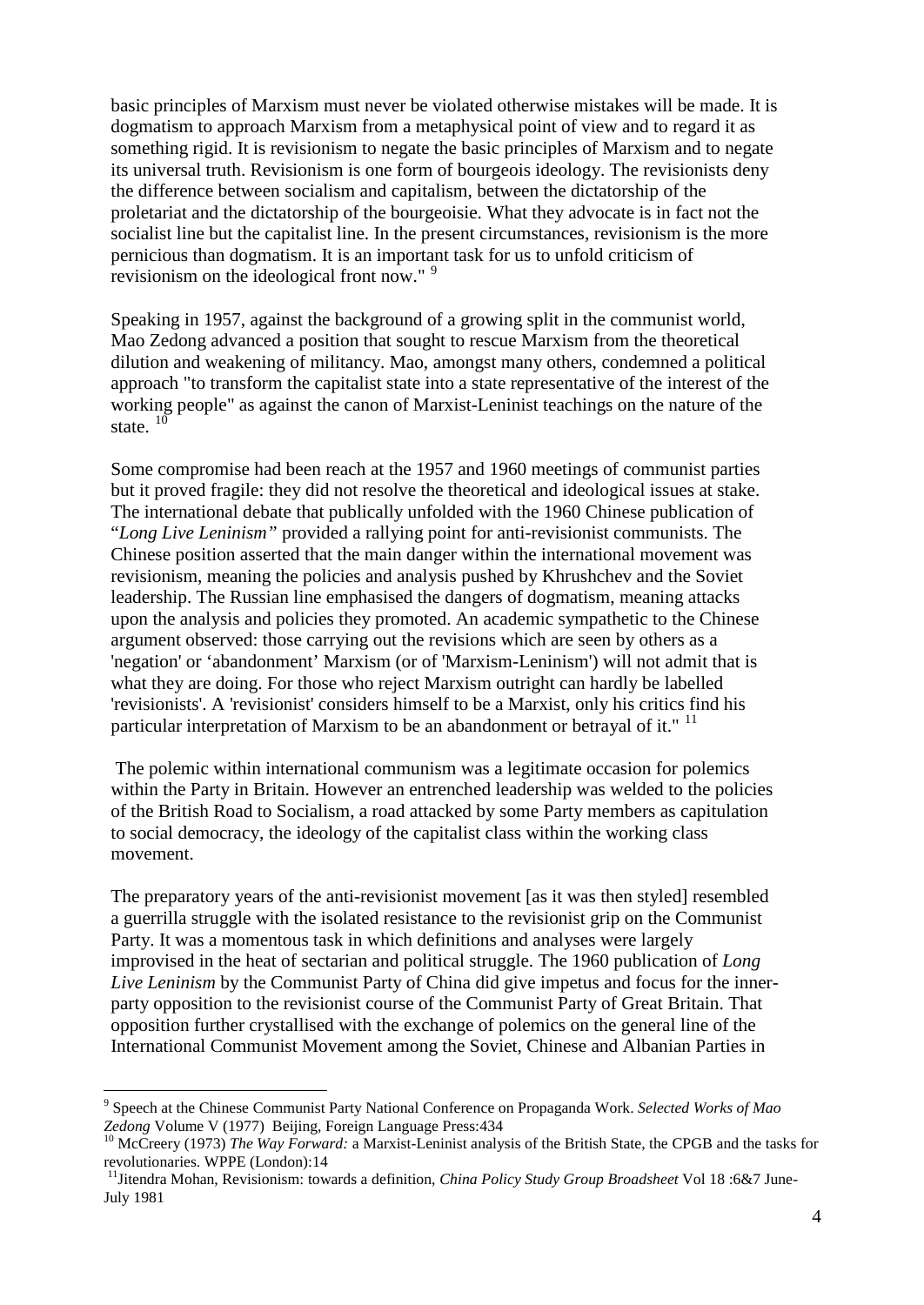basic principles of Marxism must never be violated otherwise mistakes will be made. It is dogmatism to approach Marxism from a metaphysical point of view and to regard it as something rigid. It is revisionism to negate the basic principles of Marxism and to negate its universal truth. Revisionism is one form of bourgeois ideology. The revisionists deny the difference between socialism and capitalism, between the dictatorship of the proletariat and the dictatorship of the bourgeoisie. What they advocate is in fact not the socialist line but the capitalist line. In the present circumstances, revisionism is the more pernicious than dogmatism. It is an important task for us to unfold criticism of revisionism on the ideological front now."<sup>[9](#page-3-0)</sup>

Speaking in 1957, against the background of a growing split in the communist world, Mao Zedong advanced a position that sought to rescue Marxism from the theoretical dilution and weakening of militancy. Mao, amongst many others, condemned a political approach "to transform the capitalist state into a state representative of the interest of the working people" as against the canon of Marxist-Leninist teachings on the nature of the state.  $10$ 

Some compromise had been reach at the 1957 and 1960 meetings of communist parties but it proved fragile: they did not resolve the theoretical and ideological issues at stake. The international debate that publically unfolded with the 1960 Chinese publication of "*Long Live Leninism"* provided a rallying point for anti-revisionist communists. The Chinese position asserted that the main danger within the international movement was revisionism, meaning the policies and analysis pushed by Khrushchev and the Soviet leadership. The Russian line emphasised the dangers of dogmatism, meaning attacks upon the analysis and policies they promoted. An academic sympathetic to the Chinese argument observed: those carrying out the revisions which are seen by others as a 'negation' or 'abandonment' Marxism (or of 'Marxism-Leninism') will not admit that is what they are doing. For those who reject Marxism outright can hardly be labelled 'revisionists'. A 'revisionist' considers himself to be a Marxist, only his critics find his particular interpretation of Marxism to be an abandonment or betrayal of it."  $11$ 

The polemic within international communism was a legitimate occasion for polemics within the Party in Britain. However an entrenched leadership was welded to the policies of the British Road to Socialism, a road attacked by some Party members as capitulation to social democracy, the ideology of the capitalist class within the working class movement.

The preparatory years of the anti-revisionist movement [as it was then styled] resembled a guerrilla struggle with the isolated resistance to the revisionist grip on the Communist Party. It was a momentous task in which definitions and analyses were largely improvised in the heat of sectarian and political struggle. The 1960 publication of *Long Live Leninism* by the Communist Party of China did give impetus and focus for the innerparty opposition to the revisionist course of the Communist Party of Great Britain. That opposition further crystallised with the exchange of polemics on the general line of the International Communist Movement among the Soviet, Chinese and Albanian Parties in

<span id="page-3-0"></span> <sup>9</sup> Speech at the Chinese Communist Party National Conference on Propaganda Work. *Selected Works of Mao* 

<span id="page-3-1"></span><sup>&</sup>lt;sup>10</sup> McCreery (1973) *The Way Forward:* a Marxist-Leninist analysis of the British State, the CPGB and the tasks for revolutionaries. WPPE (London):14

<span id="page-3-2"></span><sup>&</sup>lt;sup>11</sup> Jitendra Mohan, Revisionism: towards a definition, *China Policy Study Group Broadsheet* Vol 18 :6&7 June-July 1981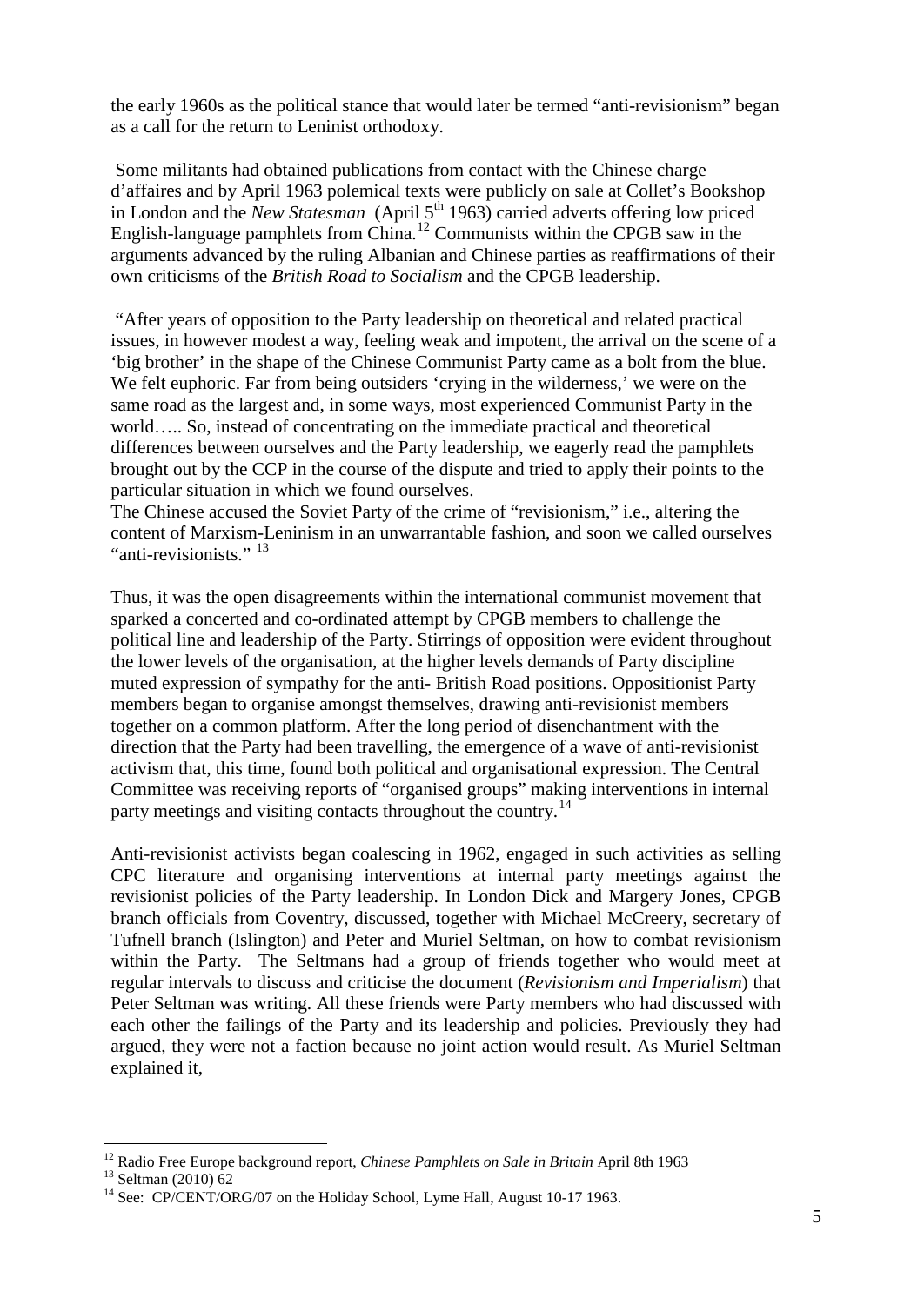the early 1960s as the political stance that would later be termed "anti-revisionism" began as a call for the return to Leninist orthodoxy.

Some militants had obtained publications from contact with the Chinese charge d'affaires and by April 1963 polemical texts were publicly on sale at Collet's Bookshop in London and the *New Statesman* (April 5<sup>th</sup> 1963) carried adverts offering low priced English-language pamphlets from China.<sup>[12](#page-4-0)</sup> Communists within the CPGB saw in the arguments advanced by the ruling Albanian and Chinese parties as reaffirmations of their own criticisms of the *British Road to Socialism* and the CPGB leadership.

"After years of opposition to the Party leadership on theoretical and related practical issues, in however modest a way, feeling weak and impotent, the arrival on the scene of a 'big brother' in the shape of the Chinese Communist Party came as a bolt from the blue. We felt euphoric. Far from being outsiders 'crying in the wilderness,' we were on the same road as the largest and, in some ways, most experienced Communist Party in the world….. So, instead of concentrating on the immediate practical and theoretical differences between ourselves and the Party leadership, we eagerly read the pamphlets brought out by the CCP in the course of the dispute and tried to apply their points to the particular situation in which we found ourselves.

The Chinese accused the Soviet Party of the crime of "revisionism," i.e., altering the content of Marxism-Leninism in an unwarrantable fashion, and soon we called ourselves "anti-revisionists."  $^{13}$  $^{13}$  $^{13}$ 

Thus, it was the open disagreements within the international communist movement that sparked a concerted and co-ordinated attempt by CPGB members to challenge the political line and leadership of the Party. Stirrings of opposition were evident throughout the lower levels of the organisation, at the higher levels demands of Party discipline muted expression of sympathy for the anti- British Road positions. Oppositionist Party members began to organise amongst themselves, drawing anti-revisionist members together on a common platform. After the long period of disenchantment with the direction that the Party had been travelling, the emergence of a wave of anti-revisionist activism that, this time, found both political and organisational expression. The Central Committee was receiving reports of "organised groups" making interventions in internal party meetings and visiting contacts throughout the country.<sup>[14](#page-4-2)</sup>

Anti-revisionist activists began coalescing in 1962, engaged in such activities as selling CPC literature and organising interventions at internal party meetings against the revisionist policies of the Party leadership. In London Dick and Margery Jones, CPGB branch officials from Coventry, discussed, together with Michael McCreery, secretary of Tufnell branch (Islington) and Peter and Muriel Seltman, on how to combat revisionism within the Party. The Seltmans had a group of friends together who would meet at regular intervals to discuss and criticise the document (*Revisionism and Imperialism*) that Peter Seltman was writing. All these friends were Party members who had discussed with each other the failings of the Party and its leadership and policies. Previously they had argued, they were not a faction because no joint action would result. As Muriel Seltman explained it,

<span id="page-4-0"></span><sup>&</sup>lt;sup>12</sup> Radio Free Europe background report, *Chinese Pamphlets on Sale in Britain* April 8th 1963<br><sup>13</sup> Seltman (2010) 62<br><sup>14</sup> See: CP/CENT/ORG/07 on the Holiday School, Lyme Hall, August 10-17 1963.

<span id="page-4-2"></span><span id="page-4-1"></span>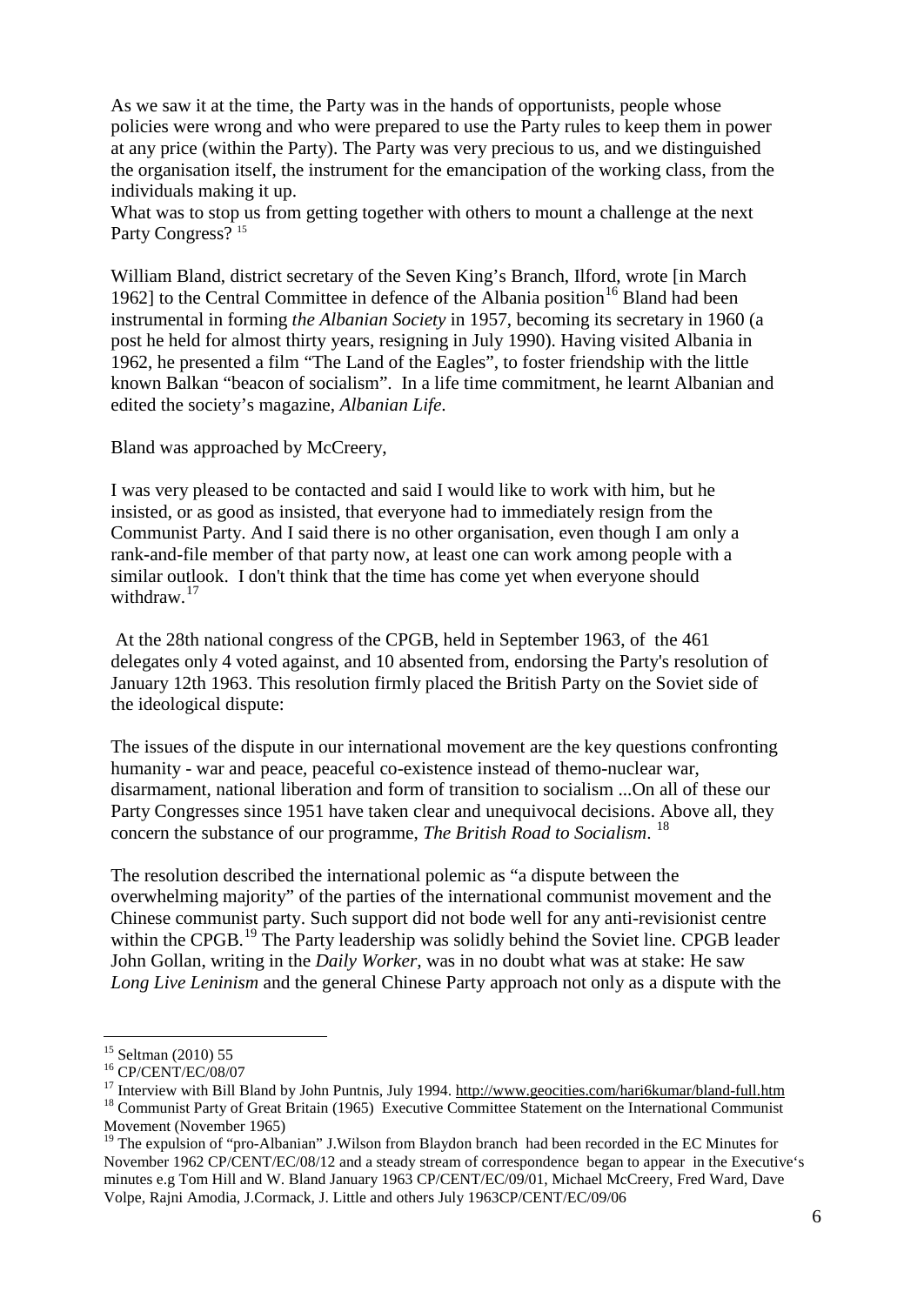As we saw it at the time, the Party was in the hands of opportunists, people whose policies were wrong and who were prepared to use the Party rules to keep them in power at any price (within the Party). The Party was very precious to us, and we distinguished the organisation itself, the instrument for the emancipation of the working class, from the individuals making it up.

What was to stop us from getting together with others to mount a challenge at the next Party Congress?<sup>[15](#page-5-0)</sup>

William Bland, district secretary of the Seven King's Branch, Ilford, wrote [in March 1962] to the Central Committee in defence of the Albania position<sup>[16](#page-5-1)</sup> Bland had been instrumental in forming *the Albanian Society* in 1957, becoming its secretary in 1960 (a post he held for almost thirty years, resigning in July 1990). Having visited Albania in 1962, he presented a film "The Land of the Eagles", to foster friendship with the little known Balkan "beacon of socialism". In a life time commitment, he learnt Albanian and edited the society's magazine, *Albanian Life*.

Bland was approached by McCreery,

I was very pleased to be contacted and said I would like to work with him, but he insisted, or as good as insisted, that everyone had to immediately resign from the Communist Party. And I said there is no other organisation, even though I am only a rank-and-file member of that party now, at least one can work among people with a similar outlook. I don't think that the time has come yet when everyone should withdraw.<sup>[17](#page-5-2)</sup>

At the 28th national congress of the CPGB, held in September 1963, of the 461 delegates only 4 voted against, and 10 absented from, endorsing the Party's resolution of January 12th 1963. This resolution firmly placed the British Party on the Soviet side of the ideological dispute:

The issues of the dispute in our international movement are the key questions confronting humanity - war and peace, peaceful co-existence instead of themo-nuclear war, disarmament, national liberation and form of transition to socialism ...On all of these our Party Congresses since 1951 have taken clear and unequivocal decisions. Above all, they concern the substance of our programme, *The British Road to Socialism*. [18](#page-5-3)

The resolution described the international polemic as "a dispute between the overwhelming majority" of the parties of the international communist movement and the Chinese communist party. Such support did not bode well for any anti-revisionist centre within the CPGB.<sup>[19](#page-5-4)</sup> The Party leadership was solidly behind the Soviet line. CPGB leader John Gollan, writing in the *Daily Worker,* was in no doubt what was at stake: He saw *Long Live Leninism* and the general Chinese Party approach not only as a dispute with the

<span id="page-5-0"></span> $^{15}$  Seltman (2010) 55<br> $^{16}$  CP/CENT/EC/08/07

<span id="page-5-2"></span><span id="page-5-1"></span><sup>&</sup>lt;sup>17</sup> Interview with Bill Bland by John Puntnis, July 1994. <http://www.geocities.com/hari6kumar/bland-full.htm> <sup>18</sup> Communist Party of Great Britain (1965) Executive Committee Statement on the International Communist

<span id="page-5-3"></span>Movement (November 1965)

<span id="page-5-4"></span>The expulsion of "pro-Albanian" J.Wilson from Blaydon branch had been recorded in the EC Minutes for November 1962 CP/CENT/EC/08/12 and a steady stream of correspondence began to appear in the Executive's minutes e.g Tom Hill and W. Bland January 1963 CP/CENT/EC/09/01, Michael McCreery, Fred Ward, Dave Volpe, Rajni Amodia, J.Cormack, J. Little and others July 1963CP/CENT/EC/09/06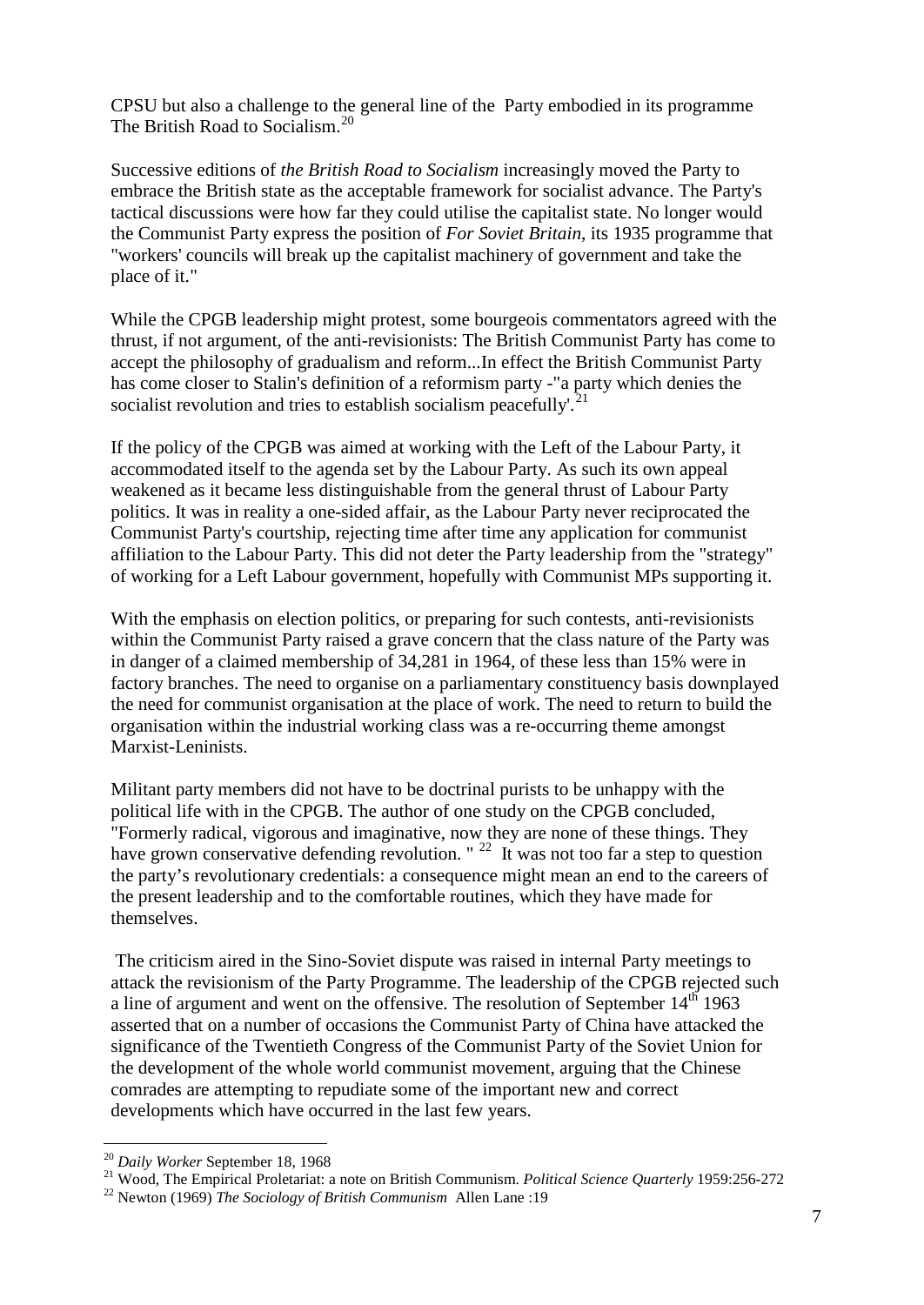CPSU but also a challenge to the general line of the Party embodied in its programme The British Road to Socialism.<sup>[20](#page-6-0)</sup>

Successive editions of *the British Road to Socialism* increasingly moved the Party to embrace the British state as the acceptable framework for socialist advance. The Party's tactical discussions were how far they could utilise the capitalist state. No longer would the Communist Party express the position of *For Soviet Britain*, its 1935 programme that "workers' councils will break up the capitalist machinery of government and take the place of it."

While the CPGB leadership might protest, some bourgeois commentators agreed with the thrust, if not argument, of the anti-revisionists: The British Communist Party has come to accept the philosophy of gradualism and reform...In effect the British Communist Party has come closer to Stalin's definition of a reformism party -"a party which denies the socialist revolution and tries to establish socialism peacefully.<sup>2</sup>

If the policy of the CPGB was aimed at working with the Left of the Labour Party, it accommodated itself to the agenda set by the Labour Party. As such its own appeal weakened as it became less distinguishable from the general thrust of Labour Party politics. It was in reality a one-sided affair, as the Labour Party never reciprocated the Communist Party's courtship, rejecting time after time any application for communist affiliation to the Labour Party. This did not deter the Party leadership from the "strategy" of working for a Left Labour government, hopefully with Communist MPs supporting it.

With the emphasis on election politics, or preparing for such contests, anti-revisionists within the Communist Party raised a grave concern that the class nature of the Party was in danger of a claimed membership of 34,281 in 1964, of these less than 15% were in factory branches. The need to organise on a parliamentary constituency basis downplayed the need for communist organisation at the place of work. The need to return to build the organisation within the industrial working class was a re-occurring theme amongst Marxist-Leninists.

Militant party members did not have to be doctrinal purists to be unhappy with the political life with in the CPGB. The author of one study on the CPGB concluded, "Formerly radical, vigorous and imaginative, now they are none of these things. They have grown conservative defending revolution. "  $^{22}$  $^{22}$  $^{22}$  It was not too far a step to question the party's revolutionary credentials: a consequence might mean an end to the careers of the present leadership and to the comfortable routines, which they have made for themselves.

The criticism aired in the Sino-Soviet dispute was raised in internal Party meetings to attack the revisionism of the Party Programme. The leadership of the CPGB rejected such a line of argument and went on the offensive. The resolution of September  $14<sup>th</sup> 1963$ asserted that on a number of occasions the Communist Party of China have attacked the significance of the Twentieth Congress of the Communist Party of the Soviet Union for the development of the whole world communist movement, arguing that the Chinese comrades are attempting to repudiate some of the important new and correct developments which have occurred in the last few years.

<span id="page-6-1"></span><span id="page-6-0"></span><sup>&</sup>lt;sup>20</sup> Daily Worker September 18, 1968<br><sup>21</sup> Wood, The Empirical Proletariat: a note on British Communism. *Political Science Quarterly* 1959:256-272<br><sup>22</sup> Newton (1969) *The Sociology of British Communism* Allen Lane :19

<span id="page-6-2"></span>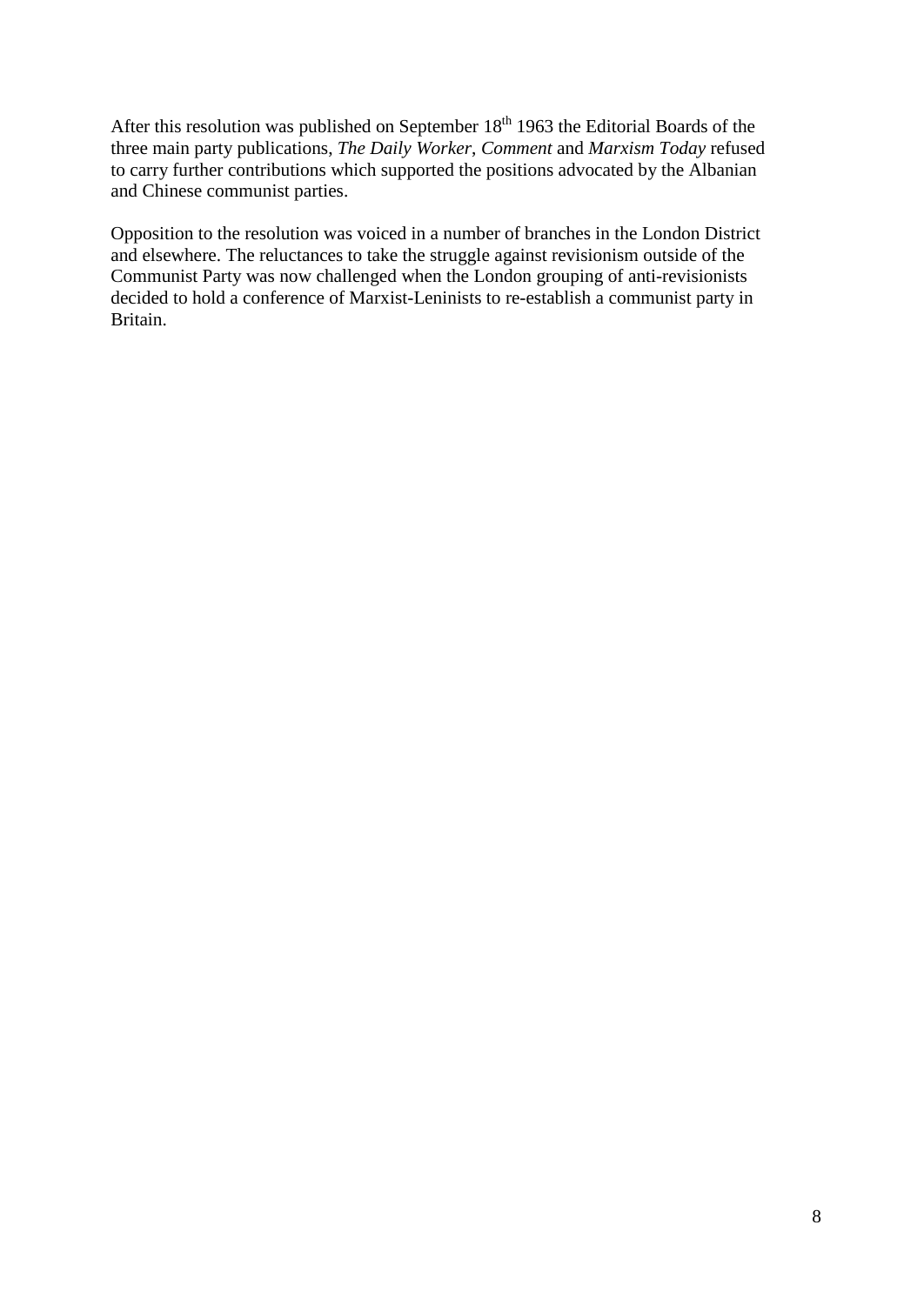After this resolution was published on September  $18<sup>th</sup> 1963$  the Editorial Boards of the three main party publications, *The Daily Worker*, *Comment* and *Marxism Today* refused to carry further contributions which supported the positions advocated by the Albanian and Chinese communist parties.

Opposition to the resolution was voiced in a number of branches in the London District and elsewhere. The reluctances to take the struggle against revisionism outside of the Communist Party was now challenged when the London grouping of anti-revisionists decided to hold a conference of Marxist-Leninists to re-establish a communist party in Britain.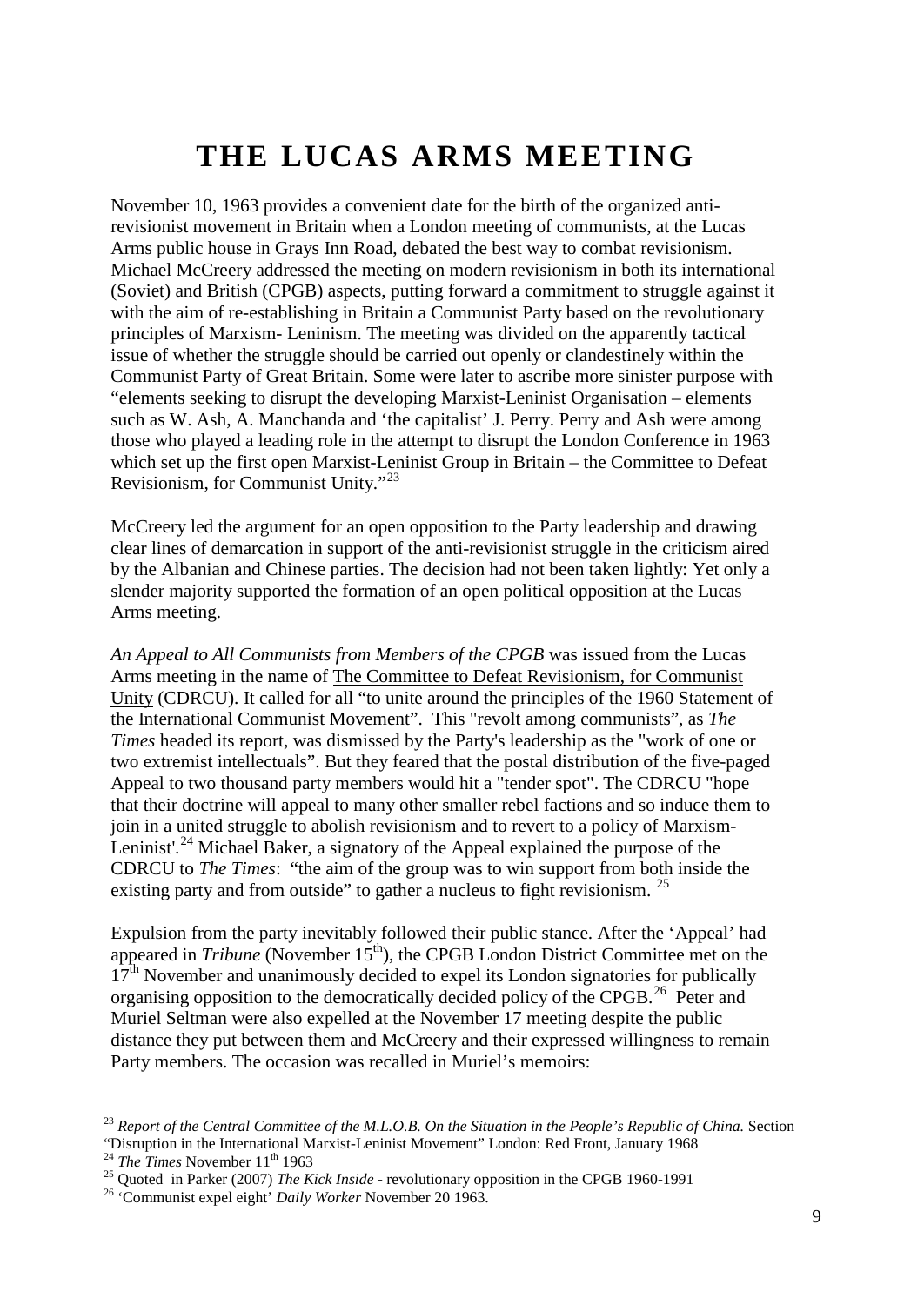# **THE LUCAS ARMS MEETING**

November 10, 1963 provides a convenient date for the birth of the organized antirevisionist movement in Britain when a London meeting of communists, at the Lucas Arms public house in Grays Inn Road, debated the best way to combat revisionism. Michael McCreery addressed the meeting on modern revisionism in both its international (Soviet) and British (CPGB) aspects, putting forward a commitment to struggle against it with the aim of re-establishing in Britain a Communist Party based on the revolutionary principles of Marxism- Leninism. The meeting was divided on the apparently tactical issue of whether the struggle should be carried out openly or clandestinely within the Communist Party of Great Britain. Some were later to ascribe more sinister purpose with "elements seeking to disrupt the developing Marxist-Leninist Organisation – elements such as W. Ash, A. Manchanda and 'the capitalist' J. Perry. Perry and Ash were among those who played a leading role in the attempt to disrupt the London Conference in 1963 which set up the first open Marxist-Leninist Group in Britain – the Committee to Defeat Revisionism, for Communist Unity."[23](#page-8-0)

McCreery led the argument for an open opposition to the Party leadership and drawing clear lines of demarcation in support of the anti-revisionist struggle in the criticism aired by the Albanian and Chinese parties. The decision had not been taken lightly: Yet only a slender majority supported the formation of an open political opposition at the Lucas Arms meeting.

*An Appeal to All Communists from Members of the CPGB* was issued from the Lucas Arms meeting in the name of The Committee to Defeat Revisionism, for Communist Unity (CDRCU). It called for all "to unite around the principles of the 1960 Statement of the International Communist Movement". This "revolt among communists", as *The Times* headed its report, was dismissed by the Party's leadership as the "work of one or two extremist intellectuals". But they feared that the postal distribution of the five-paged Appeal to two thousand party members would hit a "tender spot". The CDRCU "hope that their doctrine will appeal to many other smaller rebel factions and so induce them to join in a united struggle to abolish revisionism and to revert to a policy of Marxism-Leninist'.<sup>[24](#page-8-1)</sup> Michael Baker, a signatory of the Appeal explained the purpose of the CDRCU to *The Times*: "the aim of the group was to win support from both inside the existing party and from outside" to gather a nucleus to fight revisionism. <sup>[25](#page-8-2)</sup>

Expulsion from the party inevitably followed their public stance. After the 'Appeal' had appeared in *Tribune* (November 15<sup>th</sup>), the CPGB London District Committee met on the  $17<sup>th</sup>$  November and unanimously decided to expel its London signatories for publically organising opposition to the democratically decided policy of the CPGB.<sup>[26](#page-8-3)</sup> Peter and Muriel Seltman were also expelled at the November 17 meeting despite the public distance they put between them and McCreery and their expressed willingness to remain Party members. The occasion was recalled in Muriel's memoirs:

<span id="page-8-0"></span> <sup>23</sup> *Report of the Central Committee of the M.L.O.B. On the Situation in the People's Republic of China.* Section "Disruption in the International Marxist-Leninist Movement" London: Red Front, January 1968<br><sup>24</sup> The Times November 11<sup>th</sup> 1963<br><sup>25</sup> Quoted in Parker (2007) The Kick Inside - revolutionary opposition in the CPGB 1960-1991

<span id="page-8-1"></span>

<span id="page-8-2"></span>

<span id="page-8-3"></span>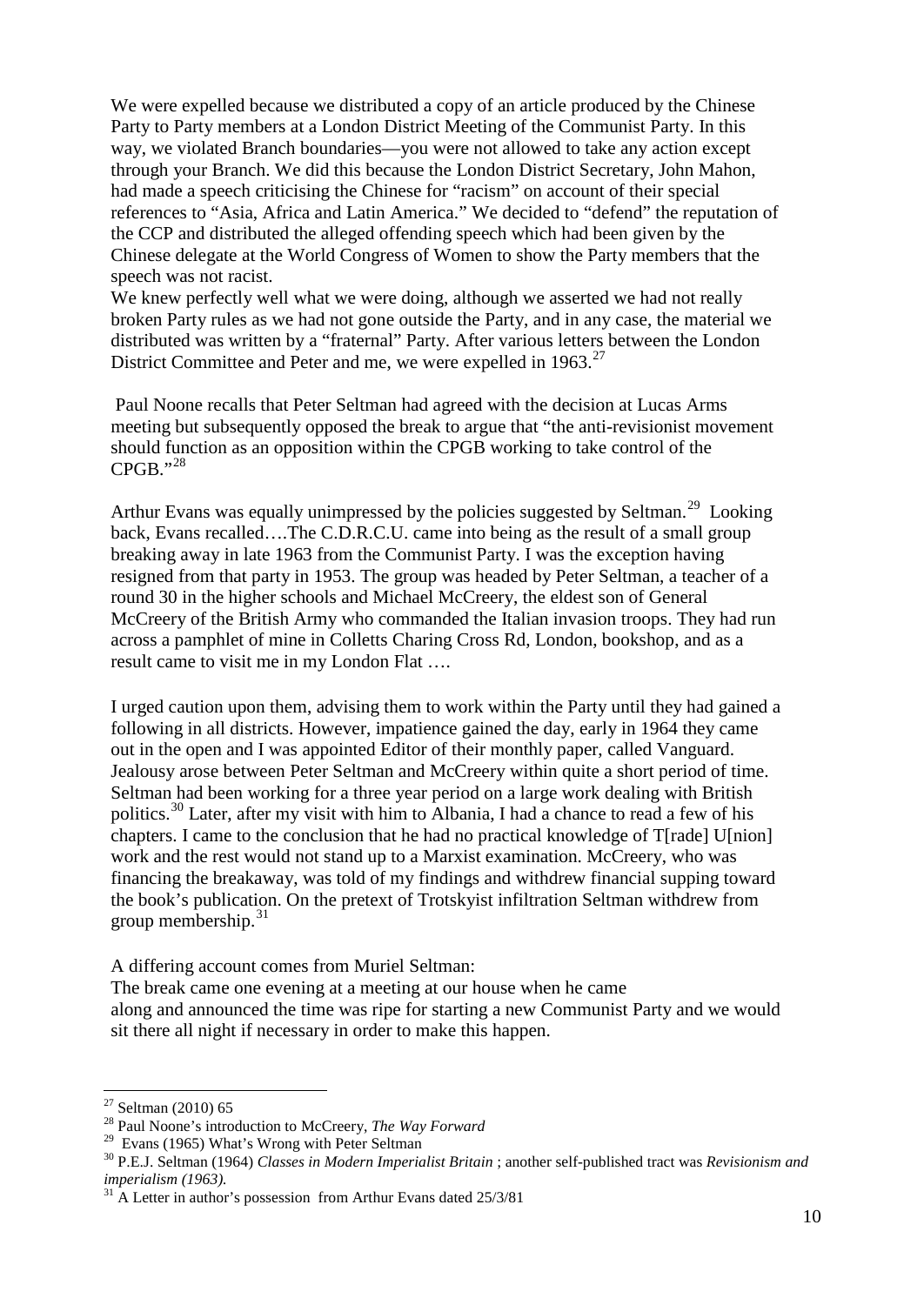We were expelled because we distributed a copy of an article produced by the Chinese Party to Party members at a London District Meeting of the Communist Party. In this way, we violated Branch boundaries—you were not allowed to take any action except through your Branch. We did this because the London District Secretary, John Mahon, had made a speech criticising the Chinese for "racism" on account of their special references to "Asia, Africa and Latin America." We decided to "defend" the reputation of the CCP and distributed the alleged offending speech which had been given by the Chinese delegate at the World Congress of Women to show the Party members that the speech was not racist.

We knew perfectly well what we were doing, although we asserted we had not really broken Party rules as we had not gone outside the Party, and in any case, the material we distributed was written by a "fraternal" Party. After various letters between the London District Committee and Peter and me, we were expelled in  $1963$ .<sup>[27](#page-9-0)</sup>

Paul Noone recalls that Peter Seltman had agreed with the decision at Lucas Arms meeting but subsequently opposed the break to argue that "the anti-revisionist movement should function as an opposition within the CPGB working to take control of the  $CPGB.$ "<sup>28</sup>

Arthur Evans was equally unimpressed by the policies suggested by Seltman.<sup>[29](#page-9-2)</sup> Looking back, Evans recalled….The C.D.R.C.U. came into being as the result of a small group breaking away in late 1963 from the Communist Party. I was the exception having resigned from that party in 1953. The group was headed by Peter Seltman, a teacher of a round 30 in the higher schools and Michael McCreery, the eldest son of General McCreery of the British Army who commanded the Italian invasion troops. They had run across a pamphlet of mine in Colletts Charing Cross Rd, London, bookshop, and as a result came to visit me in my London Flat ….

I urged caution upon them, advising them to work within the Party until they had gained a following in all districts. However, impatience gained the day, early in 1964 they came out in the open and I was appointed Editor of their monthly paper, called Vanguard. Jealousy arose between Peter Seltman and McCreery within quite a short period of time. Seltman had been working for a three year period on a large work dealing with British politics.<sup>[30](#page-9-3)</sup> Later, after my visit with him to Albania, I had a chance to read a few of his chapters. I came to the conclusion that he had no practical knowledge of T[rade] U[nion] work and the rest would not stand up to a Marxist examination. McCreery, who was financing the breakaway, was told of my findings and withdrew financial supping toward the book's publication. On the pretext of Trotskyist infiltration Seltman withdrew from group membership. $31$ 

A differing account comes from Muriel Seltman:

The break came one evening at a meeting at our house when he came along and announced the time was ripe for starting a new Communist Party and we would sit there all night if necessary in order to make this happen.

<span id="page-9-1"></span><span id="page-9-0"></span><sup>&</sup>lt;sup>27</sup> Seltman (2010) 65<br><sup>28</sup> Paul Noone's introduction to McCreery, *The Way Forward*<br><sup>29</sup> Evans (1965) What's Wrong with Peter Seltman

<span id="page-9-3"></span><span id="page-9-2"></span><sup>&</sup>lt;sup>30</sup> P.E.J. Seltman (1964) *Classes in Modern Imperialist Britain* ; another self-published tract was *Revisionism and imperialism (1963)*.

<span id="page-9-4"></span><sup>&</sup>lt;sup>31</sup> A Letter in author's possession from Arthur Evans dated 25/3/81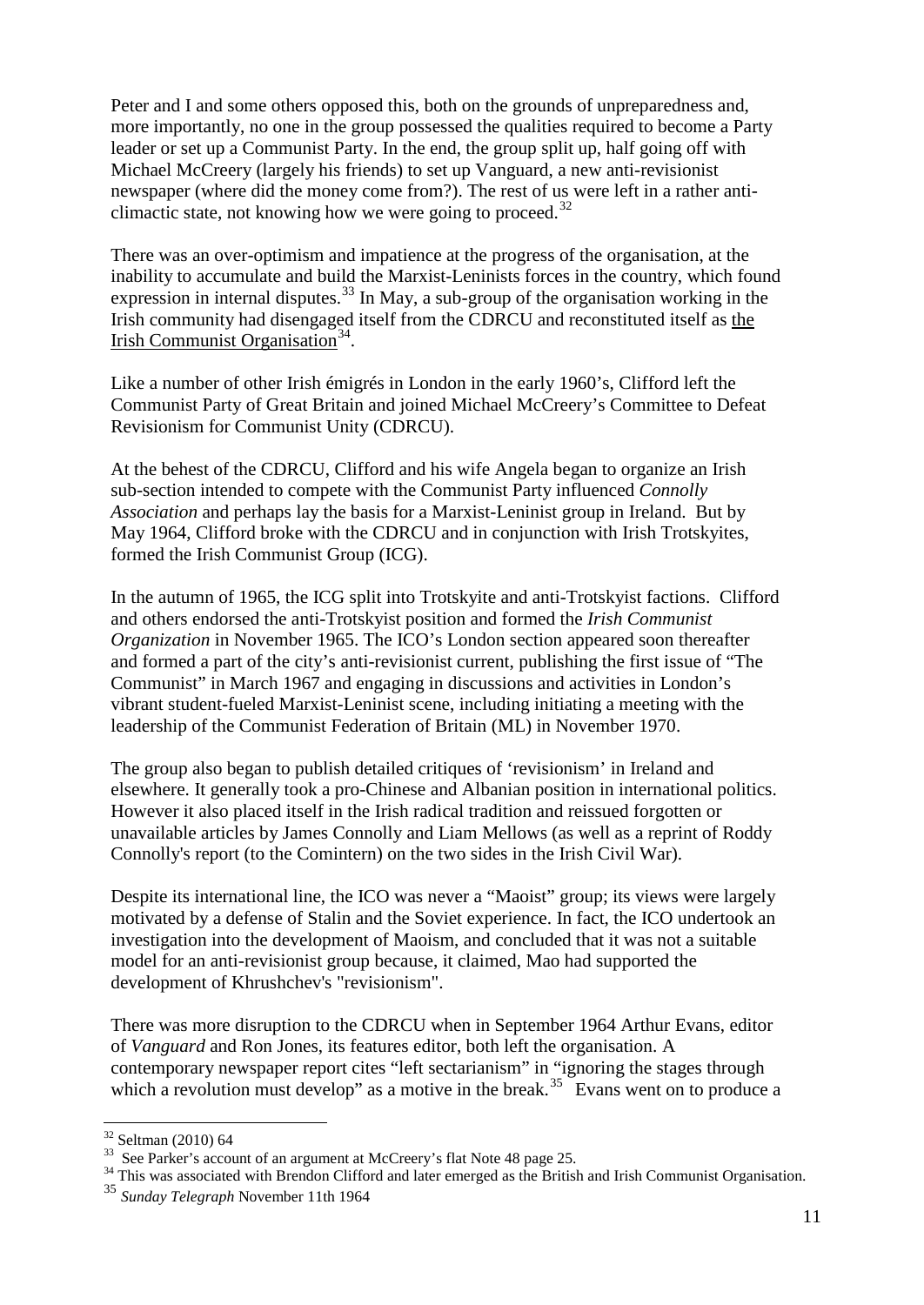Peter and I and some others opposed this, both on the grounds of unpreparedness and, more importantly, no one in the group possessed the qualities required to become a Party leader or set up a Communist Party. In the end, the group split up, half going off with Michael McCreery (largely his friends) to set up Vanguard, a new anti-revisionist newspaper (where did the money come from?). The rest of us were left in a rather anti-climactic state, not knowing how we were going to proceed.<sup>[32](#page-10-0)</sup>

There was an over-optimism and impatience at the progress of the organisation, at the inability to accumulate and build the Marxist-Leninists forces in the country, which found expression in internal disputes.<sup>[33](#page-10-1)</sup> In May, a sub-group of the organisation working in the Irish community had disengaged itself from the CDRCU and reconstituted itself as the Irish Communist Organisation<sup>[34](#page-10-2)</sup>.

Like a number of other Irish émigrés in London in the early 1960's, Clifford left the Communist Party of Great Britain and joined Michael McCreery's Committee to Defeat Revisionism for Communist Unity (CDRCU).

At the behest of the CDRCU, Clifford and his wife Angela began to organize an Irish sub-section intended to compete with the Communist Party influenced *Connolly Association* and perhaps lay the basis for a Marxist-Leninist group in Ireland. But by May 1964, Clifford broke with the CDRCU and in conjunction with Irish Trotskyites, formed the Irish Communist Group (ICG).

In the autumn of 1965, the ICG split into Trotskyite and anti-Trotskyist factions. Clifford and others endorsed the anti-Trotskyist position and formed the *Irish Communist Organization* in November 1965. The ICO's London section appeared soon thereafter and formed a part of the city's anti-revisionist current, publishing the first issue of "The Communist" in March 1967 and engaging in discussions and activities in London's vibrant student-fueled Marxist-Leninist scene, including initiating a meeting with the leadership of the Communist Federation of Britain (ML) in November 1970.

The group also began to publish detailed critiques of 'revisionism' in Ireland and elsewhere. It generally took a pro-Chinese and Albanian position in international politics. However it also placed itself in the Irish radical tradition and reissued forgotten or unavailable articles by James Connolly and Liam Mellows (as well as a reprint of Roddy Connolly's report (to the Comintern) on the two sides in the Irish Civil War).

Despite its international line, the ICO was never a "Maoist" group; its views were largely motivated by a defense of Stalin and the Soviet experience. In fact, the ICO undertook an investigation into the development of Maoism, and concluded that it was not a suitable model for an anti-revisionist group because, it claimed, Mao had supported the development of Khrushchev's "revisionism".

There was more disruption to the CDRCU when in September 1964 Arthur Evans, editor of *Vanguard* and Ron Jones, its features editor, both left the organisation. A contemporary newspaper report cites "left sectarianism" in "ignoring the stages through which a revolution must develop" as a motive in the break.<sup>[35](#page-10-3)</sup> Evans went on to produce a

<span id="page-10-0"></span> $32$  Seltman (2010) 64<br>33 See Parker's account of an argument at McCreery's flat Note 48 page 25.

<span id="page-10-2"></span><span id="page-10-1"></span><sup>&</sup>lt;sup>34</sup> This was associated with Brendon Clifford and later emerged as the British and Irish Communist Organisation.

<span id="page-10-3"></span><sup>35</sup> *Sunday Telegraph* November 11th 1964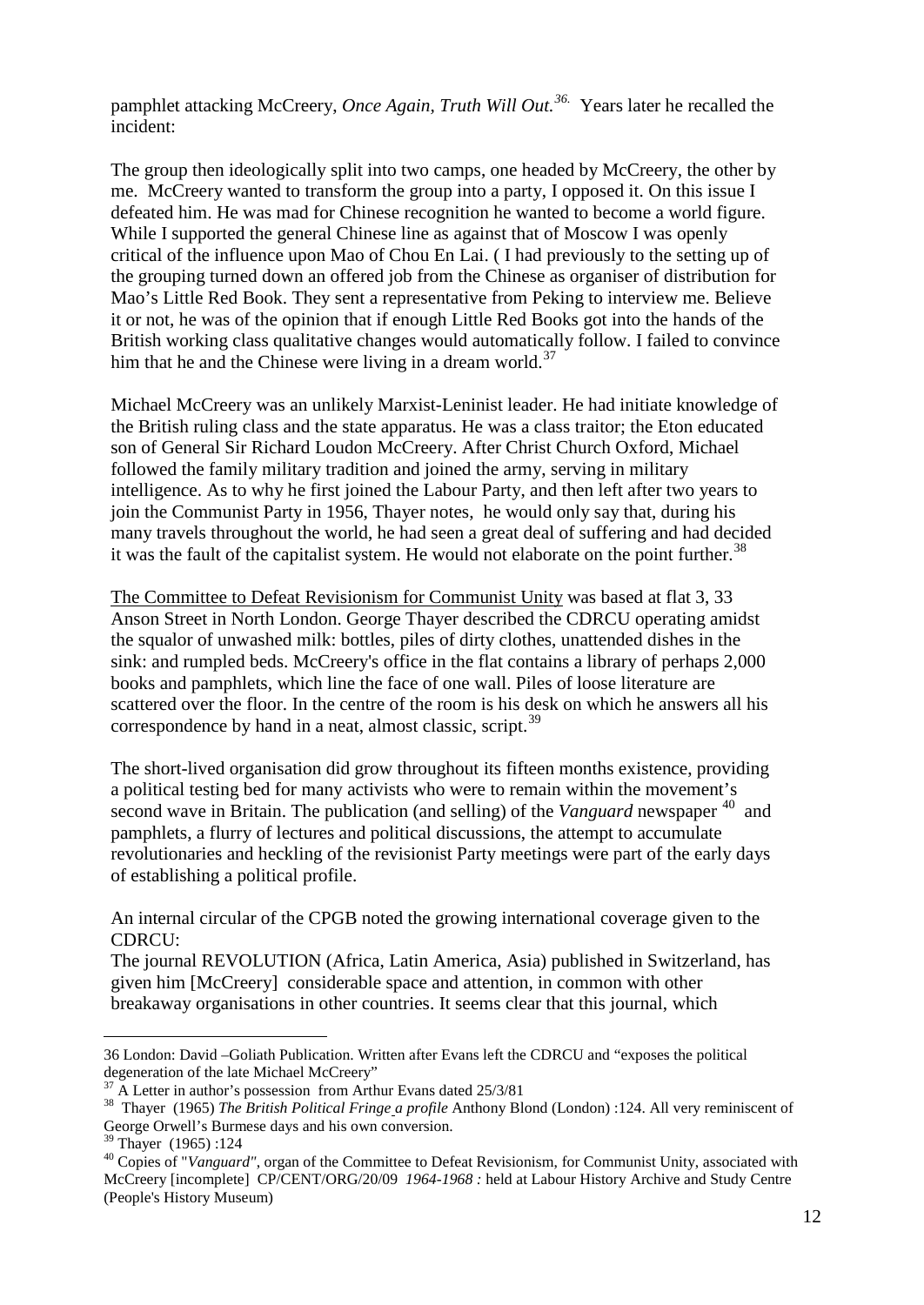pamphlet attacking McCreery, *Once Again, Truth Will Out.[36](#page-11-0).* Years later he recalled the incident:

The group then ideologically split into two camps, one headed by McCreery, the other by me. McCreery wanted to transform the group into a party, I opposed it. On this issue I defeated him. He was mad for Chinese recognition he wanted to become a world figure. While I supported the general Chinese line as against that of Moscow I was openly critical of the influence upon Mao of Chou En Lai. ( I had previously to the setting up of the grouping turned down an offered job from the Chinese as organiser of distribution for Mao's Little Red Book. They sent a representative from Peking to interview me. Believe it or not, he was of the opinion that if enough Little Red Books got into the hands of the British working class qualitative changes would automatically follow. I failed to convince him that he and the Chinese were living in a dream world.<sup>[37](#page-11-1)</sup>

Michael McCreery was an unlikely Marxist-Leninist leader. He had initiate knowledge of the British ruling class and the state apparatus. He was a class traitor; the Eton educated son of General Sir Richard Loudon McCreery. After Christ Church Oxford, Michael followed the family military tradition and joined the army, serving in military intelligence. As to why he first joined the Labour Party, and then left after two years to join the Communist Party in 1956, Thayer notes, he would only say that, during his many travels throughout the world, he had seen a great deal of suffering and had decided it was the fault of the capitalist system. He would not elaborate on the point further.<sup>[38](#page-11-2)</sup>

The Committee to Defeat Revisionism for Communist Unity was based at flat 3, 33 Anson Street in North London. George Thayer described the CDRCU operating amidst the squalor of unwashed milk: bottles, piles of dirty clothes, unattended dishes in the sink: and rumpled beds. McCreery's office in the flat contains a library of perhaps 2,000 books and pamphlets, which line the face of one wall. Piles of loose literature are scattered over the floor. In the centre of the room is his desk on which he answers all his correspondence by hand in a neat, almost classic, script.<sup>[39](#page-11-3)</sup>

The short-lived organisation did grow throughout its fifteen months existence, providing a political testing bed for many activists who were to remain within the movement's second wave in Britain. The publication (and selling) of the *Vanguard* newspaper <sup>[40](#page-11-4)</sup> and pamphlets, a flurry of lectures and political discussions, the attempt to accumulate revolutionaries and heckling of the revisionist Party meetings were part of the early days of establishing a political profile.

An internal circular of the CPGB noted the growing international coverage given to the CDRCU:

The journal REVOLUTION (Africa, Latin America, Asia) published in Switzerland, has given him [McCreery] considerable space and attention, in common with other breakaway organisations in other countries. It seems clear that this journal, which

<span id="page-11-0"></span> $\overline{a}$ 36 London: David –Goliath Publication. Written after Evans left the CDRCU and "exposes the political

<span id="page-11-2"></span><span id="page-11-1"></span><sup>&</sup>lt;sup>37</sup> A Letter in author's possession from Arthur Evans dated  $25/3/81$ <br><sup>38</sup> Thayer (1965) *The British Political Fringe a profile* Anthony Blond (London) :124. All very reminiscent of George Orwell's Burmese days and his own conversion.<br><sup>39</sup> Thayer (1965) :124<br><sup>40</sup> Copies of "*Vanguard"*, organ of the Committee to Defeat Revisionism, for Communist Unity, associated with

<span id="page-11-3"></span>

<span id="page-11-4"></span>McCreery [incomplete] CP/CENT/ORG/20/09 *1964-1968 :* held at Labour History Archive and Study Centre (People's History Museum)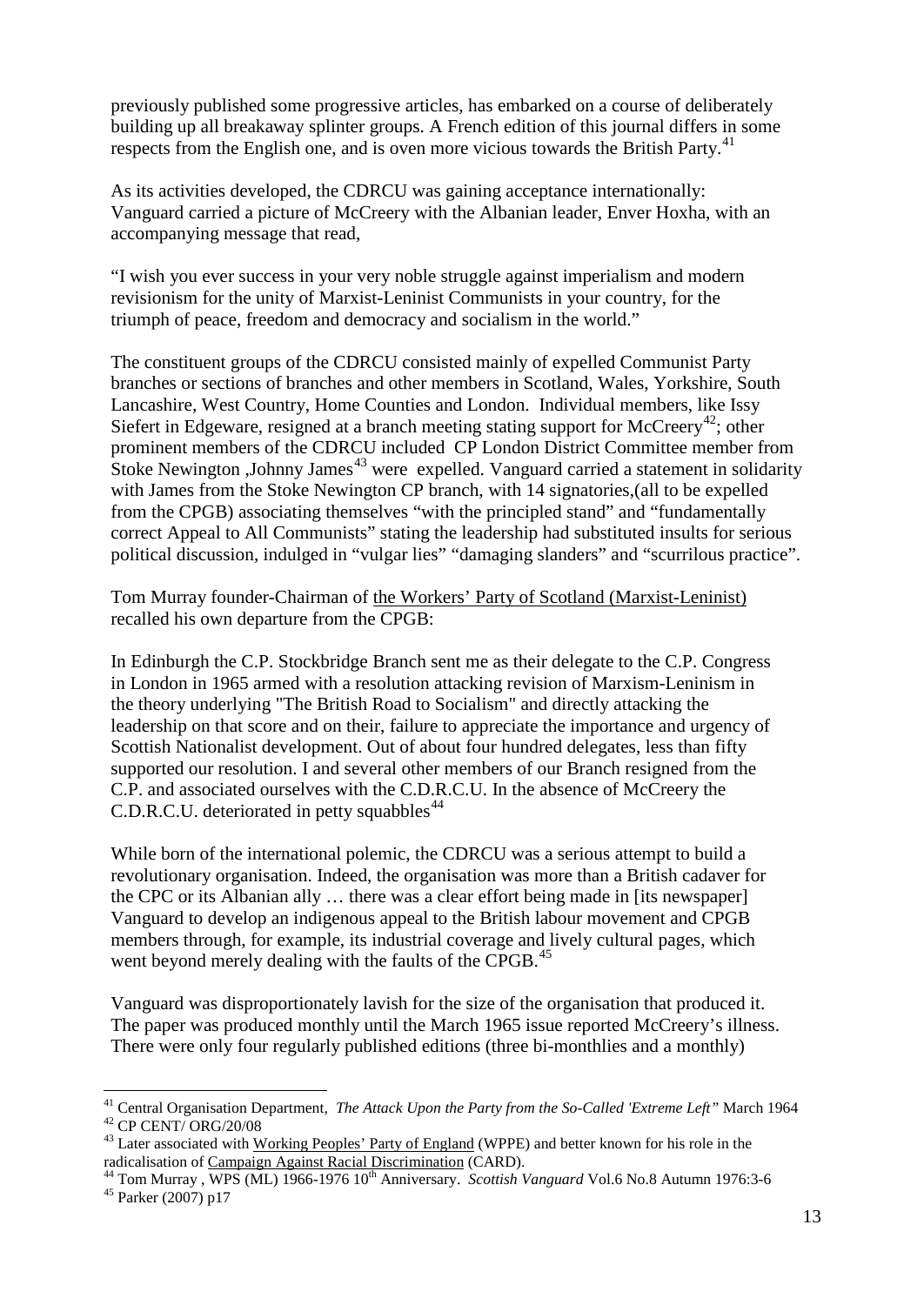previously published some progressive articles, has embarked on a course of deliberately building up all breakaway splinter groups. A French edition of this journal differs in some respects from the English one, and is oven more vicious towards the British Party.<sup>[41](#page-12-0)</sup>

As its activities developed, the CDRCU was gaining acceptance internationally: Vanguard carried a picture of McCreery with the Albanian leader, Enver Hoxha, with an accompanying message that read,

"I wish you ever success in your very noble struggle against imperialism and modern revisionism for the unity of Marxist-Leninist Communists in your country, for the triumph of peace, freedom and democracy and socialism in the world."

The constituent groups of the CDRCU consisted mainly of expelled Communist Party branches or sections of branches and other members in Scotland, Wales, Yorkshire, South Lancashire, West Country, Home Counties and London. Individual members, like Issy Siefert in Edgeware, resigned at a branch meeting stating support for McCreery<sup>[42](#page-12-1)</sup>; other prominent members of the CDRCU included CP London District Committee member from Stoke Newington ,Johnny James<sup>[43](#page-12-2)</sup> were expelled. Vanguard carried a statement in solidarity with James from the Stoke Newington CP branch, with 14 signatories,(all to be expelled from the CPGB) associating themselves "with the principled stand" and "fundamentally correct Appeal to All Communists" stating the leadership had substituted insults for serious political discussion, indulged in "vulgar lies" "damaging slanders" and "scurrilous practice".

Tom Murray founder-Chairman of the Workers' Party of Scotland (Marxist-Leninist) recalled his own departure from the CPGB:

In Edinburgh the C.P. Stockbridge Branch sent me as their delegate to the C.P. Congress in London in 1965 armed with a resolution attacking revision of Marxism-Leninism in the theory underlying "The British Road to Socialism" and directly attacking the leadership on that score and on their, failure to appreciate the importance and urgency of Scottish Nationalist development. Out of about four hundred delegates, less than fifty supported our resolution. I and several other members of our Branch resigned from the C.P. and associated ourselves with the C.D.R.C.U. In the absence of McCreery the C.D.R.C.U. deteriorated in petty squabbles  $44$ 

While born of the international polemic, the CDRCU was a serious attempt to build a revolutionary organisation. Indeed, the organisation was more than a British cadaver for the CPC or its Albanian ally … there was a clear effort being made in [its newspaper] Vanguard to develop an indigenous appeal to the British labour movement and CPGB members through, for example, its industrial coverage and lively cultural pages, which went beyond merely dealing with the faults of the CPGB.<sup>[45](#page-12-4)</sup>

Vanguard was disproportionately lavish for the size of the organisation that produced it. The paper was produced monthly until the March 1965 issue reported McCreery's illness. There were only four regularly published editions (three bi-monthlies and a monthly)

<span id="page-12-1"></span><span id="page-12-0"></span><sup>&</sup>lt;sup>41</sup> Central Organisation Department, *The Attack Upon the Party from the So-Called 'Extreme Left"* March 1964<br><sup>42</sup> CP CENT/ ORG/20/08<br><sup>43</sup> Later associated with Working Peoples' Party of England (WPPE) and better known f

<span id="page-12-4"></span><span id="page-12-3"></span><span id="page-12-2"></span>radicalisation of <u>Campaign Against Racial Discrimination</u> (CARD).<br><sup>44</sup> Tom Murray , WPS (ML) 1966-1976 10<sup>th</sup> Anniversary. *Scottish Vanguard* Vol.6 No.8 Autumn 1976:3-6<br><sup>45</sup> Parker (2007) p17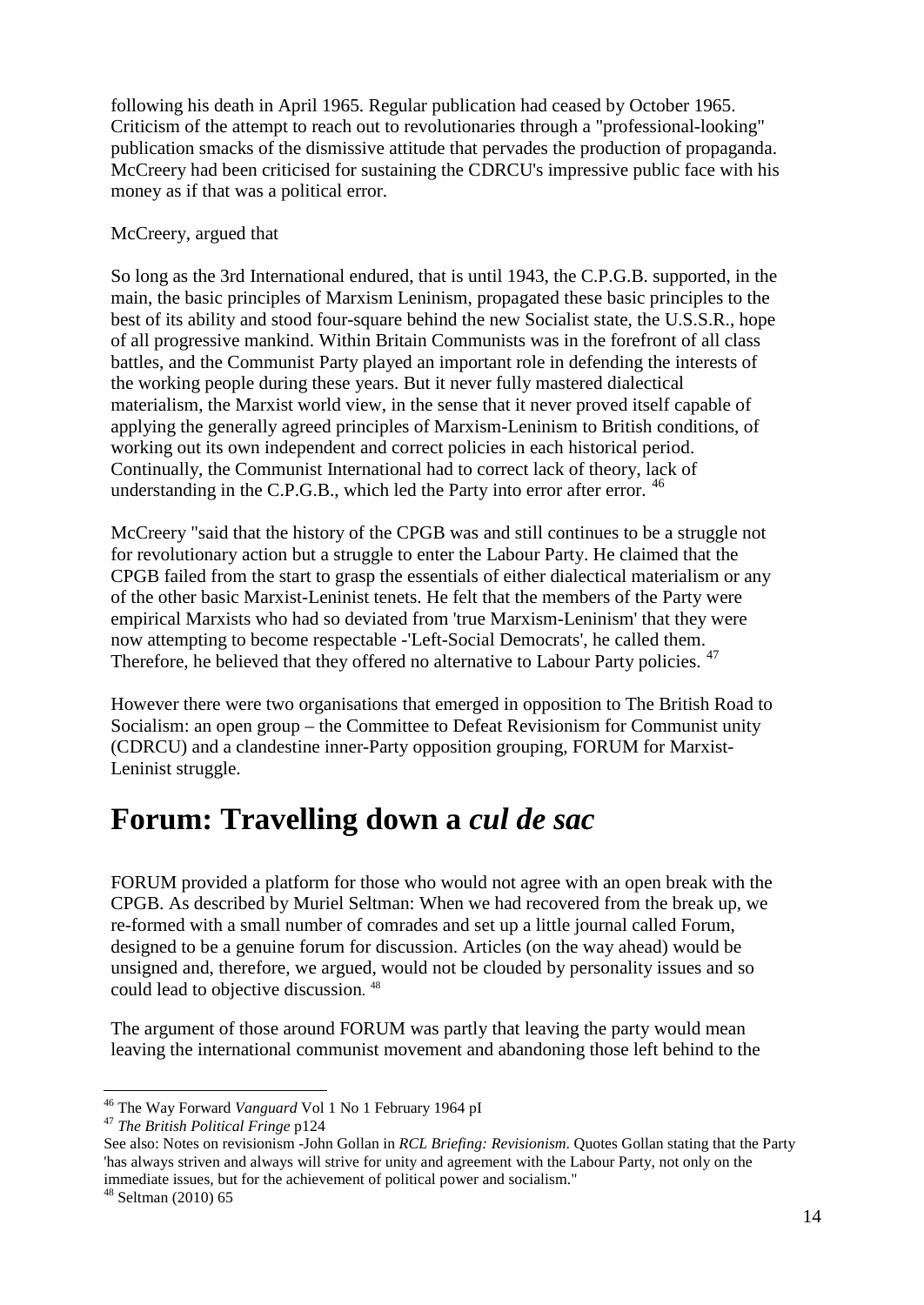following his death in April 1965. Regular publication had ceased by October 1965. Criticism of the attempt to reach out to revolutionaries through a "professional-looking" publication smacks of the dismissive attitude that pervades the production of propaganda. McCreery had been criticised for sustaining the CDRCU's impressive public face with his money as if that was a political error.

#### McCreery, argued that

So long as the 3rd International endured, that is until 1943, the C.P.G.B. supported, in the main, the basic principles of Marxism Leninism, propagated these basic principles to the best of its ability and stood four-square behind the new Socialist state, the U.S.S.R., hope of all progressive mankind. Within Britain Communists was in the forefront of all class battles, and the Communist Party played an important role in defending the interests of the working people during these years. But it never fully mastered dialectical materialism, the Marxist world view, in the sense that it never proved itself capable of applying the generally agreed principles of Marxism-Leninism to British conditions, of working out its own independent and correct policies in each historical period. Continually, the Communist International had to correct lack of theory, lack of understanding in the C.P.G.B., which led the Party into error after error.  $46$ 

McCreery "said that the history of the CPGB was and still continues to be a struggle not for revolutionary action but a struggle to enter the Labour Party. He claimed that the CPGB failed from the start to grasp the essentials of either dialectical materialism or any of the other basic Marxist-Leninist tenets. He felt that the members of the Party were empirical Marxists who had so deviated from 'true Marxism-Leninism' that they were now attempting to become respectable -'Left-Social Democrats', he called them. Therefore, he believed that they offered no alternative to Labour Party policies.<sup>[47](#page-13-1)</sup>

However there were two organisations that emerged in opposition to The British Road to Socialism: an open group – the Committee to Defeat Revisionism for Communist unity (CDRCU) and a clandestine inner-Party opposition grouping, FORUM for Marxist-Leninist struggle.

## **Forum: Travelling down a** *cul de sac*

FORUM provided a platform for those who would not agree with an open break with the CPGB. As described by Muriel Seltman: When we had recovered from the break up, we re-formed with a small number of comrades and set up a little journal called Forum, designed to be a genuine forum for discussion. Articles (on the way ahead) would be unsigned and, therefore, we argued, would not be clouded by personality issues and so could lead to objective discussion. [48](#page-13-2)

The argument of those around FORUM was partly that leaving the party would mean leaving the international communist movement and abandoning those left behind to the

<span id="page-13-0"></span><sup>46</sup> The Way Forward *Vanguard* Vol 1 No 1 February 1964 pI <sup>47</sup> *The British Political Fringe* p124

<span id="page-13-1"></span>See also: Notes on revisionism -John Gollan in *RCL Briefing: Revisionism*. Quotes Gollan stating that the Party 'has always striven and always will strive for unity and agreement with the Labour Party, not only on the immediate issues, but for the achievement of political power and socialism."

<span id="page-13-2"></span> $48$  Seltman (2010) 65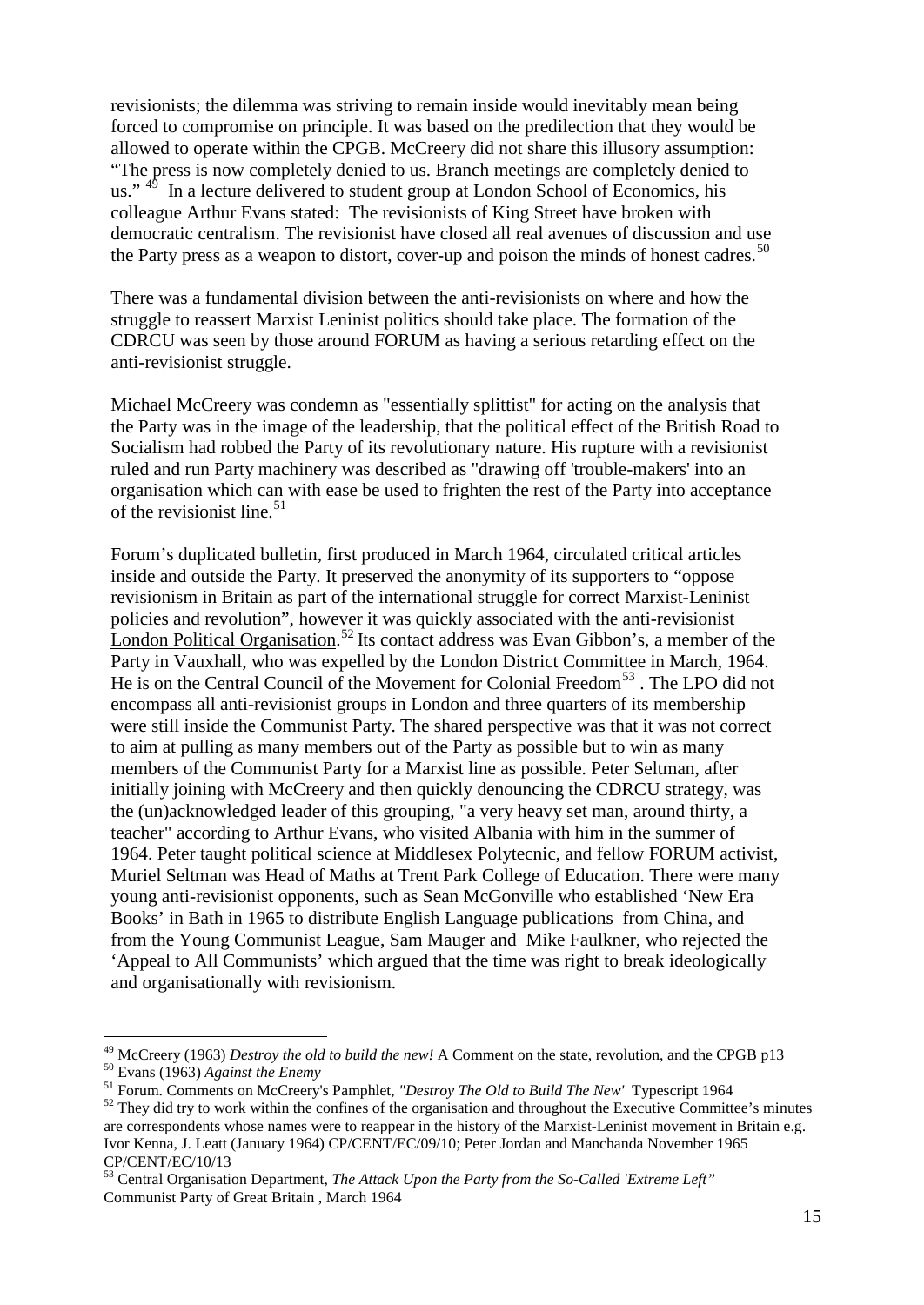revisionists; the dilemma was striving to remain inside would inevitably mean being forced to compromise on principle. It was based on the predilection that they would be allowed to operate within the CPGB. McCreery did not share this illusory assumption: "The press is now completely denied to us. Branch meetings are completely denied to us." <sup>[49](#page-14-0)</sup> In a lecture delivered to student group at London School of Economics, his colleague Arthur Evans stated: The revisionists of King Street have broken with democratic centralism. The revisionist have closed all real avenues of discussion and use the Party press as a weapon to distort, cover-up and poison the minds of honest cadres.<sup>[50](#page-14-1)</sup>

There was a fundamental division between the anti-revisionists on where and how the struggle to reassert Marxist Leninist politics should take place. The formation of the CDRCU was seen by those around FORUM as having a serious retarding effect on the anti-revisionist struggle.

Michael McCreery was condemn as "essentially splittist" for acting on the analysis that the Party was in the image of the leadership, that the political effect of the British Road to Socialism had robbed the Party of its revolutionary nature. His rupture with a revisionist ruled and run Party machinery was described as "drawing off 'trouble-makers' into an organisation which can with ease be used to frighten the rest of the Party into acceptance of the revisionist line. $51$ 

Forum's duplicated bulletin, first produced in March 1964, circulated critical articles inside and outside the Party. It preserved the anonymity of its supporters to "oppose revisionism in Britain as part of the international struggle for correct Marxist-Leninist policies and revolution", however it was quickly associated with the anti-revisionist London Political Organisation.<sup>[52](#page-14-3)</sup> Its contact address was Evan Gibbon's, a member of the Party in Vauxhall, who was expelled by the London District Committee in March, 1964. He is on the Central Council of the Movement for Colonial Freedom<sup>[53](#page-14-4)</sup>. The LPO did not encompass all anti-revisionist groups in London and three quarters of its membership were still inside the Communist Party. The shared perspective was that it was not correct to aim at pulling as many members out of the Party as possible but to win as many members of the Communist Party for a Marxist line as possible. Peter Seltman, after initially joining with McCreery and then quickly denouncing the CDRCU strategy, was the (un)acknowledged leader of this grouping, "a very heavy set man, around thirty, a teacher" according to Arthur Evans, who visited Albania with him in the summer of 1964. Peter taught political science at Middlesex Polytecnic, and fellow FORUM activist, Muriel Seltman was Head of Maths at Trent Park College of Education. There were many young anti-revisionist opponents, such as Sean McGonville who established 'New Era Books' in Bath in 1965 to distribute English Language publications from China, and from the Young Communist League, Sam Mauger and Mike Faulkner, who rejected the 'Appeal to All Communists' which argued that the time was right to break ideologically and organisationally with revisionism.

<span id="page-14-1"></span><span id="page-14-0"></span><sup>&</sup>lt;sup>49</sup> McCreery (1963) *Destroy the old to build the new!* A Comment on the state, revolution, and the CPGB p13<br><sup>50</sup> Evans (1963) *Against the Enemy*<br><sup>51</sup> Forum. Comments on McCreery's Pamphlet, *"Destroy The Old to Build T* 

<span id="page-14-3"></span><span id="page-14-2"></span>are correspondents whose names were to reappear in the history of the Marxist-Leninist movement in Britain e.g. Ivor Kenna, J. Leatt (January 1964) CP/CENT/EC/09/10; Peter Jordan and Manchanda November 1965 CP/CENT/EC/10/13

<span id="page-14-4"></span><sup>53</sup> Central Organisation Department, *The Attack Upon the Party from the So-Called 'Extreme Left"* Communist Party of Great Britain , March 1964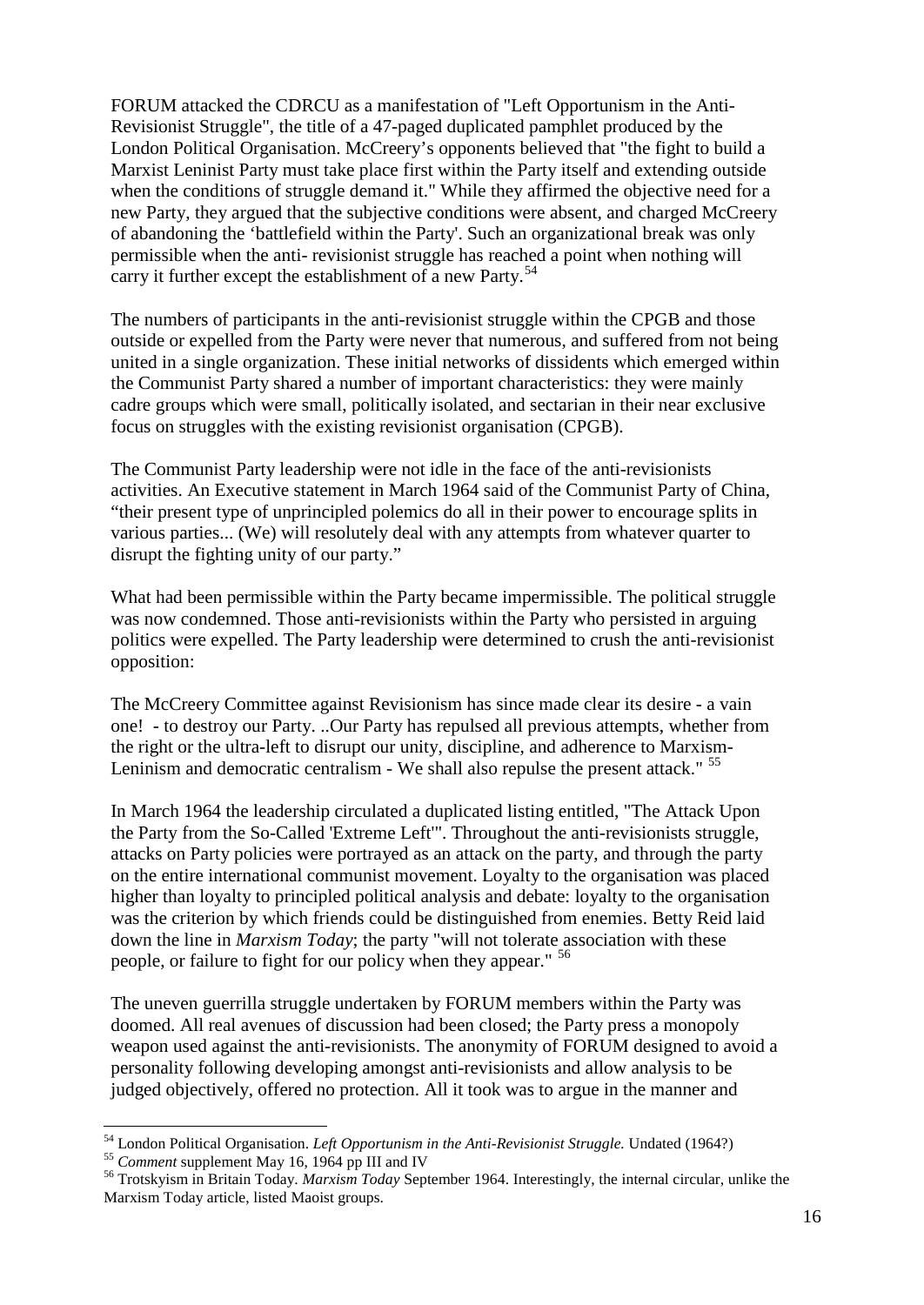FORUM attacked the CDRCU as a manifestation of "Left Opportunism in the Anti-Revisionist Struggle", the title of a 47-paged duplicated pamphlet produced by the London Political Organisation. McCreery's opponents believed that "the fight to build a Marxist Leninist Party must take place first within the Party itself and extending outside when the conditions of struggle demand it." While they affirmed the objective need for a new Party, they argued that the subjective conditions were absent, and charged McCreery of abandoning the 'battlefield within the Party'. Such an organizational break was only permissible when the anti- revisionist struggle has reached a point when nothing will carry it further except the establishment of a new Party.<sup>[54](#page-15-0)</sup>

The numbers of participants in the anti-revisionist struggle within the CPGB and those outside or expelled from the Party were never that numerous, and suffered from not being united in a single organization. These initial networks of dissidents which emerged within the Communist Party shared a number of important characteristics: they were mainly cadre groups which were small, politically isolated, and sectarian in their near exclusive focus on struggles with the existing revisionist organisation (CPGB).

The Communist Party leadership were not idle in the face of the anti-revisionists activities. An Executive statement in March 1964 said of the Communist Party of China, "their present type of unprincipled polemics do all in their power to encourage splits in various parties... (We) will resolutely deal with any attempts from whatever quarter to disrupt the fighting unity of our party."

What had been permissible within the Party became impermissible. The political struggle was now condemned. Those anti-revisionists within the Party who persisted in arguing politics were expelled. The Party leadership were determined to crush the anti-revisionist opposition:

The McCreery Committee against Revisionism has since made clear its desire - a vain one! - to destroy our Party. ..Our Party has repulsed all previous attempts, whether from the right or the ultra-left to disrupt our unity, discipline, and adherence to Marxism-Leninism and democratic centralism - We shall also repulse the present attack." <sup>[55](#page-15-1)</sup>

In March 1964 the leadership circulated a duplicated listing entitled, "The Attack Upon the Party from the So-Called 'Extreme Left'". Throughout the anti-revisionists struggle, attacks on Party policies were portrayed as an attack on the party, and through the party on the entire international communist movement. Loyalty to the organisation was placed higher than loyalty to principled political analysis and debate: loyalty to the organisation was the criterion by which friends could be distinguished from enemies. Betty Reid laid down the line in *Marxism Today*; the party "will not tolerate association with these people, or failure to fight for our policy when they appear." [56](#page-15-2)

The uneven guerrilla struggle undertaken by FORUM members within the Party was doomed. All real avenues of discussion had been closed; the Party press a monopoly weapon used against the anti-revisionists. The anonymity of FORUM designed to avoid a personality following developing amongst anti-revisionists and allow analysis to be judged objectively, offered no protection. All it took was to argue in the manner and

<span id="page-15-1"></span><span id="page-15-0"></span><sup>&</sup>lt;sup>54</sup> London Political Organisation. *Left Opportunism in the Anti-Revisionist Struggle*. Undated (1964?)<br><sup>55</sup> Comment supplement May 16, 1964 pp III and IV<br><sup>56</sup> Trotskvism in Britain Today. *Marxism Today* September 1964.

<span id="page-15-2"></span>Marxism Today article, listed Maoist groups.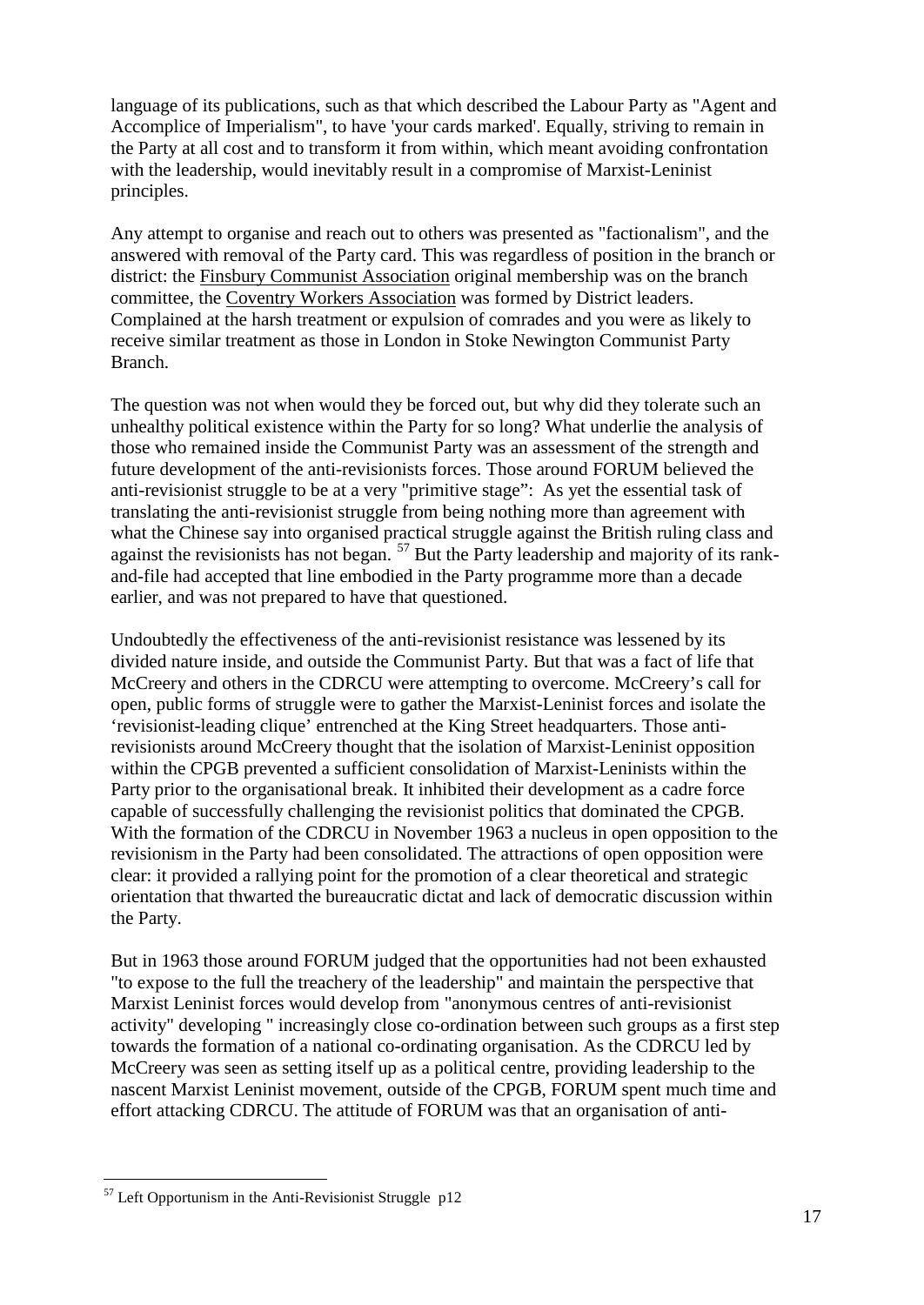language of its publications, such as that which described the Labour Party as "Agent and Accomplice of Imperialism", to have 'your cards marked'. Equally, striving to remain in the Party at all cost and to transform it from within, which meant avoiding confrontation with the leadership, would inevitably result in a compromise of Marxist-Leninist principles.

Any attempt to organise and reach out to others was presented as "factionalism", and the answered with removal of the Party card. This was regardless of position in the branch or district: the Finsbury Communist Association original membership was on the branch committee, the Coventry Workers Association was formed by District leaders. Complained at the harsh treatment or expulsion of comrades and you were as likely to receive similar treatment as those in London in Stoke Newington Communist Party Branch.

The question was not when would they be forced out, but why did they tolerate such an unhealthy political existence within the Party for so long? What underlie the analysis of those who remained inside the Communist Party was an assessment of the strength and future development of the anti-revisionists forces. Those around FORUM believed the anti-revisionist struggle to be at a very "primitive stage": As yet the essential task of translating the anti-revisionist struggle from being nothing more than agreement with what the Chinese say into organised practical struggle against the British ruling class and against the revisionists has not began. <sup>[57](#page-16-0)</sup> But the Party leadership and majority of its rankand-file had accepted that line embodied in the Party programme more than a decade earlier, and was not prepared to have that questioned.

Undoubtedly the effectiveness of the anti-revisionist resistance was lessened by its divided nature inside, and outside the Communist Party. But that was a fact of life that McCreery and others in the CDRCU were attempting to overcome. McCreery's call for open, public forms of struggle were to gather the Marxist-Leninist forces and isolate the 'revisionist-leading clique' entrenched at the King Street headquarters. Those antirevisionists around McCreery thought that the isolation of Marxist-Leninist opposition within the CPGB prevented a sufficient consolidation of Marxist-Leninists within the Party prior to the organisational break. It inhibited their development as a cadre force capable of successfully challenging the revisionist politics that dominated the CPGB. With the formation of the CDRCU in November 1963 a nucleus in open opposition to the revisionism in the Party had been consolidated. The attractions of open opposition were clear: it provided a rallying point for the promotion of a clear theoretical and strategic orientation that thwarted the bureaucratic dictat and lack of democratic discussion within the Party.

But in 1963 those around FORUM judged that the opportunities had not been exhausted "to expose to the full the treachery of the leadership" and maintain the perspective that Marxist Leninist forces would develop from "anonymous centres of anti-revisionist activity" developing " increasingly close co-ordination between such groups as a first step towards the formation of a national co-ordinating organisation. As the CDRCU led by McCreery was seen as setting itself up as a political centre, providing leadership to the nascent Marxist Leninist movement, outside of the CPGB, FORUM spent much time and effort attacking CDRCU. The attitude of FORUM was that an organisation of anti-

<span id="page-16-0"></span> $57$  Left Opportunism in the Anti-Revisionist Struggle p12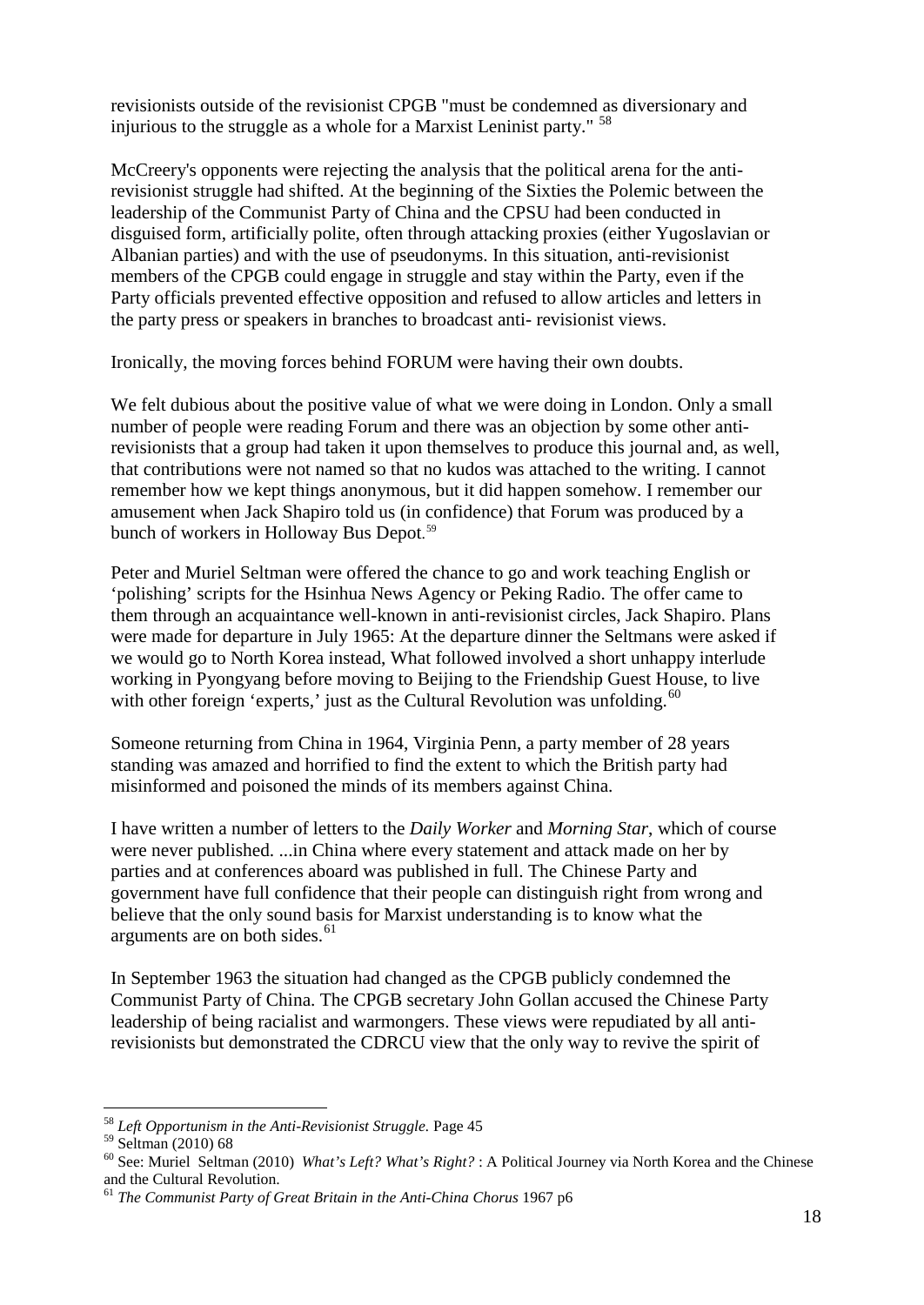revisionists outside of the revisionist CPGB "must be condemned as diversionary and injurious to the struggle as a whole for a Marxist Leninist party."  $58$ 

McCreery's opponents were rejecting the analysis that the political arena for the antirevisionist struggle had shifted. At the beginning of the Sixties the Polemic between the leadership of the Communist Party of China and the CPSU had been conducted in disguised form, artificially polite, often through attacking proxies (either Yugoslavian or Albanian parties) and with the use of pseudonyms. In this situation, anti-revisionist members of the CPGB could engage in struggle and stay within the Party, even if the Party officials prevented effective opposition and refused to allow articles and letters in the party press or speakers in branches to broadcast anti- revisionist views.

Ironically, the moving forces behind FORUM were having their own doubts.

We felt dubious about the positive value of what we were doing in London. Only a small number of people were reading Forum and there was an objection by some other antirevisionists that a group had taken it upon themselves to produce this journal and, as well, that contributions were not named so that no kudos was attached to the writing. I cannot remember how we kept things anonymous, but it did happen somehow. I remember our amusement when Jack Shapiro told us (in confidence) that Forum was produced by a bunch of workers in Holloway Bus Depot. [59](#page-17-1)

Peter and Muriel Seltman were offered the chance to go and work teaching English or 'polishing' scripts for the Hsinhua News Agency or Peking Radio. The offer came to them through an acquaintance well-known in anti-revisionist circles, Jack Shapiro. Plans were made for departure in July 1965: At the departure dinner the Seltmans were asked if we would go to North Korea instead, What followed involved a short unhappy interlude working in Pyongyang before moving to Beijing to the Friendship Guest House, to live with other foreign 'experts,' just as the Cultural Revolution was unfolding. $60$ 

Someone returning from China in 1964, Virginia Penn, a party member of 28 years standing was amazed and horrified to find the extent to which the British party had misinformed and poisoned the minds of its members against China.

I have written a number of letters to the *Daily Worker* and *Morning Star*, which of course were never published. ...in China where every statement and attack made on her by parties and at conferences aboard was published in full. The Chinese Party and government have full confidence that their people can distinguish right from wrong and believe that the only sound basis for Marxist understanding is to know what the arguments are on both sides.<sup>[61](#page-17-3)</sup>

In September 1963 the situation had changed as the CPGB publicly condemned the Communist Party of China. The CPGB secretary John Gollan accused the Chinese Party leadership of being racialist and warmongers. These views were repudiated by all antirevisionists but demonstrated the CDRCU view that the only way to revive the spirit of

<span id="page-17-0"></span> $^{58}$   $Left\;Opportunism$   $in\;the$   $Anti\mbox{-}Revisionist$   $Struggle.$  Page 45  $^{59}$  Seltman  $(2010)$   $68$ 

<span id="page-17-2"></span><span id="page-17-1"></span><sup>&</sup>lt;sup>60</sup> See: Muriel Seltman (2010) *What's Left? What's Right?* : A Political Journey via North Korea and the Chinese and the Cultural Revolution.

<span id="page-17-3"></span><sup>61</sup> *The Communist Party of Great Britain in the Anti-China Chorus* 1967 p6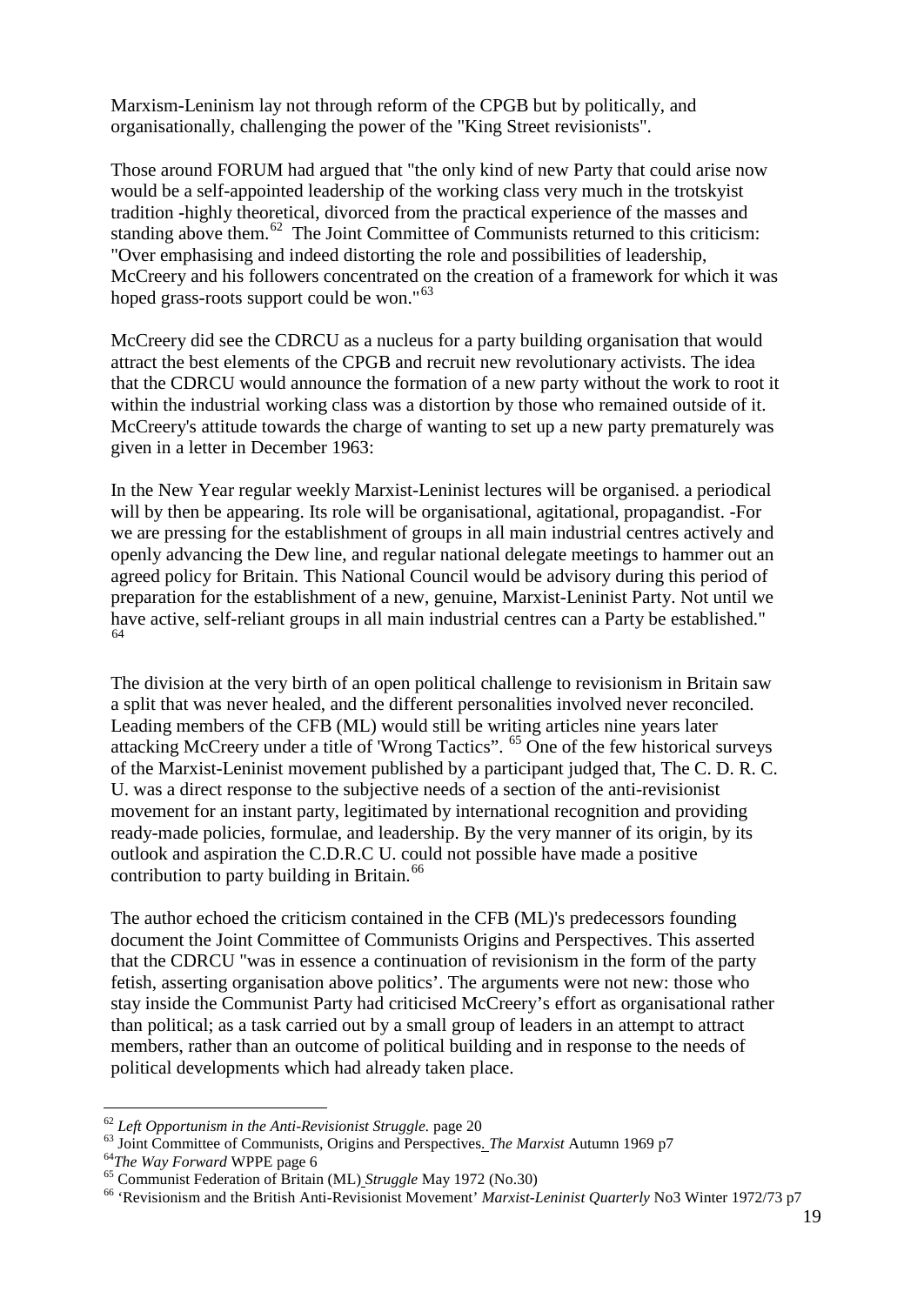Marxism-Leninism lay not through reform of the CPGB but by politically, and organisationally, challenging the power of the "King Street revisionists".

Those around FORUM had argued that "the only kind of new Party that could arise now would be a self-appointed leadership of the working class very much in the trotskyist tradition -highly theoretical, divorced from the practical experience of the masses and standing above them.<sup>62</sup> The Joint Committee of Communists returned to this criticism: "Over emphasising and indeed distorting the role and possibilities of leadership, McCreery and his followers concentrated on the creation of a framework for which it was hoped grass-roots support could be won."<sup>[63](#page-18-1)</sup>

McCreery did see the CDRCU as a nucleus for a party building organisation that would attract the best elements of the CPGB and recruit new revolutionary activists. The idea that the CDRCU would announce the formation of a new party without the work to root it within the industrial working class was a distortion by those who remained outside of it. McCreery's attitude towards the charge of wanting to set up a new party prematurely was given in a letter in December 1963:

In the New Year regular weekly Marxist-Leninist lectures will be organised. a periodical will by then be appearing. Its role will be organisational, agitational, propagandist. -For we are pressing for the establishment of groups in all main industrial centres actively and openly advancing the Dew line, and regular national delegate meetings to hammer out an agreed policy for Britain. This National Council would be advisory during this period of preparation for the establishment of a new, genuine, Marxist-Leninist Party. Not until we have active, self-reliant groups in all main industrial centres can a Party be established." [64](#page-18-2)

The division at the very birth of an open political challenge to revisionism in Britain saw a split that was never healed, and the different personalities involved never reconciled. Leading members of the CFB (ML) would still be writing articles nine years later attacking McCreery under a title of 'Wrong Tactics'. <sup>[65](#page-18-3)</sup> One of the few historical surveys of the Marxist-Leninist movement published by a participant judged that, The C. D. R. C. U. was a direct response to the subjective needs of a section of the anti-revisionist movement for an instant party, legitimated by international recognition and providing ready-made policies, formulae, and leadership. By the very manner of its origin, by its outlook and aspiration the C.D.R.C U. could not possible have made a positive contribution to party building in Britain. $^{66}$  $^{66}$  $^{66}$ 

The author echoed the criticism contained in the CFB (ML)'s predecessors founding document the Joint Committee of Communists Origins and Perspectives. This asserted that the CDRCU "was in essence a continuation of revisionism in the form of the party fetish, asserting organisation above politics'. The arguments were not new: those who stay inside the Communist Party had criticised McCreery's effort as organisational rather than political; as a task carried out by a small group of leaders in an attempt to attract members, rather than an outcome of political building and in response to the needs of political developments which had already taken place.

<span id="page-18-2"></span>

<span id="page-18-4"></span><span id="page-18-3"></span>

<span id="page-18-1"></span><span id="page-18-0"></span><sup>&</sup>lt;sup>62</sup> Left Opportunism in the Anti-Revisionist Struggle. page 20<br><sup>63</sup> Joint Committee of Communists, Origins and Perspectives. *The Marxist* Autumn 1969 p7<br><sup>64</sup>*The Way Forward* WPPE page 6<br><sup>65</sup> Communist Federation of Bri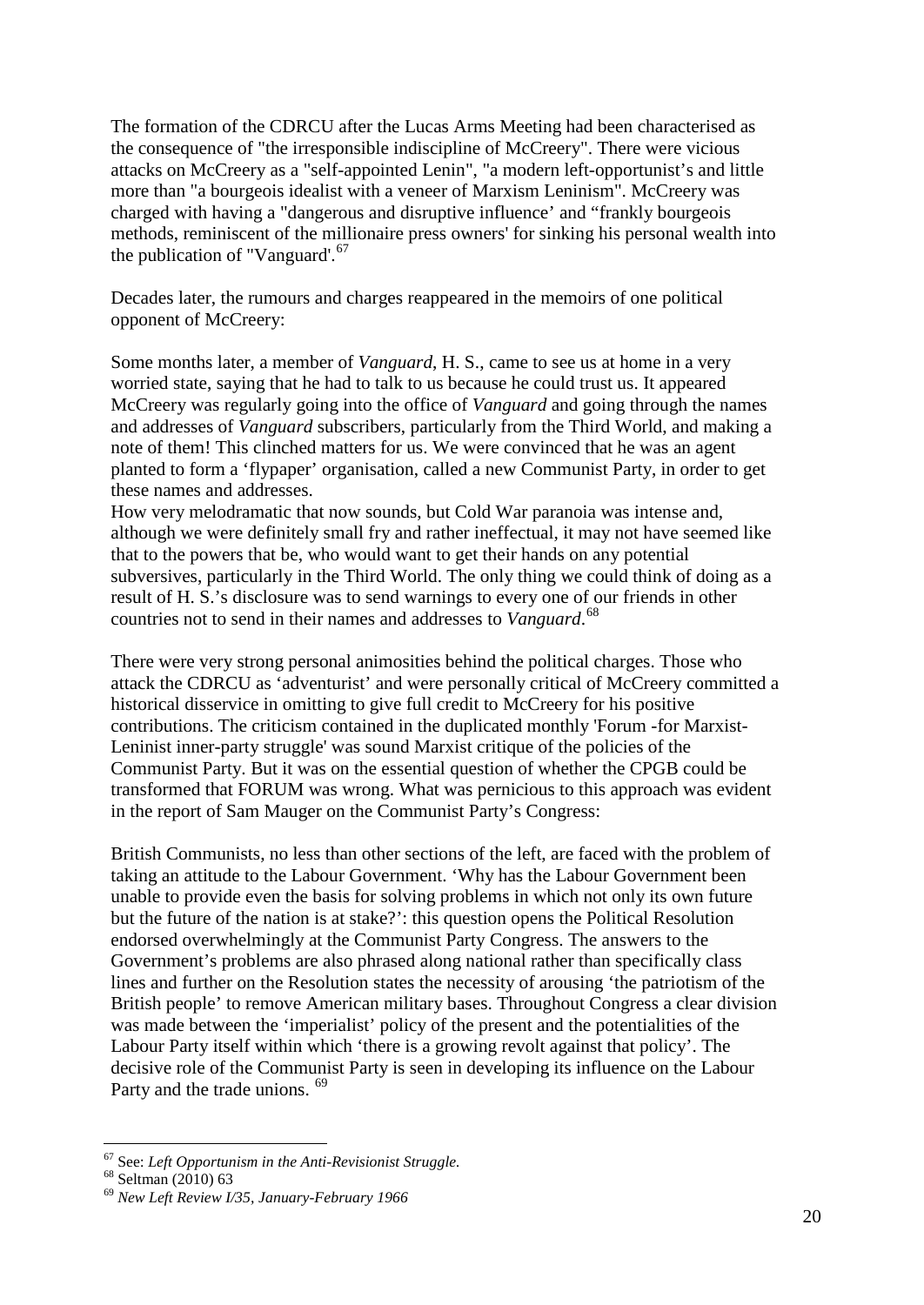The formation of the CDRCU after the Lucas Arms Meeting had been characterised as the consequence of "the irresponsible indiscipline of McCreery". There were vicious attacks on McCreery as a "self-appointed Lenin", "a modern left-opportunist's and little more than "a bourgeois idealist with a veneer of Marxism Leninism". McCreery was charged with having a "dangerous and disruptive influence' and "frankly bourgeois methods, reminiscent of the millionaire press owners' for sinking his personal wealth into the publication of "Vanguard". $67$ 

Decades later, the rumours and charges reappeared in the memoirs of one political opponent of McCreery:

Some months later, a member of *Vanguard*, H. S., came to see us at home in a very worried state, saying that he had to talk to us because he could trust us. It appeared McCreery was regularly going into the office of *Vanguard* and going through the names and addresses of *Vanguard* subscribers, particularly from the Third World, and making a note of them! This clinched matters for us. We were convinced that he was an agent planted to form a 'flypaper' organisation, called a new Communist Party, in order to get these names and addresses.

How very melodramatic that now sounds, but Cold War paranoia was intense and, although we were definitely small fry and rather ineffectual, it may not have seemed like that to the powers that be, who would want to get their hands on any potential subversives, particularly in the Third World. The only thing we could think of doing as a result of H. S.'s disclosure was to send warnings to every one of our friends in other countries not to send in their names and addresses to *Vanguard*. [68](#page-19-1)

There were very strong personal animosities behind the political charges. Those who attack the CDRCU as 'adventurist' and were personally critical of McCreery committed a historical disservice in omitting to give full credit to McCreery for his positive contributions. The criticism contained in the duplicated monthly 'Forum -for Marxist-Leninist inner-party struggle' was sound Marxist critique of the policies of the Communist Party. But it was on the essential question of whether the CPGB could be transformed that FORUM was wrong. What was pernicious to this approach was evident in the report of Sam Mauger on the Communist Party's Congress:

British Communists, no less than other sections of the left, are faced with the problem of taking an attitude to the Labour Government. 'Why has the Labour Government been unable to provide even the basis for solving problems in which not only its own future but the future of the nation is at stake?': this question opens the Political Resolution endorsed overwhelmingly at the Communist Party Congress. The answers to the Government's problems are also phrased along national rather than specifically class lines and further on the Resolution states the necessity of arousing 'the patriotism of the British people' to remove American military bases. Throughout Congress a clear division was made between the 'imperialist' policy of the present and the potentialities of the Labour Party itself within which 'there is a growing revolt against that policy'. The decisive role of the Communist Party is seen in developing its influence on the Labour Party and the trade unions. <sup>[69](#page-19-2)</sup>

<span id="page-19-0"></span><sup>&</sup>lt;sup>67</sup> See: *Left Opportunism in the Anti-Revisionist Struggle.*<br><sup>68</sup> Seltman (2010) 63<br><sup>69</sup> *New Left Review I/35, January-February 1966* 

<span id="page-19-1"></span>

<span id="page-19-2"></span>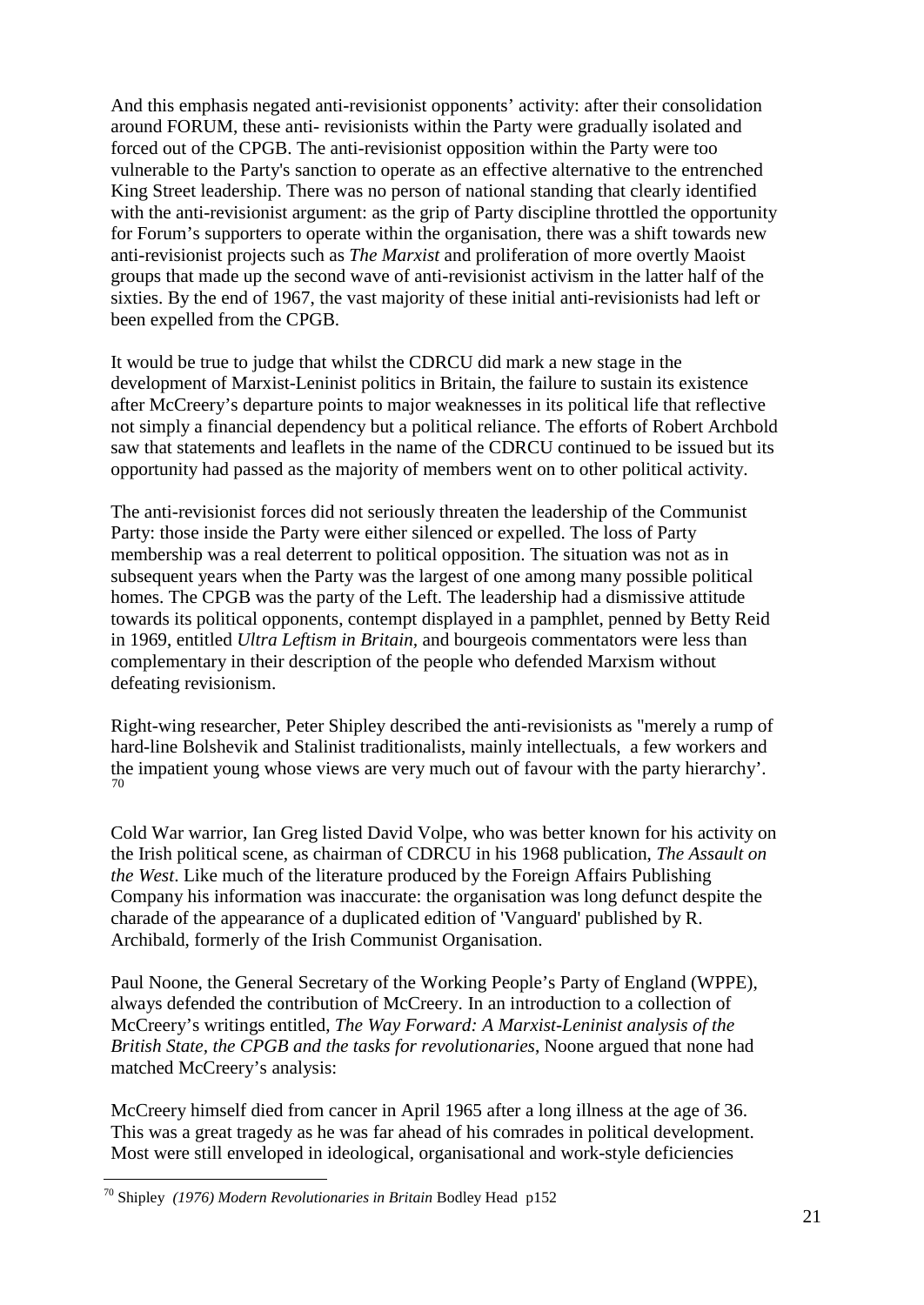And this emphasis negated anti-revisionist opponents' activity: after their consolidation around FORUM, these anti- revisionists within the Party were gradually isolated and forced out of the CPGB. The anti-revisionist opposition within the Party were too vulnerable to the Party's sanction to operate as an effective alternative to the entrenched King Street leadership. There was no person of national standing that clearly identified with the anti-revisionist argument: as the grip of Party discipline throttled the opportunity for Forum's supporters to operate within the organisation, there was a shift towards new anti-revisionist projects such as *The Marxist* and proliferation of more overtly Maoist groups that made up the second wave of anti-revisionist activism in the latter half of the sixties. By the end of 1967, the vast majority of these initial anti-revisionists had left or been expelled from the CPGB.

It would be true to judge that whilst the CDRCU did mark a new stage in the development of Marxist-Leninist politics in Britain, the failure to sustain its existence after McCreery's departure points to major weaknesses in its political life that reflective not simply a financial dependency but a political reliance. The efforts of Robert Archbold saw that statements and leaflets in the name of the CDRCU continued to be issued but its opportunity had passed as the majority of members went on to other political activity.

The anti-revisionist forces did not seriously threaten the leadership of the Communist Party: those inside the Party were either silenced or expelled. The loss of Party membership was a real deterrent to political opposition. The situation was not as in subsequent years when the Party was the largest of one among many possible political homes. The CPGB was the party of the Left. The leadership had a dismissive attitude towards its political opponents, contempt displayed in a pamphlet, penned by Betty Reid in 1969, entitled *Ultra Leftism in Britain,* and bourgeois commentators were less than complementary in their description of the people who defended Marxism without defeating revisionism.

Right-wing researcher, Peter Shipley described the anti-revisionists as "merely a rump of hard-line Bolshevik and Stalinist traditionalists, mainly intellectuals, a few workers and the impatient young whose views are very much out of favour with the party hierarchy'. [70](#page-20-0)

Cold War warrior, Ian Greg listed David Volpe, who was better known for his activity on the Irish political scene, as chairman of CDRCU in his 1968 publication, *The Assault on the West*. Like much of the literature produced by the Foreign Affairs Publishing Company his information was inaccurate: the organisation was long defunct despite the charade of the appearance of a duplicated edition of 'Vanguard' published by R. Archibald, formerly of the Irish Communist Organisation.

Paul Noone, the General Secretary of the Working People's Party of England (WPPE), always defended the contribution of McCreery. In an introduction to a collection of McCreery's writings entitled, *The Way Forward: A Marxist-Leninist analysis of the British State, the CPGB and the tasks for revolutionaries*, Noone argued that none had matched McCreery's analysis:

McCreery himself died from cancer in April 1965 after a long illness at the age of 36. This was a great tragedy as he was far ahead of his comrades in political development. Most were still enveloped in ideological, organisational and work-style deficiencies

<span id="page-20-0"></span> <sup>70</sup> Shipley *(1976) Modern Revolutionaries in Britain* Bodley Head p152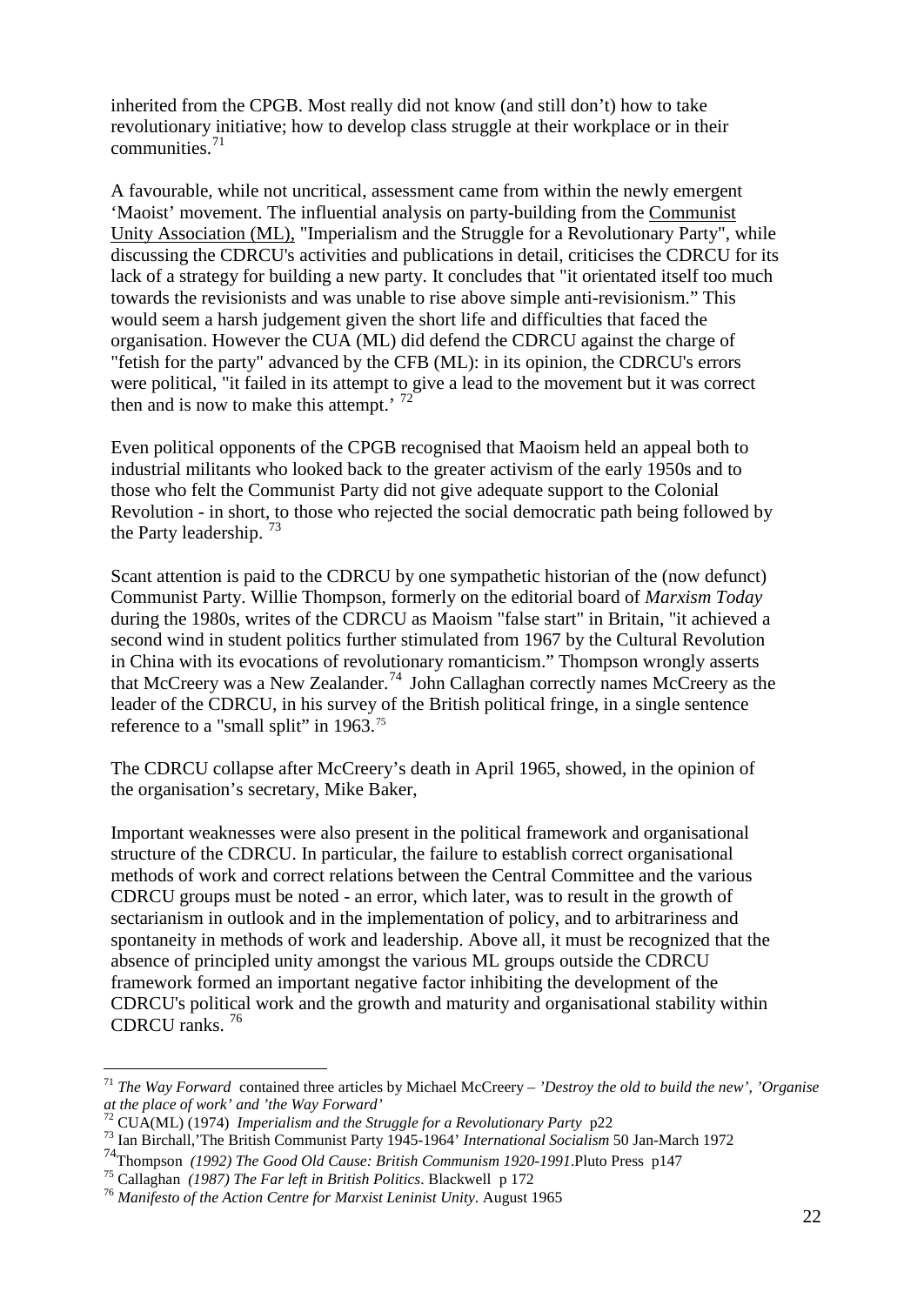inherited from the CPGB. Most really did not know (and still don't) how to take revolutionary initiative; how to develop class struggle at their workplace or in their communities.[71](#page-21-0)

A favourable, while not uncritical, assessment came from within the newly emergent 'Maoist' movement. The influential analysis on party-building from the Communist Unity Association (ML), "Imperialism and the Struggle for a Revolutionary Party", while discussing the CDRCU's activities and publications in detail, criticises the CDRCU for its lack of a strategy for building a new party. It concludes that "it orientated itself too much towards the revisionists and was unable to rise above simple anti-revisionism." This would seem a harsh judgement given the short life and difficulties that faced the organisation. However the CUA (ML) did defend the CDRCU against the charge of "fetish for the party" advanced by the CFB (ML): in its opinion, the CDRCU's errors were political, "it failed in its attempt to give a lead to the movement but it was correct then and is now to make this attempt.'  $72$ 

Even political opponents of the CPGB recognised that Maoism held an appeal both to industrial militants who looked back to the greater activism of the early 1950s and to those who felt the Communist Party did not give adequate support to the Colonial Revolution - in short, to those who rejected the social democratic path being followed by the Party leadership.  $^{73}$  $^{73}$  $^{73}$ 

Scant attention is paid to the CDRCU by one sympathetic historian of the (now defunct) Communist Party. Willie Thompson, formerly on the editorial board of *Marxism Today* during the 1980s, writes of the CDRCU as Maoism "false start" in Britain, "it achieved a second wind in student politics further stimulated from 1967 by the Cultural Revolution in China with its evocations of revolutionary romanticism." Thompson wrongly asserts that McCreery was a New Zealander.<sup>[74](#page-21-3)</sup> John Callaghan correctly names McCreery as the leader of the CDRCU, in his survey of the British political fringe, in a single sentence reference to a "small split" in 1963.<sup>[75](#page-21-4)</sup>

The CDRCU collapse after McCreery's death in April 1965, showed, in the opinion of the organisation's secretary, Mike Baker,

Important weaknesses were also present in the political framework and organisational structure of the CDRCU. In particular, the failure to establish correct organisational methods of work and correct relations between the Central Committee and the various CDRCU groups must be noted - an error, which later, was to result in the growth of sectarianism in outlook and in the implementation of policy, and to arbitrariness and spontaneity in methods of work and leadership. Above all, it must be recognized that the absence of principled unity amongst the various ML groups outside the CDRCU framework formed an important negative factor inhibiting the development of the CDRCU's political work and the growth and maturity and organisational stability within CDRCU ranks.<sup>[76](#page-21-5)</sup>

<span id="page-21-0"></span> <sup>71</sup> *The Way Forward* contained three articles by Michael McCreery – *'Destroy the old to build the new', 'Organise at the place of work' and 'the Way Forward'*

<span id="page-21-2"></span><span id="page-21-1"></span><sup>72</sup> CUA(ML) (1974) *Imperialism and the Struggle for a Revolutionary Party* p22 <sup>73</sup> Ian Birchall,'The British Communist Party 1945-1964' *International Socialism* 50 Jan-March 1972

<span id="page-21-3"></span><sup>&</sup>lt;sup>74</sup>Thompson *(1992) The Good Old Cause: British Communism 1920-1991*.Pluto Press p147<sup>75</sup> Callaghan *(1987) The Far left in British Politics*. Blackwell p 172

<span id="page-21-4"></span>

<span id="page-21-5"></span><sup>&</sup>lt;sup>76</sup> Manifesto of the Action Centre for Marxist Leninist Unity. August 1965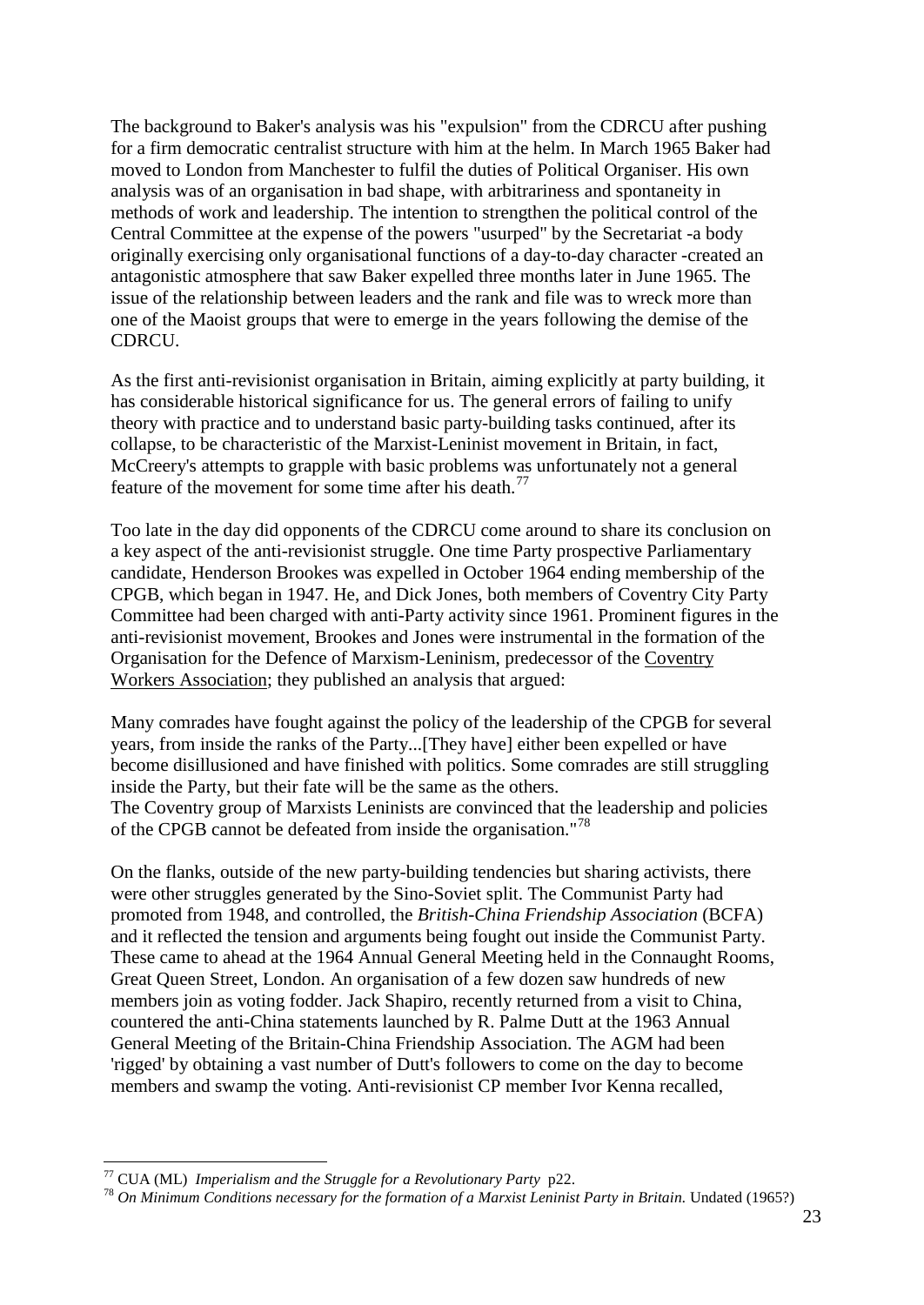The background to Baker's analysis was his "expulsion" from the CDRCU after pushing for a firm democratic centralist structure with him at the helm. In March 1965 Baker had moved to London from Manchester to fulfil the duties of Political Organiser. His own analysis was of an organisation in bad shape, with arbitrariness and spontaneity in methods of work and leadership. The intention to strengthen the political control of the Central Committee at the expense of the powers "usurped" by the Secretariat -a body originally exercising only organisational functions of a day-to-day character -created an antagonistic atmosphere that saw Baker expelled three months later in June 1965. The issue of the relationship between leaders and the rank and file was to wreck more than one of the Maoist groups that were to emerge in the years following the demise of the CDRCU.

As the first anti-revisionist organisation in Britain, aiming explicitly at party building, it has considerable historical significance for us. The general errors of failing to unify theory with practice and to understand basic party-building tasks continued, after its collapse, to be characteristic of the Marxist-Leninist movement in Britain, in fact, McCreery's attempts to grapple with basic problems was unfortunately not a general feature of the movement for some time after his death.<sup>[77](#page-22-0)</sup>

Too late in the day did opponents of the CDRCU come around to share its conclusion on a key aspect of the anti-revisionist struggle. One time Party prospective Parliamentary candidate, Henderson Brookes was expelled in October 1964 ending membership of the CPGB, which began in 1947. He, and Dick Jones, both members of Coventry City Party Committee had been charged with anti-Party activity since 1961. Prominent figures in the anti-revisionist movement, Brookes and Jones were instrumental in the formation of the Organisation for the Defence of Marxism-Leninism, predecessor of the Coventry Workers Association; they published an analysis that argued:

Many comrades have fought against the policy of the leadership of the CPGB for several years, from inside the ranks of the Party...[They have] either been expelled or have become disillusioned and have finished with politics. Some comrades are still struggling inside the Party, but their fate will be the same as the others. The Coventry group of Marxists Leninists are convinced that the leadership and policies of the CPGB cannot be defeated from inside the organisation."<sup>[78](#page-22-1)</sup>

On the flanks, outside of the new party-building tendencies but sharing activists, there were other struggles generated by the Sino-Soviet split. The Communist Party had promoted from 1948, and controlled, the *British-China Friendship Association* (BCFA) and it reflected the tension and arguments being fought out inside the Communist Party. These came to ahead at the 1964 Annual General Meeting held in the Connaught Rooms, Great Queen Street, London. An organisation of a few dozen saw hundreds of new members join as voting fodder. Jack Shapiro, recently returned from a visit to China, countered the anti-China statements launched by R. Palme Dutt at the 1963 Annual General Meeting of the Britain-China Friendship Association. The AGM had been 'rigged' by obtaining a vast number of Dutt's followers to come on the day to become members and swamp the voting. Anti-revisionist CP member Ivor Kenna recalled,

<span id="page-22-1"></span><span id="page-22-0"></span><sup>&</sup>lt;sup>77</sup> CUA (ML) *Imperialism and the Struggle for a Revolutionary Party* p22.<br><sup>78</sup> *On Minimum Conditions necessary for the formation of a Marxist Leninist Party in Britain. Undated (1965?)*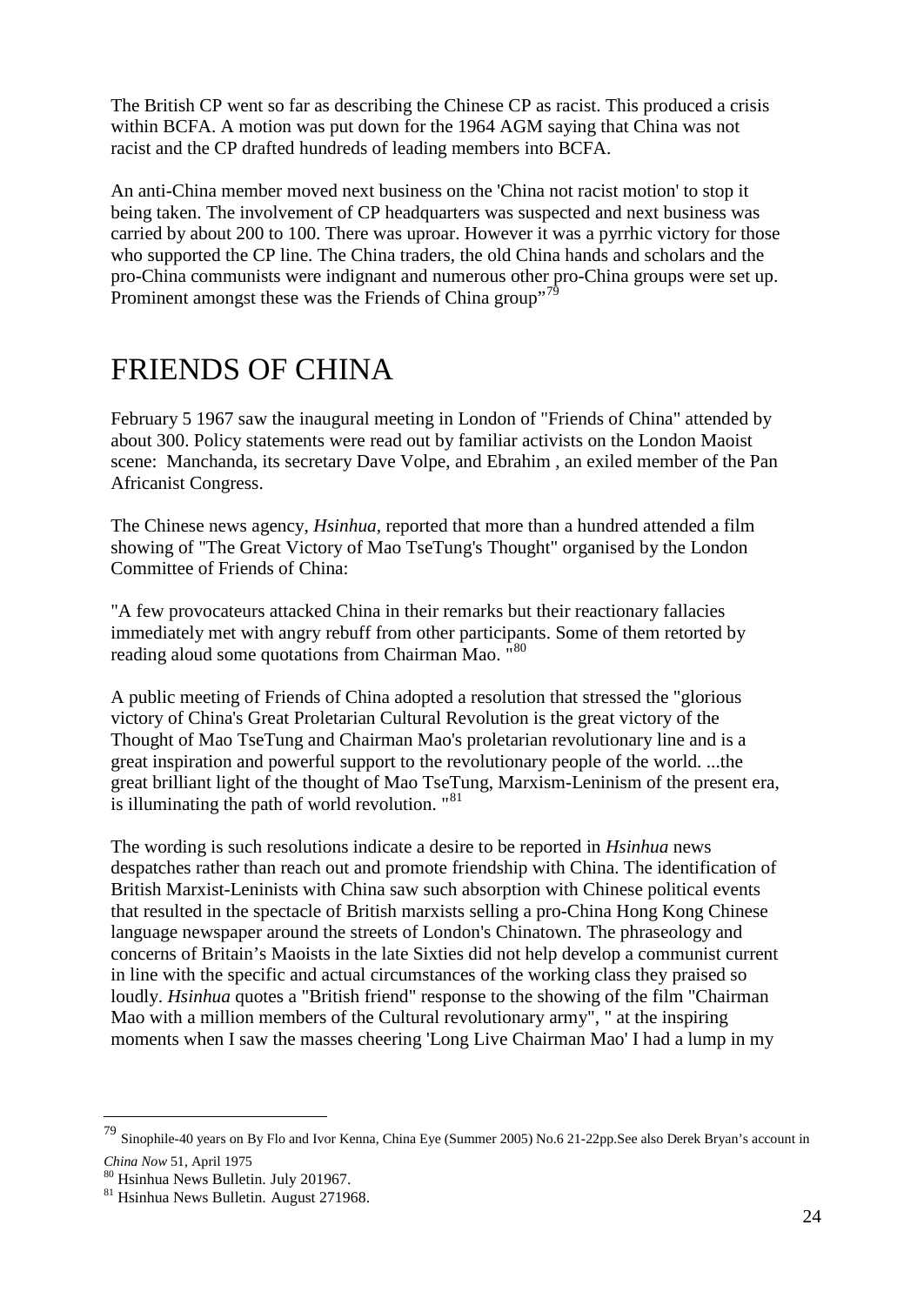The British CP went so far as describing the Chinese CP as racist. This produced a crisis within BCFA. A motion was put down for the 1964 AGM saying that China was not racist and the CP drafted hundreds of leading members into BCFA.

An anti-China member moved next business on the 'China not racist motion' to stop it being taken. The involvement of CP headquarters was suspected and next business was carried by about 200 to 100. There was uproar. However it was a pyrrhic victory for those who supported the CP line. The China traders, the old China hands and scholars and the pro-China communists were indignant and numerous other pro-China groups were set up. Prominent amongst these was the Friends of China group"<sup>[79](#page-23-0)</sup>

## FRIENDS OF CHINA

February 5 1967 saw the inaugural meeting in London of "Friends of China" attended by about 300. Policy statements were read out by familiar activists on the London Maoist scene: Manchanda, its secretary Dave Volpe, and Ebrahim , an exiled member of the Pan Africanist Congress.

The Chinese news agency, *Hsinhua,* reported that more than a hundred attended a film showing of "The Great Victory of Mao TseTung's Thought" organised by the London Committee of Friends of China:

"A few provocateurs attacked China in their remarks but their reactionary fallacies immediately met with angry rebuff from other participants. Some of them retorted by reading aloud some quotations from Chairman Mao. <sup>"[80](#page-23-1)</sup>

A public meeting of Friends of China adopted a resolution that stressed the "glorious victory of China's Great Proletarian Cultural Revolution is the great victory of the Thought of Mao TseTung and Chairman Mao's proletarian revolutionary line and is a great inspiration and powerful support to the revolutionary people of the world. ...the great brilliant light of the thought of Mao TseTung, Marxism-Leninism of the present era, is illuminating the path of world revolution. "<sup>[81](#page-23-2)</sup>

The wording is such resolutions indicate a desire to be reported in *Hsinhua* news despatches rather than reach out and promote friendship with China. The identification of British Marxist-Leninists with China saw such absorption with Chinese political events that resulted in the spectacle of British marxists selling a pro-China Hong Kong Chinese language newspaper around the streets of London's Chinatown. The phraseology and concerns of Britain's Maoists in the late Sixties did not help develop a communist current in line with the specific and actual circumstances of the working class they praised so loudly. *Hsinhua* quotes a "British friend" response to the showing of the film "Chairman Mao with a million members of the Cultural revolutionary army", " at the inspiring moments when I saw the masses cheering 'Long Live Chairman Mao' I had a lump in my

<span id="page-23-0"></span> <sup>79</sup> Sinophile-40 years on By Flo and Ivor Kenna, China Eye (Summer 2005) No.6 21-22pp.See also Derek Bryan's account in

*[China Now](http://www.sacu.org/cnind.html#CN51)* 51, April 1975

<span id="page-23-2"></span><span id="page-23-1"></span> $81$  Hsinhua News Bulletin. August 271968.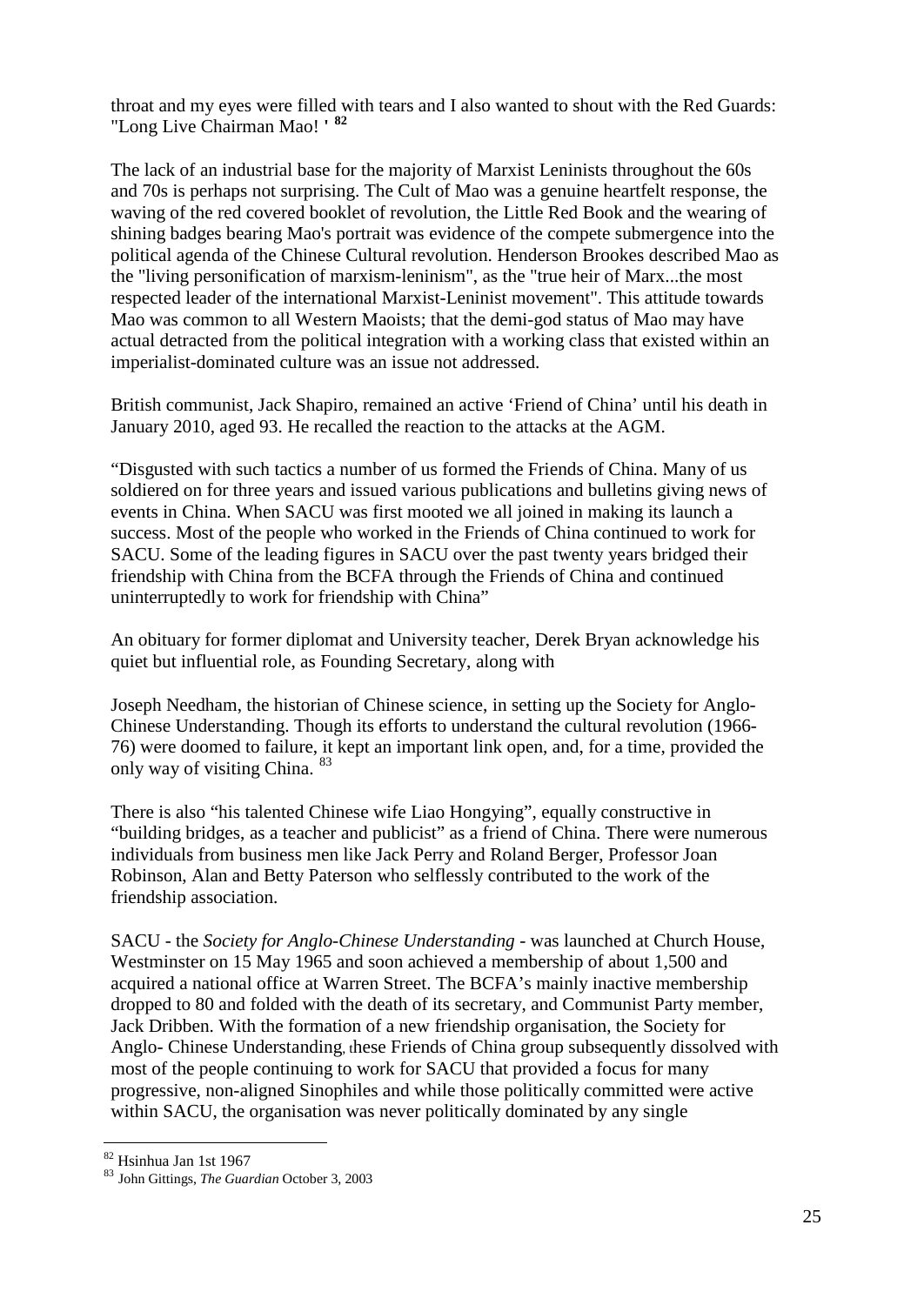throat and my eyes were filled with tears and I also wanted to shout with the Red Guards: "Long Live Chairman Mao! **' [82](#page-24-0)**

The lack of an industrial base for the majority of Marxist Leninists throughout the 60s and 70s is perhaps not surprising. The Cult of Mao was a genuine heartfelt response, the waving of the red covered booklet of revolution, the Little Red Book and the wearing of shining badges bearing Mao's portrait was evidence of the compete submergence into the political agenda of the Chinese Cultural revolution. Henderson Brookes described Mao as the "living personification of marxism-leninism", as the "true heir of Marx...the most respected leader of the international Marxist-Leninist movement". This attitude towards Mao was common to all Western Maoists; that the demi-god status of Mao may have actual detracted from the political integration with a working class that existed within an imperialist-dominated culture was an issue not addressed.

British communist, Jack Shapiro, remained an active 'Friend of China' until his death in January 2010, aged 93. He recalled the reaction to the attacks at the AGM.

"Disgusted with such tactics a number of us formed the Friends of China. Many of us soldiered on for three years and issued various publications and bulletins giving news of events in China. When SACU was first mooted we all joined in making its launch a success. Most of the people who worked in the Friends of China continued to work for SACU. Some of the leading figures in SACU over the past twenty years bridged their friendship with China from the BCFA through the Friends of China and continued uninterruptedly to work for friendship with China"

An obituary for former diplomat and University teacher, Derek Bryan acknowledge his quiet but influential role, as Founding Secretary, along with

Joseph Needham, the historian of Chinese science, in setting up the Society for Anglo-Chinese Understanding. Though its efforts to understand the cultural revolution (1966- 76) were doomed to failure, it kept an important link open, and, for a time, provided the only way of visiting China. [83](#page-24-1)

There is also "his talented Chinese wife Liao Hongying", equally constructive in "building bridges, as a teacher and publicist" as a friend of China. There were numerous individuals from business men like Jack Perry and Roland Berger, Professor Joan Robinson, Alan and Betty Paterson who selflessly contributed to the work of the friendship association.

SACU - the *Society for Anglo-Chinese Understanding* - was launched at Church House, Westminster on 15 May 1965 and soon achieved a membership of about 1,500 and acquired a national office at Warren Street. The BCFA's mainly inactive membership dropped to 80 and folded with the death of its secretary, and Communist Party member, Jack Dribben. With the formation of a new friendship organisation, the Society for Anglo- Chinese Understanding, these Friends of China group subsequently dissolved with most of the people continuing to work for SACU that provided a focus for many progressive, non-aligned Sinophiles and while those politically committed were active within SACU, the organisation was never politically dominated by any single

<span id="page-24-1"></span><span id="page-24-0"></span><sup>&</sup>lt;sup>82</sup> Hsinhua Jan 1st 1967<br><sup>83</sup> John Gittings, *The Guardian* October 3, 2003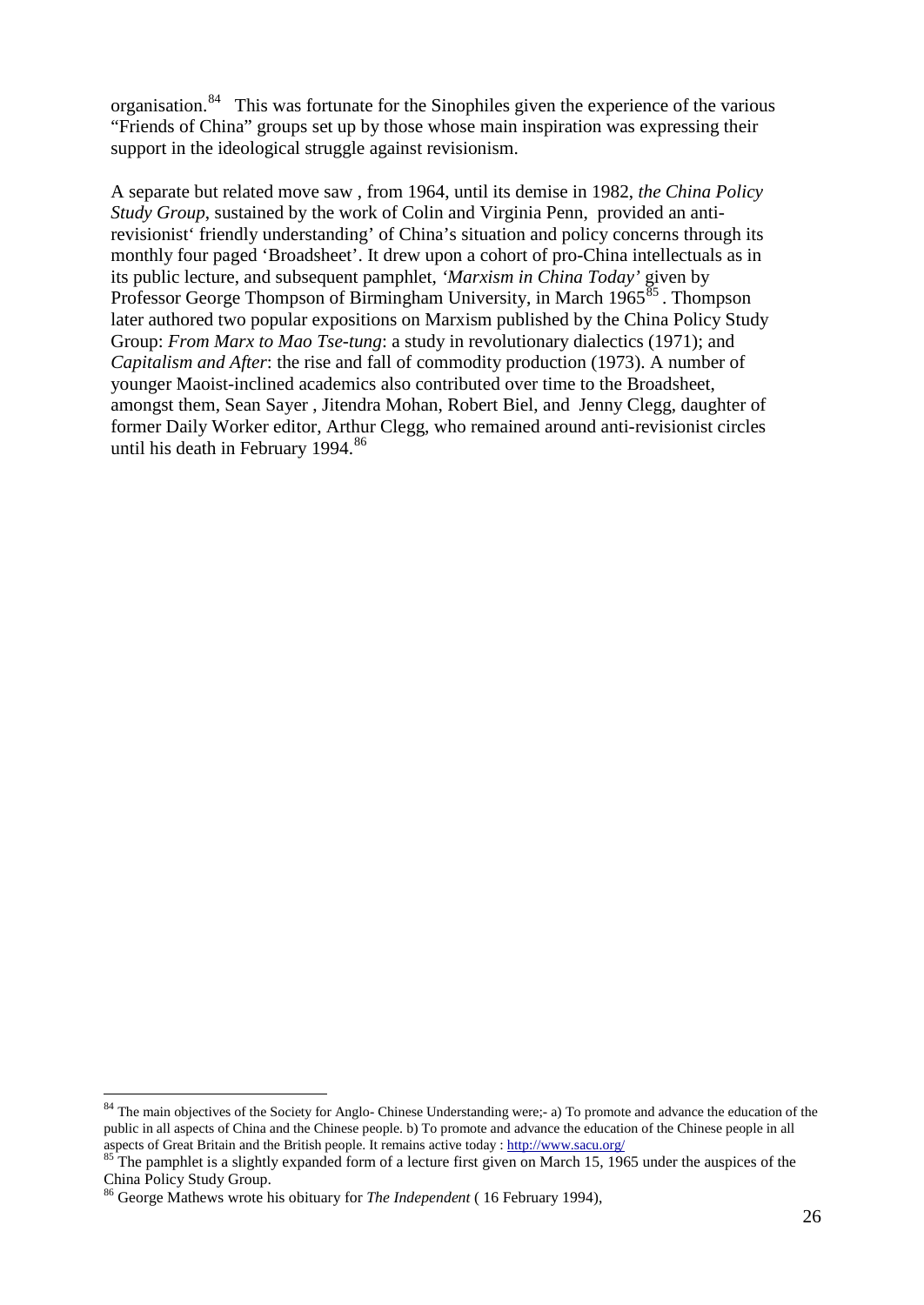organisation.<sup>[84](#page-25-0)</sup> This was fortunate for the Sinophiles given the experience of the various "Friends of China" groups set up by those whose main inspiration was expressing their support in the ideological struggle against revisionism.

A separate but related move saw , from 1964, until its demise in 1982, *the China Policy Study Group*, sustained by the work of Colin and Virginia Penn, provided an antirevisionist' friendly understanding' of China's situation and policy concerns through its monthly four paged 'Broadsheet'. It drew upon a cohort of pro-China intellectuals as in its public lecture, and subsequent pamphlet, *'Marxism in China Today'* given by Professor George Thompson of Birmingham University, in March 1965<sup>[85](#page-25-1)</sup>. Thompson later authored two popular expositions on Marxism published by the China Policy Study Group: *From Marx to Mao Tse-tung*: a study in revolutionary dialectics (1971); and *Capitalism and After*: the rise and fall of commodity production (1973). A number of younger Maoist-inclined academics also contributed over time to the Broadsheet, amongst them, Sean Sayer , Jitendra Mohan, Robert Biel, and Jenny Clegg, daughter of former Daily Worker editor, Arthur Clegg, who remained around anti-revisionist circles until his death in February  $1994.^{86}$  $1994.^{86}$  $1994.^{86}$ 

<span id="page-25-0"></span>The main objectives of the Society for Anglo- Chinese Understanding were;- a) To promote and advance the education of the public in all aspects of China and the Chinese people. b) To promote and advance the education of the Chinese people in all aspects of Great Britain and the British people. It remains active today : http://www.sacu.org/

<span id="page-25-1"></span> $\frac{85}{100}$  The pamphlet is a slightly expanded form of a lecture first given on March 15, 1965 under the auspices of the China Policy Study Group.

<span id="page-25-2"></span><sup>86</sup> George Mathews wrote his obituary for *The Independent* ( 16 February 1994),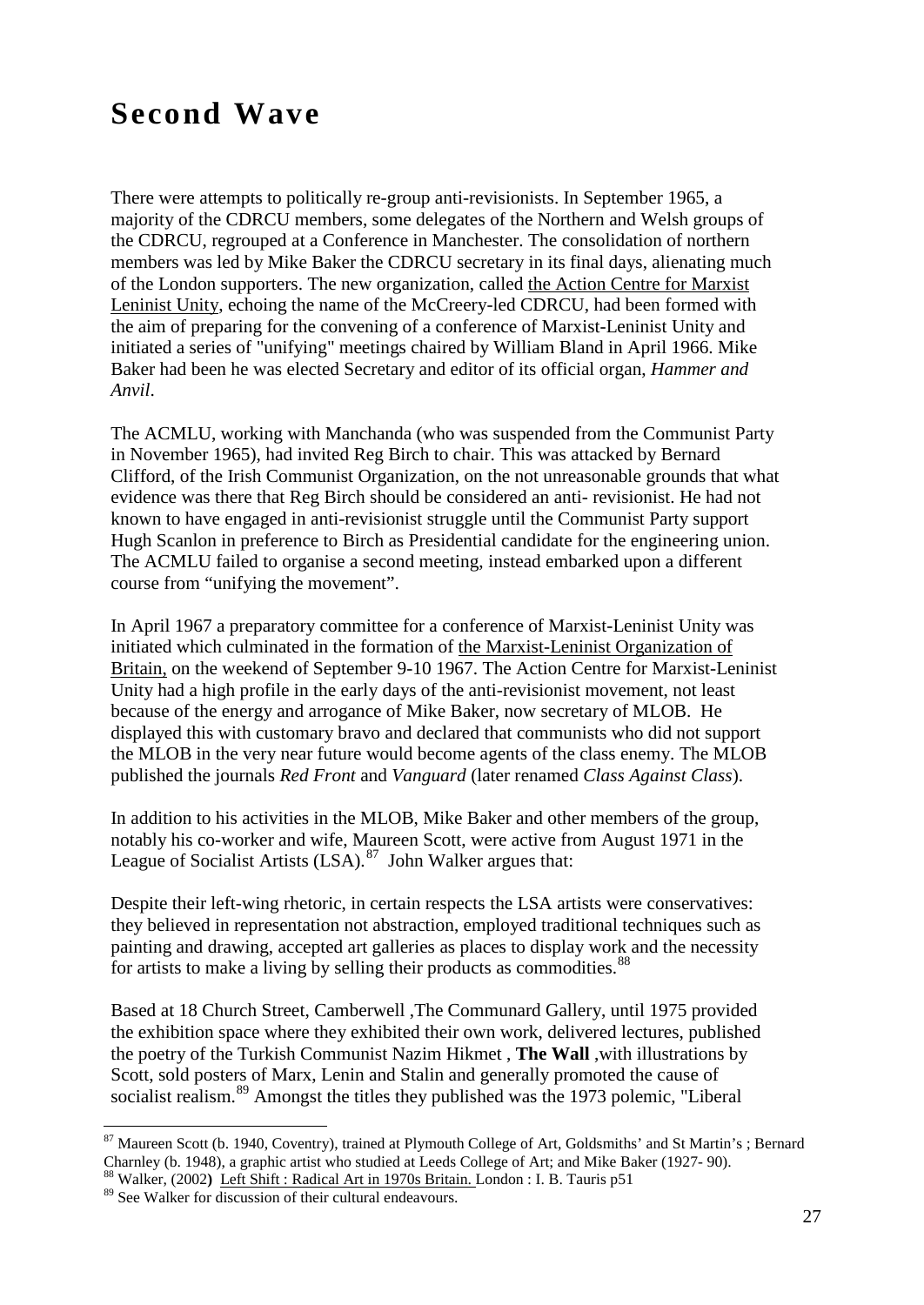## **Second Wave**

There were attempts to politically re-group anti-revisionists. In September 1965, a majority of the CDRCU members, some delegates of the Northern and Welsh groups of the CDRCU, regrouped at a Conference in Manchester. The consolidation of northern members was led by Mike Baker the CDRCU secretary in its final days, alienating much of the London supporters. The new organization, called the Action Centre for Marxist Leninist Unity, echoing the name of the McCreery-led CDRCU, had been formed with the aim of preparing for the convening of a conference of Marxist-Leninist Unity and initiated a series of "unifying" meetings chaired by William Bland in April 1966. Mike Baker had been he was elected Secretary and editor of its official organ, *Hammer and Anvil*.

The ACMLU, working with Manchanda (who was suspended from the Communist Party in November 1965), had invited Reg Birch to chair. This was attacked by Bernard Clifford, of the Irish Communist Organization, on the not unreasonable grounds that what evidence was there that Reg Birch should be considered an anti- revisionist. He had not known to have engaged in anti-revisionist struggle until the Communist Party support Hugh Scanlon in preference to Birch as Presidential candidate for the engineering union. The ACMLU failed to organise a second meeting, instead embarked upon a different course from "unifying the movement".

In April 1967 a preparatory committee for a conference of Marxist-Leninist Unity was initiated which culminated in the formation of the Marxist-Leninist Organization of Britain, on the weekend of September 9-10 1967. The Action Centre for Marxist-Leninist Unity had a high profile in the early days of the anti-revisionist movement, not least because of the energy and arrogance of Mike Baker, now secretary of MLOB. He displayed this with customary bravo and declared that communists who did not support the MLOB in the very near future would become agents of the class enemy. The MLOB published the journals *Red Front* and *Vanguard* (later renamed *Class Against Class*).

In addition to his activities in the MLOB, Mike Baker and other members of the group, notably his co-worker and wife, Maureen Scott, were active from August 1971 in the League of Socialist Artists  $(LSA)$ .<sup>87</sup> John Walker argues that:

Despite their left-wing rhetoric, in certain respects the LSA artists were conservatives: they believed in representation not abstraction, employed traditional techniques such as painting and drawing, accepted art galleries as places to display work and the necessity for artists to make a living by selling their products as commodities.<sup>[88](#page-26-1)</sup>

Based at 18 Church Street, Camberwell ,The Communard Gallery, until 1975 provided the exhibition space where they exhibited their own work, delivered lectures, published the poetry of the Turkish Communist Nazim Hikmet , **The Wall** ,with illustrations by Scott, sold posters of Marx, Lenin and Stalin and generally promoted the cause of socialist realism.<sup>[89](#page-26-2)</sup> Amongst the titles they published was the 1973 polemic, "Liberal

<span id="page-26-0"></span><sup>&</sup>lt;sup>87</sup> Maureen Scott (b. 1940, Coventry), trained at Plymouth College of Art, Goldsmiths' and St Martin's; Bernard Charnley (b. 1948), a graphic artist who studied at Leeds College of Art; and Mike Baker (1927- 90). <sup>88</sup> Walker, (2002**)** Left Shift : Radical Art in 1970s Britain. London : I. B. Tauris p51

<span id="page-26-2"></span><span id="page-26-1"></span> $89$  See Walker for discussion of their cultural endeavours.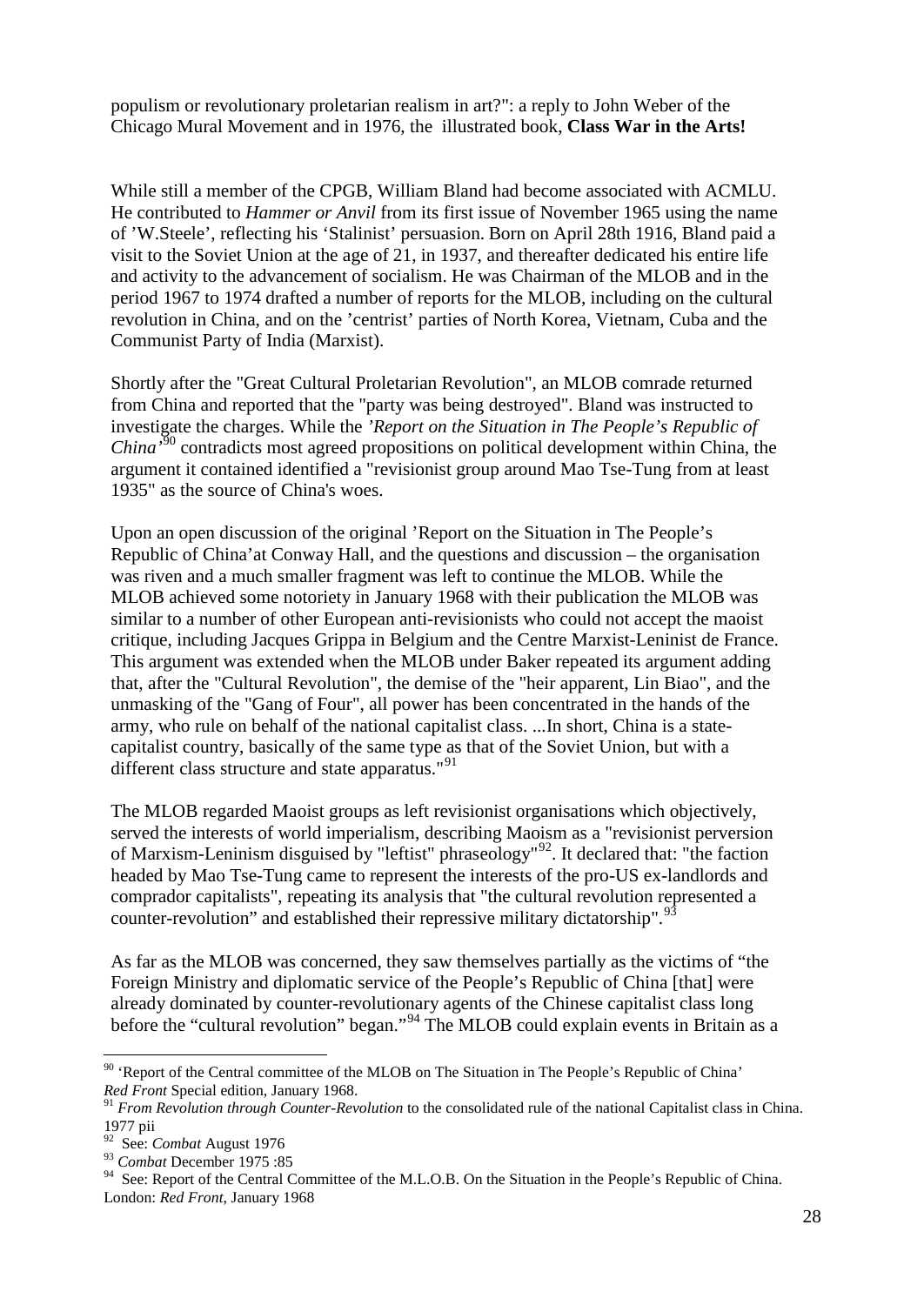populism or revolutionary proletarian realism in art?": a reply to John Weber of the Chicago Mural Movement and in 1976, the illustrated book, **Class War in the Arts!** 

While still a member of the CPGB, William Bland had become associated with ACMLU. He contributed to *Hammer or Anvil* from its first issue of November 1965 using the name of 'W.Steele', reflecting his 'Stalinist' persuasion. Born on April 28th 1916, Bland paid a visit to the Soviet Union at the age of 21, in 1937, and thereafter dedicated his entire life and activity to the advancement of socialism. He was Chairman of the MLOB and in the period 1967 to 1974 drafted a number of reports for the MLOB, including on the cultural revolution in China, and on the 'centrist' parties of North Korea, Vietnam, Cuba and the Communist Party of India (Marxist).

Shortly after the "Great Cultural Proletarian Revolution", an MLOB comrade returned from China and reported that the "party was being destroyed". Bland was instructed to investigate the charges. While the *'Report on the Situation in The People's Republic of China'*[90](#page-27-0) contradicts most agreed propositions on political development within China, the argument it contained identified a "revisionist group around Mao Tse-Tung from at least 1935" as the source of China's woes.

Upon an open discussion of the original 'Report on the Situation in The People's Republic of China'at Conway Hall, and the questions and discussion – the organisation was riven and a much smaller fragment was left to continue the MLOB. While the MLOB achieved some notoriety in January 1968 with their publication the MLOB was similar to a number of other European anti-revisionists who could not accept the maoist critique, including Jacques Grippa in Belgium and the Centre Marxist-Leninist de France. This argument was extended when the MLOB under Baker repeated its argument adding that, after the "Cultural Revolution", the demise of the "heir apparent, Lin Biao", and the unmasking of the "Gang of Four", all power has been concentrated in the hands of the army, who rule on behalf of the national capitalist class. ...In short, China is a statecapitalist country, basically of the same type as that of the Soviet Union, but with a different class structure and state apparatus."<sup>[91](#page-27-1)</sup>

The MLOB regarded Maoist groups as left revisionist organisations which objectively, served the interests of world imperialism, describing Maoism as a "revisionist perversion of Marxism-Leninism disguised by "leftist" phraseology"[92.](#page-27-2) It declared that: "the faction headed by Mao Tse-Tung came to represent the interests of the pro-US ex-landlords and comprador capitalists", repeating its analysis that "the cultural revolution represented a counter-revolution" and established their repressive military dictatorship".<sup>[93](#page-27-3)</sup>

As far as the MLOB was concerned, they saw themselves partially as the victims of "the Foreign Ministry and diplomatic service of the People's Republic of China [that] were already dominated by counter-revolutionary agents of the Chinese capitalist class long before the "cultural revolution" began."<sup>[94](#page-27-4)</sup> The MLOB could explain events in Britain as a

<span id="page-27-0"></span><sup>&</sup>lt;sup>90</sup> 'Report of the Central committee of the MLOB on The Situation in The People's Republic of China' *Red Front* Special edition, January 1968.<br><sup>91</sup> *From Revolution through Counter-Revolution* to the consolidated rule of the national Capitalist class in China.

<span id="page-27-1"></span><sup>1977</sup> pii

<span id="page-27-2"></span><sup>92</sup> See: *Combat* August 1976

<span id="page-27-3"></span><sup>93</sup> *Combat* December 1975 :85

<span id="page-27-4"></span><sup>&</sup>lt;sup>94</sup> See: Report of the Central Committee of the M.L.O.B. On the Situation in the People's Republic of China. London: *Red Front*, January 1968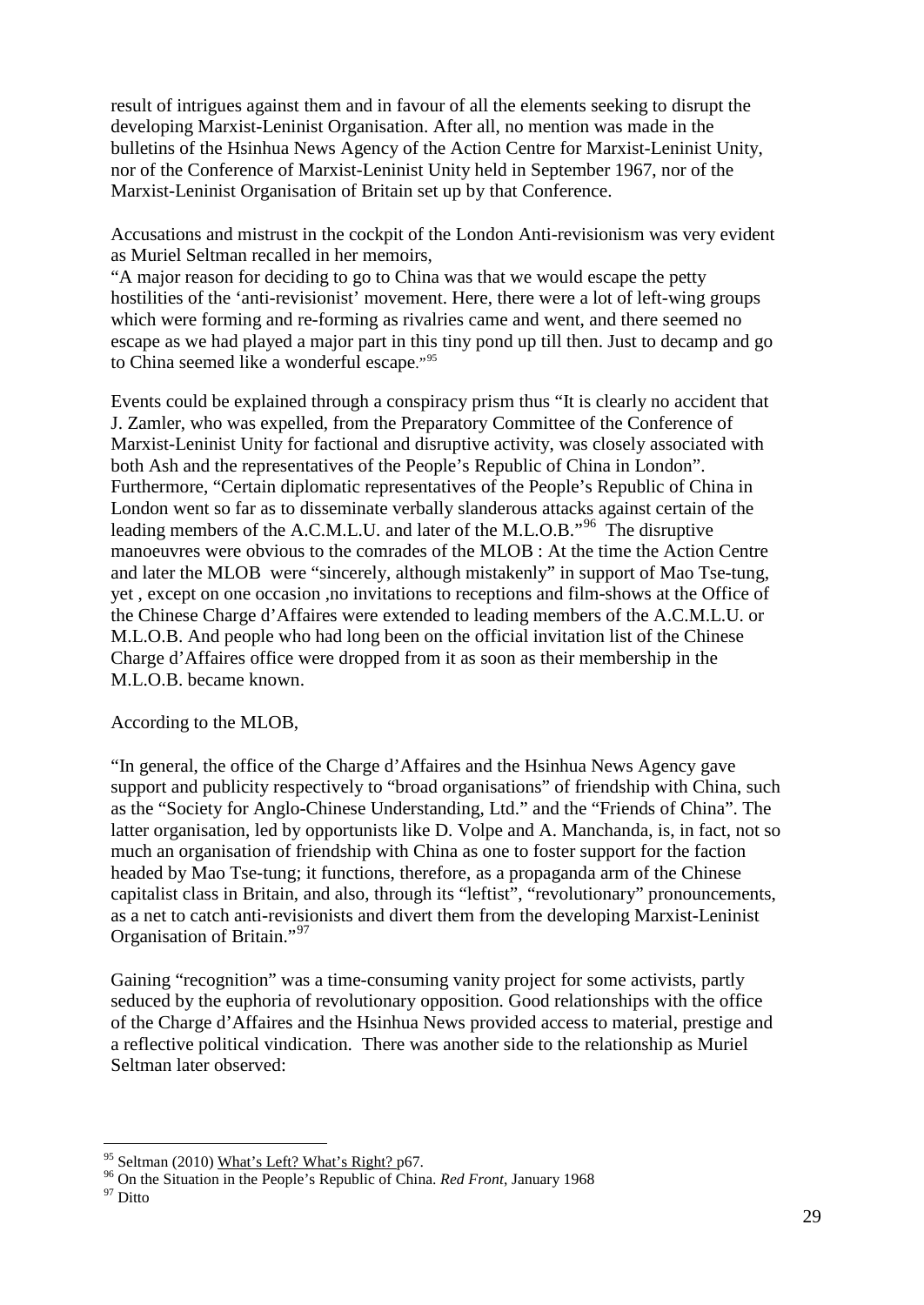result of intrigues against them and in favour of all the elements seeking to disrupt the developing Marxist-Leninist Organisation. After all, no mention was made in the bulletins of the Hsinhua News Agency of the Action Centre for Marxist-Leninist Unity, nor of the Conference of Marxist-Leninist Unity held in September 1967, nor of the Marxist-Leninist Organisation of Britain set up by that Conference.

Accusations and mistrust in the cockpit of the London Anti-revisionism was very evident as Muriel Seltman recalled in her memoirs,

"A major reason for deciding to go to China was that we would escape the petty hostilities of the 'anti-revisionist' movement. Here, there were a lot of left-wing groups which were forming and re-forming as rivalries came and went, and there seemed no escape as we had played a major part in this tiny pond up till then. Just to decamp and go to China seemed like a wonderful escape."[95](#page-28-0)

Events could be explained through a conspiracy prism thus "It is clearly no accident that J. Zamler, who was expelled, from the Preparatory Committee of the Conference of Marxist-Leninist Unity for factional and disruptive activity, was closely associated with both Ash and the representatives of the People's Republic of China in London". Furthermore, "Certain diplomatic representatives of the People's Republic of China in London went so far as to disseminate verbally slanderous attacks against certain of the leading members of the A.C.M.L.U. and later of the M.L.O.B."<sup>[96](#page-28-1)</sup> The disruptive manoeuvres were obvious to the comrades of the MLOB : At the time the Action Centre and later the MLOB were "sincerely, although mistakenly" in support of Mao Tse-tung, yet , except on one occasion ,no invitations to receptions and film-shows at the Office of the Chinese Charge d'Affaires were extended to leading members of the A.C.M.L.U. or M.L.O.B. And people who had long been on the official invitation list of the Chinese Charge d'Affaires office were dropped from it as soon as their membership in the M.L.O.B. became known.

#### According to the MLOB,

"In general, the office of the Charge d'Affaires and the Hsinhua News Agency gave support and publicity respectively to "broad organisations" of friendship with China, such as the "Society for Anglo-Chinese Understanding, Ltd." and the "Friends of China". The latter organisation, led by opportunists like D. Volpe and A. Manchanda, is, in fact, not so much an organisation of friendship with China as one to foster support for the faction headed by Mao Tse-tung; it functions, therefore, as a propaganda arm of the Chinese capitalist class in Britain, and also, through its "leftist", "revolutionary" pronouncements, as a net to catch anti-revisionists and divert them from the developing Marxist-Leninist Organisation of Britain."<sup>[97](#page-28-2)</sup>

Gaining "recognition" was a time-consuming vanity project for some activists, partly seduced by the euphoria of revolutionary opposition. Good relationships with the office of the Charge d'Affaires and the Hsinhua News provided access to material, prestige and a reflective political vindication. There was another side to the relationship as Muriel Seltman later observed:

<span id="page-28-1"></span><span id="page-28-0"></span><sup>&</sup>lt;sup>95</sup> Seltman (2010) <u>What's Left? What's Right?</u> p67.<br><sup>96</sup> On the Situation in the People's Republic of China. *Red Front*, January 1968<br><sup>97</sup> Ditto

<span id="page-28-2"></span>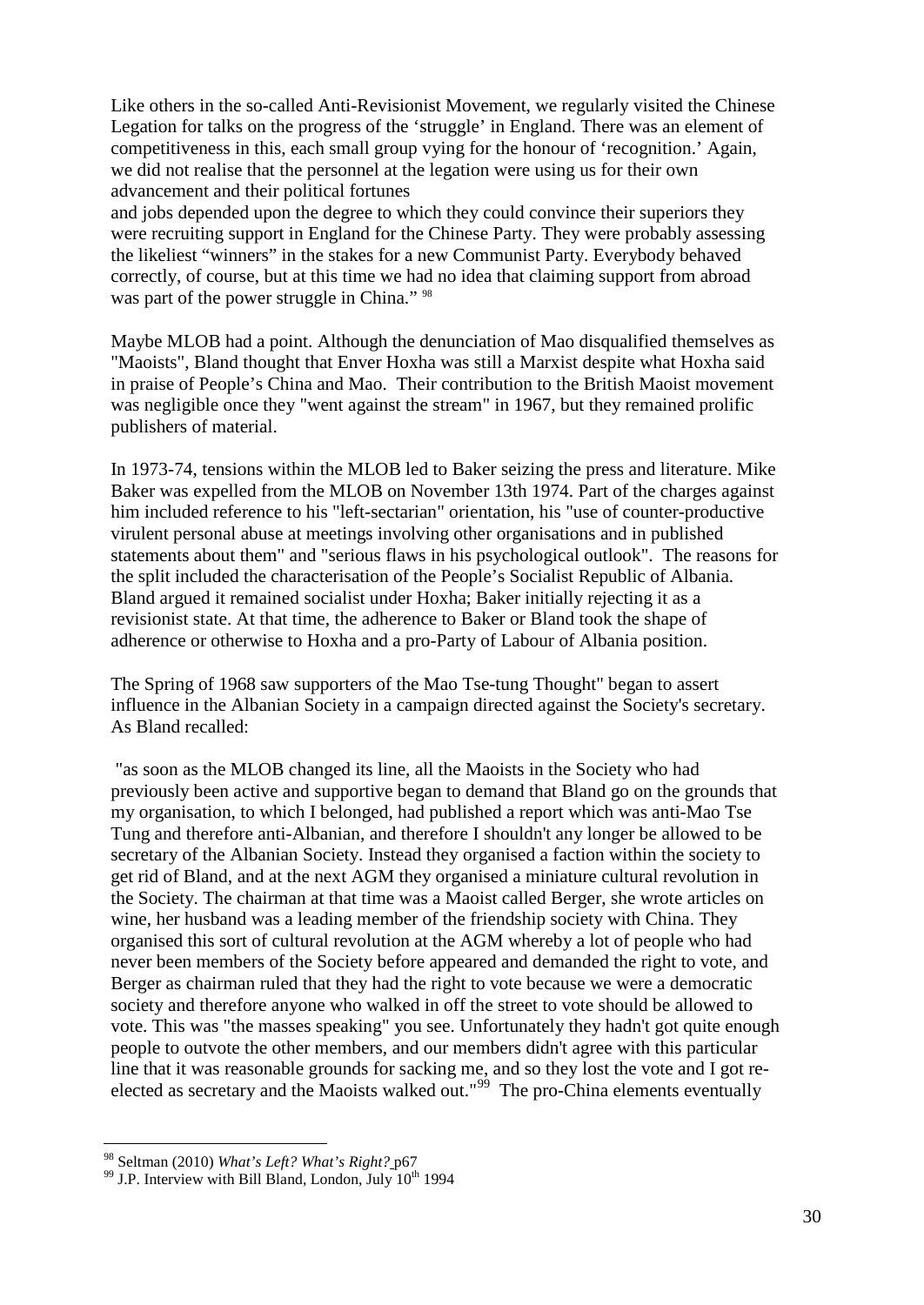Like others in the so-called Anti-Revisionist Movement, we regularly visited the Chinese Legation for talks on the progress of the 'struggle' in England. There was an element of competitiveness in this, each small group vying for the honour of 'recognition.' Again, we did not realise that the personnel at the legation were using us for their own advancement and their political fortunes

and jobs depended upon the degree to which they could convince their superiors they were recruiting support in England for the Chinese Party. They were probably assessing the likeliest "winners" in the stakes for a new Communist Party. Everybody behaved correctly, of course, but at this time we had no idea that claiming support from abroad was part of the power struggle in China." <sup>[98](#page-29-0)</sup>

Maybe MLOB had a point. Although the denunciation of Mao disqualified themselves as "Maoists", Bland thought that Enver Hoxha was still a Marxist despite what Hoxha said in praise of People's China and Mao. Their contribution to the British Maoist movement was negligible once they "went against the stream" in 1967, but they remained prolific publishers of material.

In 1973-74, tensions within the MLOB led to Baker seizing the press and literature. Mike Baker was expelled from the MLOB on November 13th 1974. Part of the charges against him included reference to his "left-sectarian" orientation, his "use of counter-productive virulent personal abuse at meetings involving other organisations and in published statements about them" and "serious flaws in his psychological outlook". The reasons for the split included the characterisation of the People's Socialist Republic of Albania. Bland argued it remained socialist under Hoxha; Baker initially rejecting it as a revisionist state. At that time, the adherence to Baker or Bland took the shape of adherence or otherwise to Hoxha and a pro-Party of Labour of Albania position.

The Spring of 1968 saw supporters of the Mao Tse-tung Thought" began to assert influence in the Albanian Society in a campaign directed against the Society's secretary. As Bland recalled:

"as soon as the MLOB changed its line, all the Maoists in the Society who had previously been active and supportive began to demand that Bland go on the grounds that my organisation, to which I belonged, had published a report which was anti-Mao Tse Tung and therefore anti-Albanian, and therefore I shouldn't any longer be allowed to be secretary of the Albanian Society. Instead they organised a faction within the society to get rid of Bland, and at the next AGM they organised a miniature cultural revolution in the Society. The chairman at that time was a Maoist called Berger, she wrote articles on wine, her husband was a leading member of the friendship society with China. They organised this sort of cultural revolution at the AGM whereby a lot of people who had never been members of the Society before appeared and demanded the right to vote, and Berger as chairman ruled that they had the right to vote because we were a democratic society and therefore anyone who walked in off the street to vote should be allowed to vote. This was "the masses speaking" you see. Unfortunately they hadn't got quite enough people to outvote the other members, and our members didn't agree with this particular line that it was reasonable grounds for sacking me, and so they lost the vote and I got re-elected as secretary and the Maoists walked out."<sup>[99](#page-29-1)</sup> The pro-China elements eventually

<span id="page-29-0"></span> <sup>98</sup> Seltman (2010) *What's Left? What's Right?* p67

<span id="page-29-1"></span> $99$  J.P. Interview with Bill Bland, London, July  $10^{th}$  1994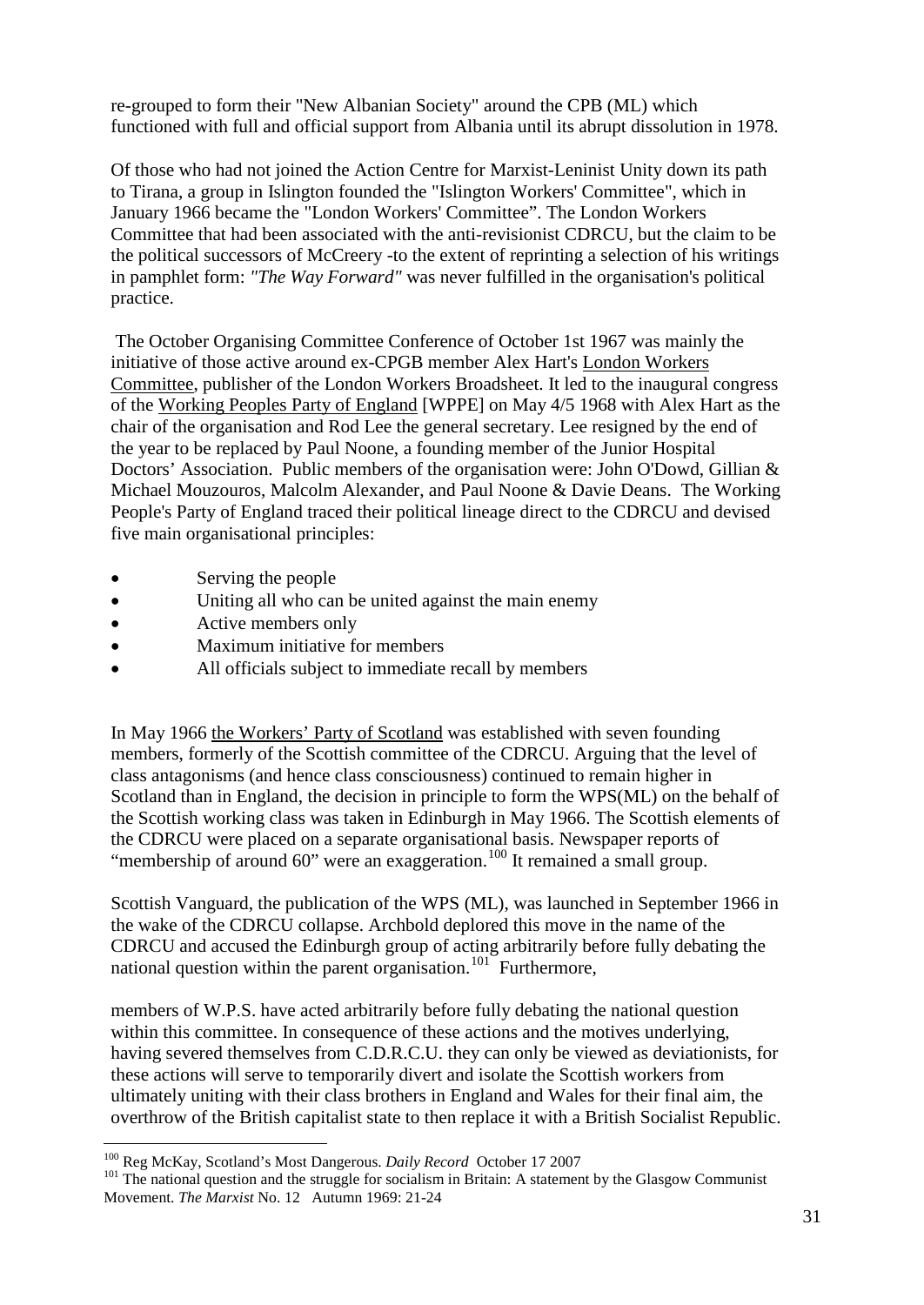re-grouped to form their "New Albanian Society" around the CPB (ML) which functioned with full and official support from Albania until its abrupt dissolution in 1978.

Of those who had not joined the Action Centre for Marxist-Leninist Unity down its path to Tirana, a group in Islington founded the "Islington Workers' Committee", which in January 1966 became the "London Workers' Committee". The London Workers Committee that had been associated with the anti-revisionist CDRCU, but the claim to be the political successors of McCreery -to the extent of reprinting a selection of his writings in pamphlet form: *"The Way Forward"* was never fulfilled in the organisation's political practice.

The October Organising Committee Conference of October 1st 1967 was mainly the initiative of those active around ex-CPGB member Alex Hart's London Workers Committee, publisher of the London Workers Broadsheet. It led to the inaugural congress of the Working Peoples Party of England [WPPE] on May 4/5 1968 with Alex Hart as the chair of the organisation and Rod Lee the general secretary. Lee resigned by the end of the year to be replaced by Paul Noone, a founding member of the Junior Hospital Doctors' Association. Public members of the organisation were: John O'Dowd, Gillian & Michael Mouzouros, Malcolm Alexander, and Paul Noone & Davie Deans. The Working People's Party of England traced their political lineage direct to the CDRCU and devised five main organisational principles:

- Serving the people
- Uniting all who can be united against the main enemy
- Active members only
- Maximum initiative for members
- All officials subject to immediate recall by members

In May 1966 the Workers' Party of Scotland was established with seven founding members, formerly of the Scottish committee of the CDRCU. Arguing that the level of class antagonisms (and hence class consciousness) continued to remain higher in Scotland than in England, the decision in principle to form the WPS(ML) on the behalf of the Scottish working class was taken in Edinburgh in May 1966. The Scottish elements of the CDRCU were placed on a separate organisational basis. Newspaper reports of "membership of around 60" were an exaggeration.<sup>[100](#page-30-0)</sup> It remained a small group.

Scottish Vanguard, the publication of the WPS (ML), was launched in September 1966 in the wake of the CDRCU collapse. Archbold deplored this move in the name of the CDRCU and accused the Edinburgh group of acting arbitrarily before fully debating the national question within the parent organisation.<sup>[101](#page-30-1)</sup> Furthermore,

members of W.P.S. have acted arbitrarily before fully debating the national question within this committee. In consequence of these actions and the motives underlying, having severed themselves from C.D.R.C.U. they can only be viewed as deviationists, for these actions will serve to temporarily divert and isolate the Scottish workers from ultimately uniting with their class brothers in England and Wales for their final aim, the overthrow of the British capitalist state to then replace it with a British Socialist Republic.

<span id="page-30-1"></span><span id="page-30-0"></span><sup>&</sup>lt;sup>100</sup> Reg McKay, Scotland's Most Dangerous. *Daily Record* October 17 2007<br><sup>101</sup> The national question and the struggle for socialism in Britain: A statement by the Glasgow Communist Movement. *The Marxist* No. 12 Autumn 1969: 21-24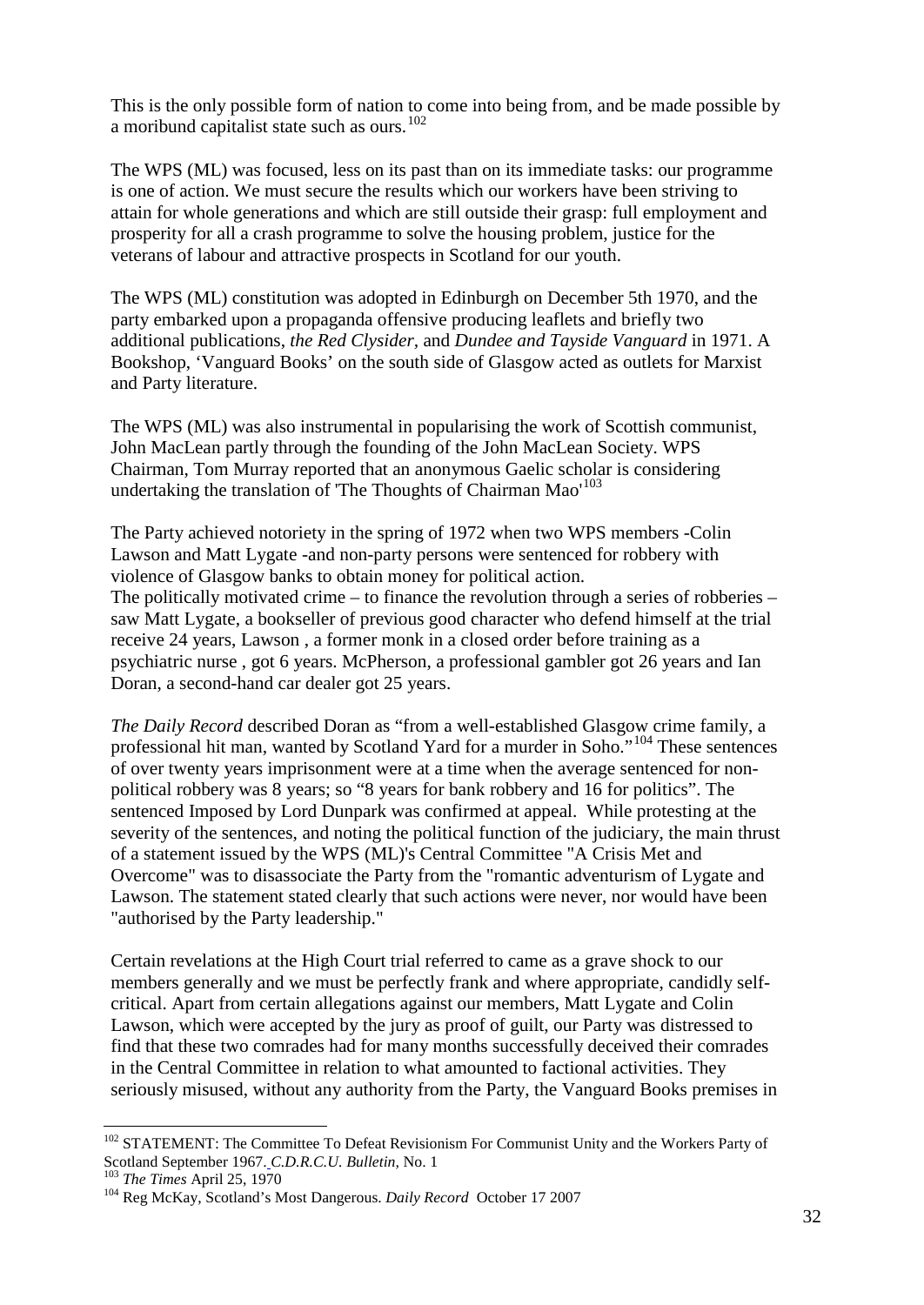This is the only possible form of nation to come into being from, and be made possible by a moribund capitalist state such as ours.<sup>[102](#page-31-0)</sup>

The WPS (ML) was focused, less on its past than on its immediate tasks: our programme is one of action. We must secure the results which our workers have been striving to attain for whole generations and which are still outside their grasp: full employment and prosperity for all a crash programme to solve the housing problem, justice for the veterans of labour and attractive prospects in Scotland for our youth.

The WPS (ML) constitution was adopted in Edinburgh on December 5th 1970, and the party embarked upon a propaganda offensive producing leaflets and briefly two additional publications, *the Red Clysider,* and *Dundee and Tayside Vanguard* in 1971. A Bookshop, 'Vanguard Books' on the south side of Glasgow acted as outlets for Marxist and Party literature.

The WPS (ML) was also instrumental in popularising the work of Scottish communist, John MacLean partly through the founding of the John MacLean Society. WPS Chairman, Tom Murray reported that an anonymous Gaelic scholar is considering undertaking the translation of The Thoughts of Chairman Mao<sup>'[103](#page-31-1)</sup>

The Party achieved notoriety in the spring of 1972 when two WPS members -Colin Lawson and Matt Lygate -and non-party persons were sentenced for robbery with violence of Glasgow banks to obtain money for political action. The politically motivated crime – to finance the revolution through a series of robberies – saw Matt Lygate, a bookseller of previous good character who defend himself at the trial receive 24 years, Lawson , a former monk in a closed order before training as a psychiatric nurse , got 6 years. McPherson, a professional gambler got 26 years and Ian Doran, a second-hand car dealer got 25 years.

*The Daily Record* described Doran as "from a well-established Glasgow crime family, a professional hit man, wanted by Scotland Yard for a murder in Soho."[104](#page-31-2) These sentences of over twenty years imprisonment were at a time when the average sentenced for nonpolitical robbery was 8 years; so "8 years for bank robbery and 16 for politics". The sentenced Imposed by Lord Dunpark was confirmed at appeal. While protesting at the severity of the sentences, and noting the political function of the judiciary, the main thrust of a statement issued by the WPS (ML)'s Central Committee "A Crisis Met and Overcome" was to disassociate the Party from the "romantic adventurism of Lygate and Lawson. The statement stated clearly that such actions were never, nor would have been "authorised by the Party leadership."

Certain revelations at the High Court trial referred to came as a grave shock to our members generally and we must be perfectly frank and where appropriate, candidly selfcritical. Apart from certain allegations against our members, Matt Lygate and Colin Lawson, which were accepted by the jury as proof of guilt, our Party was distressed to find that these two comrades had for many months successfully deceived their comrades in the Central Committee in relation to what amounted to factional activities. They seriously misused, without any authority from the Party, the Vanguard Books premises in

<span id="page-31-0"></span> $102$  STATEMENT: The Committee To Defeat Revisionism For Communist Unity and the Workers Party of Scotland September 1967. C.D.R.C.U. Bulletin, No. 1

<span id="page-31-2"></span>

<span id="page-31-1"></span><sup>&</sup>lt;sup>103</sup> The Times April 25, 1970<br><sup>103</sup> Reg McKay, Scotland's Most Dangerous. *Daily Record* October 17 2007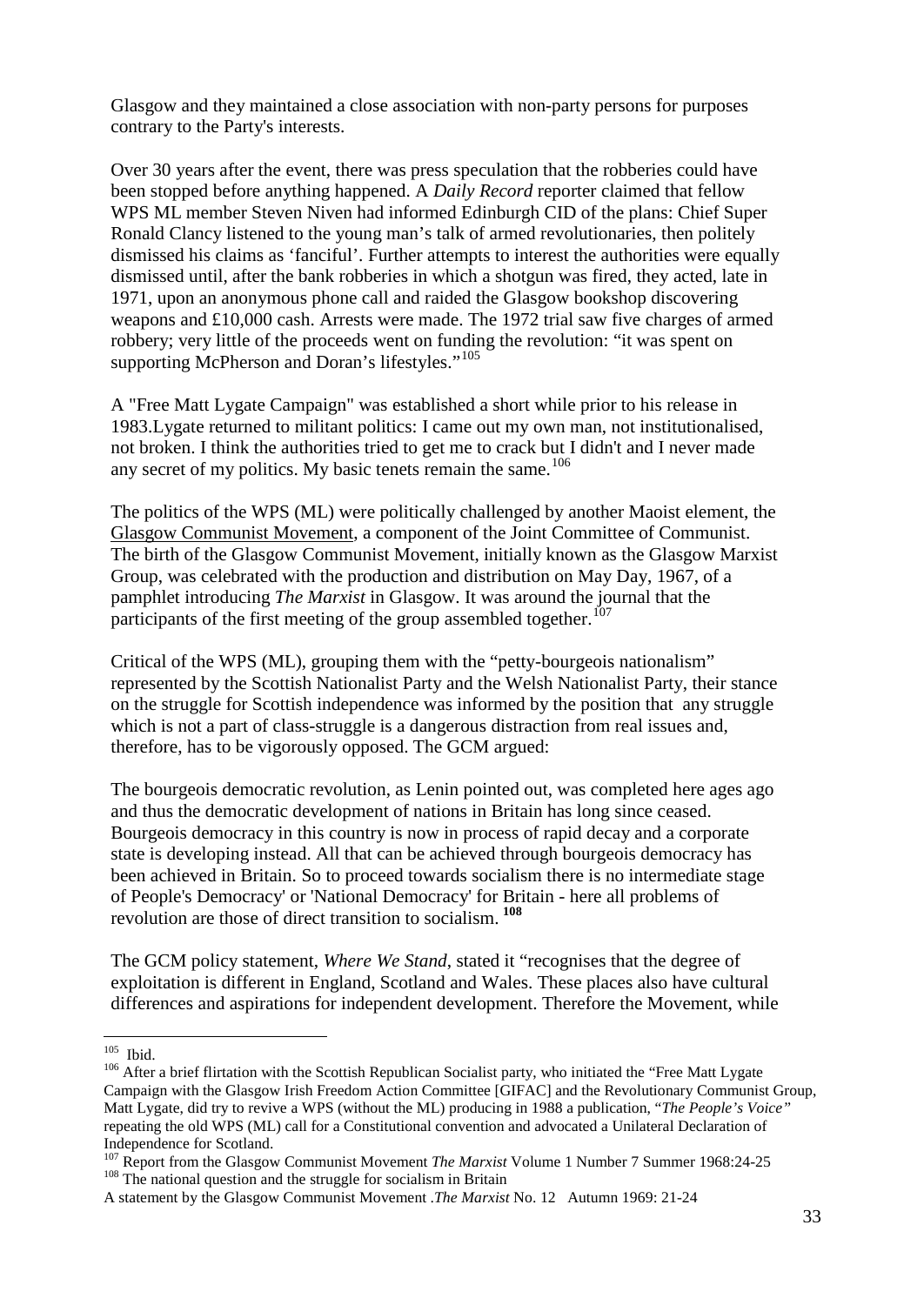Glasgow and they maintained a close association with non-party persons for purposes contrary to the Party's interests.

Over 30 years after the event, there was press speculation that the robberies could have been stopped before anything happened. A *Daily Record* reporter claimed that fellow WPS ML member Steven Niven had informed Edinburgh CID of the plans: Chief Super Ronald Clancy listened to the young man's talk of armed revolutionaries, then politely dismissed his claims as 'fanciful'. Further attempts to interest the authorities were equally dismissed until, after the bank robberies in which a shotgun was fired, they acted, late in 1971, upon an anonymous phone call and raided the Glasgow bookshop discovering weapons and £10,000 cash. Arrests were made. The 1972 trial saw five charges of armed robbery; very little of the proceeds went on funding the revolution: "it was spent on supporting McPherson and Doran's lifestyles."<sup>[105](#page-32-0)</sup>

A "Free Matt Lygate Campaign" was established a short while prior to his release in 1983.Lygate returned to militant politics: I came out my own man, not institutionalised, not broken. I think the authorities tried to get me to crack but I didn't and I never made any secret of my politics. My basic tenets remain the same.<sup>[106](#page-32-1)</sup>

The politics of the WPS (ML) were politically challenged by another Maoist element, the Glasgow Communist Movement, a component of the Joint Committee of Communist. The birth of the Glasgow Communist Movement, initially known as the Glasgow Marxist Group, was celebrated with the production and distribution on May Day, 1967, of a pamphlet introducing *The Marxist* in Glasgow. It was around the journal that the participants of the first meeting of the group assembled together.<sup>[107](#page-32-2)</sup>

Critical of the WPS (ML), grouping them with the "petty-bourgeois nationalism" represented by the Scottish Nationalist Party and the Welsh Nationalist Party, their stance on the struggle for Scottish independence was informed by the position that any struggle which is not a part of class-struggle is a dangerous distraction from real issues and, therefore, has to be vigorously opposed. The GCM argued:

The bourgeois democratic revolution, as Lenin pointed out, was completed here ages ago and thus the democratic development of nations in Britain has long since ceased. Bourgeois democracy in this country is now in process of rapid decay and a corporate state is developing instead. All that can be achieved through bourgeois democracy has been achieved in Britain. So to proceed towards socialism there is no intermediate stage of People's Democracy' or 'National Democracy' for Britain - here all problems of revolution are those of direct transition to socialism. **[108](#page-32-3)**

The GCM policy statement, *Where We Stand*, stated it "recognises that the degree of exploitation is different in England, Scotland and Wales. These places also have cultural differences and aspirations for independent development. Therefore the Movement, while

<span id="page-32-1"></span><span id="page-32-0"></span><sup>&</sup>lt;sup>105</sup> Ibid.<br><sup>106</sup> After a brief flirtation with the Scottish Republican Socialist party, who initiated the "Free Matt Lygate Campaign with the Glasgow Irish Freedom Action Committee [GIFAC] and the Revolutionary Communist Group, Matt Lygate, did try to revive a WPS (without the ML) producing in 1988 a publication, "*The People's Voice"* repeating the old WPS (ML) call for a Constitutional convention and advocated a Unilateral Declaration of Independence for Scotland.

<span id="page-32-2"></span><sup>&</sup>lt;sup>107</sup> Report from the Glasgow Communist Movement *The Marxist* Volume 1 Number 7 Summer 1968:24-25 <sup>108</sup> The national question and the struggle for socialism in Britain

<span id="page-32-3"></span>A statement by the Glasgow Communist Movement .*The Marxist* No. 12 Autumn 1969: 21-24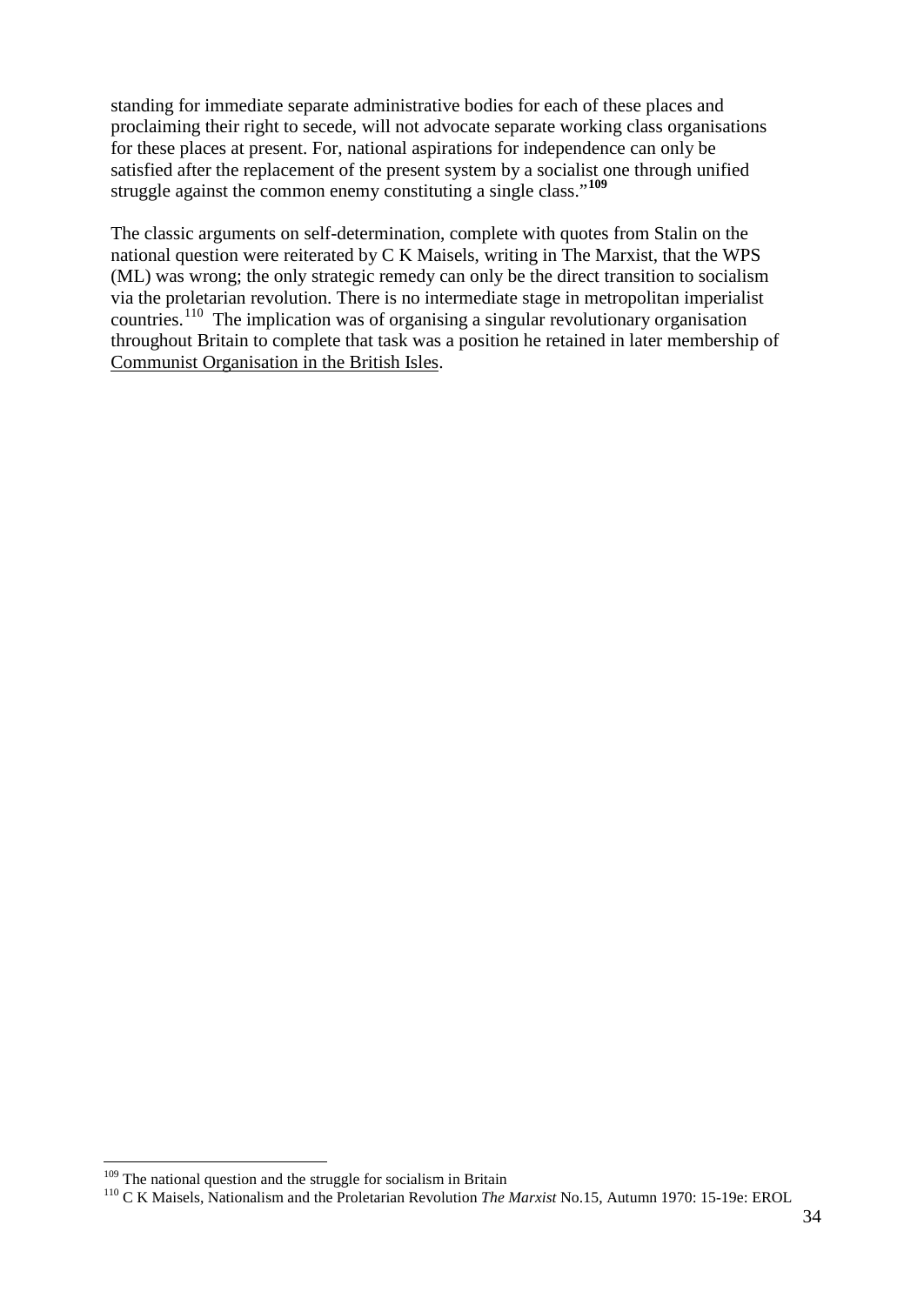standing for immediate separate administrative bodies for each of these places and proclaiming their right to secede, will not advocate separate working class organisations for these places at present. For, national aspirations for independence can only be satisfied after the replacement of the present system by a socialist one through unified struggle against the common enemy constituting a single class."**[109](#page-33-0)**

The classic arguments on self-determination, complete with quotes from Stalin on the national question were reiterated by C K Maisels, writing in The Marxist, that the WPS (ML) was wrong; the only strategic remedy can only be the direct transition to socialism via the proletarian revolution. There is no intermediate stage in metropolitan imperialist countries.<sup>[110](#page-33-1)</sup> The implication was of organising a singular revolutionary organisation throughout Britain to complete that task was a position he retained in later membership of Communist Organisation in the British Isles.

<span id="page-33-0"></span><sup>&</sup>lt;sup>109</sup> The national question and the struggle for socialism in Britain

<span id="page-33-1"></span><sup>110</sup> C K Maisels, Nationalism and the Proletarian Revolution *The Marxist* No.15, Autumn 1970: 15-19e: EROL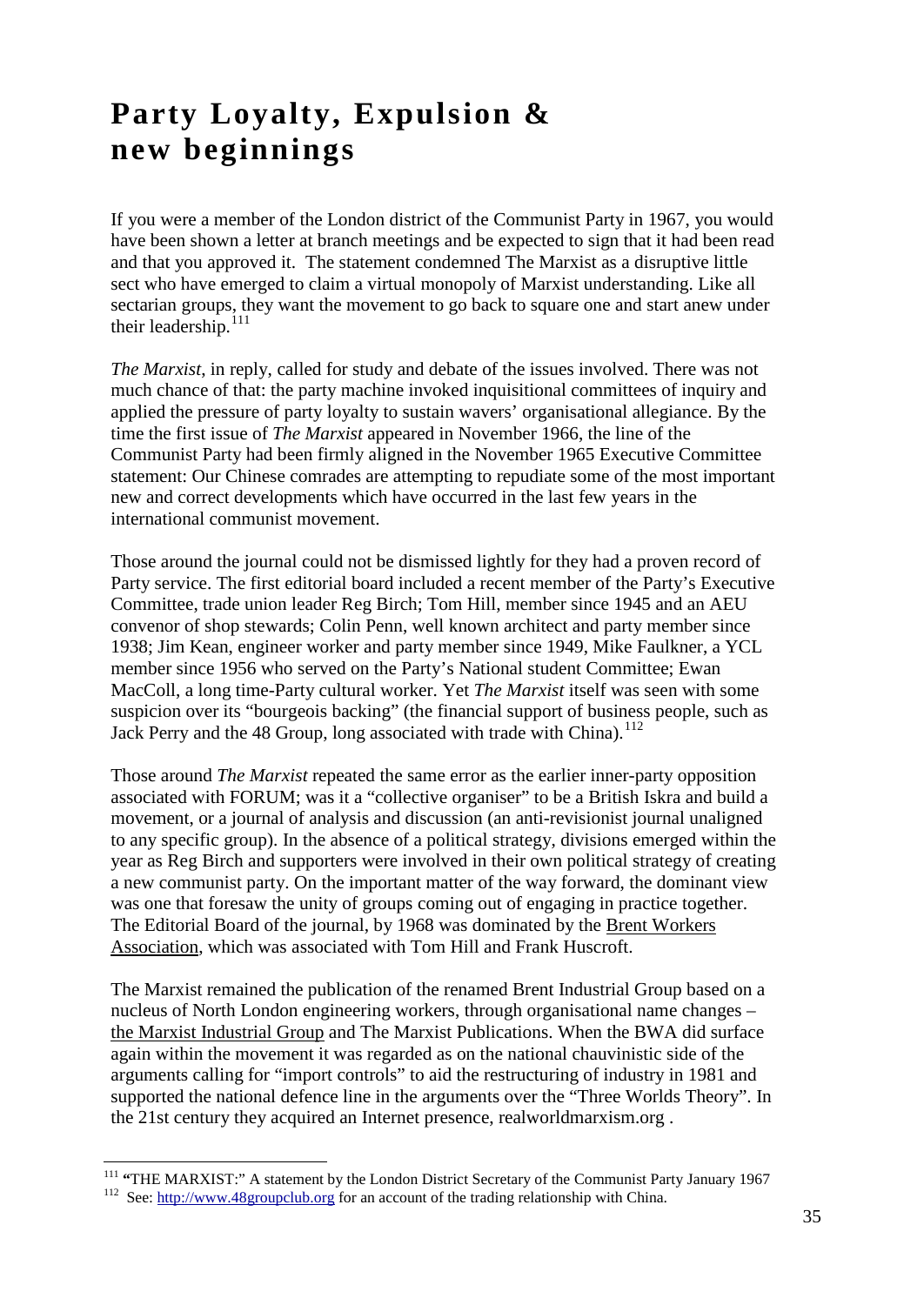## **Party Loyalty, Expulsion & new beginnings**

If you were a member of the London district of the Communist Party in 1967, you would have been shown a letter at branch meetings and be expected to sign that it had been read and that you approved it. The statement condemned The Marxist as a disruptive little sect who have emerged to claim a virtual monopoly of Marxist understanding. Like all sectarian groups, they want the movement to go back to square one and start anew under their leadership.<sup>[111](#page-34-0)</sup>

*The Marxist*, in reply, called for study and debate of the issues involved. There was not much chance of that: the party machine invoked inquisitional committees of inquiry and applied the pressure of party loyalty to sustain wavers' organisational allegiance. By the time the first issue of *The Marxist* appeared in November 1966, the line of the Communist Party had been firmly aligned in the November 1965 Executive Committee statement: Our Chinese comrades are attempting to repudiate some of the most important new and correct developments which have occurred in the last few years in the international communist movement.

Those around the journal could not be dismissed lightly for they had a proven record of Party service. The first editorial board included a recent member of the Party's Executive Committee, trade union leader Reg Birch; Tom Hill, member since 1945 and an AEU convenor of shop stewards; Colin Penn, well known architect and party member since 1938; Jim Kean, engineer worker and party member since 1949, Mike Faulkner, a YCL member since 1956 who served on the Party's National student Committee; Ewan MacColl, a long time-Party cultural worker. Yet *The Marxist* itself was seen with some suspicion over its "bourgeois backing" (the financial support of business people, such as Jack Perry and the 48 Group, long associated with trade with China).<sup>[112](#page-34-1)</sup>

Those around *The Marxist* repeated the same error as the earlier inner-party opposition associated with FORUM; was it a "collective organiser" to be a British Iskra and build a movement, or a journal of analysis and discussion (an anti-revisionist journal unaligned to any specific group). In the absence of a political strategy, divisions emerged within the year as Reg Birch and supporters were involved in their own political strategy of creating a new communist party. On the important matter of the way forward, the dominant view was one that foresaw the unity of groups coming out of engaging in practice together. The Editorial Board of the journal, by 1968 was dominated by the Brent Workers Association, which was associated with Tom Hill and Frank Huscroft.

The Marxist remained the publication of the renamed Brent Industrial Group based on a nucleus of North London engineering workers, through organisational name changes – the Marxist Industrial Group and The Marxist Publications. When the BWA did surface again within the movement it was regarded as on the national chauvinistic side of the arguments calling for "import controls" to aid the restructuring of industry in 1981 and supported the national defence line in the arguments over the "Three Worlds Theory". In the 21st century they acquired an Internet presence, realworldmarxism.org .

<span id="page-34-1"></span><span id="page-34-0"></span><sup>&</sup>lt;sup>111</sup> **"THE MARXIST:"** A statement by the London District Secretary of the Communist Party January 1967<br><sup>112</sup> See: [http://www.48groupclub.org](http://www.48groupclub.org/) for an account of the trading relationship with China.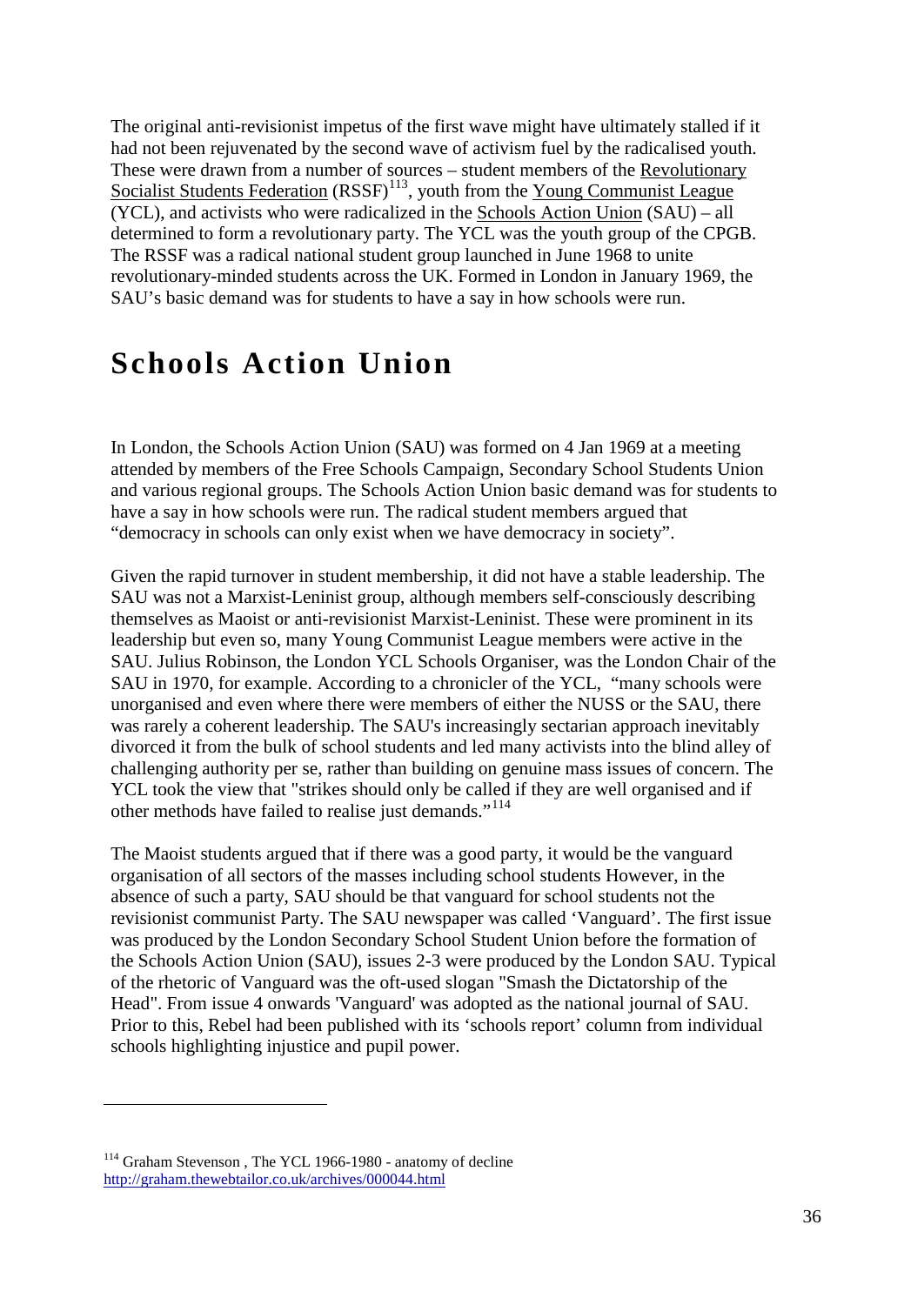The original anti-revisionist impetus of the first wave might have ultimately stalled if it had not been rejuvenated by the second wave of activism fuel by the radicalised youth. These were drawn from a number of sources – student members of the Revolutionary Socialist Students Federation  $(RSSF)^{113}$  $(RSSF)^{113}$  $(RSSF)^{113}$ , youth from the Young Communist League (YCL), and activists who were radicalized in the Schools Action Union (SAU) – all determined to form a revolutionary party. The YCL was the youth group of the CPGB. The RSSF was a radical national student group launched in June 1968 to unite revolutionary-minded students across the UK. Formed in London in January 1969, the SAU's basic demand was for students to have a say in how schools were run.

## **Schools Action Union**

In London, the Schools Action Union (SAU) was formed on 4 Jan 1969 at a meeting attended by members of the Free Schools Campaign, Secondary School Students Union and various regional groups. The Schools Action Union basic demand was for students to have a say in how schools were run. The radical student members argued that "democracy in schools can only exist when we have democracy in society".

Given the rapid turnover in student membership, it did not have a stable leadership. The SAU was not a Marxist-Leninist group, although members self-consciously describing themselves as Maoist or anti-revisionist Marxist-Leninist. These were prominent in its leadership but even so, many Young Communist League members were active in the SAU. Julius Robinson, the London YCL Schools Organiser, was the London Chair of the SAU in 1970, for example. According to a chronicler of the YCL, "many schools were unorganised and even where there were members of either the NUSS or the SAU, there was rarely a coherent leadership. The SAU's increasingly sectarian approach inevitably divorced it from the bulk of school students and led many activists into the blind alley of challenging authority per se, rather than building on genuine mass issues of concern. The YCL took the view that "strikes should only be called if they are well organised and if other methods have failed to realise just demands."<sup>[114](#page-35-1)</sup>

The Maoist students argued that if there was a good party, it would be the vanguard organisation of all sectors of the masses including school students However, in the absence of such a party, SAU should be that vanguard for school students not the revisionist communist Party. The SAU newspaper was called 'Vanguard'. The first issue was produced by the London Secondary School Student Union before the formation of the Schools Action Union (SAU), issues 2-3 were produced by the London SAU. Typical of the rhetoric of Vanguard was the oft-used slogan "Smash the Dictatorship of the Head". From issue 4 onwards 'Vanguard' was adopted as the national journal of SAU. Prior to this, Rebel had been published with its 'schools report' column from individual schools highlighting injustice and pupil power.

 $\overline{a}$ 

<span id="page-35-1"></span><span id="page-35-0"></span><sup>&</sup>lt;sup>114</sup> Graham Stevenson, The YCL 1966-1980 - anatomy of decline <http://graham.thewebtailor.co.uk/archives/000044.html>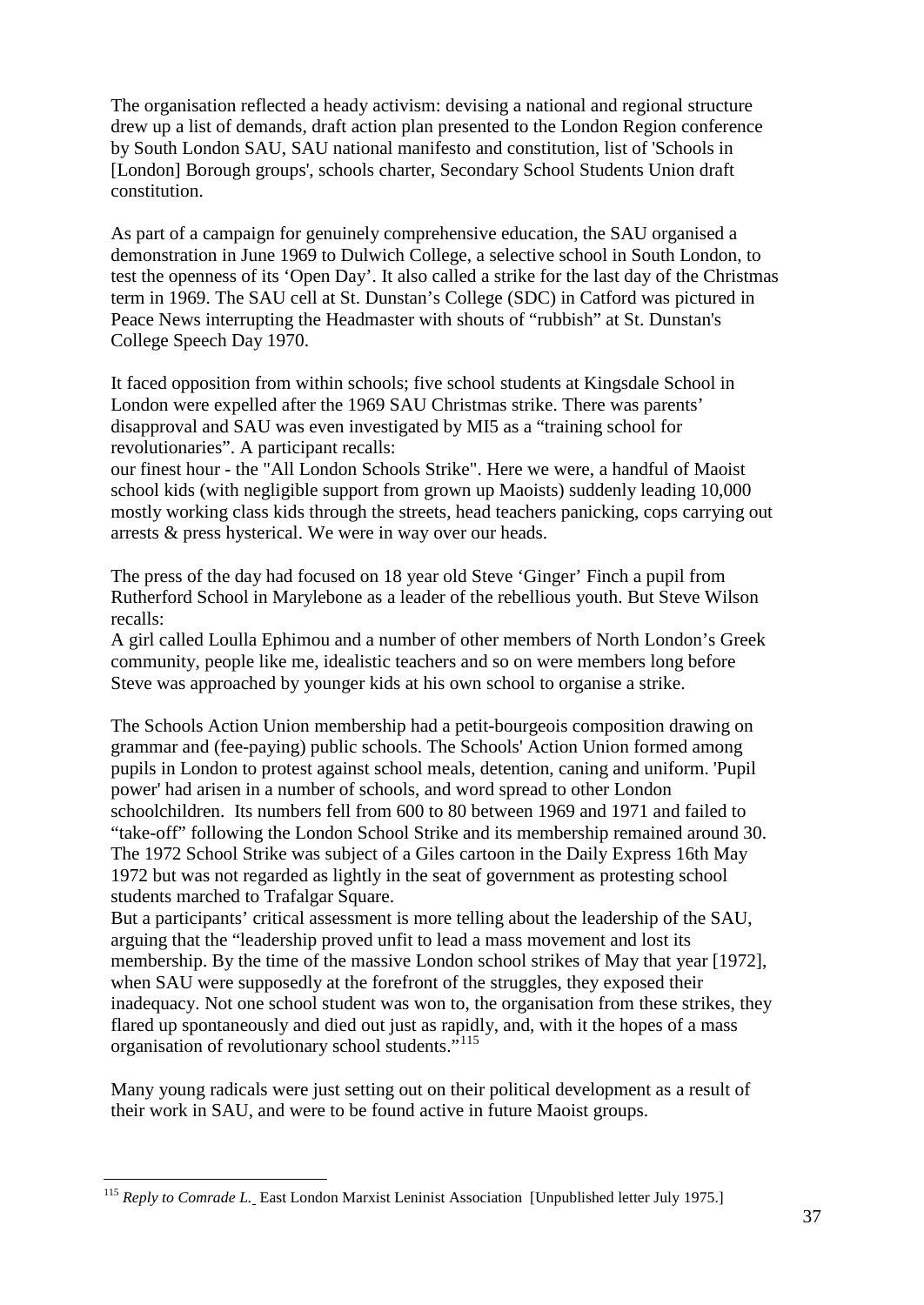The organisation reflected a heady activism: devising a national and regional structure drew up a list of demands, draft action plan presented to the London Region conference by South London SAU, SAU national manifesto and constitution, list of 'Schools in [London] Borough groups', schools charter, Secondary School Students Union draft constitution.

As part of a campaign for genuinely comprehensive education, the SAU organised a demonstration in June 1969 to Dulwich College, a selective school in South London, to test the openness of its 'Open Day'. It also called a strike for the last day of the Christmas term in 1969. The SAU cell at St. Dunstan's College (SDC) in Catford was pictured in Peace News interrupting the Headmaster with shouts of "rubbish" at St. Dunstan's College Speech Day 1970.

It faced opposition from within schools; five school students at Kingsdale School in London were expelled after the 1969 SAU Christmas strike. There was parents' disapproval and SAU was even investigated by MI5 as a "training school for revolutionaries". A participant recalls:

our finest hour - the "All London Schools Strike". Here we were, a handful of Maoist school kids (with negligible support from grown up Maoists) suddenly leading 10,000 mostly working class kids through the streets, head teachers panicking, cops carrying out arrests & press hysterical. We were in way over our heads.

The press of the day had focused on 18 year old Steve 'Ginger' Finch a pupil from Rutherford School in Marylebone as a leader of the rebellious youth. But Steve Wilson recalls:

A girl called Loulla Ephimou and a number of other members of North London's Greek community, people like me, idealistic teachers and so on were members long before Steve was approached by younger kids at his own school to organise a strike.

The Schools Action Union membership had a petit-bourgeois composition drawing on grammar and (fee-paying) public schools. The Schools' Action Union formed among pupils in London to protest against school meals, detention, caning and uniform. 'Pupil power' had arisen in a number of schools, and word spread to other London schoolchildren. Its numbers fell from 600 to 80 between 1969 and 1971 and failed to "take-off" following the London School Strike and its membership remained around 30. The 1972 School Strike was subject of a Giles cartoon in the Daily Express 16th May 1972 but was not regarded as lightly in the seat of government as protesting school students marched to Trafalgar Square.

But a participants' critical assessment is more telling about the leadership of the SAU, arguing that the "leadership proved unfit to lead a mass movement and lost its membership. By the time of the massive London school strikes of May that year [1972], when SAU were supposedly at the forefront of the struggles, they exposed their inadequacy. Not one school student was won to, the organisation from these strikes, they flared up spontaneously and died out just as rapidly, and, with it the hopes of a mass organisation of revolutionary school students."[115](#page-36-0)

Many young radicals were just setting out on their political development as a result of their work in SAU, and were to be found active in future Maoist groups.

<span id="page-36-0"></span><sup>&</sup>lt;sup>115</sup> Reply to Comrade L. East London Marxist Leninist Association [Unpublished letter July 1975.]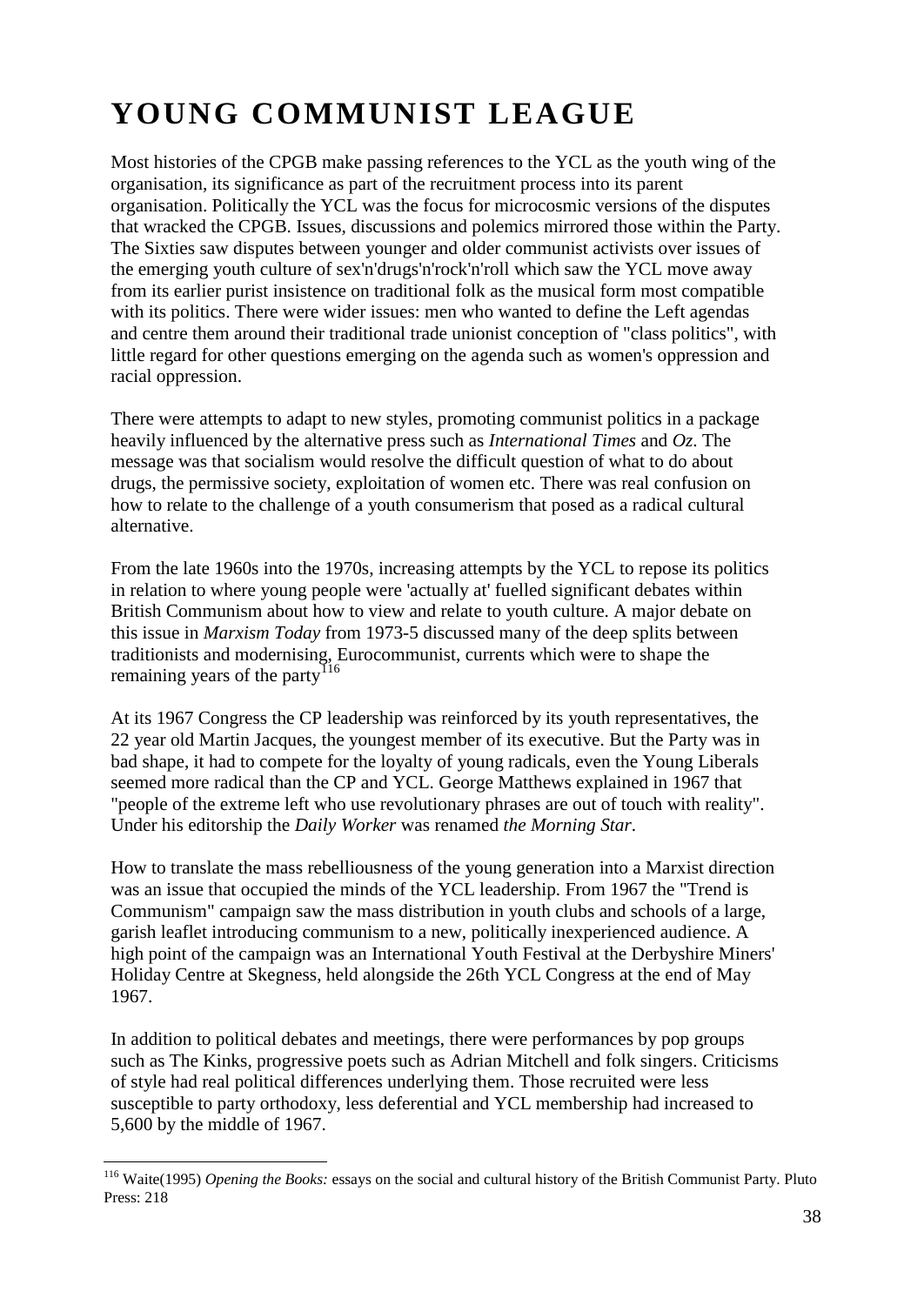# **YOUNG COMMUNIST LEAGUE**

Most histories of the CPGB make passing references to the YCL as the youth wing of the organisation, its significance as part of the recruitment process into its parent organisation. Politically the YCL was the focus for microcosmic versions of the disputes that wracked the CPGB. Issues, discussions and polemics mirrored those within the Party. The Sixties saw disputes between younger and older communist activists over issues of the emerging youth culture of sex'n'drugs'n'rock'n'roll which saw the YCL move away from its earlier purist insistence on traditional folk as the musical form most compatible with its politics. There were wider issues: men who wanted to define the Left agendas and centre them around their traditional trade unionist conception of "class politics", with little regard for other questions emerging on the agenda such as women's oppression and racial oppression.

There were attempts to adapt to new styles, promoting communist politics in a package heavily influenced by the alternative press such as *International Times* and *Oz*. The message was that socialism would resolve the difficult question of what to do about drugs, the permissive society, exploitation of women etc. There was real confusion on how to relate to the challenge of a youth consumerism that posed as a radical cultural alternative.

From the late 1960s into the 1970s, increasing attempts by the YCL to repose its politics in relation to where young people were 'actually at' fuelled significant debates within British Communism about how to view and relate to youth culture. A major debate on this issue in *Marxism Today* from 1973-5 discussed many of the deep splits between traditionists and modernising, Eurocommunist, currents which were to shape the remaining years of the party<sup>[116](#page-37-0)</sup>

At its 1967 Congress the CP leadership was reinforced by its youth representatives, the 22 year old Martin Jacques, the youngest member of its executive. But the Party was in bad shape, it had to compete for the loyalty of young radicals, even the Young Liberals seemed more radical than the CP and YCL. George Matthews explained in 1967 that "people of the extreme left who use revolutionary phrases are out of touch with reality". Under his editorship the *Daily Worker* was renamed *the Morning Star*.

How to translate the mass rebelliousness of the young generation into a Marxist direction was an issue that occupied the minds of the YCL leadership. From 1967 the "Trend is Communism" campaign saw the mass distribution in youth clubs and schools of a large, garish leaflet introducing communism to a new, politically inexperienced audience. A high point of the campaign was an International Youth Festival at the Derbyshire Miners' Holiday Centre at Skegness, held alongside the 26th YCL Congress at the end of May 1967.

In addition to political debates and meetings, there were performances by pop groups such as The Kinks, progressive poets such as Adrian Mitchell and folk singers. Criticisms of style had real political differences underlying them. Those recruited were less susceptible to party orthodoxy, less deferential and YCL membership had increased to 5,600 by the middle of 1967.

<span id="page-37-0"></span> <sup>116</sup> Waite(1995) *Opening the Books:* essays on the social and cultural history of the British Communist Party. Pluto Press: 218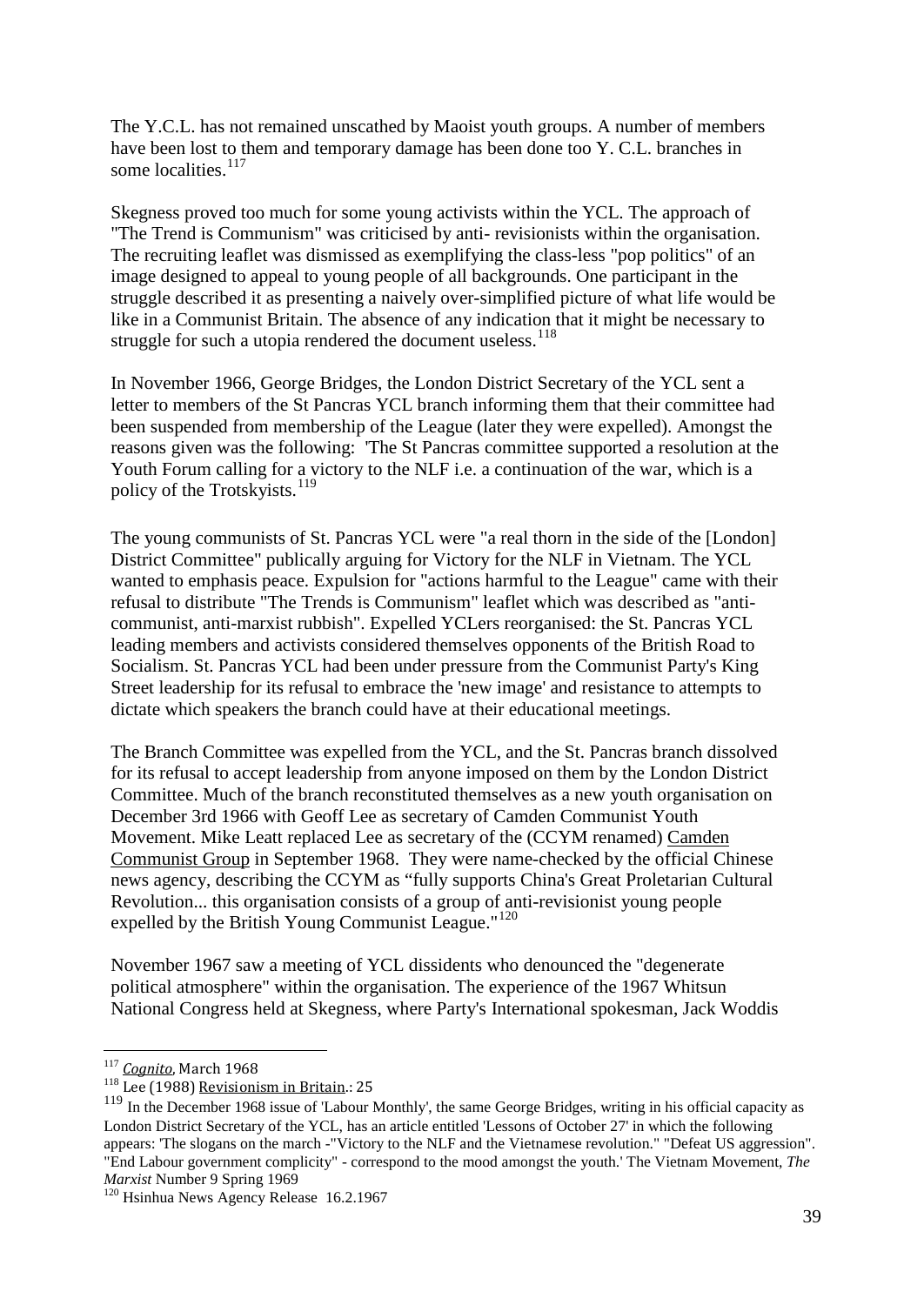The Y.C.L. has not remained unscathed by Maoist youth groups. A number of members have been lost to them and temporary damage has been done too Y. C.L. branches in some localities. $117$ 

Skegness proved too much for some young activists within the YCL. The approach of "The Trend is Communism" was criticised by anti- revisionists within the organisation. The recruiting leaflet was dismissed as exemplifying the class-less "pop politics" of an image designed to appeal to young people of all backgrounds. One participant in the struggle described it as presenting a naively over-simplified picture of what life would be like in a Communist Britain. The absence of any indication that it might be necessary to struggle for such a utopia rendered the document useless.<sup>[118](#page-38-1)</sup>

In November 1966, George Bridges, the London District Secretary of the YCL sent a letter to members of the St Pancras YCL branch informing them that their committee had been suspended from membership of the League (later they were expelled). Amongst the reasons given was the following: 'The St Pancras committee supported a resolution at the Youth Forum calling for a victory to the NLF i.e. a continuation of the war, which is a policy of the Trotskyists. $^{119}$  $^{119}$  $^{119}$ 

The young communists of St. Pancras YCL were "a real thorn in the side of the [London] District Committee" publically arguing for Victory for the NLF in Vietnam. The YCL wanted to emphasis peace. Expulsion for "actions harmful to the League" came with their refusal to distribute "The Trends is Communism" leaflet which was described as "anticommunist, anti-marxist rubbish". Expelled YCLers reorganised: the St. Pancras YCL leading members and activists considered themselves opponents of the British Road to Socialism. St. Pancras YCL had been under pressure from the Communist Party's King Street leadership for its refusal to embrace the 'new image' and resistance to attempts to dictate which speakers the branch could have at their educational meetings.

The Branch Committee was expelled from the YCL, and the St. Pancras branch dissolved for its refusal to accept leadership from anyone imposed on them by the London District Committee. Much of the branch reconstituted themselves as a new youth organisation on December 3rd 1966 with Geoff Lee as secretary of Camden Communist Youth Movement. Mike Leatt replaced Lee as secretary of the (CCYM renamed) Camden Communist Group in September 1968. They were name-checked by the official Chinese news agency, describing the CCYM as "fully supports China's Great Proletarian Cultural Revolution... this organisation consists of a group of anti-revisionist young people expelled by the British Young Communist League."<sup>[120](#page-38-3)</sup>

November 1967 saw a meeting of YCL dissidents who denounced the "degenerate political atmosphere" within the organisation. The experience of the 1967 Whitsun National Congress held at Skegness, where Party's International spokesman, Jack Woddis

<span id="page-38-0"></span><sup>&</sup>lt;sup>117</sup> *Cognito*, March 1968<br><sup>118</sup> Lee (1988) <u>Revisionism in Britain</u>.: 25

<span id="page-38-2"></span><span id="page-38-1"></span><sup>&</sup>lt;sup>119</sup> In the December 1968 issue of 'Labour Monthly', the same George Bridges, writing in his official capacity as London District Secretary of the YCL, has an article entitled 'Lessons of October 27' in which the following appears: 'The slogans on the march -"Victory to the NLF and the Vietnamese revolution." "Defeat US aggression". "End Labour government complicity" - correspond to the mood amongst the youth.' The Vietnam Movement, *The* 

<span id="page-38-3"></span><sup>&</sup>lt;sup>120</sup> Hsinhua News Agency Release 16.2.1967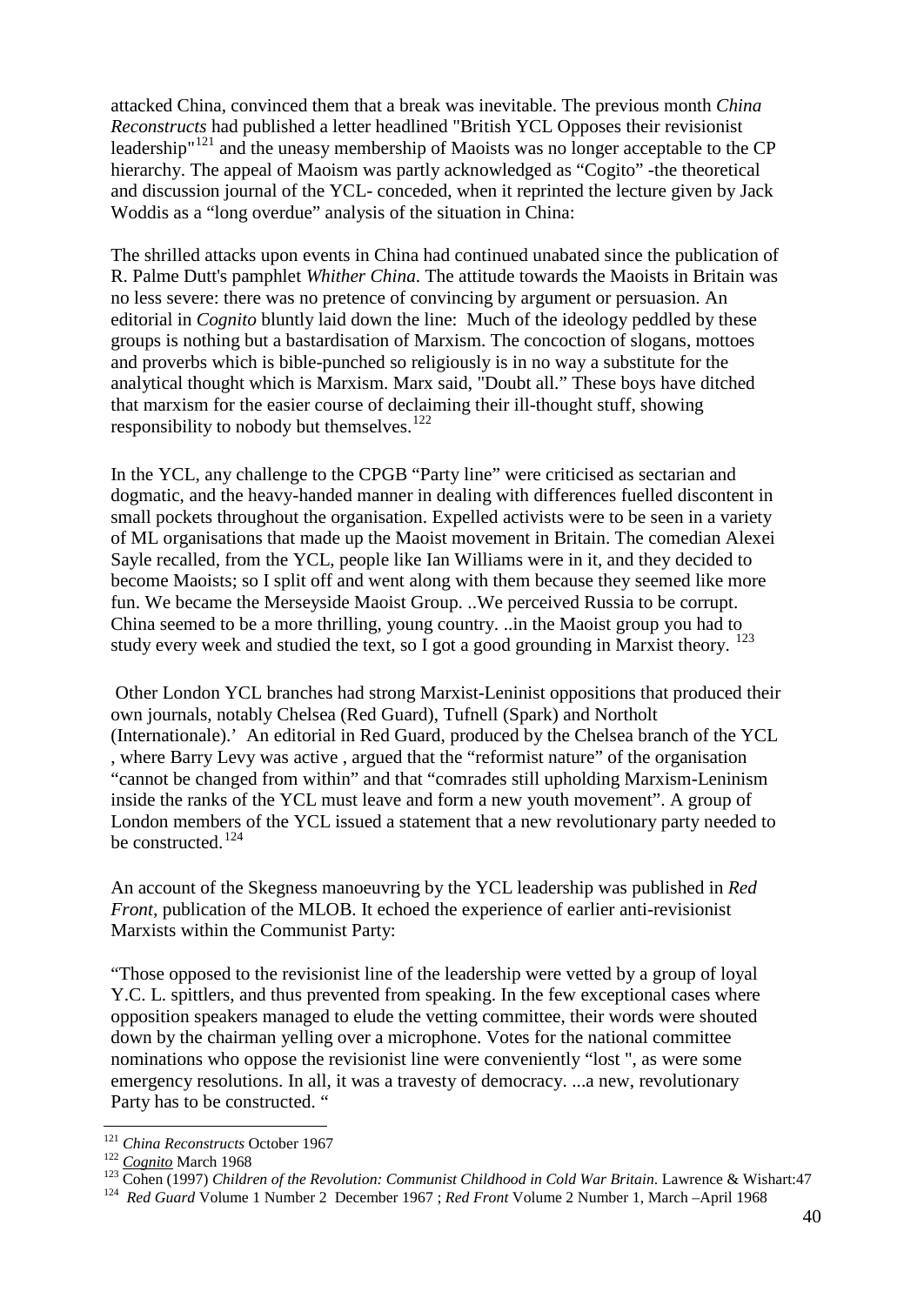attacked China, convinced them that a break was inevitable. The previous month *China Reconstructs* had published a letter headlined "British YCL Opposes their revisionist leadership<sup>"[121](#page-39-0)</sup> and the uneasy membership of Maoists was no longer acceptable to the CP hierarchy. The appeal of Maoism was partly acknowledged as "Cogito" -the theoretical and discussion journal of the YCL- conceded, when it reprinted the lecture given by Jack Woddis as a "long overdue" analysis of the situation in China:

The shrilled attacks upon events in China had continued unabated since the publication of R. Palme Dutt's pamphlet *Whither China*. The attitude towards the Maoists in Britain was no less severe: there was no pretence of convincing by argument or persuasion. An editorial in *Cognito* bluntly laid down the line: Much of the ideology peddled by these groups is nothing but a bastardisation of Marxism. The concoction of slogans, mottoes and proverbs which is bible-punched so religiously is in no way a substitute for the analytical thought which is Marxism. Marx said, "Doubt all." These boys have ditched that marxism for the easier course of declaiming their ill-thought stuff, showing responsibility to nobody but themselves. $122$ 

In the YCL, any challenge to the CPGB "Party line" were criticised as sectarian and dogmatic, and the heavy-handed manner in dealing with differences fuelled discontent in small pockets throughout the organisation. Expelled activists were to be seen in a variety of ML organisations that made up the Maoist movement in Britain. The comedian Alexei Sayle recalled, from the YCL, people like Ian Williams were in it, and they decided to become Maoists; so I split off and went along with them because they seemed like more fun. We became the Merseyside Maoist Group. ..We perceived Russia to be corrupt. China seemed to be a more thrilling, young country. ..in the Maoist group you had to study every week and studied the text, so  $\overline{I}$  got a good grounding in Marxist theory.  $^{123}$  $^{123}$  $^{123}$ 

Other London YCL branches had strong Marxist-Leninist oppositions that produced their own journals, notably Chelsea (Red Guard), Tufnell (Spark) and Northolt (Internationale).' An editorial in Red Guard, produced by the Chelsea branch of the YCL , where Barry Levy was active , argued that the "reformist nature" of the organisation "cannot be changed from within" and that "comrades still upholding Marxism-Leninism inside the ranks of the YCL must leave and form a new youth movement". A group of London members of the YCL issued a statement that a new revolutionary party needed to be constructed.<sup>[124](#page-39-3)</sup>

An account of the Skegness manoeuvring by the YCL leadership was published in *Red Front,* publication of the MLOB. It echoed the experience of earlier anti-revisionist Marxists within the Communist Party:

"Those opposed to the revisionist line of the leadership were vetted by a group of loyal Y.C. L. spittlers, and thus prevented from speaking. In the few exceptional cases where opposition speakers managed to elude the vetting committee, their words were shouted down by the chairman yelling over a microphone. Votes for the national committee nominations who oppose the revisionist line were conveniently "lost ", as were some emergency resolutions. In all, it was a travesty of democracy. ...a new, revolutionary Party has to be constructed. "

<span id="page-39-2"></span>

<span id="page-39-1"></span><span id="page-39-0"></span><sup>&</sup>lt;sup>121</sup> China Reconstructs October 1967<br><sup>122</sup> Cognito March 1968<br><sup>123</sup> Cohen (1997) Children of the Revolution: Communist Childhood in Cold War Britain. Lawrence & Wishart:47<br><sup>124</sup> Red Guard Volume 1 Number 2 December 1967;

<span id="page-39-3"></span>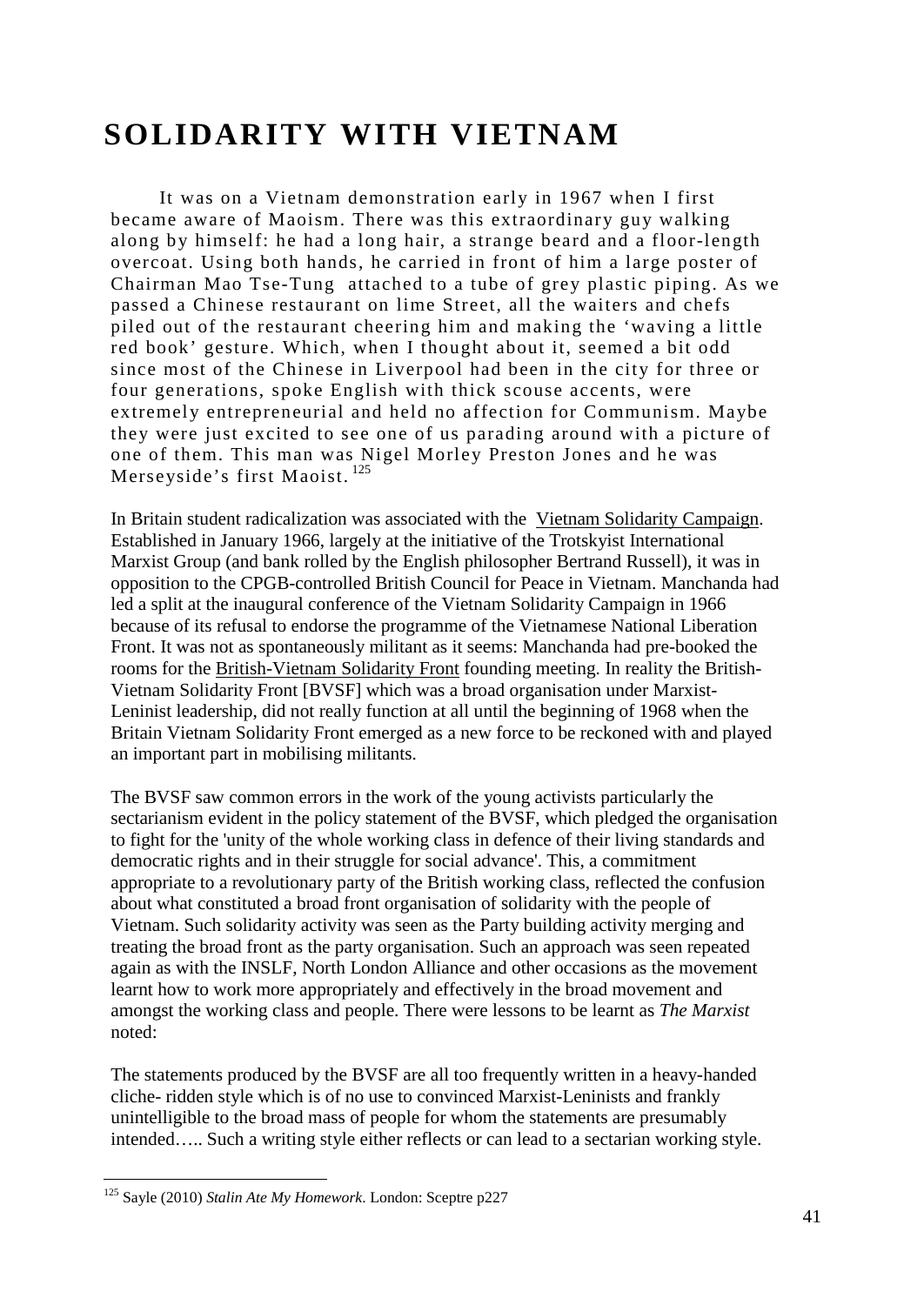# **SOLIDARITY WITH VIETNAM**

It was on a Vietnam demonstration early in 1967 when I first became aware of Maoism. There was this extraordinary guy walking along by himself: he had a long hair, a strange beard and a floor-length overcoat. Using both hands, he carried in front of him a large poster of Chairman Mao Tse-Tung attached to a tube of grey plastic piping. As we passed a Chinese restaurant on lime Street, all the waiters and chefs piled out of the restaurant cheering him and making the 'waving a little red book' gesture. Which, when I thought about it, seemed a bit odd since most of the Chinese in Liverpool had been in the city for three or four generations, spoke English with thick scouse accents, were extremely entrepreneurial and held no affection for Communism. Maybe they were just excited to see one of us parading around with a picture of one of them. This man was Nigel Morley Preston Jones and he was Merseyside's first Maoist.<sup>[125](#page-40-0)</sup>

In Britain student radicalization was associated with the Vietnam Solidarity Campaign. Established in January 1966, largely at the initiative of the Trotskyist International Marxist Group (and bank rolled by the English philosopher Bertrand Russell), it was in opposition to the CPGB-controlled British Council for Peace in Vietnam. Manchanda had led a split at the inaugural conference of the Vietnam Solidarity Campaign in 1966 because of its refusal to endorse the programme of the Vietnamese National Liberation Front. It was not as spontaneously militant as it seems: Manchanda had pre-booked the rooms for the British-Vietnam Solidarity Front founding meeting. In reality the British-Vietnam Solidarity Front [BVSF] which was a broad organisation under Marxist-Leninist leadership, did not really function at all until the beginning of 1968 when the Britain Vietnam Solidarity Front emerged as a new force to be reckoned with and played an important part in mobilising militants.

The BVSF saw common errors in the work of the young activists particularly the sectarianism evident in the policy statement of the BVSF, which pledged the organisation to fight for the 'unity of the whole working class in defence of their living standards and democratic rights and in their struggle for social advance'. This, a commitment appropriate to a revolutionary party of the British working class, reflected the confusion about what constituted a broad front organisation of solidarity with the people of Vietnam. Such solidarity activity was seen as the Party building activity merging and treating the broad front as the party organisation. Such an approach was seen repeated again as with the INSLF, North London Alliance and other occasions as the movement learnt how to work more appropriately and effectively in the broad movement and amongst the working class and people. There were lessons to be learnt as *The Marxist* noted:

The statements produced by the BVSF are all too frequently written in a heavy-handed cliche- ridden style which is of no use to convinced Marxist-Leninists and frankly unintelligible to the broad mass of people for whom the statements are presumably intended….. Such a writing style either reflects or can lead to a sectarian working style.

<span id="page-40-0"></span> <sup>125</sup> Sayle (2010) *Stalin Ate My Homework*. London: Sceptre p227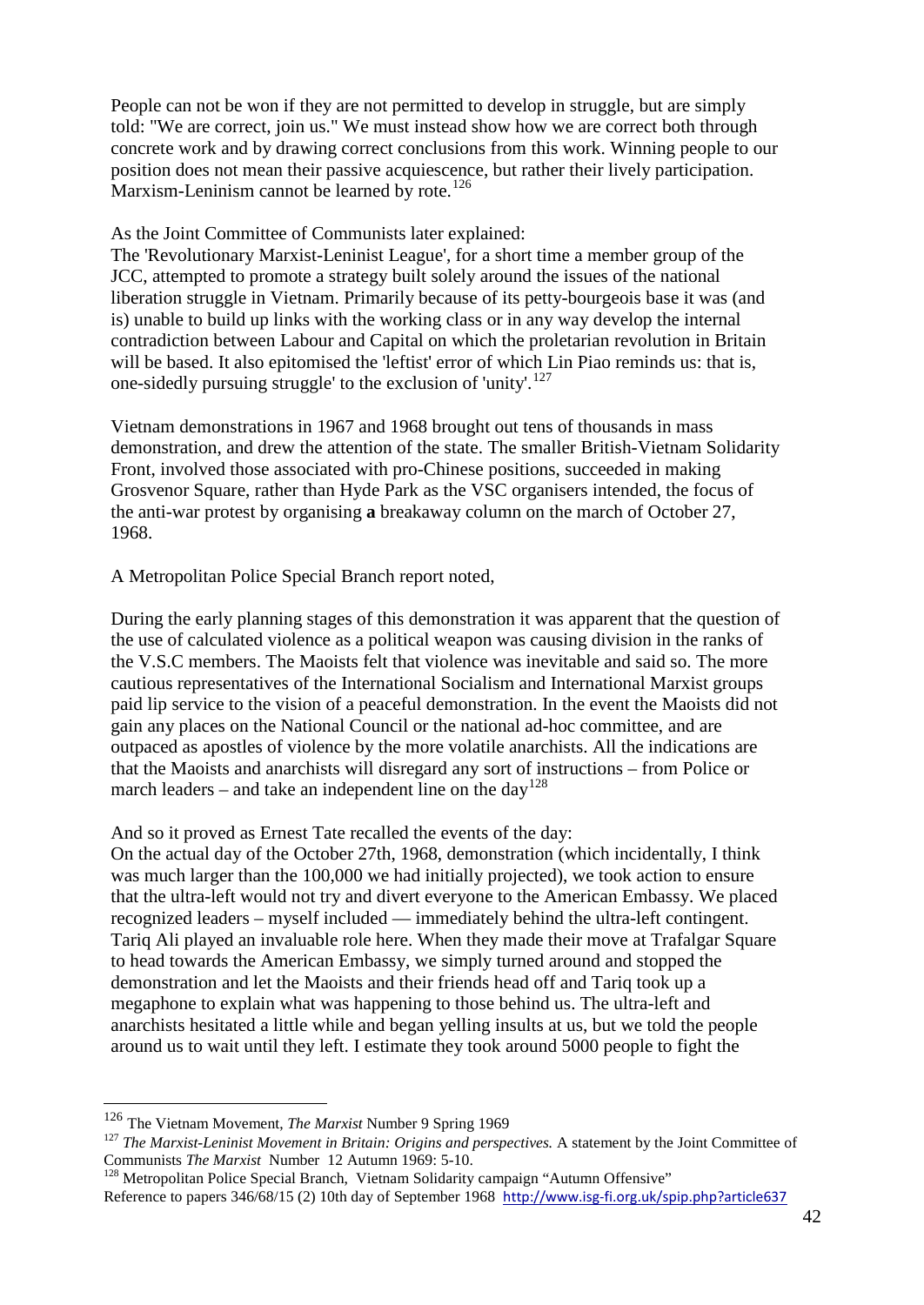People can not be won if they are not permitted to develop in struggle, but are simply told: "We are correct, join us." We must instead show how we are correct both through concrete work and by drawing correct conclusions from this work. Winning people to our position does not mean their passive acquiescence, but rather their lively participation. Marxism-Leninism cannot be learned by rote.<sup>[126](#page-41-0)</sup>

#### As the Joint Committee of Communists later explained:

The 'Revolutionary Marxist-Leninist League', for a short time a member group of the JCC, attempted to promote a strategy built solely around the issues of the national liberation struggle in Vietnam. Primarily because of its petty-bourgeois base it was (and is) unable to build up links with the working class or in any way develop the internal contradiction between Labour and Capital on which the proletarian revolution in Britain will be based. It also epitomised the 'leftist' error of which Lin Piao reminds us: that is, one-sidedly pursuing struggle' to the exclusion of 'unity'.<sup>[127](#page-41-1)</sup>

Vietnam demonstrations in 1967 and 1968 brought out tens of thousands in mass demonstration, and drew the attention of the state. The smaller British-Vietnam Solidarity Front, involved those associated with pro-Chinese positions, succeeded in making Grosvenor Square, rather than Hyde Park as the VSC organisers intended, the focus of the anti-war protest by organising **a** breakaway column on the march of October 27, 1968.

A Metropolitan Police Special Branch report noted,

During the early planning stages of this demonstration it was apparent that the question of the use of calculated violence as a political weapon was causing division in the ranks of the V.S.C members. The Maoists felt that violence was inevitable and said so. The more cautious representatives of the International Socialism and International Marxist groups paid lip service to the vision of a peaceful demonstration. In the event the Maoists did not gain any places on the National Council or the national ad-hoc committee, and are outpaced as apostles of violence by the more volatile anarchists. All the indications are that the Maoists and anarchists will disregard any sort of instructions – from Police or march leaders – and take an independent line on the day<sup>[128](#page-41-2)</sup>

And so it proved as Ernest Tate recalled the events of the day:

On the actual day of the October 27th, 1968, demonstration (which incidentally, I think was much larger than the 100,000 we had initially projected), we took action to ensure that the ultra-left would not try and divert everyone to the American Embassy. We placed recognized leaders – myself included — immediately behind the ultra-left contingent. Tariq Ali played an invaluable role here. When they made their move at Trafalgar Square to head towards the American Embassy, we simply turned around and stopped the demonstration and let the Maoists and their friends head off and Tariq took up a megaphone to explain what was happening to those behind us. The ultra-left and anarchists hesitated a little while and began yelling insults at us, but we told the people around us to wait until they left. I estimate they took around 5000 people to fight the

<span id="page-41-0"></span> <sup>126</sup> The Vietnam Movement, *The Marxist* Number 9 Spring 1969

<span id="page-41-1"></span><sup>&</sup>lt;sup>127</sup> *The Marxist-Leninist Movement in Britain: Origins and perspectives.* A statement by the Joint Committee of Communists *The Marxist* Number 12 Autumn 1969: 5-10.

<span id="page-41-2"></span><sup>&</sup>lt;sup>128</sup> Metropolitan Police Special Branch, Vietnam Solidarity campaign "Autumn Offensive"

Reference to papers 346/68/15 (2) 10th day of September 1968 <http://www.isg-fi.org.uk/spip.php?article637>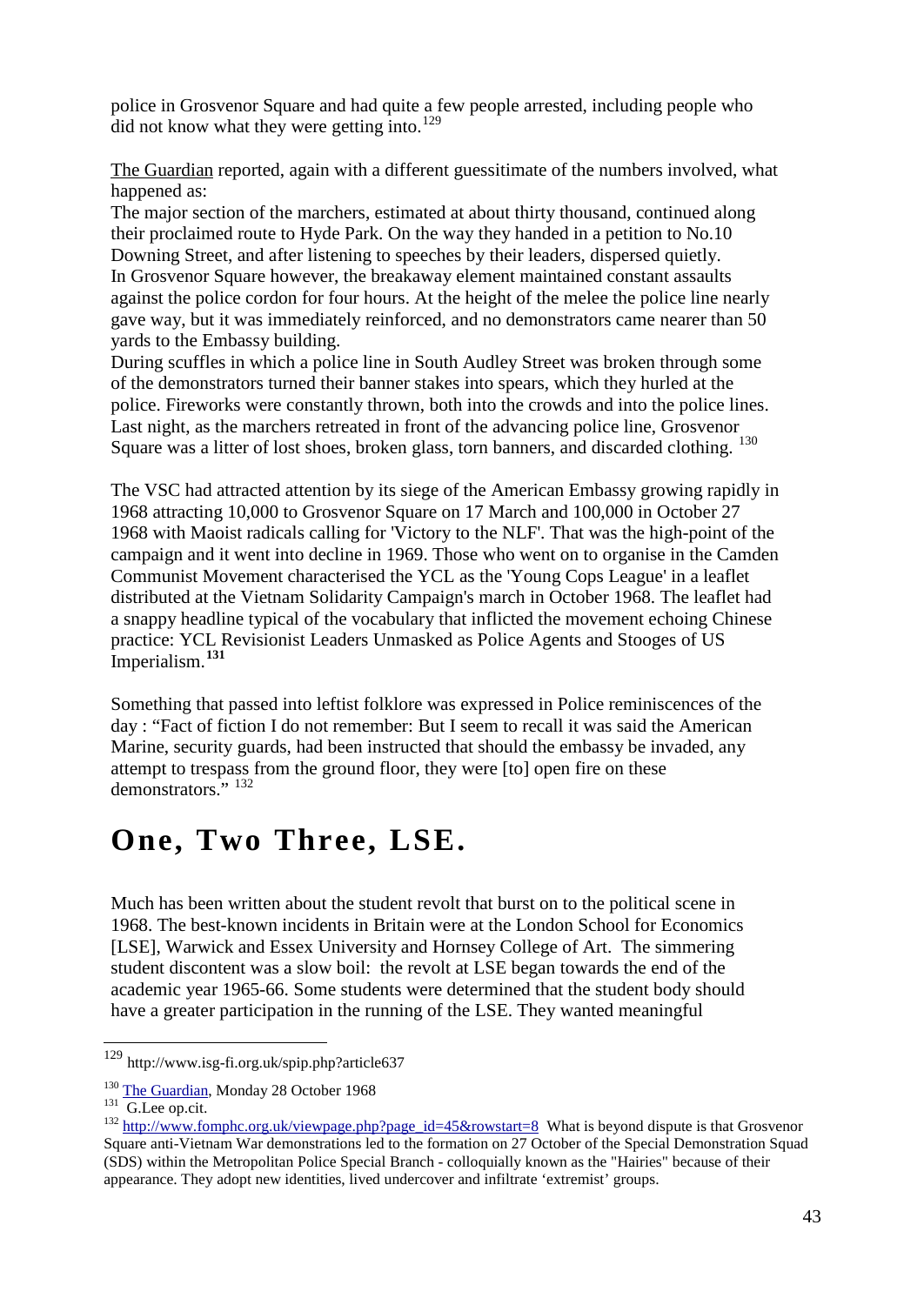police in Grosvenor Square and had quite a few people arrested, including people who  $\overline{d}$  did not know what they were getting into.<sup>[129](#page-42-0)</sup>

The Guardian reported, again with a different guessitimate of the numbers involved, what happened as:

The major section of the marchers, estimated at about thirty thousand, continued along their proclaimed route to Hyde Park. On the way they handed in a petition to No.10 Downing Street, and after listening to speeches by their leaders, dispersed quietly. In Grosvenor Square however, the breakaway element maintained constant assaults against the police cordon for four hours. At the height of the melee the police line nearly gave way, but it was immediately reinforced, and no demonstrators came nearer than 50 yards to the Embassy building.

During scuffles in which a police line in South Audley Street was broken through some of the demonstrators turned their banner stakes into spears, which they hurled at the police. Fireworks were constantly thrown, both into the crowds and into the police lines. Last night, as the marchers retreated in front of the advancing police line, Grosvenor Square was a litter of lost shoes, broken glass, torn banners, and discarded clothing.<sup>[130](#page-42-1)</sup>

The VSC had attracted attention by its siege of the American Embassy growing rapidly in 1968 attracting 10,000 to Grosvenor Square on 17 March and 100,000 in October 27 1968 with Maoist radicals calling for 'Victory to the NLF'. That was the high-point of the campaign and it went into decline in 1969. Those who went on to organise in the Camden Communist Movement characterised the YCL as the 'Young Cops League' in a leaflet distributed at the Vietnam Solidarity Campaign's march in October 1968. The leaflet had a snappy headline typical of the vocabulary that inflicted the movement echoing Chinese practice: YCL Revisionist Leaders Unmasked as Police Agents and Stooges of US Imperialism.**[131](#page-42-2)**

Something that passed into leftist folklore was expressed in Police reminiscences of the day : "Fact of fiction I do not remember: But I seem to recall it was said the American Marine, security guards, had been instructed that should the embassy be invaded, any attempt to trespass from the ground floor, they were [to] open fire on these demonstrators." [132](#page-42-3)

### **One, Two Three, LSE.**

Much has been written about the student revolt that burst on to the political scene in 1968. The best-known incidents in Britain were at the London School for Economics [LSE], Warwick and Essex University and Hornsey College of Art. The simmering student discontent was a slow boil: the revolt at LSE began towards the end of the academic year 1965-66. Some students were determined that the student body should have a greater participation in the running of the LSE. They wanted meaningful

<span id="page-42-0"></span> <sup>129</sup> <http://www.isg-fi.org.uk/spip.php?article637>

<span id="page-42-3"></span>

<span id="page-42-2"></span><span id="page-42-1"></span><sup>&</sup>lt;sup>130</sup> [The Guardian,](http://www.guardian.co.uk/theguardian) Monday 28 October 1968<br><sup>131</sup> G.Lee op.cit. 132 [http://www.fomphc.org.uk/viewpage.php?page\\_id=45&rowstart=8](http://www.fomphc.org.uk/viewpage.php?page_id=45&rowstart=8) What is beyond dispute is that Grosvenor Square anti-Vietnam War demonstrations led to the formation on 27 October of the Special Demonstration Squad (SDS) within the Metropolitan Police Special Branch - colloquially known as the "Hairies" because of their appearance. They adopt new identities, lived undercover and infiltrate 'extremist' groups.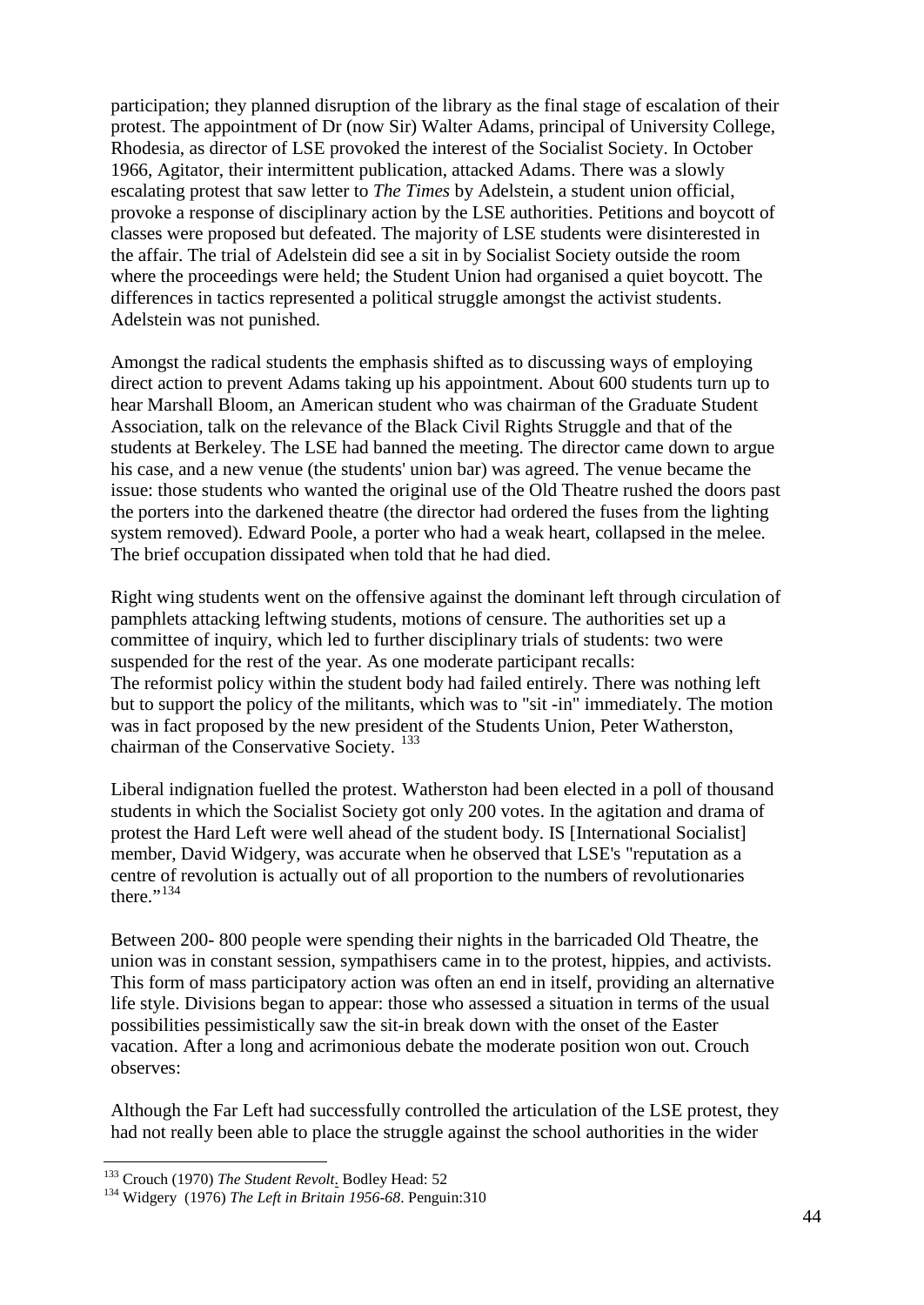participation; they planned disruption of the library as the final stage of escalation of their protest. The appointment of Dr (now Sir) Walter Adams, principal of University College, Rhodesia, as director of LSE provoked the interest of the Socialist Society. In October 1966, Agitator, their intermittent publication, attacked Adams. There was a slowly escalating protest that saw letter to *The Times* by Adelstein, a student union official, provoke a response of disciplinary action by the LSE authorities. Petitions and boycott of classes were proposed but defeated. The majority of LSE students were disinterested in the affair. The trial of Adelstein did see a sit in by Socialist Society outside the room where the proceedings were held; the Student Union had organised a quiet boycott. The differences in tactics represented a political struggle amongst the activist students. Adelstein was not punished.

Amongst the radical students the emphasis shifted as to discussing ways of employing direct action to prevent Adams taking up his appointment. About 600 students turn up to hear Marshall Bloom, an American student who was chairman of the Graduate Student Association, talk on the relevance of the Black Civil Rights Struggle and that of the students at Berkeley. The LSE had banned the meeting. The director came down to argue his case, and a new venue (the students' union bar) was agreed. The venue became the issue: those students who wanted the original use of the Old Theatre rushed the doors past the porters into the darkened theatre (the director had ordered the fuses from the lighting system removed). Edward Poole, a porter who had a weak heart, collapsed in the melee. The brief occupation dissipated when told that he had died.

Right wing students went on the offensive against the dominant left through circulation of pamphlets attacking leftwing students, motions of censure. The authorities set up a committee of inquiry, which led to further disciplinary trials of students: two were suspended for the rest of the year. As one moderate participant recalls: The reformist policy within the student body had failed entirely. There was nothing left but to support the policy of the militants, which was to "sit -in" immediately. The motion was in fact proposed by the new president of the Students Union, Peter Watherston, chairman of the Conservative Society.<sup>[133](#page-43-0)</sup>

Liberal indignation fuelled the protest. Watherston had been elected in a poll of thousand students in which the Socialist Society got only 200 votes. In the agitation and drama of protest the Hard Left were well ahead of the student body. IS [International Socialist] member, David Widgery, was accurate when he observed that LSE's "reputation as a centre of revolution is actually out of all proportion to the numbers of revolutionaries there." $134$ 

Between 200- 800 people were spending their nights in the barricaded Old Theatre, the union was in constant session, sympathisers came in to the protest, hippies, and activists. This form of mass participatory action was often an end in itself, providing an alternative life style. Divisions began to appear: those who assessed a situation in terms of the usual possibilities pessimistically saw the sit-in break down with the onset of the Easter vacation. After a long and acrimonious debate the moderate position won out. Crouch observes:

Although the Far Left had successfully controlled the articulation of the LSE protest, they had not really been able to place the struggle against the school authorities in the wider

<span id="page-43-1"></span><span id="page-43-0"></span><sup>&</sup>lt;sup>133</sup> Crouch (1970) *The Student Revolt*. Bodley Head: 52<br><sup>134</sup> Widgery (1976) *The Left in Britain 1956-68*. Penguin:310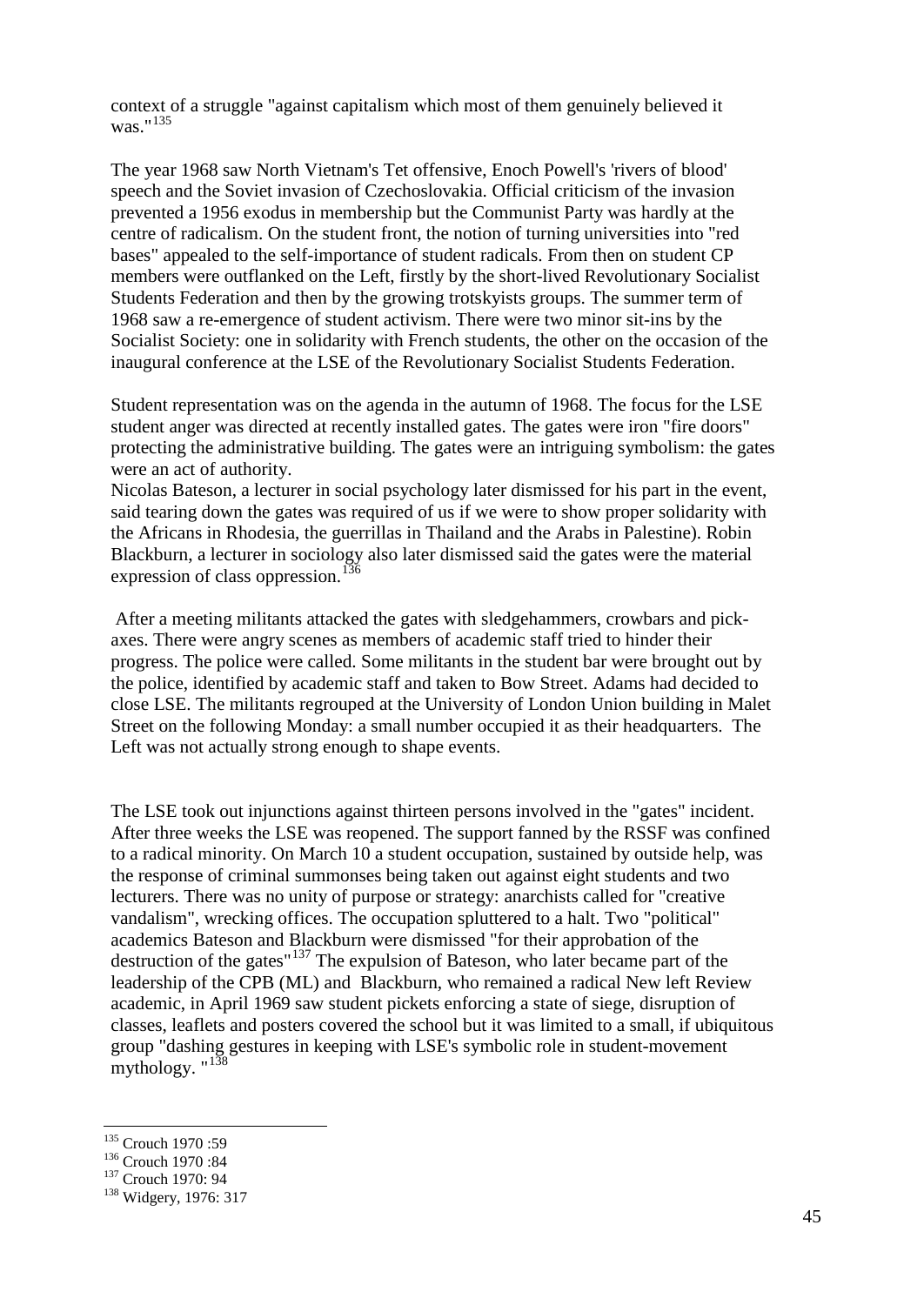context of a struggle "against capitalism which most of them genuinely believed it was."[135](#page-44-0)

The year 1968 saw North Vietnam's Tet offensive, Enoch Powell's 'rivers of blood' speech and the Soviet invasion of Czechoslovakia. Official criticism of the invasion prevented a 1956 exodus in membership but the Communist Party was hardly at the centre of radicalism. On the student front, the notion of turning universities into "red bases" appealed to the self-importance of student radicals. From then on student CP members were outflanked on the Left, firstly by the short-lived Revolutionary Socialist Students Federation and then by the growing trotskyists groups. The summer term of 1968 saw a re-emergence of student activism. There were two minor sit-ins by the Socialist Society: one in solidarity with French students, the other on the occasion of the inaugural conference at the LSE of the Revolutionary Socialist Students Federation.

Student representation was on the agenda in the autumn of 1968. The focus for the LSE student anger was directed at recently installed gates. The gates were iron "fire doors" protecting the administrative building. The gates were an intriguing symbolism: the gates were an act of authority.

Nicolas Bateson, a lecturer in social psychology later dismissed for his part in the event, said tearing down the gates was required of us if we were to show proper solidarity with the Africans in Rhodesia, the guerrillas in Thailand and the Arabs in Palestine). Robin Blackburn, a lecturer in sociology also later dismissed said the gates were the material expression of class oppression.<sup>[136](#page-44-1)</sup>

After a meeting militants attacked the gates with sledgehammers, crowbars and pickaxes. There were angry scenes as members of academic staff tried to hinder their progress. The police were called. Some militants in the student bar were brought out by the police, identified by academic staff and taken to Bow Street. Adams had decided to close LSE. The militants regrouped at the University of London Union building in Malet Street on the following Monday: a small number occupied it as their headquarters. The Left was not actually strong enough to shape events.

The LSE took out injunctions against thirteen persons involved in the "gates" incident. After three weeks the LSE was reopened. The support fanned by the RSSF was confined to a radical minority. On March 10 a student occupation, sustained by outside help, was the response of criminal summonses being taken out against eight students and two lecturers. There was no unity of purpose or strategy: anarchists called for "creative vandalism", wrecking offices. The occupation spluttered to a halt. Two "political" academics Bateson and Blackburn were dismissed "for their approbation of the destruction of the gates"[137](#page-44-2) The expulsion of Bateson, who later became part of the leadership of the CPB (ML) and Blackburn, who remained a radical New left Review academic, in April 1969 saw student pickets enforcing a state of siege, disruption of classes, leaflets and posters covered the school but it was limited to a small, if ubiquitous group "dashing gestures in keeping with LSE's symbolic role in student-movement mythology. "<sup>[138](#page-44-3)</sup>

<span id="page-44-2"></span>

<span id="page-44-1"></span><span id="page-44-0"></span><sup>&</sup>lt;sup>135</sup> Crouch 1970 :59<br><sup>136</sup> Crouch 1970 :84<br><sup>137</sup> Crouch 1970: 94<br><sup>138</sup> Widgery, 1976: 317

<span id="page-44-3"></span>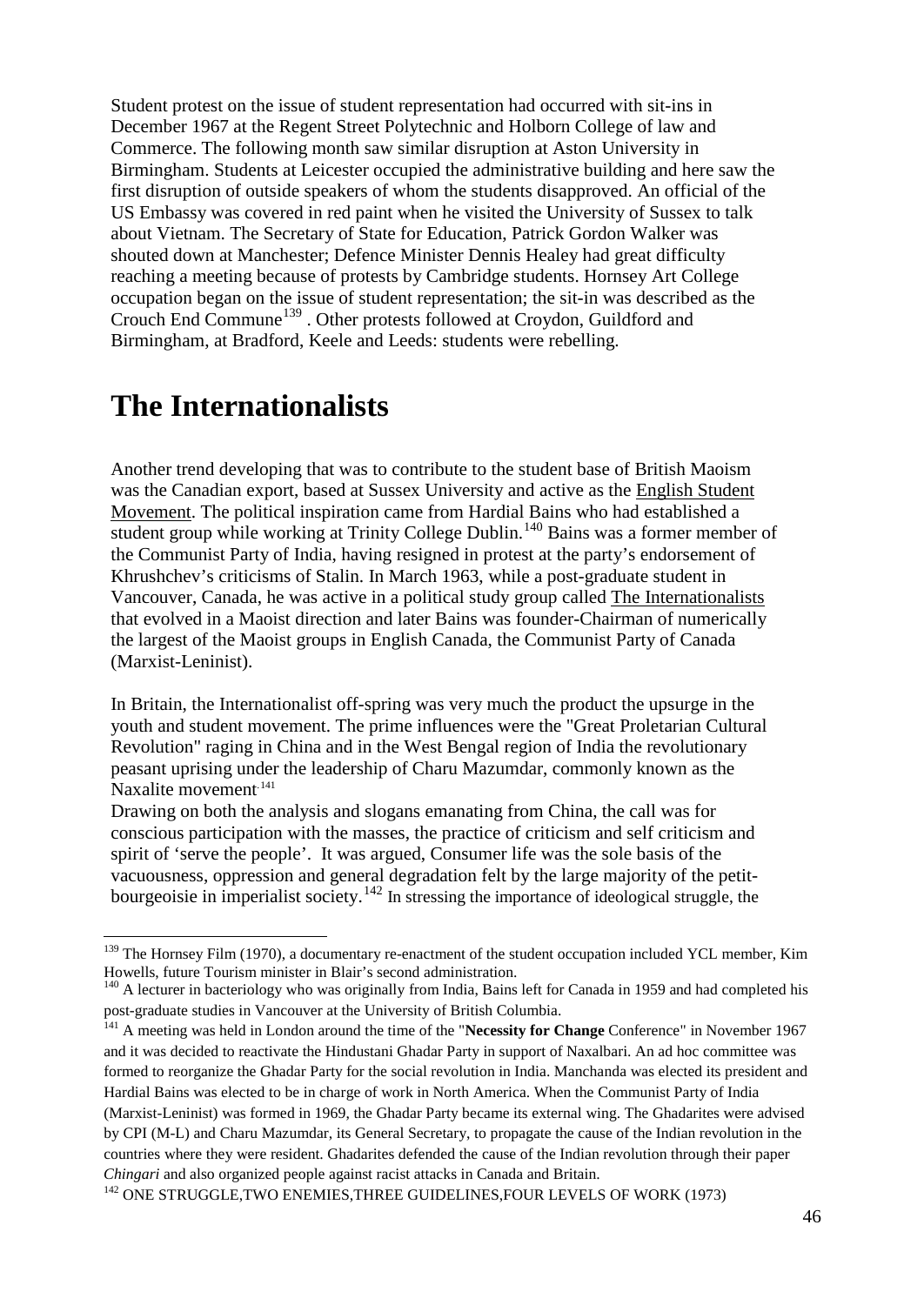Student protest on the issue of student representation had occurred with sit-ins in December 1967 at the Regent Street Polytechnic and Holborn College of law and Commerce. The following month saw similar disruption at Aston University in Birmingham. Students at Leicester occupied the administrative building and here saw the first disruption of outside speakers of whom the students disapproved. An official of the US Embassy was covered in red paint when he visited the University of Sussex to talk about Vietnam. The Secretary of State for Education, Patrick Gordon Walker was shouted down at Manchester; Defence Minister Dennis Healey had great difficulty reaching a meeting because of protests by Cambridge students. Hornsey Art College occupation began on the issue of student representation; the sit-in was described as the Crouch End Commune<sup>[139](#page-45-0)</sup>. Other protests followed at Croydon, Guildford and Birmingham, at Bradford, Keele and Leeds: students were rebelling.

#### **The Internationalists**

Another trend developing that was to contribute to the student base of British Maoism was the Canadian export, based at Sussex University and active as the English Student Movement. The political inspiration came from Hardial Bains who had established a student group while working at Trinity College Dublin.<sup>[140](#page-45-1)</sup> Bains was a former member of the Communist Party of India, having resigned in protest at the party's endorsement of Khrushchev's criticisms of Stalin. In March 1963, while a post-graduate student in Vancouver, Canada, he was active in a political study group called The Internationalists that evolved in a Maoist direction and later Bains was founder-Chairman of numerically the largest of the Maoist groups in English Canada, the Communist Party of Canada (Marxist-Leninist).

In Britain, the Internationalist off-spring was very much the product the upsurge in the youth and student movement. The prime influences were the "Great Proletarian Cultural Revolution" raging in China and in the West Bengal region of India the revolutionary peasant uprising under the leadership of Charu Mazumdar, commonly known as the Naxalite movement<sup>.[141](#page-45-2)</sup>

Drawing on both the analysis and slogans emanating from China, the call was for conscious participation with the masses, the practice of criticism and self criticism and spirit of 'serve the people'. It was argued, Consumer life was the sole basis of the vacuousness, oppression and general degradation felt by the large majority of the petit-bourgeoisie in imperialist society.<sup>[142](#page-45-3)</sup> In stressing the importance of ideological struggle, the

<span id="page-45-0"></span><sup>&</sup>lt;sup>139</sup> The Hornsey Film (1970), a documentary re-enactment of the student occupation included YCL member, Kim Howells, future Tourism minister in Blair's second administration.

<span id="page-45-1"></span><sup>&</sup>lt;sup>140</sup> A lecturer in bacteriology who was originally from India, Bains left for Canada in 1959 and had completed his post-graduate studies in Vancouver at the University of British Columbia.

<span id="page-45-2"></span><sup>&</sup>lt;sup>141</sup> A meeting was held in London around the time of the "**Necessity for Change** Conference" in November 1967 and it was decided to reactivate the Hindustani Ghadar Party in support of Naxalbari. An ad hoc committee was formed to reorganize the Ghadar Party for the social revolution in India. Manchanda was elected its president and Hardial Bains was elected to be in charge of work in North America. When the Communist Party of India (Marxist-Leninist) was formed in 1969, the Ghadar Party became its external wing. The Ghadarites were advised by CPI (M-L) and Charu Mazumdar, its General Secretary, to propagate the cause of the Indian revolution in the countries where they were resident. Ghadarites defended the cause of the Indian revolution through their paper *Chingari* and also organized people against racist attacks in Canada and Britain.

<span id="page-45-3"></span><sup>&</sup>lt;sup>142</sup> ONE STRUGGLE, TWO ENEMIES, THREE GUIDELINES, FOUR LEVELS OF WORK (1973)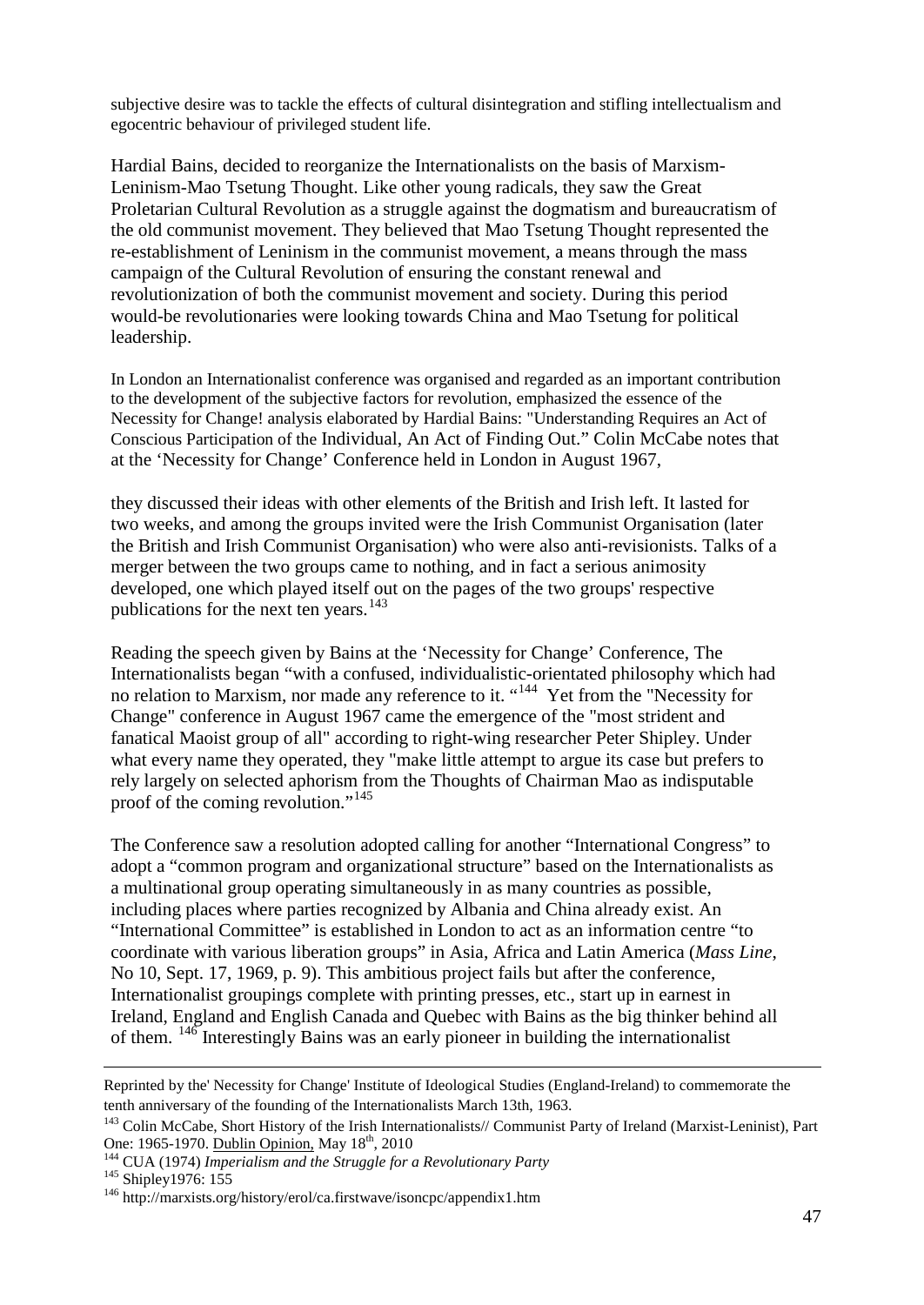subjective desire was to tackle the effects of cultural disintegration and stifling intellectualism and egocentric behaviour of privileged student life.

Hardial Bains, decided to reorganize the Internationalists on the basis of Marxism-Leninism-Mao Tsetung Thought. Like other young radicals, they saw the Great Proletarian Cultural Revolution as a struggle against the dogmatism and bureaucratism of the old communist movement. They believed that Mao Tsetung Thought represented the re-establishment of Leninism in the communist movement, a means through the mass campaign of the Cultural Revolution of ensuring the constant renewal and revolutionization of both the communist movement and society. During this period would-be revolutionaries were looking towards China and Mao Tsetung for political leadership.

In London an Internationalist conference was organised and regarded as an important contribution to the development of the subjective factors for revolution, emphasized the essence of the Necessity for Change! analysis elaborated by Hardial Bains: "Understanding Requires an Act of Conscious Participation of the Individual, An Act of Finding Out." Colin McCabe notes that at the 'Necessity for Change' Conference held in London in August 1967,

they discussed their ideas with other elements of the British and Irish left. It lasted for two weeks, and among the groups invited were the Irish Communist Organisation (later the British and Irish Communist Organisation) who were also anti-revisionists. Talks of a merger between the two groups came to nothing, and in fact a serious animosity developed, one which played itself out on the pages of the two groups' respective publications for the next ten years.<sup>[143](#page-46-0)</sup>

Reading the speech given by Bains at the 'Necessity for Change' Conference, The Internationalists began "with a confused, individualistic-orientated philosophy which had no relation to Marxism, nor made any reference to it. "<sup>144</sup> Yet from the "Necessity for Change" conference in August 1967 came the emergence of the "most strident and fanatical Maoist group of all" according to right-wing researcher Peter Shipley. Under what every name they operated, they "make little attempt to argue its case but prefers to rely largely on selected aphorism from the Thoughts of Chairman Mao as indisputable proof of the coming revolution."<sup>[145](#page-46-2)</sup>

The Conference saw a resolution adopted calling for another "International Congress" to adopt a "common program and organizational structure" based on the Internationalists as a multinational group operating simultaneously in as many countries as possible, including places where parties recognized by Albania and China already exist. An "International Committee" is established in London to act as an information centre "to coordinate with various liberation groups" in Asia, Africa and Latin America (*Mass Line*, No 10, Sept. 17, 1969, p. 9). This ambitious project fails but after the conference, Internationalist groupings complete with printing presses, etc., start up in earnest in Ireland, England and English Canada and Quebec with Bains as the big thinker behind all of them. <sup>[146](#page-46-3)</sup> Interestingly Bains was an early pioneer in building the internationalist

<span id="page-46-3"></span><span id="page-46-2"></span>

-

Reprinted by the' Necessity for Change' Institute of Ideological Studies (England-Ireland) to commemorate the tenth anniversary of the founding of the Internationalists March 13th, 1963.

<span id="page-46-0"></span><sup>&</sup>lt;sup>143</sup> Colin McCabe, Short History of the Irish Internationalists// Communist Party of Ireland (Marxist-Leninist), Part One: 1965-1970. <u>Dublin Opinion,</u> May 18<sup>th</sup>, 2010

<span id="page-46-1"></span><sup>&</sup>lt;sup>144</sup> CUA (1974) *Imperialism and the Struggle for a Revolutionary Party* <sup>145</sup> Shipley1976: 155 <sup>146</sup> http://marxists.org/history/erol/ca.firstwave/isoncpc/appendix1.htm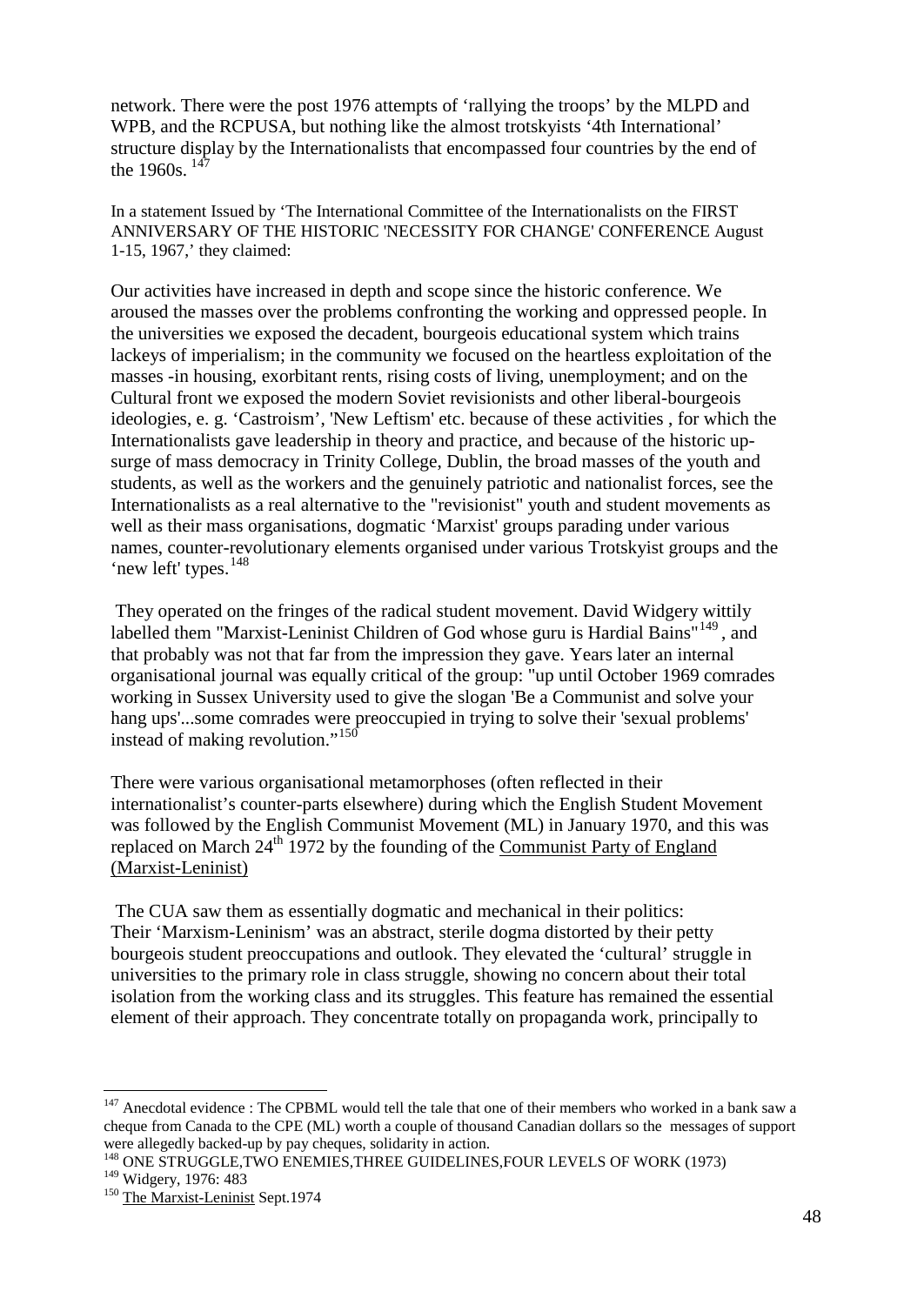network. There were the post 1976 attempts of 'rallying the troops' by the MLPD and WPB, and the RCPUSA, but nothing like the almost trotskyists '4th International' structure display by the Internationalists that encompassed four countries by the end of the 1960s.  $147$ 

In a statement Issued by 'The International Committee of the Internationalists on the FIRST ANNIVERSARY OF THE HISTORIC 'NECESSITY FOR CHANGE' CONFERENCE August 1-15, 1967,' they claimed:

Our activities have increased in depth and scope since the historic conference. We aroused the masses over the problems confronting the working and oppressed people. In the universities we exposed the decadent, bourgeois educational system which trains lackeys of imperialism; in the community we focused on the heartless exploitation of the masses -in housing, exorbitant rents, rising costs of living, unemployment; and on the Cultural front we exposed the modern Soviet revisionists and other liberal-bourgeois ideologies, e. g. 'Castroism', 'New Leftism' etc. because of these activities , for which the Internationalists gave leadership in theory and practice, and because of the historic upsurge of mass democracy in Trinity College, Dublin, the broad masses of the youth and students, as well as the workers and the genuinely patriotic and nationalist forces, see the Internationalists as a real alternative to the "revisionist" youth and student movements as well as their mass organisations, dogmatic 'Marxist' groups parading under various names, counter-revolutionary elements organised under various Trotskyist groups and the 'new left' types.<sup>[148](#page-47-1)</sup>

They operated on the fringes of the radical student movement. David Widgery wittily labelled them "Marxist-Leninist Children of God whose guru is Hardial Bains"<sup>[149](#page-47-2)</sup>, and that probably was not that far from the impression they gave. Years later an internal organisational journal was equally critical of the group: "up until October 1969 comrades working in Sussex University used to give the slogan 'Be a Communist and solve your hang ups'...some comrades were preoccupied in trying to solve their 'sexual problems' instead of making revolution."<sup>[150](#page-47-3)</sup>

There were various organisational metamorphoses (often reflected in their internationalist's counter-parts elsewhere) during which the English Student Movement was followed by the English Communist Movement (ML) in January 1970, and this was replaced on March  $24<sup>th</sup>$  1972 by the founding of the Communist Party of England (Marxist-Leninist)

The CUA saw them as essentially dogmatic and mechanical in their politics: Their 'Marxism-Leninism' was an abstract, sterile dogma distorted by their petty bourgeois student preoccupations and outlook. They elevated the 'cultural' struggle in universities to the primary role in class struggle, showing no concern about their total isolation from the working class and its struggles. This feature has remained the essential element of their approach. They concentrate totally on propaganda work, principally to

<span id="page-47-0"></span> $147$  Anecdotal evidence : The CPBML would tell the tale that one of their members who worked in a bank saw a cheque from Canada to the CPE (ML) worth a couple of thousand Canadian dollars so the messages of support were allegedly backed-up by pay cheques, solidarity in action.<br><sup>148</sup> ONE STRUGGLE,TWO ENEMIES,THREE GUIDELINES,FOUR LEVELS OF WORK (1973)<br><sup>149</sup> Widgerv, 1976: 483

<span id="page-47-1"></span>

<span id="page-47-3"></span><span id="page-47-2"></span><sup>&</sup>lt;sup>150</sup> The Marxist-Leninist Sept.1974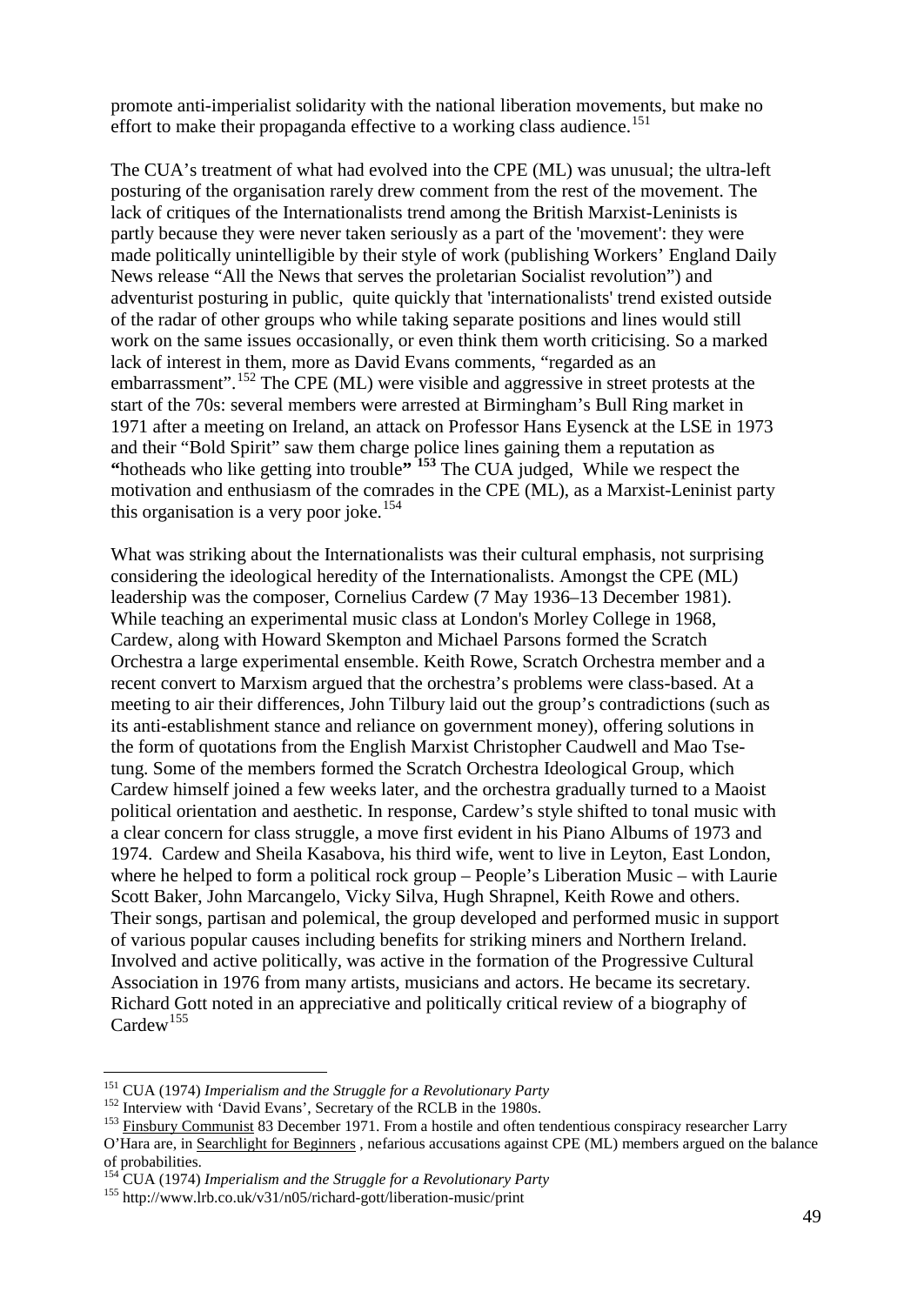promote anti-imperialist solidarity with the national liberation movements, but make no effort to make their propaganda effective to a working class audience.<sup>[151](#page-48-0)</sup>

The CUA's treatment of what had evolved into the CPE (ML) was unusual; the ultra-left posturing of the organisation rarely drew comment from the rest of the movement. The lack of critiques of the Internationalists trend among the British Marxist-Leninists is partly because they were never taken seriously as a part of the 'movement': they were made politically unintelligible by their style of work (publishing Workers' England Daily News release "All the News that serves the proletarian Socialist revolution") and adventurist posturing in public, quite quickly that 'internationalists' trend existed outside of the radar of other groups who while taking separate positions and lines would still work on the same issues occasionally, or even think them worth criticising. So a marked lack of interest in them, more as David Evans comments, "regarded as an embarrassment".<sup>[152](#page-48-1)</sup> The CPE (ML) were visible and aggressive in street protests at the start of the 70s: several members were arrested at Birmingham's Bull Ring market in 1971 after a meeting on Ireland, an attack on Professor Hans Eysenck at the LSE in 1973 and their "Bold Spirit" saw them charge police lines gaining them a reputation as **"**hotheads who like getting into trouble**" [153](#page-48-2)** The CUA judged, While we respect the motivation and enthusiasm of the comrades in the CPE (ML), as a Marxist-Leninist party this organisation is a very poor joke.<sup>[154](#page-48-3)</sup>

What was striking about the Internationalists was their cultural emphasis, not surprising considering the ideological heredity of the Internationalists. Amongst the CPE (ML) leadership was the composer, Cornelius Cardew (7 May 1936–13 December 1981). While teaching an experimental music class at London's [Morley College](http://en.wikipedia.org/wiki/Morley_College) in 1968, Cardew, along with Howard Skempton and Michael Parsons formed the [Scratch](http://en.wikipedia.org/wiki/Scratch_Orchestra)  [Orchestra](http://en.wikipedia.org/wiki/Scratch_Orchestra) a large experimental ensemble. Keith Rowe, Scratch Orchestra member and a recent convert to Marxism argued that the orchestra's problems were class-based. At a meeting to air their differences, John Tilbury laid out the group's contradictions (such as its anti-establishment stance and reliance on government money), offering solutions in the form of quotations from the English Marxist Christopher Caudwell and Mao Tsetung. Some of the members formed the Scratch Orchestra Ideological Group, which Cardew himself joined a few weeks later, and the orchestra gradually turned to a Maoist political orientation and aesthetic. In response, Cardew's style shifted to tonal music with a clear concern for class struggle, a move first evident in his Piano Albums of 1973 and 1974. Cardew and Sheila Kasabova, his third wife, went to live in Leyton, East London, where he helped to form a political rock group – People's Liberation Music – with Laurie Scott Baker, John Marcangelo, Vicky Silva, Hugh Shrapnel, Keith Rowe and others. Their songs, partisan and polemical, the group developed and performed music in support of various popular causes including benefits for striking miners and Northern Ireland. Involved and active politically, was active in the formation of the Progressive Cultural Association in 1976 from many artists, musicians and actors. He became its secretary. Richard Gott noted in an appreciative and politically critical review of a biography of  $Cardew$ <sup>[155](#page-48-4)</sup>

<span id="page-48-1"></span><span id="page-48-0"></span><sup>&</sup>lt;sup>151</sup> CUA (1974) *Imperialism and the Struggle for a Revolutionary Party*<br><sup>152</sup> Interview with 'David Evans', Secretary of the RCLB in the 1980s.<br><sup>153</sup> <u>Finsbury Communist</u> 83 December 1971. From a hostile and often tende

<span id="page-48-2"></span>O'Hara are, in Searchlight for Beginners , nefarious accusations against CPE (ML) members argued on the balance of probabilities. <sup>154</sup> CUA (1974) *Imperialism and the Struggle for a Revolutionary Party* <sup>155</sup> http://www.lrb.co.uk/v31/n05/richard-gott/liberation-music/print

<span id="page-48-3"></span>

<span id="page-48-4"></span>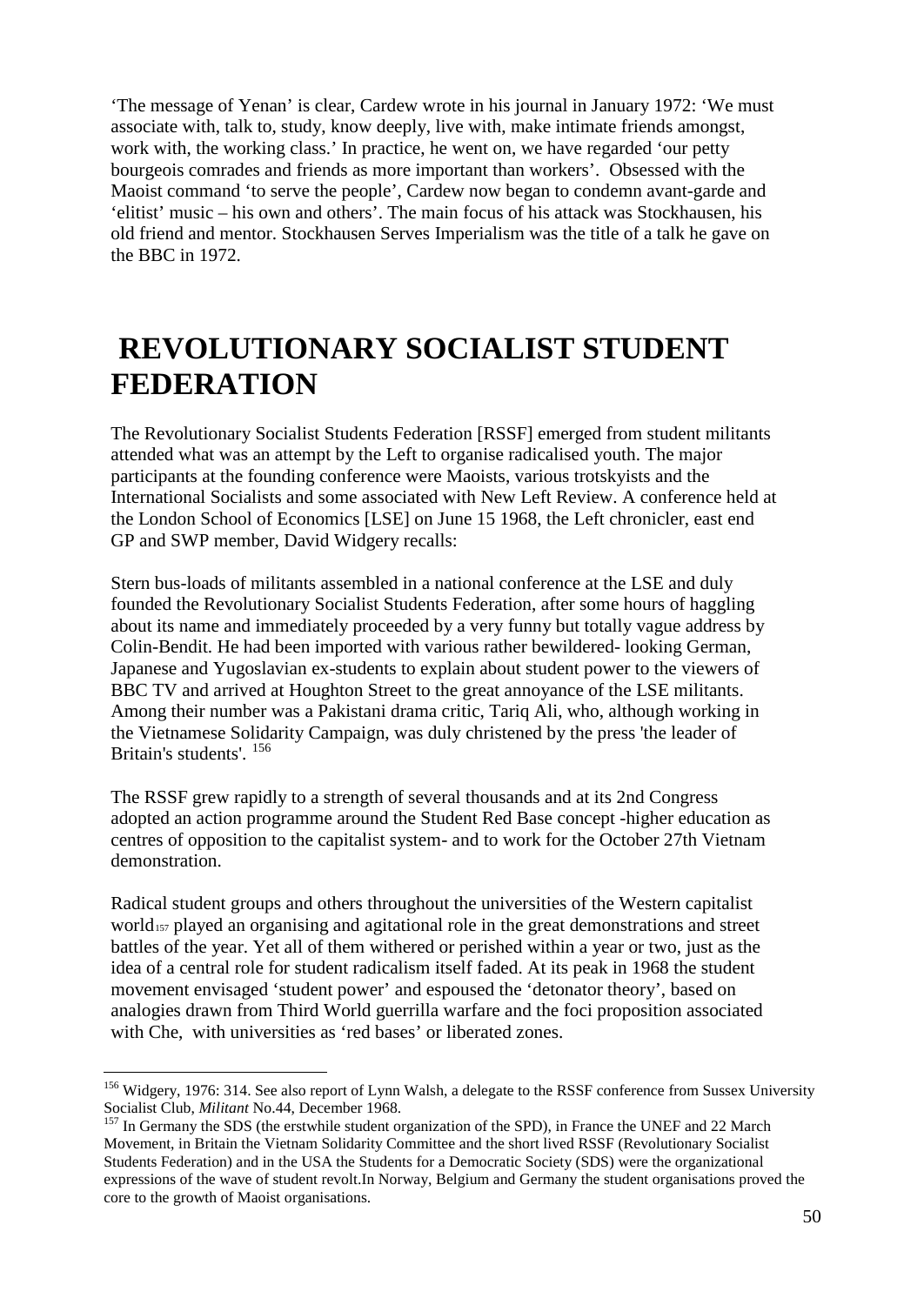'The message of Yenan' is clear, Cardew wrote in his journal in January 1972: 'We must associate with, talk to, study, know deeply, live with, make intimate friends amongst, work with, the working class.' In practice, he went on, we have regarded 'our petty bourgeois comrades and friends as more important than workers'. Obsessed with the Maoist command 'to serve the people', Cardew now began to condemn avant-garde and 'elitist' music – his own and others'. The main focus of his attack was Stockhausen, his old friend and mentor. Stockhausen Serves Imperialism was the title of a talk he gave on the BBC in 1972.

## **REVOLUTIONARY SOCIALIST STUDENT FEDERATION**

The Revolutionary Socialist Students Federation [RSSF] emerged from student militants attended what was an attempt by the Left to organise radicalised youth. The major participants at the founding conference were Maoists, various trotskyists and the International Socialists and some associated with New Left Review. A conference held at the London School of Economics [LSE] on June 15 1968, the Left chronicler, east end GP and SWP member, David Widgery recalls:

Stern bus-loads of militants assembled in a national conference at the LSE and duly founded the Revolutionary Socialist Students Federation, after some hours of haggling about its name and immediately proceeded by a very funny but totally vague address by Colin-Bendit. He had been imported with various rather bewildered- looking German, Japanese and Yugoslavian ex-students to explain about student power to the viewers of BBC TV and arrived at Houghton Street to the great annoyance of the LSE militants. Among their number was a Pakistani drama critic, Tariq Ali, who, although working in the Vietnamese Solidarity Campaign, was duly christened by the press 'the leader of Britain's students'. [156](#page-49-0)

The RSSF grew rapidly to a strength of several thousands and at its 2nd Congress adopted an action programme around the Student Red Base concept -higher education as centres of opposition to the capitalist system- and to work for the October 27th Vietnam demonstration.

Radical student groups and others throughout the universities of the Western capitalist world<sub>[157](#page-49-1)</sub> played an organising and agitational role in the great demonstrations and street battles of the year. Yet all of them withered or perished within a year or two, just as the idea of a central role for student radicalism itself faded. At its peak in 1968 the student movement envisaged 'student power' and espoused the 'detonator theory', based on analogies drawn from Third World guerrilla warfare and the foci proposition associated with Che, with universities as 'red bases' or liberated zones.

<span id="page-49-0"></span><sup>&</sup>lt;sup>156</sup> Widgery, 1976: 314. See also report of Lynn Walsh, a delegate to the RSSF conference from Sussex University Socialist Club, *Militant* No.44, December 1968.

<span id="page-49-1"></span>In Germany the SDS (the erstwhile student organization of the SPD), in France the UNEF and 22 March Movement, in Britain the Vietnam Solidarity Committee and the short lived RSSF (Revolutionary Socialist Students Federation) and in the USA the Students for a Democratic Society (SDS) were the organizational expressions of the wave of student revolt.In Norway, Belgium and Germany the student organisations proved the core to the growth of Maoist organisations.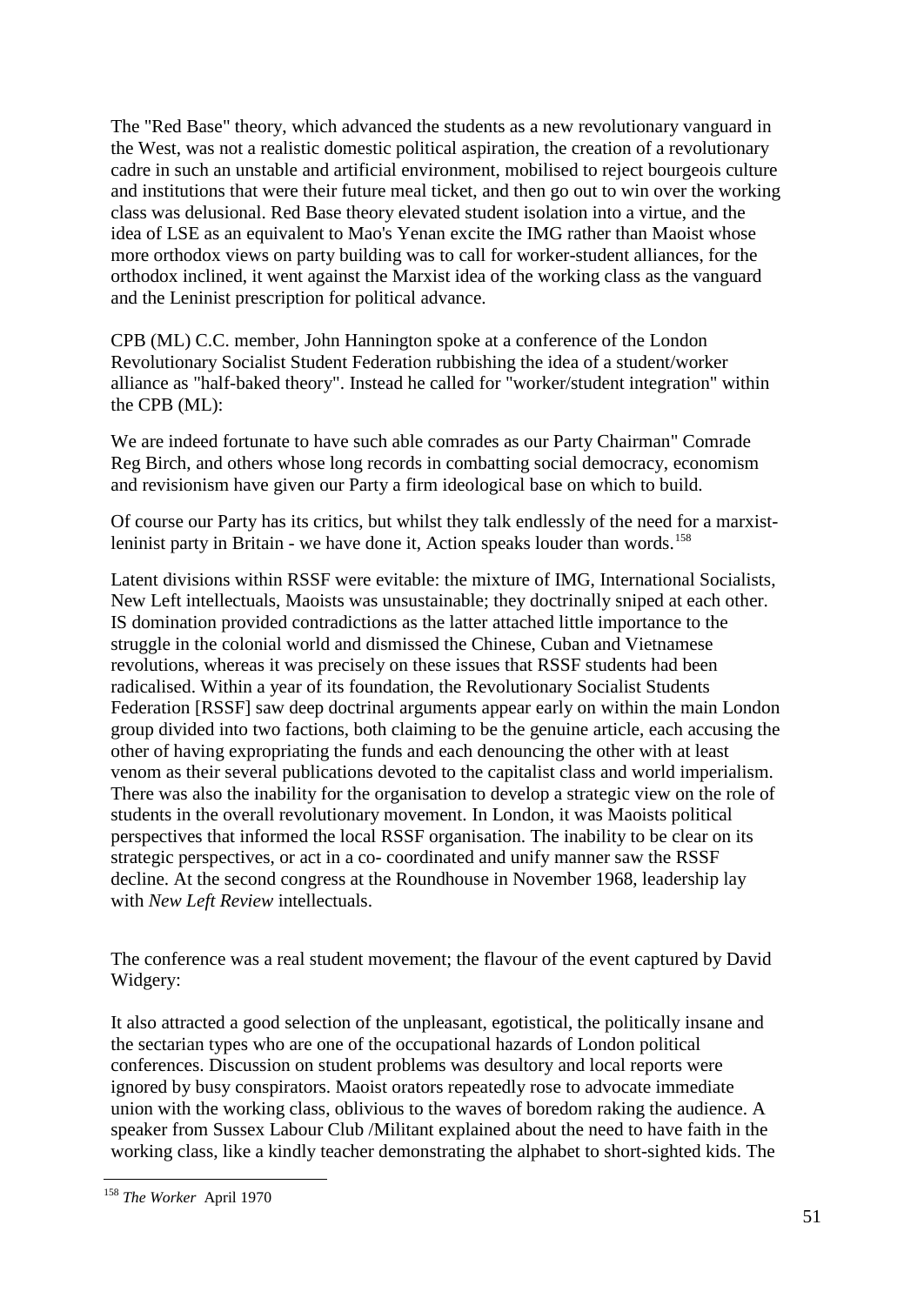The "Red Base" theory, which advanced the students as a new revolutionary vanguard in the West, was not a realistic domestic political aspiration, the creation of a revolutionary cadre in such an unstable and artificial environment, mobilised to reject bourgeois culture and institutions that were their future meal ticket, and then go out to win over the working class was delusional. Red Base theory elevated student isolation into a virtue, and the idea of LSE as an equivalent to Mao's Yenan excite the IMG rather than Maoist whose more orthodox views on party building was to call for worker-student alliances, for the orthodox inclined, it went against the Marxist idea of the working class as the vanguard and the Leninist prescription for political advance.

CPB (ML) C.C. member, John Hannington spoke at a conference of the London Revolutionary Socialist Student Federation rubbishing the idea of a student/worker alliance as "half-baked theory". Instead he called for "worker/student integration" within the CPB (ML):

We are indeed fortunate to have such able comrades as our Party Chairman" Comrade Reg Birch, and others whose long records in combatting social democracy, economism and revisionism have given our Party a firm ideological base on which to build.

Of course our Party has its critics, but whilst they talk endlessly of the need for a marxist-leninist party in Britain - we have done it, Action speaks louder than words.<sup>[158](#page-50-0)</sup>

Latent divisions within RSSF were evitable: the mixture of IMG, International Socialists, New Left intellectuals, Maoists was unsustainable; they doctrinally sniped at each other. IS domination provided contradictions as the latter attached little importance to the struggle in the colonial world and dismissed the Chinese, Cuban and Vietnamese revolutions, whereas it was precisely on these issues that RSSF students had been radicalised. Within a year of its foundation, the Revolutionary Socialist Students Federation [RSSF] saw deep doctrinal arguments appear early on within the main London group divided into two factions, both claiming to be the genuine article, each accusing the other of having expropriating the funds and each denouncing the other with at least venom as their several publications devoted to the capitalist class and world imperialism. There was also the inability for the organisation to develop a strategic view on the role of students in the overall revolutionary movement. In London, it was Maoists political perspectives that informed the local RSSF organisation. The inability to be clear on its strategic perspectives, or act in a co- coordinated and unify manner saw the RSSF decline. At the second congress at the Roundhouse in November 1968, leadership lay with *New Left Review* intellectuals.

The conference was a real student movement; the flavour of the event captured by David Widgery:

It also attracted a good selection of the unpleasant, egotistical, the politically insane and the sectarian types who are one of the occupational hazards of London political conferences. Discussion on student problems was desultory and local reports were ignored by busy conspirators. Maoist orators repeatedly rose to advocate immediate union with the working class, oblivious to the waves of boredom raking the audience. A speaker from Sussex Labour Club /Militant explained about the need to have faith in the working class, like a kindly teacher demonstrating the alphabet to short-sighted kids. The

<span id="page-50-0"></span> <sup>158</sup> *The Worker* April 1970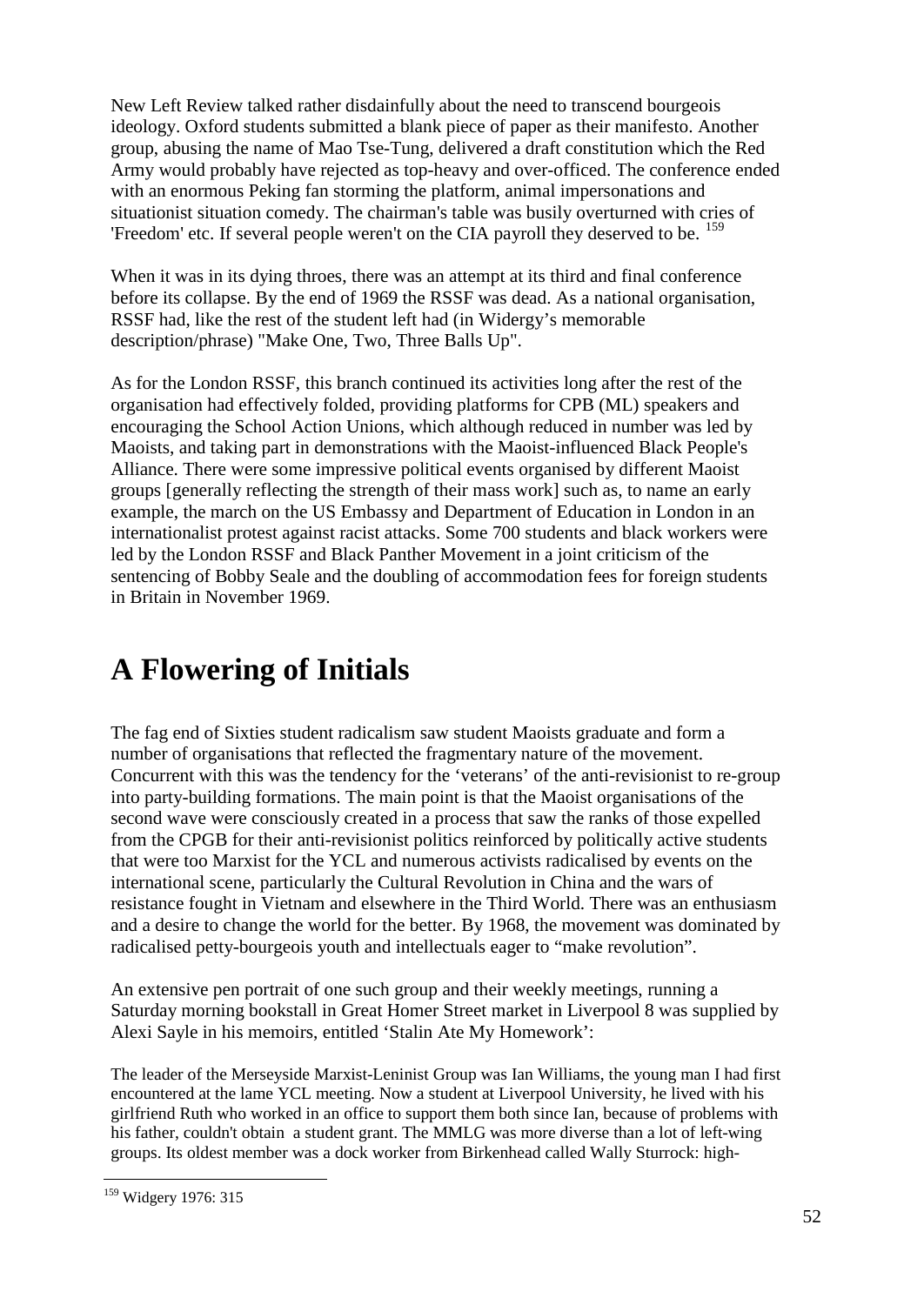New Left Review talked rather disdainfully about the need to transcend bourgeois ideology. Oxford students submitted a blank piece of paper as their manifesto. Another group, abusing the name of Mao Tse-Tung, delivered a draft constitution which the Red Army would probably have rejected as top-heavy and over-officed. The conference ended with an enormous Peking fan storming the platform, animal impersonations and situationist situation comedy. The chairman's table was busily overturned with cries of 'Freedom' etc. If several people weren't on the CIA payroll they deserved to be. <sup>[159](#page-51-0)</sup>

When it was in its dying throes, there was an attempt at its third and final conference before its collapse. By the end of 1969 the RSSF was dead. As a national organisation, RSSF had, like the rest of the student left had (in Widergy's memorable description/phrase) "Make One, Two, Three Balls Up".

As for the London RSSF, this branch continued its activities long after the rest of the organisation had effectively folded, providing platforms for CPB (ML) speakers and encouraging the School Action Unions, which although reduced in number was led by Maoists, and taking part in demonstrations with the Maoist-influenced Black People's Alliance. There were some impressive political events organised by different Maoist groups [generally reflecting the strength of their mass work] such as, to name an early example, the march on the US Embassy and Department of Education in London in an internationalist protest against racist attacks. Some 700 students and black workers were led by the London RSSF and Black Panther Movement in a joint criticism of the sentencing of Bobby Seale and the doubling of accommodation fees for foreign students in Britain in November 1969.

### **A Flowering of Initials**

The fag end of Sixties student radicalism saw student Maoists graduate and form a number of organisations that reflected the fragmentary nature of the movement. Concurrent with this was the tendency for the 'veterans' of the anti-revisionist to re-group into party-building formations. The main point is that the Maoist organisations of the second wave were consciously created in a process that saw the ranks of those expelled from the CPGB for their anti-revisionist politics reinforced by politically active students that were too Marxist for the YCL and numerous activists radicalised by events on the international scene, particularly the Cultural Revolution in China and the wars of resistance fought in Vietnam and elsewhere in the Third World. There was an enthusiasm and a desire to change the world for the better. By 1968, the movement was dominated by radicalised petty-bourgeois youth and intellectuals eager to "make revolution".

An extensive pen portrait of one such group and their weekly meetings, running a Saturday morning bookstall in Great Homer Street market in Liverpool 8 was supplied by Alexi Sayle in his memoirs, entitled 'Stalin Ate My Homework':

The leader of the Merseyside Marxist-Leninist Group was Ian Williams, the young man I had first encountered at the lame YCL meeting. Now a student at Liverpool University, he lived with his girlfriend Ruth who worked in an office to support them both since Ian, because of problems with his father, couldn't obtain a student grant. The MMLG was more diverse than a lot of left-wing groups. Its oldest member was a dock worker from Birkenhead called Wally Sturrock: high-

<span id="page-51-0"></span> <sup>159</sup> Widgery 1976: <sup>315</sup>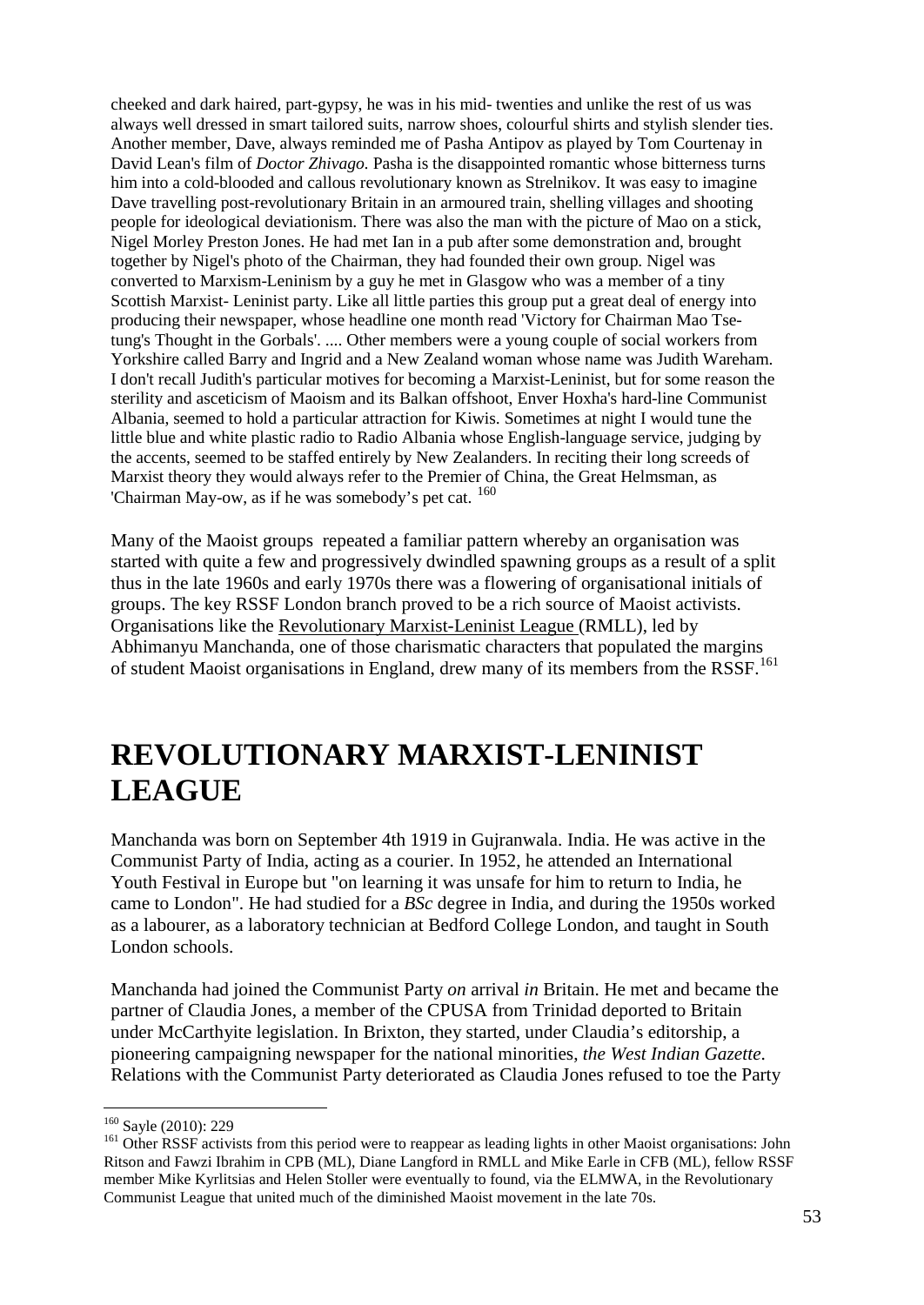cheeked and dark haired, part-gypsy, he was in his mid- twenties and unlike the rest of us was always well dressed in smart tailored suits, narrow shoes, colourful shirts and stylish slender ties. Another member, Dave, always reminded me of Pasha Antipov as played by Tom Courtenay in David Lean's film of *Doctor Zhivago.* Pasha is the disappointed romantic whose bitterness turns him into a cold-blooded and callous revolutionary known as Strelnikov. It was easy to imagine Dave travelling post-revolutionary Britain in an armoured train, shelling villages and shooting people for ideological deviationism. There was also the man with the picture of Mao on a stick, Nigel Morley Preston Jones. He had met Ian in a pub after some demonstration and, brought together by Nigel's photo of the Chairman, they had founded their own group. Nigel was converted to Marxism-Leninism by a guy he met in Glasgow who was a member of a tiny Scottish Marxist- Leninist party. Like all little parties this group put a great deal of energy into producing their newspaper, whose headline one month read 'Victory for Chairman Mao Tsetung's Thought in the Gorbals'. .... Other members were a young couple of social workers from Yorkshire called Barry and Ingrid and a New Zealand woman whose name was Judith Wareham. I don't recall Judith's particular motives for becoming a Marxist-Leninist, but for some reason the sterility and asceticism of Maoism and its Balkan offshoot, Enver Hoxha's hard-line Communist Albania, seemed to hold a particular attraction for Kiwis. Sometimes at night I would tune the little blue and white plastic radio to Radio Albania whose English-language service, judging by the accents, seemed to be staffed entirely by New Zealanders. In reciting their long screeds of Marxist theory they would always refer to the Premier of China, the Great Helmsman, as 'Chairman May-ow, as if he was somebody's pet cat. <sup>[160](#page-52-0)</sup>

Many of the Maoist groups repeated a familiar pattern whereby an organisation was started with quite a few and progressively dwindled spawning groups as a result of a split thus in the late 1960s and early 1970s there was a flowering of organisational initials of groups. The key RSSF London branch proved to be a rich source of Maoist activists. Organisations like the Revolutionary Marxist-Leninist League (RMLL), led by Abhimanyu Manchanda, one of those charismatic characters that populated the margins of student Maoist organisations in England, drew many of its members from the RSSF.<sup>[161](#page-52-1)</sup>

### **REVOLUTIONARY MARXIST-LENINIST LEAGUE**

Manchanda was born on September 4th 1919 in Gujranwala. India. He was active in the Communist Party of India, acting as a courier. In 1952, he attended an International Youth Festival in Europe but "on learning it was unsafe for him to return to India, he came to London". He had studied for a *BSc* degree in India, and during the 1950s worked as a labourer, as a laboratory technician at Bedford College London, and taught in South London schools.

Manchanda had joined the Communist Party *on* arrival *in* Britain. He met and became the partner of Claudia Jones, a member of the CPUSA from Trinidad deported to Britain under McCarthyite legislation. In Brixton, they started, under Claudia's editorship, a pioneering campaigning newspaper for the national minorities, *the West Indian Gazette*. Relations with the Communist Party deteriorated as Claudia Jones refused to toe the Party

<span id="page-52-1"></span><span id="page-52-0"></span><sup>&</sup>lt;sup>160</sup> Sayle (2010): 229<br><sup>161</sup> Other RSSF activists from this period were to reappear as leading lights in other Maoist organisations: John Ritson and Fawzi Ibrahim in CPB (ML), Diane Langford in RMLL and Mike Earle in CFB (ML), fellow RSSF member Mike Kyrlitsias and Helen Stoller were eventually to found, via the ELMWA, in the Revolutionary Communist League that united much of the diminished Maoist movement in the late 70s.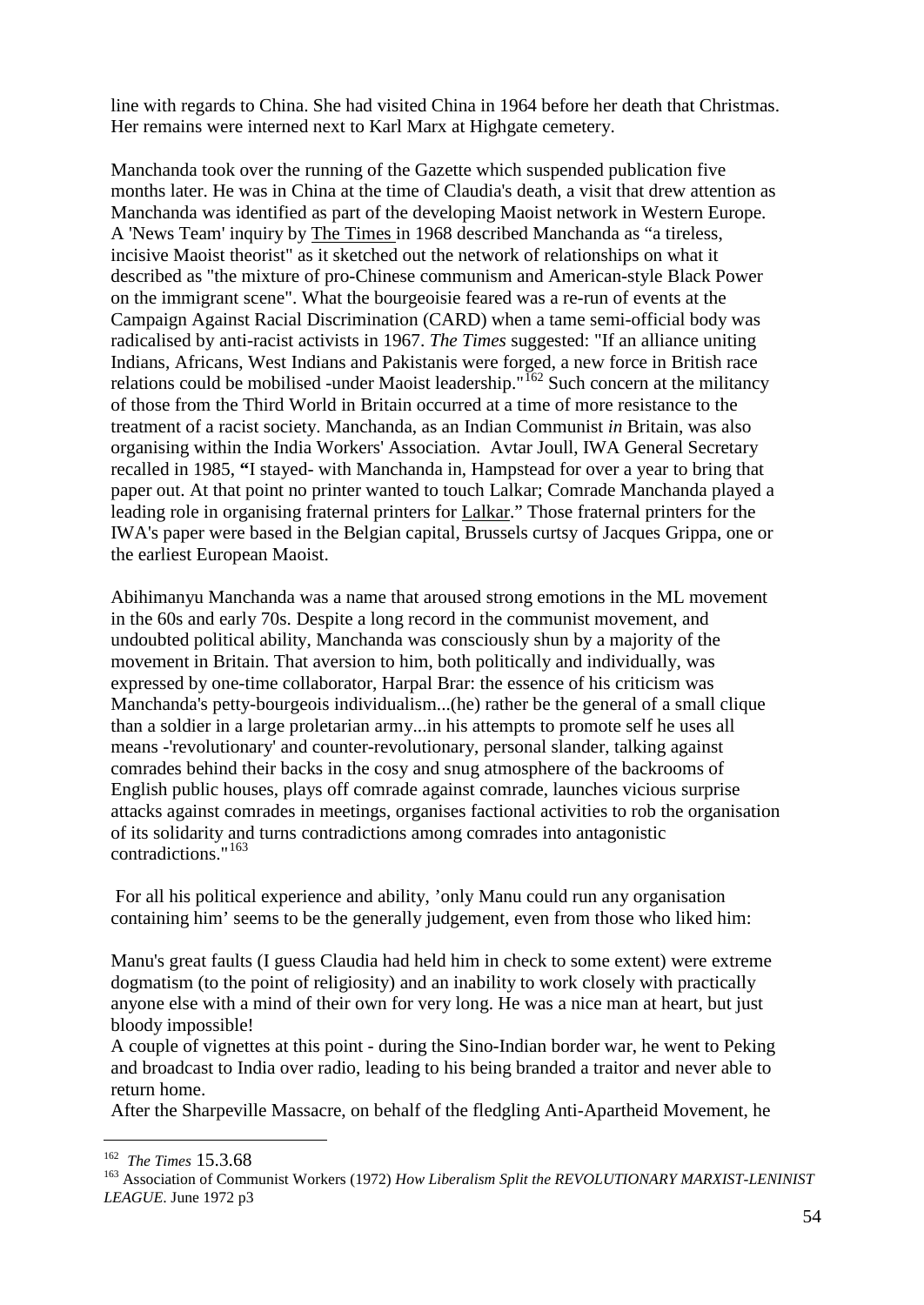line with regards to China. She had visited China in 1964 before her death that Christmas. Her remains were interned next to Karl Marx at Highgate cemetery.

Manchanda took over the running of the Gazette which suspended publication five months later. He was in China at the time of Claudia's death, a visit that drew attention as Manchanda was identified as part of the developing Maoist network in Western Europe. A 'News Team' inquiry by The Times in 1968 described Manchanda as "a tireless, incisive Maoist theorist" as it sketched out the network of relationships on what it described as "the mixture of pro-Chinese communism and American-style Black Power on the immigrant scene". What the bourgeoisie feared was a re-run of events at the Campaign Against Racial Discrimination (CARD) when a tame semi-official body was radicalised by anti-racist activists in 1967. *The Times* suggested: "If an alliance uniting Indians, Africans, West Indians and Pakistanis were forged, a new force in British race relations could be mobilised -under Maoist leadership."<sup>[162](#page-53-0)</sup> Such concern at the militancy of those from the Third World in Britain occurred at a time of more resistance to the treatment of a racist society. Manchanda, as an Indian Communist *in* Britain, was also organising within the India Workers' Association. Avtar Joull, IWA General Secretary recalled in 1985, **"**I stayed- with Manchanda in, Hampstead for over a year to bring that paper out. At that point no printer wanted to touch Lalkar; Comrade Manchanda played a leading role in organising fraternal printers for Lalkar." Those fraternal printers for the IWA's paper were based in the Belgian capital, Brussels curtsy of Jacques Grippa, one or the earliest European Maoist.

Abihimanyu Manchanda was a name that aroused strong emotions in the ML movement in the 60s and early 70s. Despite a long record in the communist movement, and undoubted political ability, Manchanda was consciously shun by a majority of the movement in Britain. That aversion to him, both politically and individually, was expressed by one-time collaborator, Harpal Brar: the essence of his criticism was Manchanda's petty-bourgeois individualism...(he) rather be the general of a small clique than a soldier in a large proletarian army...in his attempts to promote self he uses all means -'revolutionary' and counter-revolutionary, personal slander, talking against comrades behind their backs in the cosy and snug atmosphere of the backrooms of English public houses, plays off comrade against comrade, launches vicious surprise attacks against comrades in meetings, organises factional activities to rob the organisation of its solidarity and turns contradictions among comrades into antagonistic contradictions."[163](#page-53-1)

For all his political experience and ability, 'only Manu could run any organisation containing him' seems to be the generally judgement, even from those who liked him:

Manu's great faults (I guess Claudia had held him in check to some extent) were extreme dogmatism (to the point of religiosity) and an inability to work closely with practically anyone else with a mind of their own for very long. He was a nice man at heart, but just bloody impossible!

A couple of vignettes at this point - during the Sino-Indian border war, he went to Peking and broadcast to India over radio, leading to his being branded a traitor and never able to return home.

After the Sharpeville Massacre, on behalf of the fledgling Anti-Apartheid Movement, he

<span id="page-53-1"></span><span id="page-53-0"></span><sup>&</sup>lt;sup>162</sup> *The Times* 15.3.68<br><sup>163</sup> Association of Communist Workers (1972) *How Liberalism Split the REVOLUTIONARY MARXIST-LENINIST LEAGUE*. June 1972 p3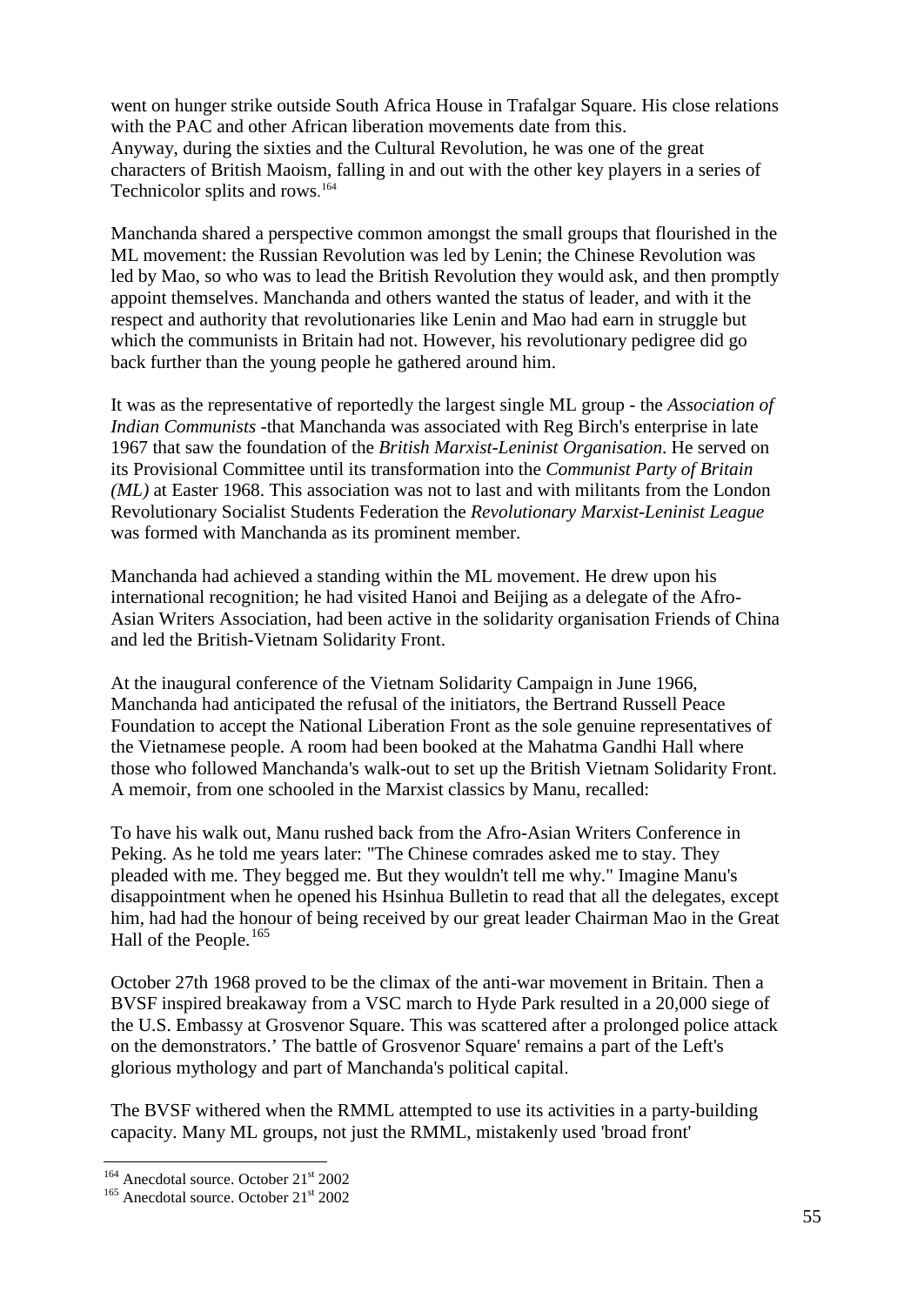went on hunger strike outside South Africa House in Trafalgar Square. His close relations with the PAC and other African liberation movements date from this. Anyway, during the sixties and the Cultural Revolution, he was one of the great characters of British Maoism, falling in and out with the other key players in a series of Technicolor splits and rows. [164](#page-54-0)

Manchanda shared a perspective common amongst the small groups that flourished in the ML movement: the Russian Revolution was led by Lenin; the Chinese Revolution was led by Mao, so who was to lead the British Revolution they would ask, and then promptly appoint themselves. Manchanda and others wanted the status of leader, and with it the respect and authority that revolutionaries like Lenin and Mao had earn in struggle but which the communists in Britain had not. However, his revolutionary pedigree did go back further than the young people he gathered around him.

It was as the representative of reportedly the largest single ML group - the *Association of Indian Communists* -that Manchanda was associated with Reg Birch's enterprise in late 1967 that saw the foundation of the *British Marxist-Leninist Organisation*. He served on its Provisional Committee until its transformation into the *Communist Party of Britain (ML)* at Easter 1968. This association was not to last and with militants from the London Revolutionary Socialist Students Federation the *Revolutionary Marxist-Leninist League* was formed with Manchanda as its prominent member.

Manchanda had achieved a standing within the ML movement. He drew upon his international recognition; he had visited Hanoi and Beijing as a delegate of the Afro-Asian Writers Association, had been active in the solidarity organisation Friends of China and led the British-Vietnam Solidarity Front.

At the inaugural conference of the Vietnam Solidarity Campaign in June 1966, Manchanda had anticipated the refusal of the initiators, the Bertrand Russell Peace Foundation to accept the National Liberation Front as the sole genuine representatives of the Vietnamese people. A room had been booked at the Mahatma Gandhi Hall where those who followed Manchanda's walk-out to set up the British Vietnam Solidarity Front. A memoir, from one schooled in the Marxist classics by Manu, recalled:

To have his walk out, Manu rushed back from the Afro-Asian Writers Conference in Peking. As he told me years later: "The Chinese comrades asked me to stay. They pleaded with me. They begged me. But they wouldn't tell me why." Imagine Manu's disappointment when he opened his Hsinhua Bulletin to read that all the delegates, except him, had had the honour of being received by our great leader Chairman Mao in the Great Hall of the People.<sup>[165](#page-54-1)</sup>

October 27th 1968 proved to be the climax of the anti-war movement in Britain. Then a BVSF inspired breakaway from a VSC march to Hyde Park resulted in a 20,000 siege of the U.S. Embassy at Grosvenor Square. This was scattered after a prolonged police attack on the demonstrators.' The battle of Grosvenor Square' remains a part of the Left's glorious mythology and part of Manchanda's political capital.

The BVSF withered when the RMML attempted to use its activities in a party-building capacity. Many ML groups, not just the RMML, mistakenly used 'broad front'

<span id="page-54-1"></span><span id="page-54-0"></span><sup>&</sup>lt;sup>164</sup> Anecdotal source. October  $21<sup>st</sup>$  2002<br><sup>165</sup> Anecdotal source. October  $21<sup>st</sup>$  2002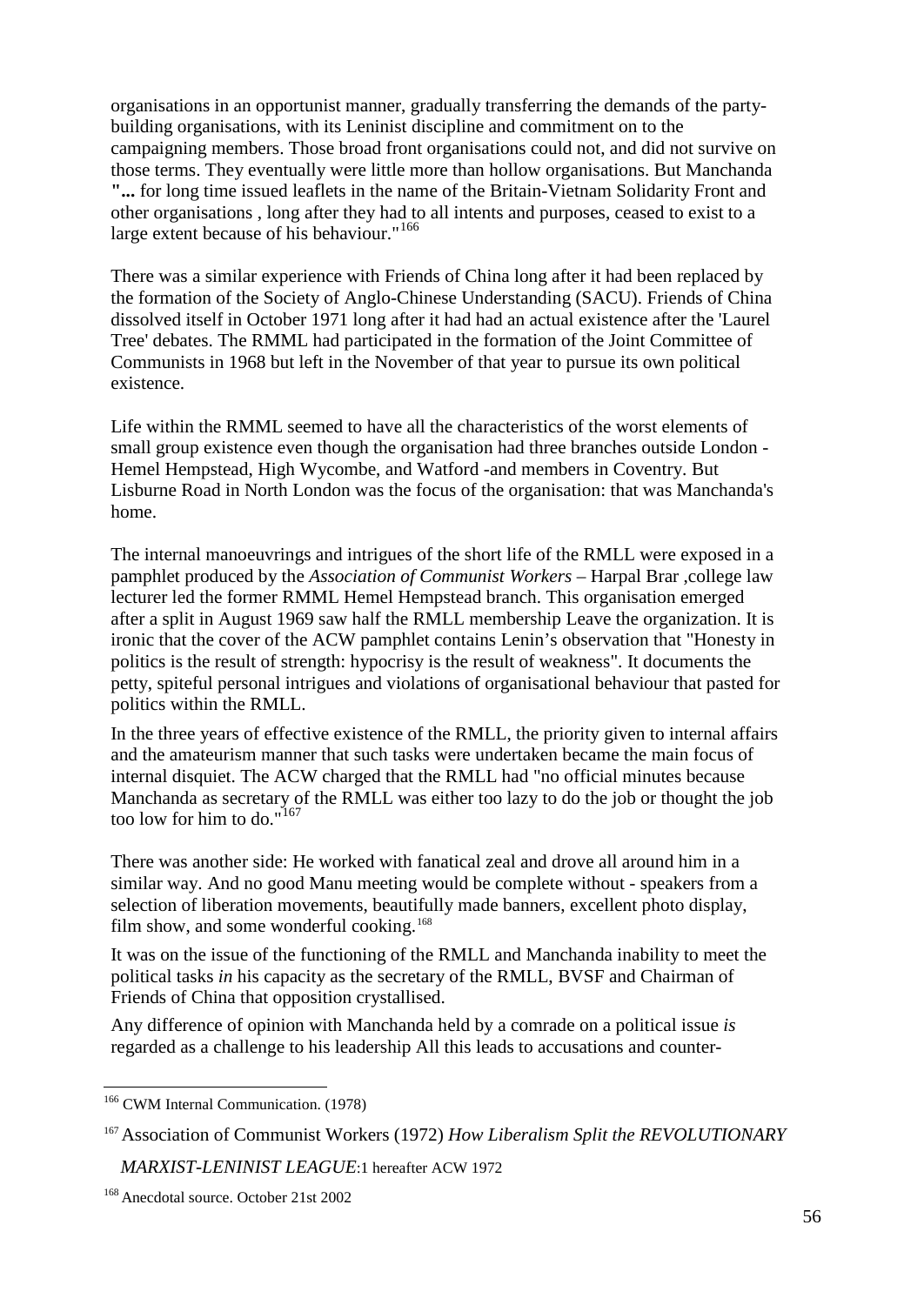organisations in an opportunist manner, gradually transferring the demands of the partybuilding organisations, with its Leninist discipline and commitment on to the campaigning members. Those broad front organisations could not, and did not survive on those terms. They eventually were little more than hollow organisations. But Manchanda **"...** for long time issued leaflets in the name of the Britain-Vietnam Solidarity Front and other organisations , long after they had to all intents and purposes, ceased to exist to a large extent because of his behaviour."<sup>[166](#page-55-0)</sup>

There was a similar experience with Friends of China long after it had been replaced by the formation of the Society of Anglo-Chinese Understanding (SACU). Friends of China dissolved itself in October 1971 long after it had had an actual existence after the 'Laurel Tree' debates. The RMML had participated in the formation of the Joint Committee of Communists in 1968 but left in the November of that year to pursue its own political existence.

Life within the RMML seemed to have all the characteristics of the worst elements of small group existence even though the organisation had three branches outside London - Hemel Hempstead, High Wycombe, and Watford -and members in Coventry. But Lisburne Road in North London was the focus of the organisation: that was Manchanda's home.

The internal manoeuvrings and intrigues of the short life of the RMLL were exposed in a pamphlet produced by the *Association of Communist Workers* – Harpal Brar ,college law lecturer led the former RMML Hemel Hempstead branch. This organisation emerged after a split in August 1969 saw half the RMLL membership Leave the organization. It is ironic that the cover of the ACW pamphlet contains Lenin's observation that "Honesty in politics is the result of strength: hypocrisy is the result of weakness". It documents the petty, spiteful personal intrigues and violations of organisational behaviour that pasted for politics within the RMLL.

In the three years of effective existence of the RMLL, the priority given to internal affairs and the amateurism manner that such tasks were undertaken became the main focus of internal disquiet. The ACW charged that the RMLL had "no official minutes because Manchanda as secretary of the RMLL was either too lazy to do the job or thought the job too low for him to do."<sup>[167](#page-55-1)</sup>

There was another side: He worked with fanatical zeal and drove all around him in a similar way. And no good Manu meeting would be complete without - speakers from a selection of liberation movements, beautifully made banners, excellent photo display, film show, and some wonderful cooking.<sup>[168](#page-55-2)</sup>

It was on the issue of the functioning of the RMLL and Manchanda inability to meet the political tasks *in* his capacity as the secretary of the RMLL, BVSF and Chairman of Friends of China that opposition crystallised.

Any difference of opinion with Manchanda held by a comrade on a political issue *is*  regarded as a challenge to his leadership All this leads to accusations and counter-

<span id="page-55-0"></span><sup>&</sup>lt;sup>166</sup> CWM Internal Communication. (1978)

<span id="page-55-1"></span><sup>167</sup>Association of Communist Workers (1972) *How Liberalism Split the REVOLUTIONARY* 

*MARXIST-LENINIST LEAGUE*:1 hereafter ACW 1972

<span id="page-55-2"></span><sup>168</sup> Anecdotal source. October 21st 2002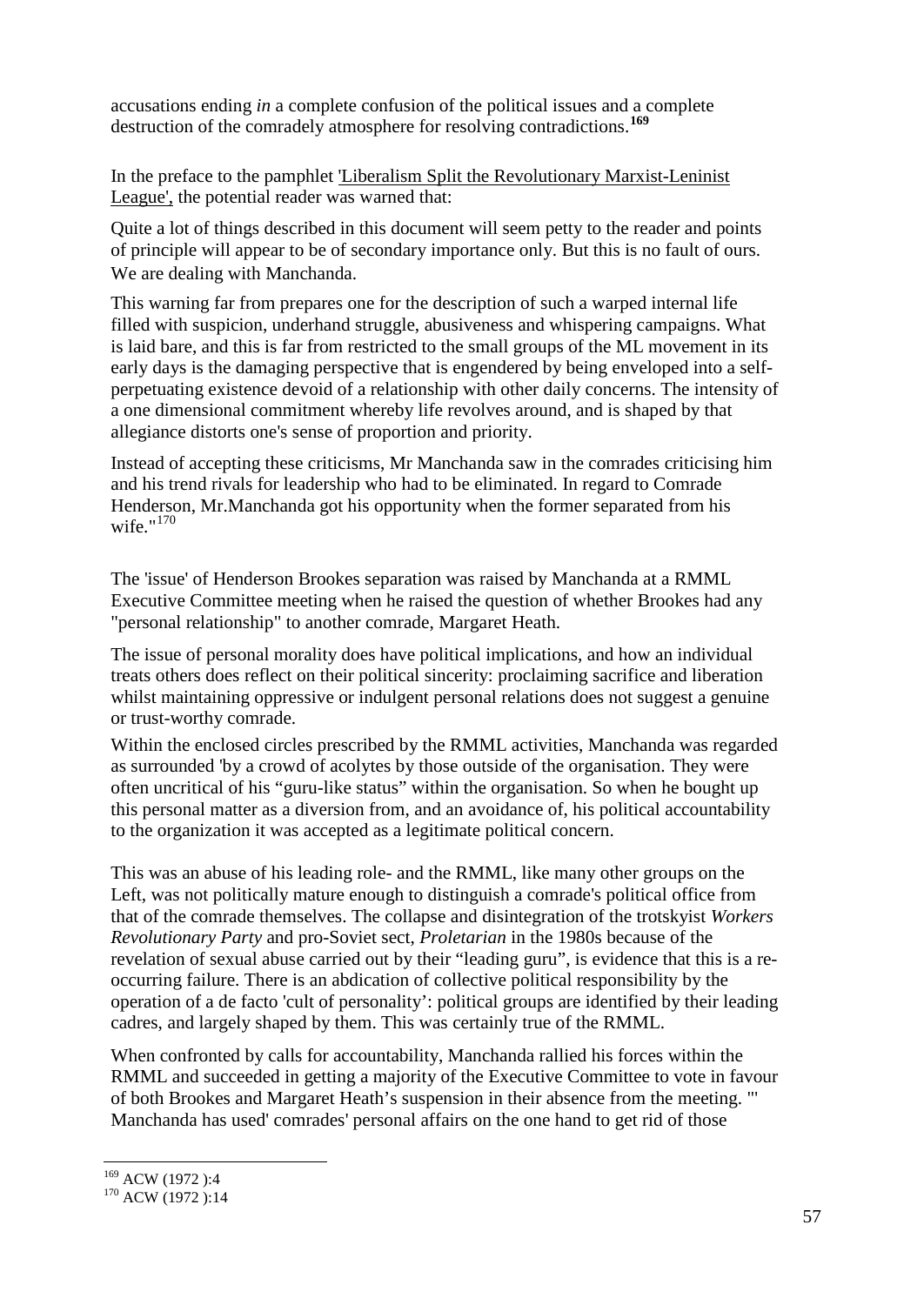accusations ending *in* a complete confusion of the political issues and a complete destruction of the comradely atmosphere for resolving contradictions.**[169](#page-56-0)**

In the preface to the pamphlet 'Liberalism Split the Revolutionary Marxist-Leninist League', the potential reader was warned that:

Quite a lot of things described in this document will seem petty to the reader and points of principle will appear to be of secondary importance only. But this is no fault of ours. We are dealing with Manchanda.

This warning far from prepares one for the description of such a warped internal life filled with suspicion, underhand struggle, abusiveness and whispering campaigns. What is laid bare, and this is far from restricted to the small groups of the ML movement in its early days is the damaging perspective that is engendered by being enveloped into a selfperpetuating existence devoid of a relationship with other daily concerns. The intensity of a one dimensional commitment whereby life revolves around, and is shaped by that allegiance distorts one's sense of proportion and priority.

Instead of accepting these criticisms, Mr Manchanda saw in the comrades criticising him and his trend rivals for leadership who had to be eliminated. In regard to Comrade Henderson, Mr.Manchanda got his opportunity when the former separated from his wife." $170$ 

The 'issue' of Henderson Brookes separation was raised by Manchanda at a RMML Executive Committee meeting when he raised the question of whether Brookes had any "personal relationship" to another comrade, Margaret Heath.

The issue of personal morality does have political implications, and how an individual treats others does reflect on their political sincerity: proclaiming sacrifice and liberation whilst maintaining oppressive or indulgent personal relations does not suggest a genuine or trust-worthy comrade.

Within the enclosed circles prescribed by the RMML activities, Manchanda was regarded as surrounded 'by a crowd of acolytes by those outside of the organisation. They were often uncritical of his "guru-like status" within the organisation. So when he bought up this personal matter as a diversion from, and an avoidance of, his political accountability to the organization it was accepted as a legitimate political concern.

This was an abuse of his leading role- and the RMML, like many other groups on the Left, was not politically mature enough to distinguish a comrade's political office from that of the comrade themselves. The collapse and disintegration of the trotskyist *Workers Revolutionary Party* and pro-Soviet sect, *Proletarian* in the 1980s because of the revelation of sexual abuse carried out by their "leading guru", is evidence that this is a reoccurring failure. There is an abdication of collective political responsibility by the operation of a de facto 'cult of personality': political groups are identified by their leading cadres, and largely shaped by them. This was certainly true of the RMML.

When confronted by calls for accountability, Manchanda rallied his forces within the RMML and succeeded in getting a majority of the Executive Committee to vote in favour of both Brookes and Margaret Heath's suspension in their absence from the meeting. "' Manchanda has used' comrades' personal affairs on the one hand to get rid of those

<span id="page-56-1"></span><span id="page-56-0"></span><sup>&</sup>lt;sup>169</sup> ACW (1972 ):4<br><sup>170</sup> ACW (1972 ):14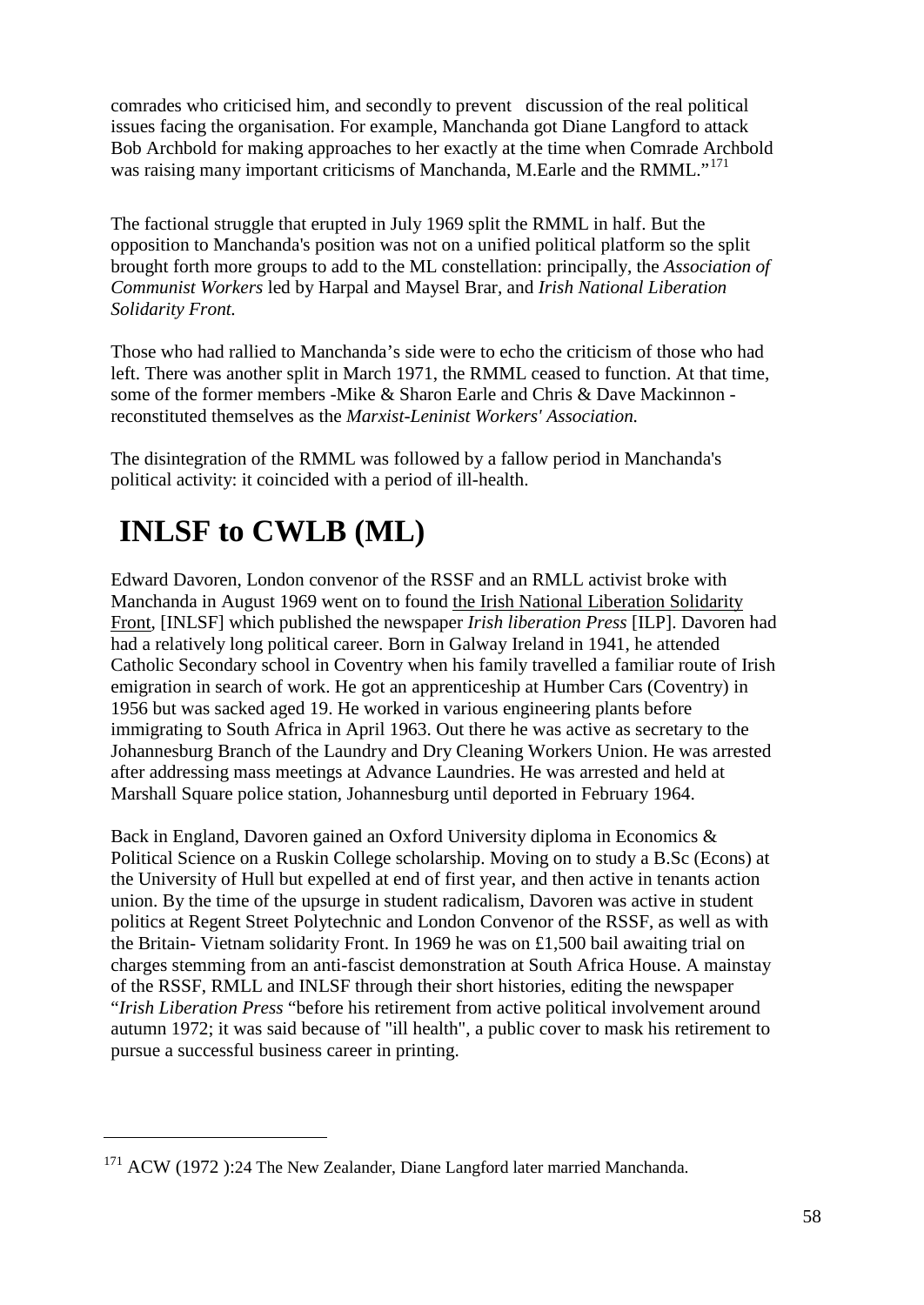comrades who criticised him, and secondly to prevent discussion of the real political issues facing the organisation. For example, Manchanda got Diane Langford to attack Bob Archbold for making approaches to her exactly at the time when Comrade Archbold was raising many important criticisms of Manchanda, M.Earle and the RMML."<sup>[171](#page-57-0)</sup>

The factional struggle that erupted in July 1969 split the RMML in half. But the opposition to Manchanda's position was not on a unified political platform so the split brought forth more groups to add to the ML constellation: principally, the *Association of Communist Workers* led by Harpal and Maysel Brar, and *Irish National Liberation Solidarity Front.*

Those who had rallied to Manchanda's side were to echo the criticism of those who had left. There was another split in March 1971, the RMML ceased to function. At that time, some of the former members -Mike & Sharon Earle and Chris & Dave Mackinnon reconstituted themselves as the *Marxist-Leninist Workers' Association.*

The disintegration of the RMML was followed by a fallow period in Manchanda's political activity: it coincided with a period of ill-health.

# **INLSF to CWLB (ML)**

 $\overline{a}$ 

Edward Davoren, London convenor of the RSSF and an RMLL activist broke with Manchanda in August 1969 went on to found the Irish National Liberation Solidarity Front, [INLSF] which published the newspaper *Irish liberation Press* [ILP]. Davoren had had a relatively long political career. Born in Galway Ireland in 1941, he attended Catholic Secondary school in Coventry when his family travelled a familiar route of Irish emigration in search of work. He got an apprenticeship at Humber Cars (Coventry) in 1956 but was sacked aged 19. He worked in various engineering plants before immigrating to South Africa in April 1963. Out there he was active as secretary to the Johannesburg Branch of the Laundry and Dry Cleaning Workers Union. He was arrested after addressing mass meetings at Advance Laundries. He was arrested and held at Marshall Square police station, Johannesburg until deported in February 1964.

Back in England, Davoren gained an Oxford University diploma in Economics & Political Science on a Ruskin College scholarship. Moving on to study a B.Sc (Econs) at the University of Hull but expelled at end of first year, and then active in tenants action union. By the time of the upsurge in student radicalism, Davoren was active in student politics at Regent Street Polytechnic and London Convenor of the RSSF, as well as with the Britain- Vietnam solidarity Front. In 1969 he was on £1,500 bail awaiting trial on charges stemming from an anti-fascist demonstration at South Africa House. A mainstay of the RSSF, RMLL and INLSF through their short histories, editing the newspaper "*Irish Liberation Press* "before his retirement from active political involvement around autumn 1972; it was said because of "ill health", a public cover to mask his retirement to pursue a successful business career in printing.

<span id="page-57-0"></span><sup>&</sup>lt;sup>171</sup> ACW (1972 ):24 The New Zealander, Diane Langford later married Manchanda.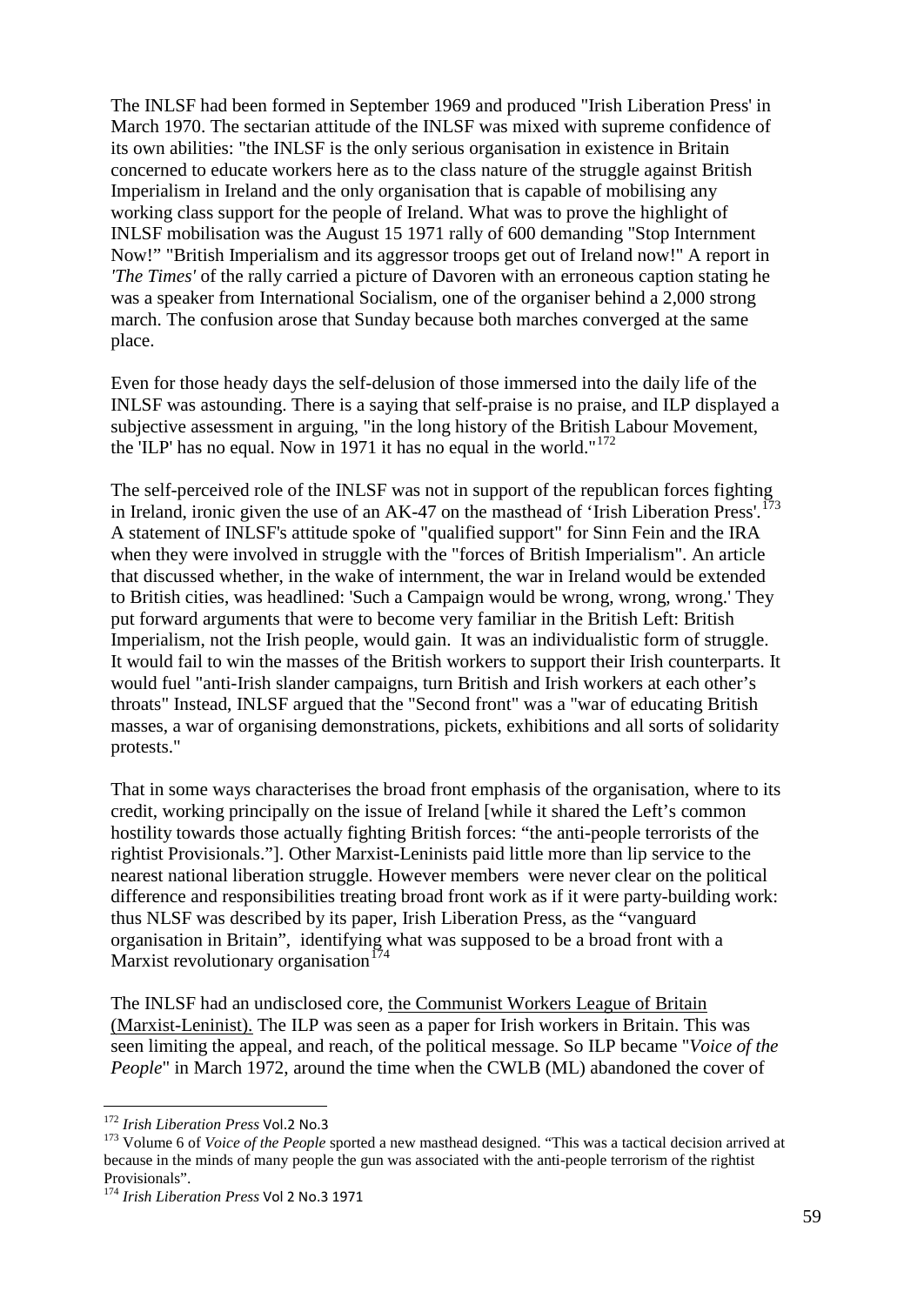The INLSF had been formed in September 1969 and produced "Irish Liberation Press' in March 1970. The sectarian attitude of the INLSF was mixed with supreme confidence of its own abilities: "the INLSF is the only serious organisation in existence in Britain concerned to educate workers here as to the class nature of the struggle against British Imperialism in Ireland and the only organisation that is capable of mobilising any working class support for the people of Ireland. What was to prove the highlight of INLSF mobilisation was the August 15 1971 rally of 600 demanding "Stop Internment Now!" "British Imperialism and its aggressor troops get out of Ireland now!" A report in *'The Times'* of the rally carried a picture of Davoren with an erroneous caption stating he was a speaker from International Socialism, one of the organiser behind a 2,000 strong march. The confusion arose that Sunday because both marches converged at the same place.

Even for those heady days the self-delusion of those immersed into the daily life of the INLSF was astounding. There is a saying that self-praise is no praise, and ILP displayed a subjective assessment in arguing, "in the long history of the British Labour Movement, the 'ILP' has no equal. Now in 1971 it has no equal in the world."<sup>[172](#page-58-0)</sup>

The self-perceived role of the INLSF was not in support of the republican forces fighting in Ireland, ironic given the use of an AK-47 on the masthead of 'Irish Liberation Press'.<sup>[173](#page-58-1)</sup> A statement of INLSF's attitude spoke of "qualified support" for Sinn Fein and the IRA when they were involved in struggle with the "forces of British Imperialism". An article that discussed whether, in the wake of internment, the war in Ireland would be extended to British cities, was headlined: 'Such a Campaign would be wrong, wrong, wrong.' They put forward arguments that were to become very familiar in the British Left: British Imperialism, not the Irish people, would gain. It was an individualistic form of struggle. It would fail to win the masses of the British workers to support their Irish counterparts. It would fuel "anti-Irish slander campaigns, turn British and Irish workers at each other's throats" Instead, INLSF argued that the "Second front" was a "war of educating British masses, a war of organising demonstrations, pickets, exhibitions and all sorts of solidarity protests."

That in some ways characterises the broad front emphasis of the organisation, where to its credit, working principally on the issue of Ireland [while it shared the Left's common hostility towards those actually fighting British forces: "the anti-people terrorists of the rightist Provisionals."]. Other Marxist-Leninists paid little more than lip service to the nearest national liberation struggle. However members were never clear on the political difference and responsibilities treating broad front work as if it were party-building work: thus NLSF was described by its paper, Irish Liberation Press, as the "vanguard organisation in Britain", identifying what was supposed to be a broad front with a Marxist revolutionary organisation<sup>[174](#page-58-2)</sup>

The INLSF had an undisclosed core, the Communist Workers League of Britain (Marxist-Leninist). The ILP was seen as a paper for Irish workers in Britain. This was seen limiting the appeal, and reach, of the political message. So ILP became "*Voice of the People*" in March 1972, around the time when the CWLB (ML) abandoned the cover of

<span id="page-58-1"></span><span id="page-58-0"></span><sup>&</sup>lt;sup>172</sup> *Irish Liberation Press* Vol.2 No.3<br><sup>173</sup> Volume 6 of *Voice of the People* sported a new masthead designed. "This was a tactical decision arrived at because in the minds of many people the gun was associated with the anti-people terrorism of the rightist Provisionals".

<span id="page-58-2"></span><sup>174</sup> *Irish Liberation Press* Vol 2 No.3 1971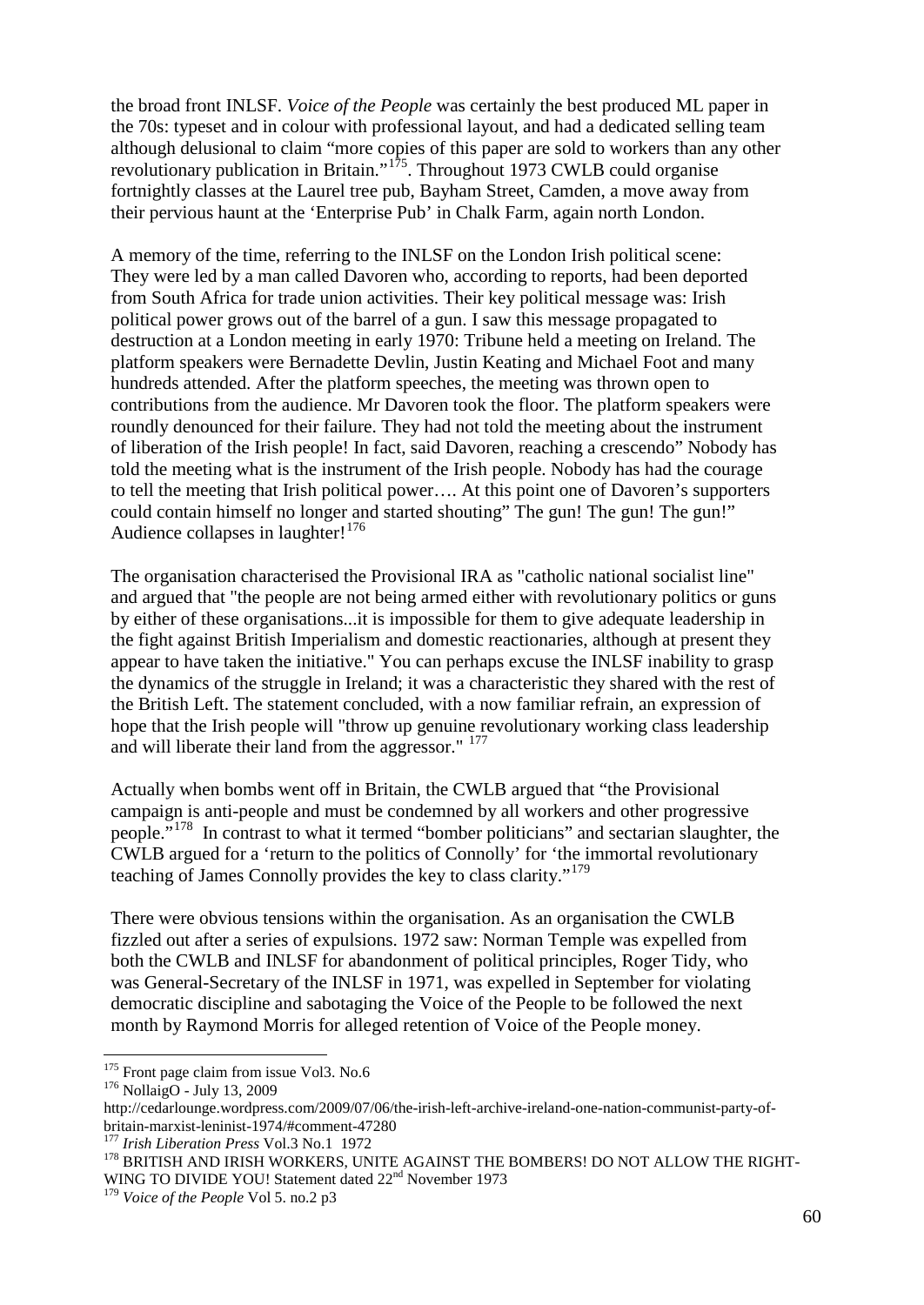the broad front INLSF. *Voice of the People* was certainly the best produced ML paper in the 70s: typeset and in colour with professional layout, and had a dedicated selling team although delusional to claim "more copies of this paper are sold to workers than any other revolutionary publication in Britain."[175.](#page-59-0) Throughout 1973 CWLB could organise fortnightly classes at the Laurel tree pub, Bayham Street, Camden, a move away from their pervious haunt at the 'Enterprise Pub' in Chalk Farm, again north London.

A memory of the time, referring to the INLSF on the London Irish political scene: They were led by a man called Davoren who, according to reports, had been deported from South Africa for trade union activities. Their key political message was: Irish political power grows out of the barrel of a gun. I saw this message propagated to destruction at a London meeting in early 1970: Tribune held a meeting on Ireland. The platform speakers were Bernadette Devlin, Justin Keating and Michael Foot and many hundreds attended. After the platform speeches, the meeting was thrown open to contributions from the audience. Mr Davoren took the floor. The platform speakers were roundly denounced for their failure. They had not told the meeting about the instrument of liberation of the Irish people! In fact, said Davoren, reaching a crescendo" Nobody has told the meeting what is the instrument of the Irish people. Nobody has had the courage to tell the meeting that Irish political power…. At this point one of Davoren's supporters could contain himself no longer and started shouting" The gun! The gun! The gun!" Audience collapses in laughter! $176$ 

The organisation characterised the Provisional IRA as "catholic national socialist line" and argued that "the people are not being armed either with revolutionary politics or guns by either of these organisations...it is impossible for them to give adequate leadership in the fight against British Imperialism and domestic reactionaries, although at present they appear to have taken the initiative." You can perhaps excuse the INLSF inability to grasp the dynamics of the struggle in Ireland; it was a characteristic they shared with the rest of the British Left. The statement concluded, with a now familiar refrain, an expression of hope that the Irish people will "throw up genuine revolutionary working class leadership and will liberate their land from the aggressor." <sup>[177](#page-59-2)</sup>

Actually when bombs went off in Britain, the CWLB argued that "the Provisional campaign is anti-people and must be condemned by all workers and other progressive people."<sup>178</sup> In contrast to what it termed "bomber politicians" and sectarian slaughter, the CWLB argued for a 'return to the politics of Connolly' for 'the immortal revolutionary teaching of James Connolly provides the key to class clarity."<sup>[179](#page-59-4)</sup>

There were obvious tensions within the organisation. As an organisation the CWLB fizzled out after a series of expulsions. 1972 saw: Norman Temple was expelled from both the CWLB and INLSF for abandonment of political principles, Roger Tidy, who was General-Secretary of the INLSF in 1971, was expelled in September for violating democratic discipline and sabotaging the Voice of the People to be followed the next month by Raymond Morris for alleged retention of Voice of the People money.

<span id="page-59-0"></span><sup>&</sup>lt;sup>175</sup> Front page claim from issue Vol3. No.6<br><sup>176</sup> NollaigO - [July 13, 2009](http://cedarlounge.wordpress.com/2009/07/06/the-irish-left-archive-ireland-one-nation-communist-party-of-britain-marxist-leninist-1974/#comment-47504)

<span id="page-59-1"></span>http://cedarlounge.wordpress.com/2009/07/06/the-irish-left-archive-ireland-one-nation-communist-party-of-

<span id="page-59-3"></span>

<span id="page-59-2"></span>britain-marxist-leninist-1974/#comment-47280<br><sup>177</sup> *Irish Liberation Press* Vol.3 No.1 1972<br><sup>178</sup> BRITISH AND IRISH WORKERS, UNITE AGAINST THE BOMBERS! DO NOT ALLOW THE RIGHT-WING TO DIVIDE YOU! Statement dated 22<sup>nd</sup> November 1973

<span id="page-59-4"></span><sup>179</sup> *Voice of the People* Vol 5. no.2 p3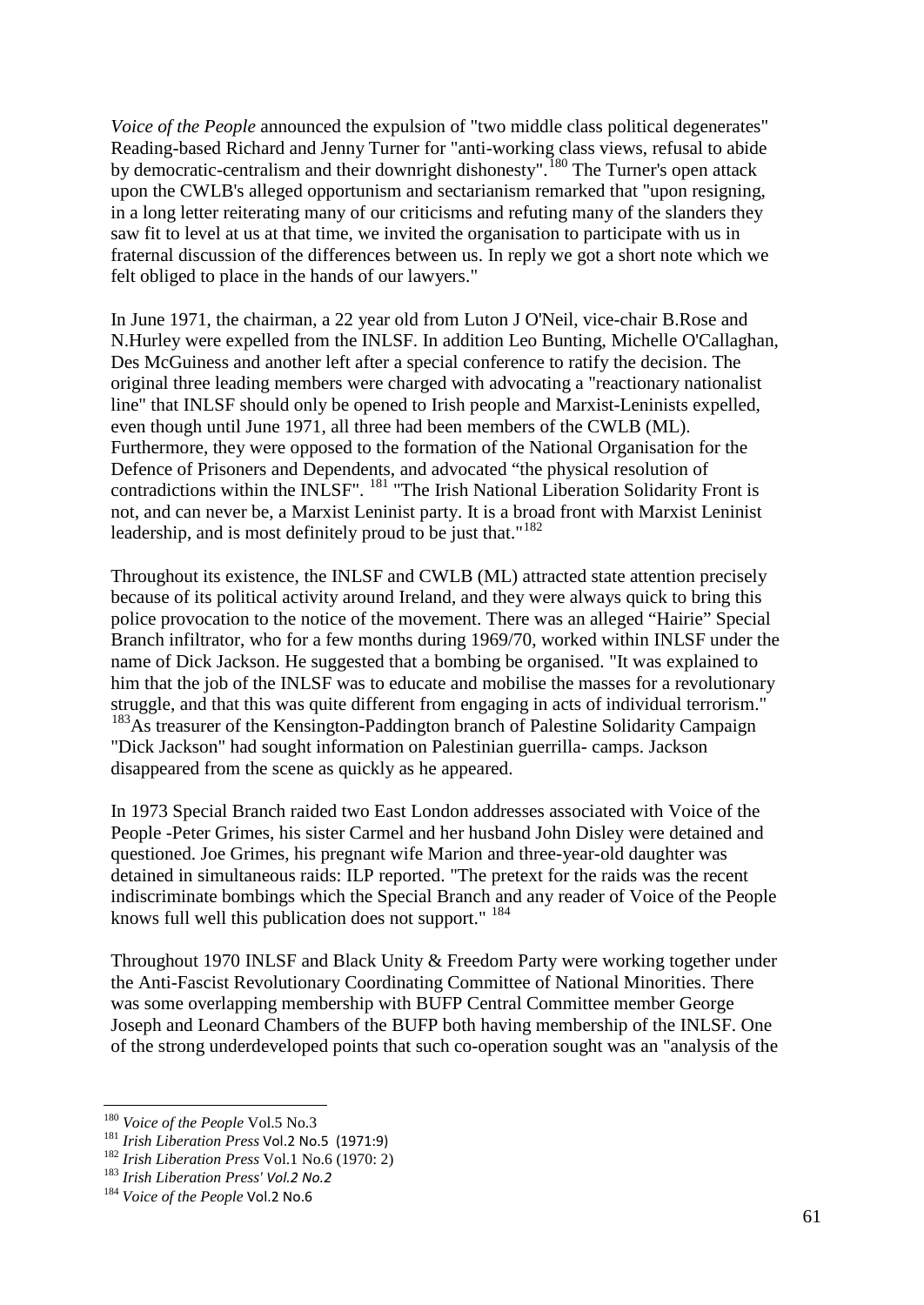*Voice of the People* announced the expulsion of "two middle class political degenerates" Reading-based Richard and Jenny Turner for "anti-working class views, refusal to abide by democratic-centralism and their downright dishonesty".<sup>[180](#page-60-0)</sup> The Turner's open attack upon the CWLB's alleged opportunism and sectarianism remarked that "upon resigning, in a long letter reiterating many of our criticisms and refuting many of the slanders they saw fit to level at us at that time, we invited the organisation to participate with us in fraternal discussion of the differences between us. In reply we got a short note which we felt obliged to place in the hands of our lawyers."

In June 1971, the chairman, a 22 year old from Luton J O'Neil, vice-chair B.Rose and N.Hurley were expelled from the INLSF. In addition Leo Bunting, Michelle O'Callaghan, Des McGuiness and another left after a special conference to ratify the decision. The original three leading members were charged with advocating a "reactionary nationalist line" that INLSF should only be opened to Irish people and Marxist-Leninists expelled, even though until June 1971, all three had been members of the CWLB (ML). Furthermore, they were opposed to the formation of the National Organisation for the Defence of Prisoners and Dependents, and advocated "the physical resolution of contradictions within the INLSF". [181](#page-60-1) "The Irish National Liberation Solidarity Front is not, and can never be, a Marxist Leninist party. It is a broad front with Marxist Leninist leadership, and is most definitely proud to be just that."<sup>[182](#page-60-2)</sup>

Throughout its existence, the INLSF and CWLB (ML) attracted state attention precisely because of its political activity around Ireland, and they were always quick to bring this police provocation to the notice of the movement. There was an alleged "Hairie" Special Branch infiltrator, who for a few months during 1969/70, worked within INLSF under the name of Dick Jackson. He suggested that a bombing be organised. "It was explained to him that the job of the INLSF was to educate and mobilise the masses for a revolutionary struggle, and that this was quite different from engaging in acts of individual terrorism." <sup>[183](#page-60-3)</sup>As treasurer of the Kensington-Paddington branch of Palestine Solidarity Campaign "Dick Jackson" had sought information on Palestinian guerrilla- camps. Jackson disappeared from the scene as quickly as he appeared.

In 1973 Special Branch raided two East London addresses associated with Voice of the People -Peter Grimes, his sister Carmel and her husband John Disley were detained and questioned. Joe Grimes, his pregnant wife Marion and three-year-old daughter was detained in simultaneous raids: ILP reported. "The pretext for the raids was the recent indiscriminate bombings which the Special Branch and any reader of Voice of the People knows full well this publication does not support." <sup>[184](#page-60-4)</sup>

Throughout 1970 INLSF and Black Unity & Freedom Party were working together under the Anti-Fascist Revolutionary Coordinating Committee of National Minorities. There was some overlapping membership with BUFP Central Committee member George Joseph and Leonard Chambers of the BUFP both having membership of the INLSF. One of the strong underdeveloped points that such co-operation sought was an "analysis of the

<span id="page-60-0"></span> <sup>180</sup> *Voice of the People* Vol.5 No.3

<span id="page-60-1"></span><sup>&</sup>lt;sup>181</sup> *Irish Liberation Press* Vol.2 No.5 (1971:9)<br><sup>182</sup> *Irish Liberation Press* Vol.1 No.6 (1970: 2)

<span id="page-60-3"></span><span id="page-60-2"></span><sup>183</sup> *Irish Liberation Press' Vol.2 No.2*

<span id="page-60-4"></span><sup>184</sup> *Voice of the People* Vol.2 No.6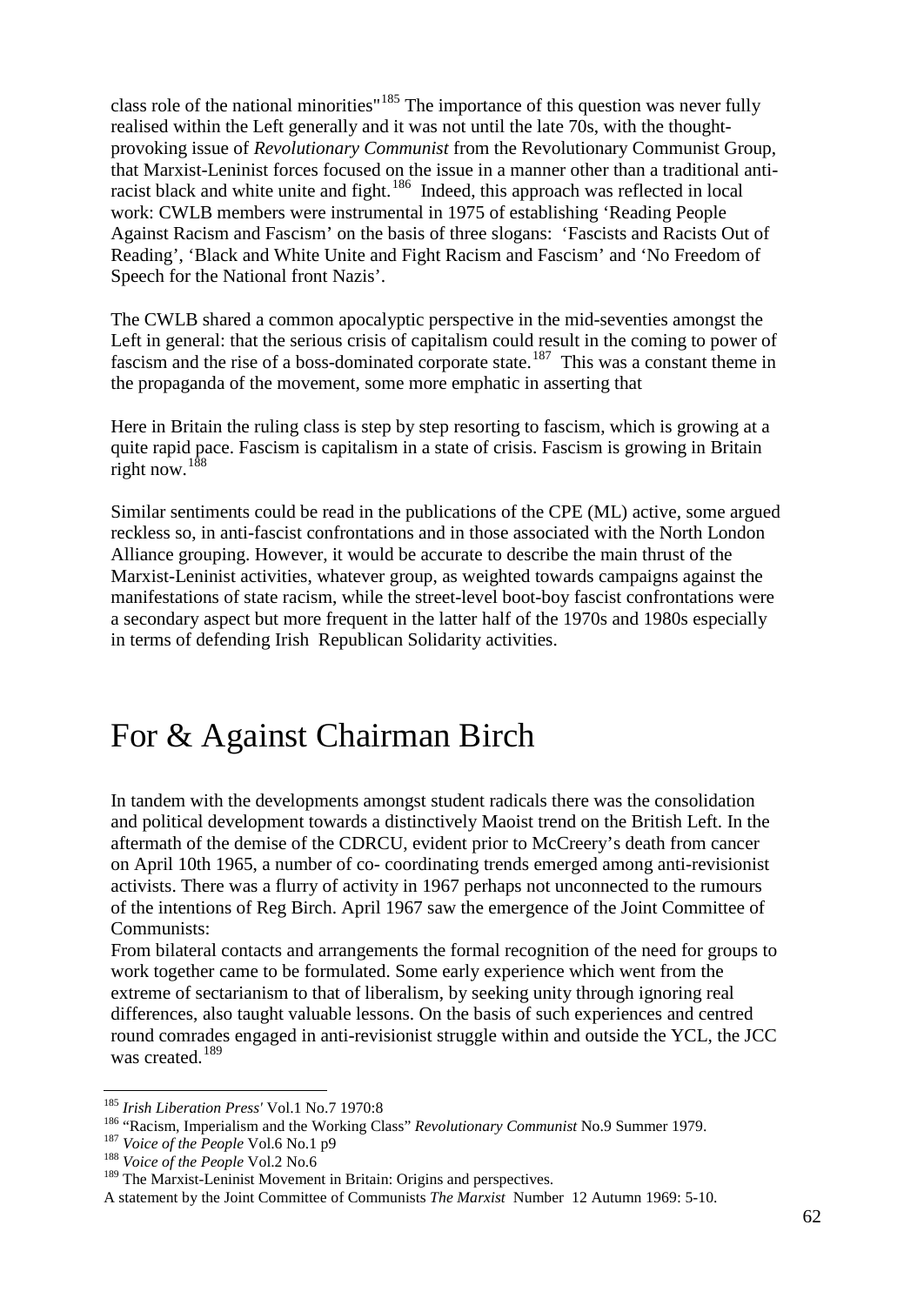class role of the national minorities"<sup>[185](#page-61-0)</sup> The importance of this question was never fully realised within the Left generally and it was not until the late 70s, with the thoughtprovoking issue of *Revolutionary Communist* from the Revolutionary Communist Group, that Marxist-Leninist forces focused on the issue in a manner other than a traditional anti-racist black and white unite and fight.<sup>[186](#page-61-1)</sup> Indeed, this approach was reflected in local work: CWLB members were instrumental in 1975 of establishing 'Reading People Against Racism and Fascism' on the basis of three slogans: 'Fascists and Racists Out of Reading', 'Black and White Unite and Fight Racism and Fascism' and 'No Freedom of Speech for the National front Nazis'.

The CWLB shared a common apocalyptic perspective in the mid-seventies amongst the Left in general: that the serious crisis of capitalism could result in the coming to power of fascism and the rise of a boss-dominated corporate state.<sup>187</sup> This was a constant theme in the propaganda of the movement, some more emphatic in asserting that

Here in Britain the ruling class is step by step resorting to fascism, which is growing at a quite rapid pace. Fascism is capitalism in a state of crisis. Fascism is growing in Britain right now.  $188$ 

Similar sentiments could be read in the publications of the CPE (ML) active, some argued reckless so, in anti-fascist confrontations and in those associated with the North London Alliance grouping. However, it would be accurate to describe the main thrust of the Marxist-Leninist activities, whatever group, as weighted towards campaigns against the manifestations of state racism, while the street-level boot-boy fascist confrontations were a secondary aspect but more frequent in the latter half of the 1970s and 1980s especially in terms of defending Irish Republican Solidarity activities.

### For & Against Chairman Birch

In tandem with the developments amongst student radicals there was the consolidation and political development towards a distinctively Maoist trend on the British Left. In the aftermath of the demise of the CDRCU, evident prior to McCreery's death from cancer on April 10th 1965, a number of co- coordinating trends emerged among anti-revisionist activists. There was a flurry of activity in 1967 perhaps not unconnected to the rumours of the intentions of Reg Birch. April 1967 saw the emergence of the Joint Committee of Communists:

From bilateral contacts and arrangements the formal recognition of the need for groups to work together came to be formulated. Some early experience which went from the extreme of sectarianism to that of liberalism, by seeking unity through ignoring real differences, also taught valuable lessons. On the basis of such experiences and centred round comrades engaged in anti-revisionist struggle within and outside the YCL, the JCC was created.<sup>[189](#page-61-4)</sup>

<span id="page-61-1"></span><span id="page-61-0"></span><sup>&</sup>lt;sup>185</sup> Irish Liberation Press' Vol.1 No.7 1970:8<br><sup>186</sup> "Racism, Imperialism and the Working Class" *Revolutionary Communist* No.9 Summer 1979.<br><sup>187</sup> Voice of the People Vol.6 No.1 p9<br><sup>188</sup> Voice of the People Vol.2 No.6

<span id="page-61-2"></span>

<span id="page-61-4"></span><span id="page-61-3"></span><sup>&</sup>lt;sup>189</sup> The Marxist-Leninist Movement in Britain: Origins and perspectives.

A statement by the Joint Committee of Communists *The Marxist* Number 12 Autumn 1969: 5-10.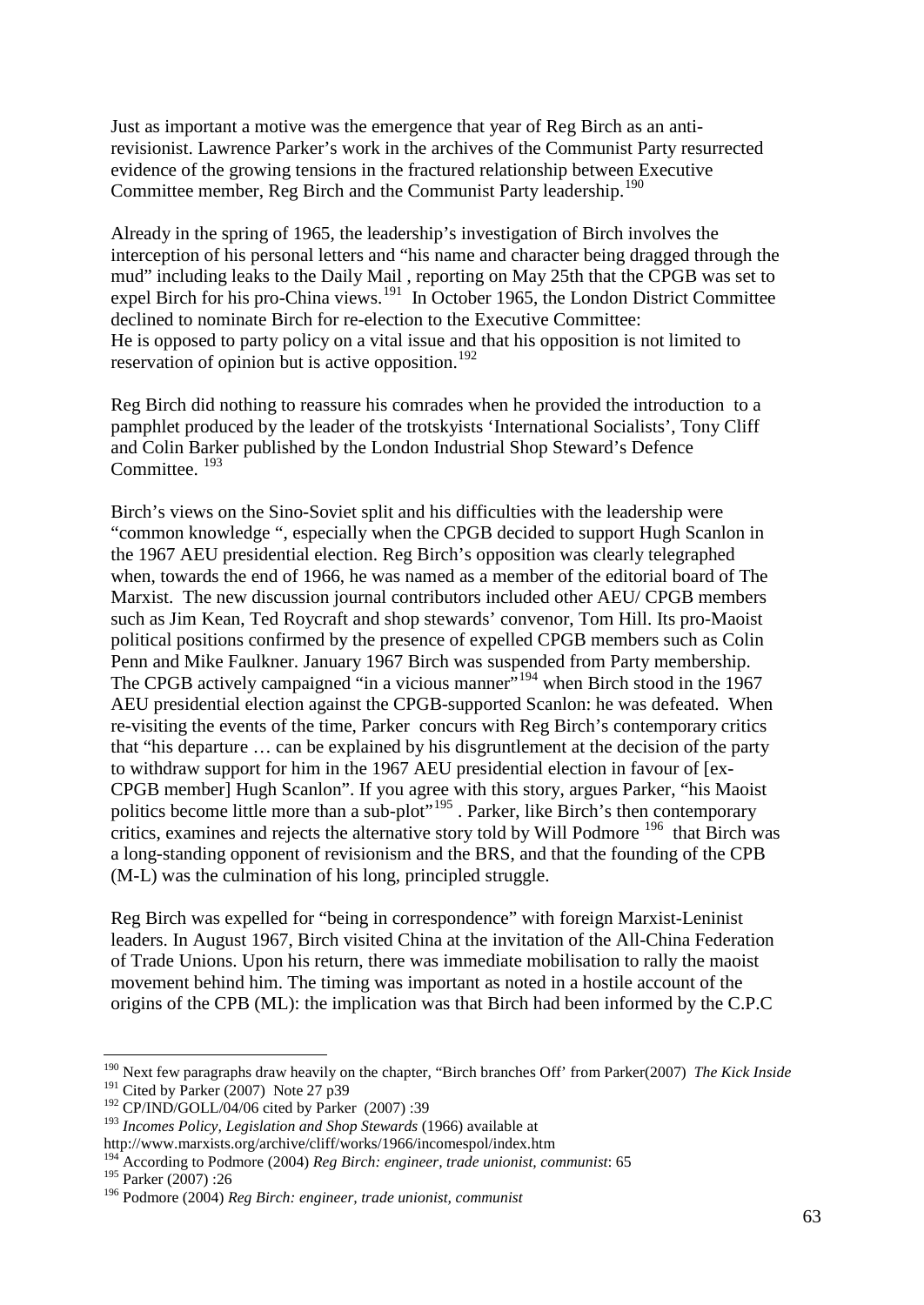Just as important a motive was the emergence that year of Reg Birch as an antirevisionist. Lawrence Parker's work in the archives of the Communist Party resurrected evidence of the growing tensions in the fractured relationship between Executive Committee member, Reg Birch and the Communist Party leadership.<sup>[190](#page-62-0)</sup>

Already in the spring of 1965, the leadership's investigation of Birch involves the interception of his personal letters and "his name and character being dragged through the mud" including leaks to the Daily Mail , reporting on May 25th that the CPGB was set to expel Birch for his pro-China views.<sup>[191](#page-62-1)</sup> In October 1965, the London District Committee He is opposed to party policy on a vital issue and that his opposition is not limited to reservation of opinion but is active opposition.<sup>[192](#page-62-2)</sup> declined to nominate Birch for re-election to the Executive Committee:

Reg Birch did nothing to reassure his comrades when he provided the introduction to a pamphlet produced by the leader of the trotskyists 'International Socialists', Tony Cliff and Colin Barker published by the London Industrial Shop Steward's Defence Committee.<sup>[193](#page-62-3)</sup>

Birch's views on the Sino-Soviet split and his difficulties with the leadership were "common knowledge ", especially when the CPGB decided to support Hugh Scanlon in the 1967 AEU presidential election. Reg Birch's opposition was clearly telegraphed when, towards the end of 1966, he was named as a member of the editorial board of The Marxist. The new discussion journal contributors included other AEU/ CPGB members such as Jim Kean, Ted Roycraft and shop stewards' convenor, Tom Hill. Its pro-Maoist political positions confirmed by the presence of expelled CPGB members such as Colin Penn and Mike Faulkner. January 1967 Birch was suspended from Party membership. The CPGB actively campaigned "in a vicious manner"<sup>[194](#page-62-4)</sup> when Birch stood in the 1967 AEU presidential election against the CPGB-supported Scanlon: he was defeated. When re-visiting the events of the time, Parker concurs with Reg Birch's contemporary critics that "his departure … can be explained by his disgruntlement at the decision of the party to withdraw support for him in the 1967 AEU presidential election in favour of [ex-CPGB member] Hugh Scanlon". If you agree with this story, argues Parker, "his Maoist politics become little more than a sub-plot<sup>"[195](#page-62-5)</sup>. Parker, like Birch's then contemporary critics, examines and rejects the alternative story told by Will Podmore <sup>[196](#page-62-6)</sup> that Birch was a long-standing opponent of revisionism and the BRS, and that the founding of the CPB (M-L) was the culmination of his long, principled struggle.

Reg Birch was expelled for "being in correspondence" with foreign Marxist-Leninist leaders. In August 1967, Birch visited China at the invitation of the All-China Federation of Trade Unions. Upon his return, there was immediate mobilisation to rally the maoist movement behind him. The timing was important as noted in a hostile account of the origins of the CPB (ML): the implication was that Birch had been informed by the C.P.C

<span id="page-62-0"></span> <sup>190</sup> Next few paragraphs draw heavily on the chapter, "Birch branches Off' from Parker(2007) *The Kick Inside*  $191$  Cited by Parker (2007) Note 27 p39

<span id="page-62-2"></span><span id="page-62-1"></span> $192$  CP/IND/GOLL/04/06 cited by Parker (2007):39

<span id="page-62-3"></span><sup>193</sup> *Incomes Policy, Legislation and Shop Stewards* (1966) available at

http://www.marxists.org/archive/cliff/works/1966/incomespol/index.htm

<span id="page-62-4"></span><sup>194</sup> According to Podmore (2004) *Reg Birch: engineer, trade unionist, communist*: 65 <sup>195</sup> Parker (2007) :26

<span id="page-62-6"></span><span id="page-62-5"></span><sup>196</sup> Podmore (2004) *Reg Birch: engineer, trade unionist, communist*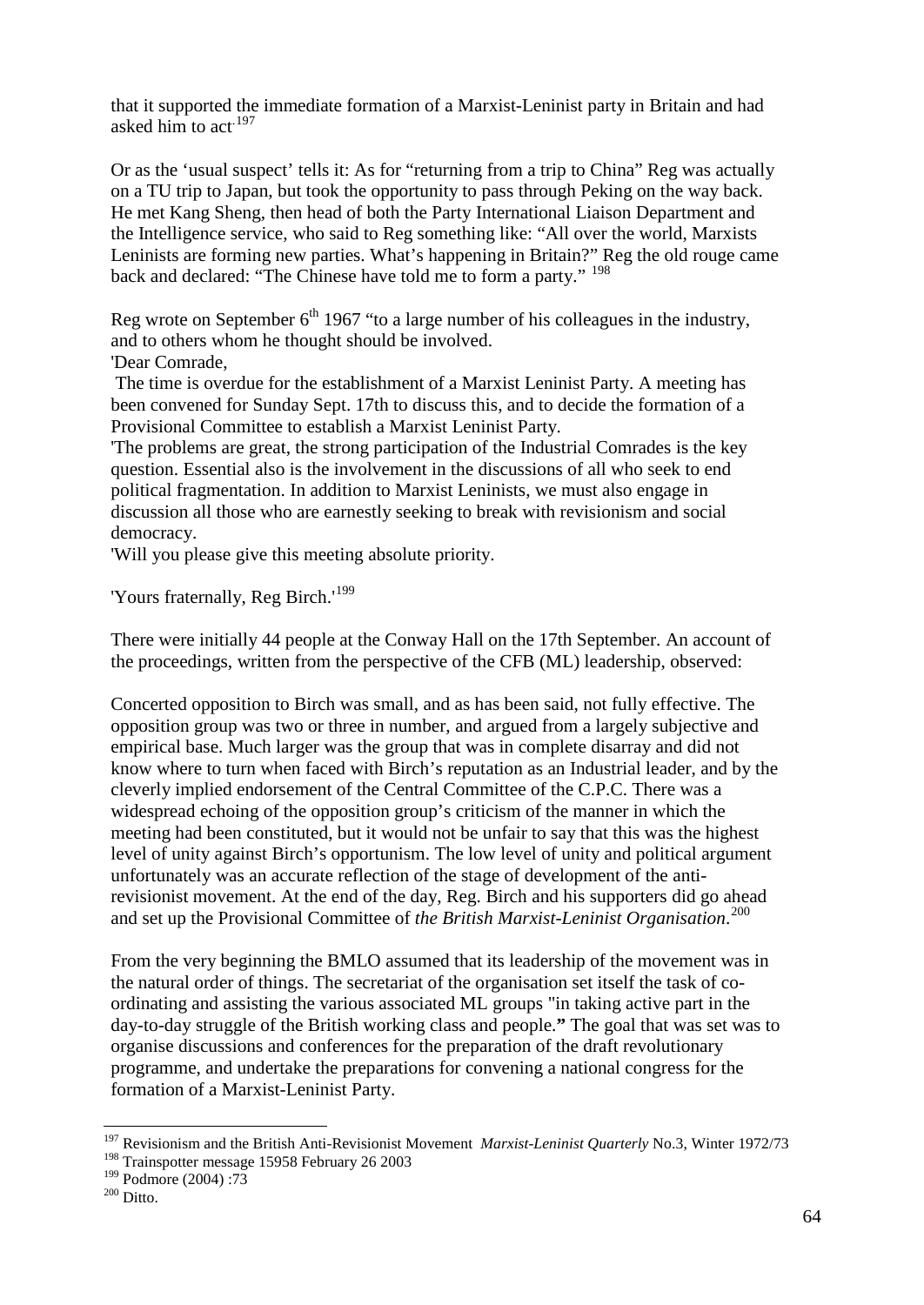that it supported the immediate formation of a Marxist-Leninist party in Britain and had asked him to act.<sup>[197](#page-63-0)</sup>

Or as the 'usual suspect' tells it: As for "returning from a trip to China" Reg was actually on a TU trip to Japan, but took the opportunity to pass through Peking on the way back. He met Kang Sheng, then head of both the Party International Liaison Department and the Intelligence service, who said to Reg something like: "All over the world, Marxists Leninists are forming new parties. What's happening in Britain?" Reg the old rouge came back and declared: "The Chinese have told me to form a party." <sup>[198](#page-63-1)</sup>

Reg wrote on September  $6<sup>th</sup>$  1967 "to a large number of his colleagues in the industry, and to others whom he thought should be involved.

'Dear Comrade,

The time is overdue for the establishment of a Marxist Leninist Party. A meeting has been convened for Sunday Sept. 17th to discuss this, and to decide the formation of a Provisional Committee to establish a Marxist Leninist Party.

'The problems are great, the strong participation of the Industrial Comrades is the key question. Essential also is the involvement in the discussions of all who seek to end political fragmentation. In addition to Marxist Leninists, we must also engage in discussion all those who are earnestly seeking to break with revisionism and social democracy.

'Will you please give this meeting absolute priority.

'Yours fraternally, Reg Birch.'<sup>[199](#page-63-2)</sup>

There were initially 44 people at the Conway Hall on the 17th September. An account of the proceedings, written from the perspective of the CFB (ML) leadership, observed:

Concerted opposition to Birch was small, and as has been said, not fully effective. The opposition group was two or three in number, and argued from a largely subjective and empirical base. Much larger was the group that was in complete disarray and did not know where to turn when faced with Birch's reputation as an Industrial leader, and by the cleverly implied endorsement of the Central Committee of the C.P.C. There was a widespread echoing of the opposition group's criticism of the manner in which the meeting had been constituted, but it would not be unfair to say that this was the highest level of unity against Birch's opportunism. The low level of unity and political argument unfortunately was an accurate reflection of the stage of development of the antirevisionist movement. At the end of the day, Reg. Birch and his supporters did go ahead and set up the Provisional Committee of *the British Marxist-Leninist Organisation*. [200](#page-63-3)

From the very beginning the BMLO assumed that its leadership of the movement was in the natural order of things. The secretariat of the organisation set itself the task of coordinating and assisting the various associated ML groups "in taking active part in the day-to-day struggle of the British working class and people.**"** The goal that was set was to organise discussions and conferences for the preparation of the draft revolutionary programme, and undertake the preparations for convening a national congress for the formation of a Marxist-Leninist Party.

<span id="page-63-0"></span> <sup>197</sup> Revisionism and the British Anti-Revisionist Movement *Marxist-Leninist Quarterly* No.3, Winter 1972/73

<span id="page-63-1"></span><sup>198</sup> Trainspotter message 15958 February 26 2003

<span id="page-63-3"></span><span id="page-63-2"></span> $^{199}_{200}$  Podmore (2004) :73<br> $^{200}_{200}$  Ditto.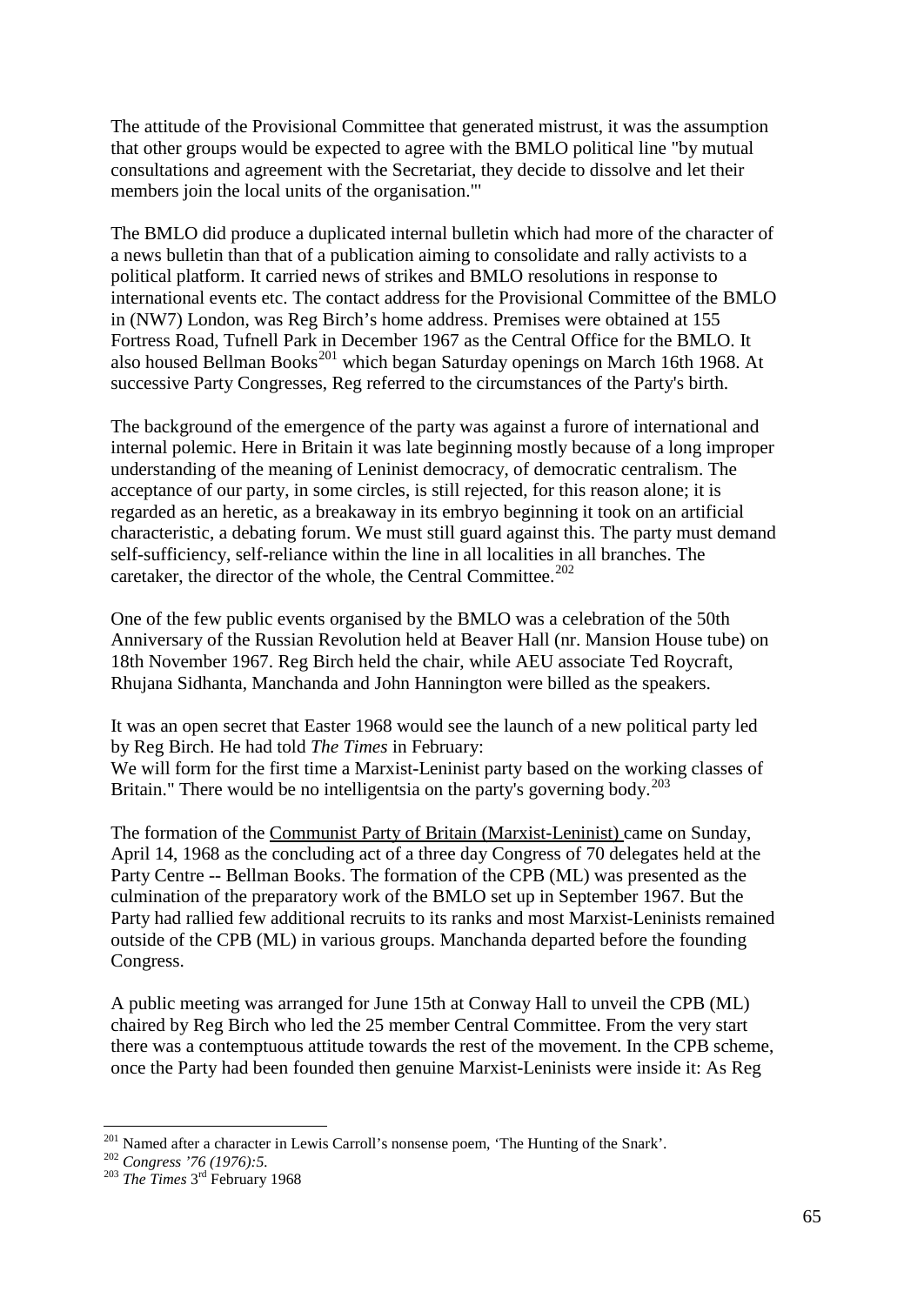The attitude of the Provisional Committee that generated mistrust, it was the assumption that other groups would be expected to agree with the BMLO political line "by mutual consultations and agreement with the Secretariat, they decide to dissolve and let their members join the local units of the organisation."'

The BMLO did produce a duplicated internal bulletin which had more of the character of a news bulletin than that of a publication aiming to consolidate and rally activists to a political platform. It carried news of strikes and BMLO resolutions in response to international events etc. The contact address for the Provisional Committee of the BMLO in (NW7) London, was Reg Birch's home address. Premises were obtained at 155 Fortress Road, Tufnell Park in December 1967 as the Central Office for the BMLO. It also housed Bellman Books<sup>[201](#page-64-0)</sup> which began Saturday openings on March 16th 1968. At successive Party Congresses, Reg referred to the circumstances of the Party's birth.

The background of the emergence of the party was against a furore of international and internal polemic. Here in Britain it was late beginning mostly because of a long improper understanding of the meaning of Leninist democracy, of democratic centralism. The acceptance of our party, in some circles, is still rejected, for this reason alone; it is regarded as an heretic, as a breakaway in its embryo beginning it took on an artificial characteristic, a debating forum. We must still guard against this. The party must demand self-sufficiency, self-reliance within the line in all localities in all branches. The caretaker, the director of the whole, the Central Committee.<sup>[202](#page-64-1)</sup>

One of the few public events organised by the BMLO was a celebration of the 50th Anniversary of the Russian Revolution held at Beaver Hall (nr. Mansion House tube) on 18th November 1967. Reg Birch held the chair, while AEU associate Ted Roycraft, Rhujana Sidhanta, Manchanda and John Hannington were billed as the speakers.

It was an open secret that Easter 1968 would see the launch of a new political party led by Reg Birch. He had told *The Times* in February:

We will form for the first time a Marxist-Leninist party based on the working classes of Britain." There would be no intelligentsia on the party's governing body.<sup>[203](#page-64-2)</sup>

The formation of the Communist Party of Britain (Marxist-Leninist) came on Sunday, April 14, 1968 as the concluding act of a three day Congress of 70 delegates held at the Party Centre -- Bellman Books. The formation of the CPB (ML) was presented as the culmination of the preparatory work of the BMLO set up in September 1967. But the Party had rallied few additional recruits to its ranks and most Marxist-Leninists remained outside of the CPB (ML) in various groups. Manchanda departed before the founding Congress.

A public meeting was arranged for June 15th at Conway Hall to unveil the CPB (ML) chaired by Reg Birch who led the 25 member Central Committee. From the very start there was a contemptuous attitude towards the rest of the movement. In the CPB scheme, once the Party had been founded then genuine Marxist-Leninists were inside it: As Reg

<span id="page-64-1"></span><span id="page-64-0"></span><sup>&</sup>lt;sup>201</sup> Named after a character in Lewis Carroll's nonsense poem, 'The Hunting of the Snark'.<br><sup>202</sup> *Congress '76 (1976):5.* <sup>203</sup> *The Times* 3<sup>rd</sup> February 1968

<span id="page-64-2"></span>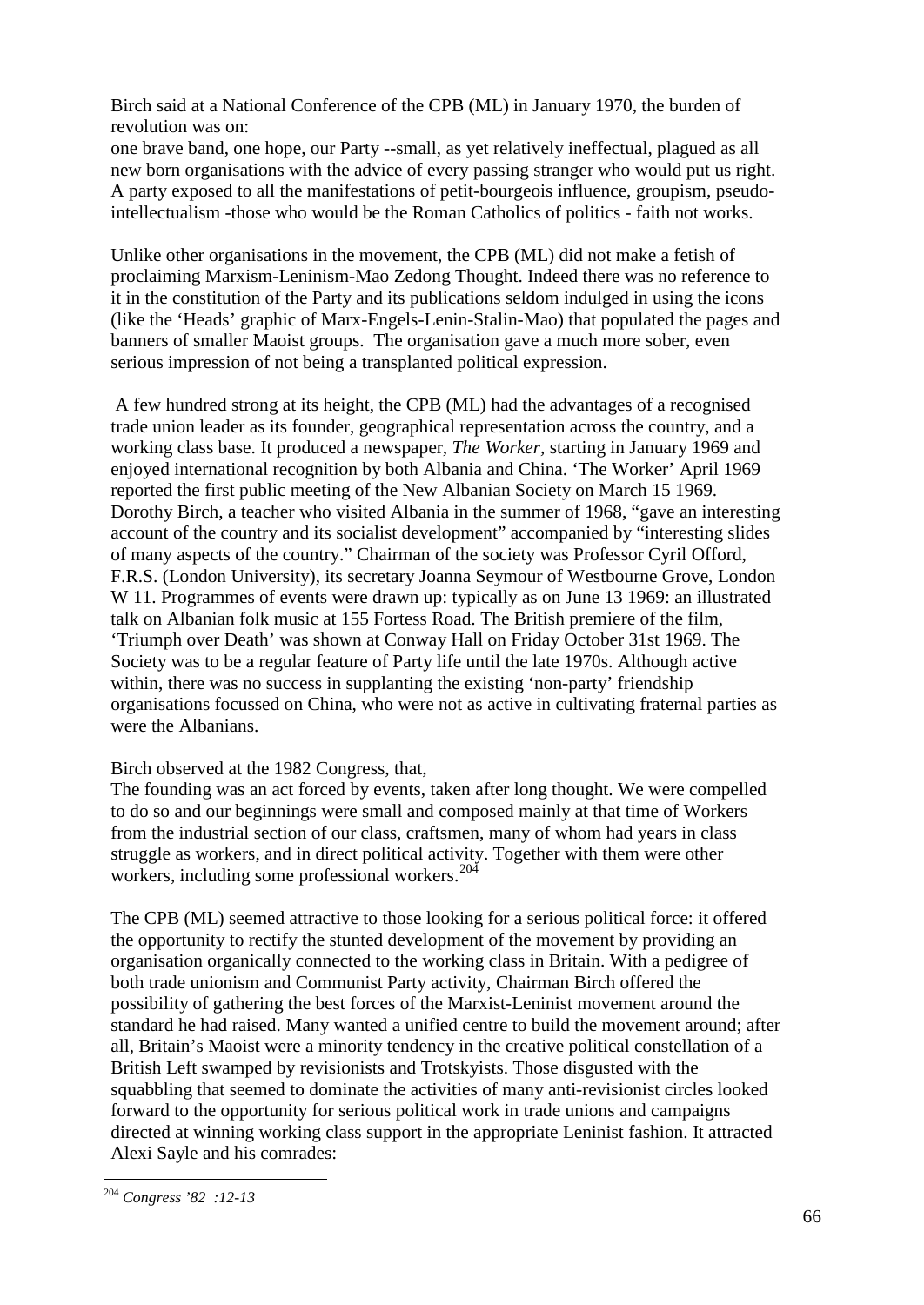Birch said at a National Conference of the CPB (ML) in January 1970, the burden of revolution was on:

one brave band, one hope, our Party --small, as yet relatively ineffectual, plagued as all new born organisations with the advice of every passing stranger who would put us right. A party exposed to all the manifestations of petit-bourgeois influence, groupism, pseudointellectualism -those who would be the Roman Catholics of politics - faith not works.

Unlike other organisations in the movement, the CPB (ML) did not make a fetish of proclaiming Marxism-Leninism-Mao Zedong Thought. Indeed there was no reference to it in the constitution of the Party and its publications seldom indulged in using the icons (like the 'Heads' graphic of Marx-Engels-Lenin-Stalin-Mao) that populated the pages and banners of smaller Maoist groups. The organisation gave a much more sober, even serious impression of not being a transplanted political expression.

A few hundred strong at its height, the CPB (ML) had the advantages of a recognised trade union leader as its founder, geographical representation across the country, and a working class base. It produced a newspaper, *The Worker,* starting in January 1969 and enjoyed international recognition by both Albania and China. 'The Worker' April 1969 reported the first public meeting of the New Albanian Society on March 15 1969. Dorothy Birch, a teacher who visited Albania in the summer of 1968, "gave an interesting account of the country and its socialist development" accompanied by "interesting slides of many aspects of the country." Chairman of the society was Professor Cyril Offord, F.R.S. (London University), its secretary Joanna Seymour of Westbourne Grove, London W 11. Programmes of events were drawn up: typically as on June 13 1969: an illustrated talk on Albanian folk music at 155 Fortess Road. The British premiere of the film, 'Triumph over Death' was shown at Conway Hall on Friday October 31st 1969. The Society was to be a regular feature of Party life until the late 1970s. Although active within, there was no success in supplanting the existing 'non-party' friendship organisations focussed on China, who were not as active in cultivating fraternal parties as were the Albanians.

#### Birch observed at the 1982 Congress, that,

The founding was an act forced by events, taken after long thought. We were compelled to do so and our beginnings were small and composed mainly at that time of Workers from the industrial section of our class, craftsmen, many of whom had years in class struggle as workers, and in direct political activity. Together with them were other workers, including some professional workers. $204$ 

The CPB (ML) seemed attractive to those looking for a serious political force: it offered the opportunity to rectify the stunted development of the movement by providing an organisation organically connected to the working class in Britain. With a pedigree of both trade unionism and Communist Party activity, Chairman Birch offered the possibility of gathering the best forces of the Marxist-Leninist movement around the standard he had raised. Many wanted a unified centre to build the movement around; after all, Britain's Maoist were a minority tendency in the creative political constellation of a British Left swamped by revisionists and Trotskyists. Those disgusted with the squabbling that seemed to dominate the activities of many anti-revisionist circles looked forward to the opportunity for serious political work in trade unions and campaigns directed at winning working class support in the appropriate Leninist fashion. It attracted Alexi Sayle and his comrades:

<span id="page-65-0"></span> <sup>204</sup> *Congress '82 :12-13*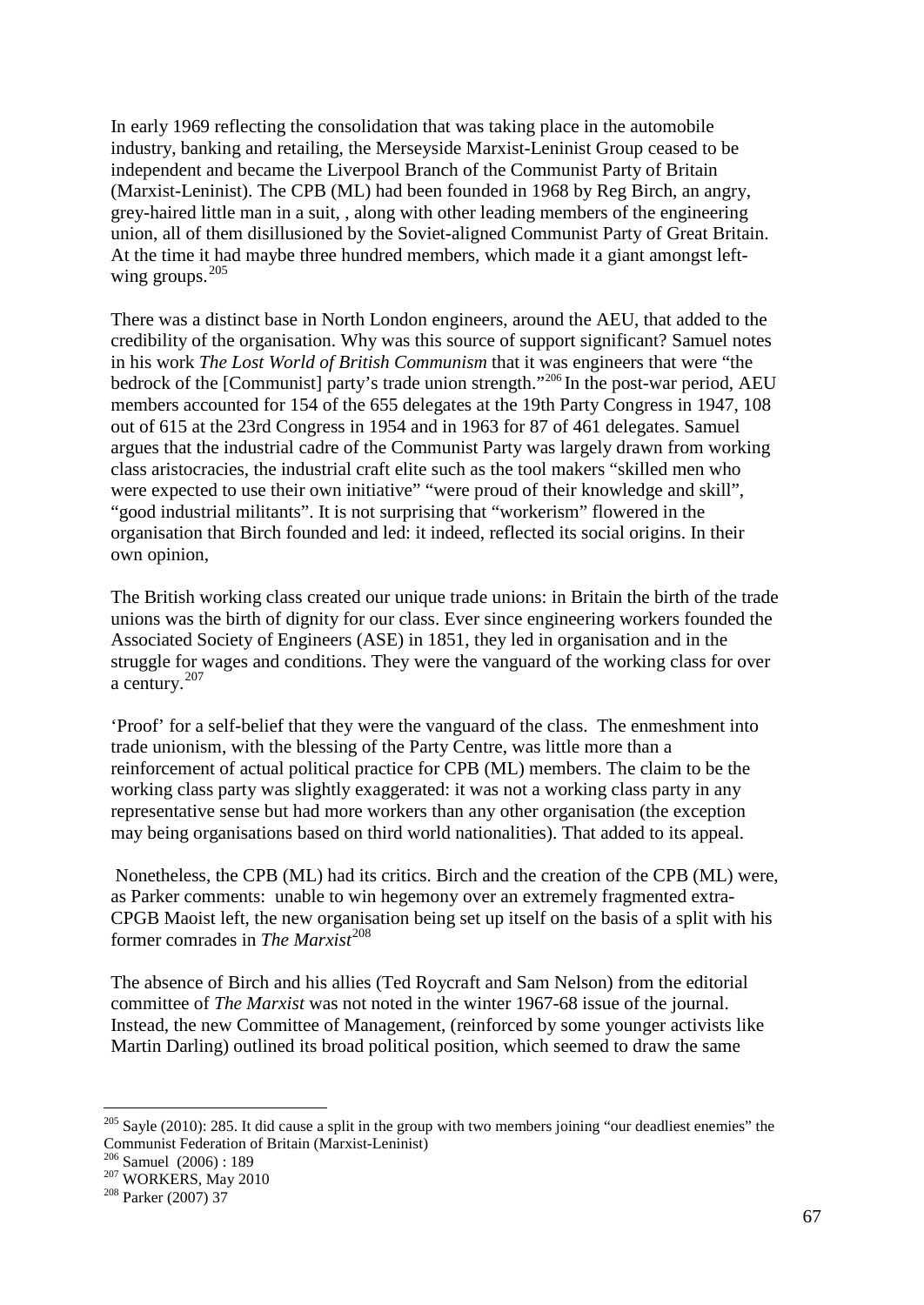In early 1969 reflecting the consolidation that was taking place in the automobile industry, banking and retailing, the Merseyside Marxist-Leninist Group ceased to be independent and became the Liverpool Branch of the Communist Party of Britain (Marxist-Leninist). The CPB (ML) had been founded in 1968 by Reg Birch, an angry, grey-haired little man in a suit, , along with other leading members of the engineering union, all of them disillusioned by the Soviet-aligned Communist Party of Great Britain. At the time it had maybe three hundred members, which made it a giant amongst leftwing groups.  $205$ 

There was a distinct base in North London engineers, around the AEU, that added to the credibility of the organisation. Why was this source of support significant? Samuel notes in his work *The Lost World of British Communism* that it was engineers that were "the bedrock of the [Communist] party's trade union strength."<sup>[206](#page-66-1)</sup> In the post-war period, AEU members accounted for 154 of the 655 delegates at the 19th Party Congress in 1947, 108 out of 615 at the 23rd Congress in 1954 and in 1963 for 87 of 461 delegates. Samuel argues that the industrial cadre of the Communist Party was largely drawn from working class aristocracies, the industrial craft elite such as the tool makers "skilled men who were expected to use their own initiative" "were proud of their knowledge and skill", "good industrial militants". It is not surprising that "workerism" flowered in the organisation that Birch founded and led: it indeed, reflected its social origins. In their own opinion,

The British working class created our unique trade unions: in Britain the birth of the trade unions was the birth of dignity for our class. Ever since engineering workers founded the Associated Society of Engineers (ASE) in 1851, they led in organisation and in the struggle for wages and conditions. They were the vanguard of the working class for over a century. $207$ 

'Proof' for a self-belief that they were the vanguard of the class. The enmeshment into trade unionism, with the blessing of the Party Centre, was little more than a reinforcement of actual political practice for CPB (ML) members. The claim to be the working class party was slightly exaggerated: it was not a working class party in any representative sense but had more workers than any other organisation (the exception may being organisations based on third world nationalities). That added to its appeal.

Nonetheless, the CPB (ML) had its critics. Birch and the creation of the CPB (ML) were, as Parker comments: unable to win hegemony over an extremely fragmented extra-CPGB Maoist left, the new organisation being set up itself on the basis of a split with his former comrades in *The Marxist*<sup>[208](#page-66-3)</sup>

The absence of Birch and his allies (Ted Roycraft and Sam Nelson) from the editorial committee of *The Marxist* was not noted in the winter 1967-68 issue of the journal. Instead, the new Committee of Management, (reinforced by some younger activists like Martin Darling) outlined its broad political position, which seemed to draw the same

<span id="page-66-1"></span>

<span id="page-66-0"></span><sup>&</sup>lt;sup>205</sup> Sayle (2010): 285. It did cause a split in the group with two members joining "our deadliest enemies" the Communist Federation of Britain (Marxist-Leninist)<br><sup>206</sup> Samuel (2006) : 189<br><sup>207</sup> WORKERS, May 2010<br><sup>208</sup> Parker (2007) 37

<span id="page-66-2"></span>

<span id="page-66-3"></span>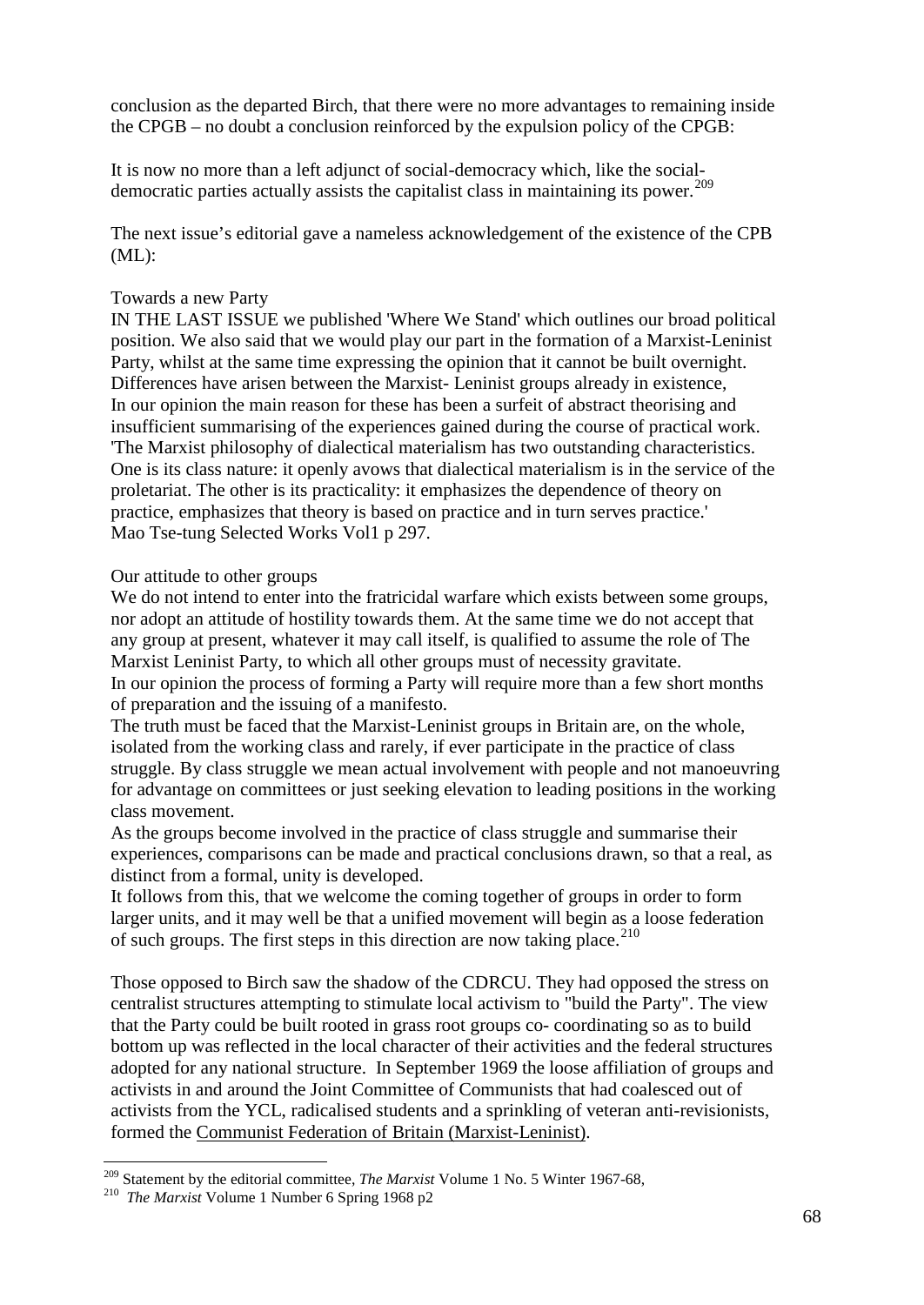conclusion as the departed Birch, that there were no more advantages to remaining inside the CPGB – no doubt a conclusion reinforced by the expulsion policy of the CPGB:

It is now no more than a left adjunct of social-democracy which, like the social-democratic parties actually assists the capitalist class in maintaining its power.<sup>[209](#page-67-0)</sup>

The next issue's editorial gave a nameless acknowledgement of the existence of the CPB  $(ML)$ :

#### Towards a new Party

IN THE LAST ISSUE we published 'Where We Stand' which outlines our broad political position. We also said that we would play our part in the formation of a Marxist-Leninist Party, whilst at the same time expressing the opinion that it cannot be built overnight. Differences have arisen between the Marxist- Leninist groups already in existence, In our opinion the main reason for these has been a surfeit of abstract theorising and insufficient summarising of the experiences gained during the course of practical work. 'The Marxist philosophy of dialectical materialism has two outstanding characteristics. One is its class nature: it openly avows that dialectical materialism is in the service of the proletariat. The other is its practicality: it emphasizes the dependence of theory on practice, emphasizes that theory is based on practice and in turn serves practice.' Mao Tse-tung Selected Works Vol1 p 297.

#### Our attitude to other groups

We do not intend to enter into the fratricidal warfare which exists between some groups, nor adopt an attitude of hostility towards them. At the same time we do not accept that any group at present, whatever it may call itself, is qualified to assume the role of The Marxist Leninist Party, to which all other groups must of necessity gravitate. In our opinion the process of forming a Party will require more than a few short months of preparation and the issuing of a manifesto.

The truth must be faced that the Marxist-Leninist groups in Britain are, on the whole, isolated from the working class and rarely, if ever participate in the practice of class struggle. By class struggle we mean actual involvement with people and not manoeuvring for advantage on committees or just seeking elevation to leading positions in the working class movement.

As the groups become involved in the practice of class struggle and summarise their experiences, comparisons can be made and practical conclusions drawn, so that a real, as distinct from a formal, unity is developed.

It follows from this, that we welcome the coming together of groups in order to form larger units, and it may well be that a unified movement will begin as a loose federation of such groups. The first steps in this direction are now taking place. $210$ 

Those opposed to Birch saw the shadow of the CDRCU. They had opposed the stress on centralist structures attempting to stimulate local activism to "build the Party". The view that the Party could be built rooted in grass root groups co- coordinating so as to build bottom up was reflected in the local character of their activities and the federal structures adopted for any national structure. In September 1969 the loose affiliation of groups and activists in and around the Joint Committee of Communists that had coalesced out of activists from the YCL, radicalised students and a sprinkling of veteran anti-revisionists, formed the Communist Federation of Britain (Marxist-Leninist).

<span id="page-67-0"></span><sup>&</sup>lt;sup>209</sup> Statement by the editorial committee, *The Marxist* Volume 1 No. 5 Winter 1967-68, <sup>210</sup> *The Marxist* Volume 1 Number 6 Spring 1968 p2

<span id="page-67-1"></span>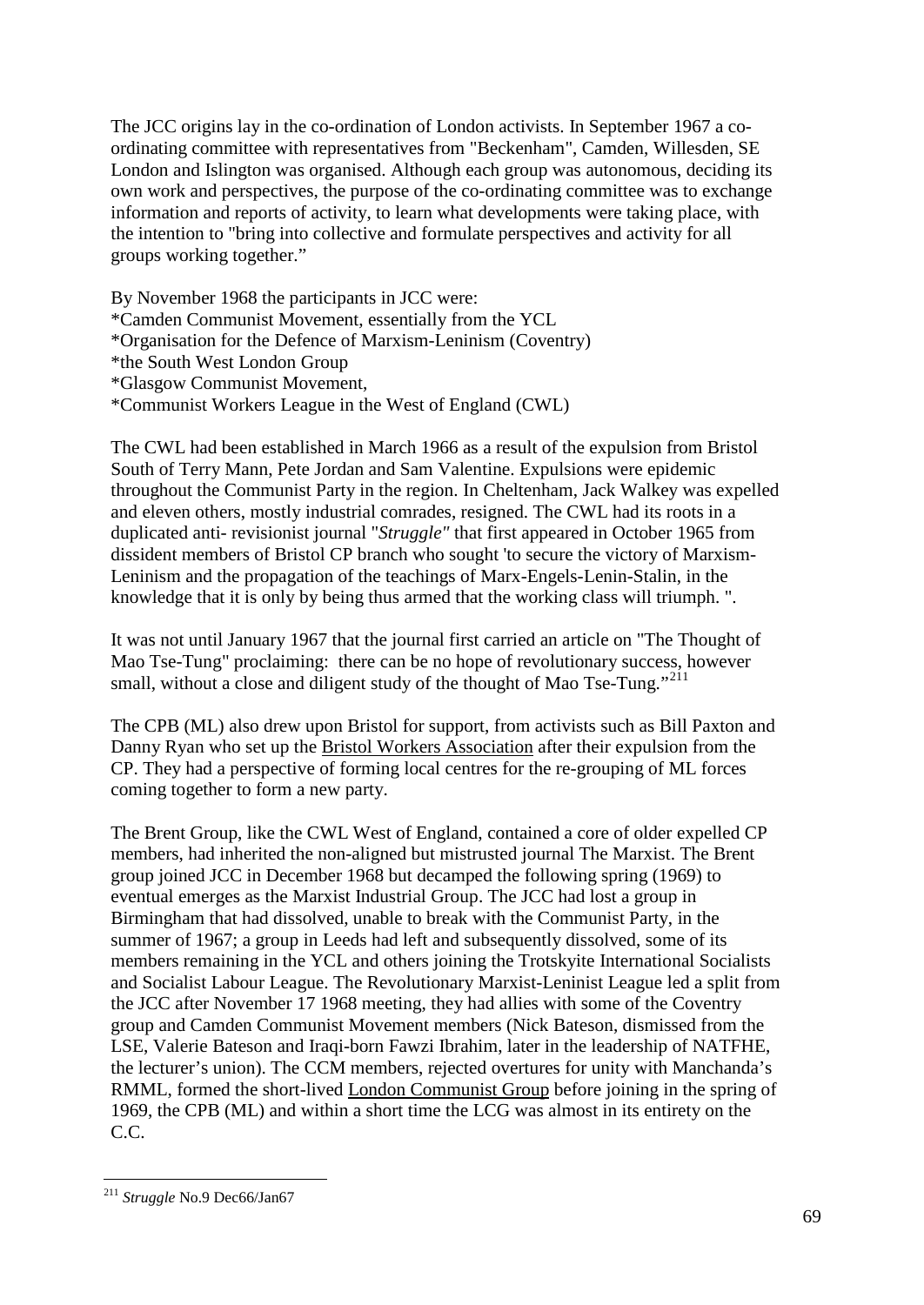The JCC origins lay in the co-ordination of London activists. In September 1967 a coordinating committee with representatives from "Beckenham", Camden, Willesden, SE London and Islington was organised. Although each group was autonomous, deciding its own work and perspectives, the purpose of the co-ordinating committee was to exchange information and reports of activity, to learn what developments were taking place, with the intention to "bring into collective and formulate perspectives and activity for all groups working together."

By November 1968 the participants in JCC were: \*Camden Communist Movement, essentially from the YCL \*Organisation for the Defence of Marxism-Leninism (Coventry) \*the South West London Group \*Glasgow Communist Movement, \*Communist Workers League in the West of England (CWL)

The CWL had been established in March 1966 as a result of the expulsion from Bristol South of Terry Mann, Pete Jordan and Sam Valentine. Expulsions were epidemic throughout the Communist Party in the region. In Cheltenham, Jack Walkey was expelled and eleven others, mostly industrial comrades, resigned. The CWL had its roots in a duplicated anti- revisionist journal "*Struggle"* that first appeared in October 1965 from dissident members of Bristol CP branch who sought 'to secure the victory of Marxism-Leninism and the propagation of the teachings of Marx-Engels-Lenin-Stalin, in the knowledge that it is only by being thus armed that the working class will triumph. ".

It was not until January 1967 that the journal first carried an article on "The Thought of Mao Tse-Tung" proclaiming: there can be no hope of revolutionary success, however small, without a close and diligent study of the thought of Mao Tse-Tung."<sup>[211](#page-68-0)</sup>

The CPB (ML) also drew upon Bristol for support, from activists such as Bill Paxton and Danny Ryan who set up the Bristol Workers Association after their expulsion from the CP. They had a perspective of forming local centres for the re-grouping of ML forces coming together to form a new party.

The Brent Group, like the CWL West of England, contained a core of older expelled CP members, had inherited the non-aligned but mistrusted journal The Marxist. The Brent group joined JCC in December 1968 but decamped the following spring (1969) to eventual emerges as the Marxist Industrial Group. The JCC had lost a group in Birmingham that had dissolved, unable to break with the Communist Party, in the summer of 1967; a group in Leeds had left and subsequently dissolved, some of its members remaining in the YCL and others joining the Trotskyite International Socialists and Socialist Labour League. The Revolutionary Marxist-Leninist League led a split from the JCC after November 17 1968 meeting, they had allies with some of the Coventry group and Camden Communist Movement members (Nick Bateson, dismissed from the LSE, Valerie Bateson and Iraqi-born Fawzi Ibrahim, later in the leadership of NATFHE, the lecturer's union). The CCM members, rejected overtures for unity with Manchanda's RMML, formed the short-lived London Communist Group before joining in the spring of 1969, the CPB (ML) and within a short time the LCG was almost in its entirety on the C.C.

<span id="page-68-0"></span> <sup>211</sup> *Struggle* No.9 Dec66/Jan67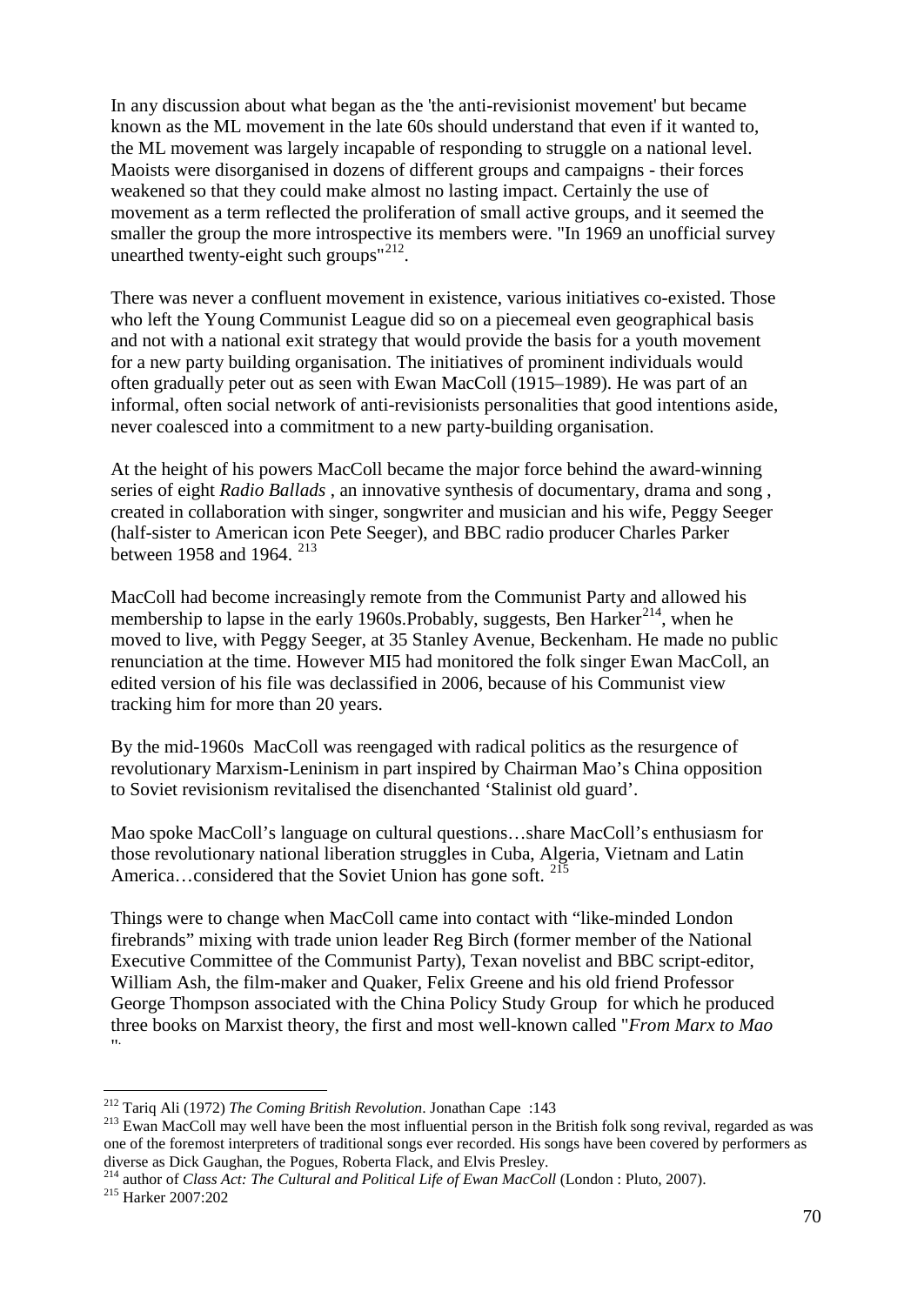In any discussion about what began as the 'the anti-revisionist movement' but became known as the ML movement in the late 60s should understand that even if it wanted to, the ML movement was largely incapable of responding to struggle on a national level. Maoists were disorganised in dozens of different groups and campaigns - their forces weakened so that they could make almost no lasting impact. Certainly the use of movement as a term reflected the proliferation of small active groups, and it seemed the smaller the group the more introspective its members were. "In 1969 an unofficial survey unearthed twenty-eight such groups"[212.](#page-69-0)

There was never a confluent movement in existence, various initiatives co-existed. Those who left the Young Communist League did so on a piecemeal even geographical basis and not with a national exit strategy that would provide the basis for a youth movement for a new party building organisation. The initiatives of prominent individuals would often gradually peter out as seen with Ewan MacColl (1915–1989). He was part of an informal, often social network of anti-revisionists personalities that good intentions aside, never coalesced into a commitment to a new party-building organisation.

At the height of his powers MacColl became the major force behind the award-winning series of eight *Radio Ballads* , an innovative synthesis of documentary, drama and song , created in collaboration with singer, songwriter and musician and his wife, Peggy Seeger (half-sister to American icon Pete Seeger), and BBC radio producer Charles Parker between 1958 and 1964.<sup>[213](#page-69-1)</sup>

MacColl had become increasingly remote from the Communist Party and allowed his membership to lapse in the early 1960s. Probably, suggests, Ben Harker<sup>214</sup>, when he moved to live, with Peggy Seeger, at 35 Stanley Avenue, Beckenham. He made no public renunciation at the time. However MI5 had monitored the folk singer Ewan MacColl, an edited version of his file was declassified in 2006, because of his Communist view tracking him for more than 20 years.

By the mid-1960s MacColl was reengaged with radical politics as the resurgence of revolutionary Marxism-Leninism in part inspired by Chairman Mao's China opposition to Soviet revisionism revitalised the disenchanted 'Stalinist old guard'.

Mao spoke MacColl's language on cultural questions…share MacColl's enthusiasm for those revolutionary national liberation struggles in Cuba, Algeria, Vietnam and Latin America...considered that the Soviet Union has gone soft. <sup>[215](#page-69-3)</sup>

Things were to change when MacColl came into contact with "like-minded London firebrands" mixing with trade union leader Reg Birch (former member of the National Executive Committee of the Communist Party), Texan novelist and BBC script-editor, William Ash, the film-maker and Quaker, Felix Greene and his old friend Professor George Thompson associated with the China Policy Study Group for which he produced three books on Marxist theory, the first and most well-known called "*From Marx to Mao* " .

<span id="page-69-1"></span><span id="page-69-0"></span><sup>&</sup>lt;sup>212</sup> Tariq Ali (1972) *The Coming British Revolution*. Jonathan Cape :143<br><sup>213</sup> Ewan MacColl may well have been the most influential person in the British folk song revival, regarded as was one of the foremost interpreters of traditional songs ever recorded. His songs have been covered by performers as diverse as Dick Gaughan, the Pogues, Roberta Flack, and Elvis Presley.<br><sup>214</sup> author of *Class Act: The Cultural and Political Life of Ewan MacColl* (London : Pluto, 2007).<br><sup>215</sup> Harker 2007:202

<span id="page-69-3"></span><span id="page-69-2"></span>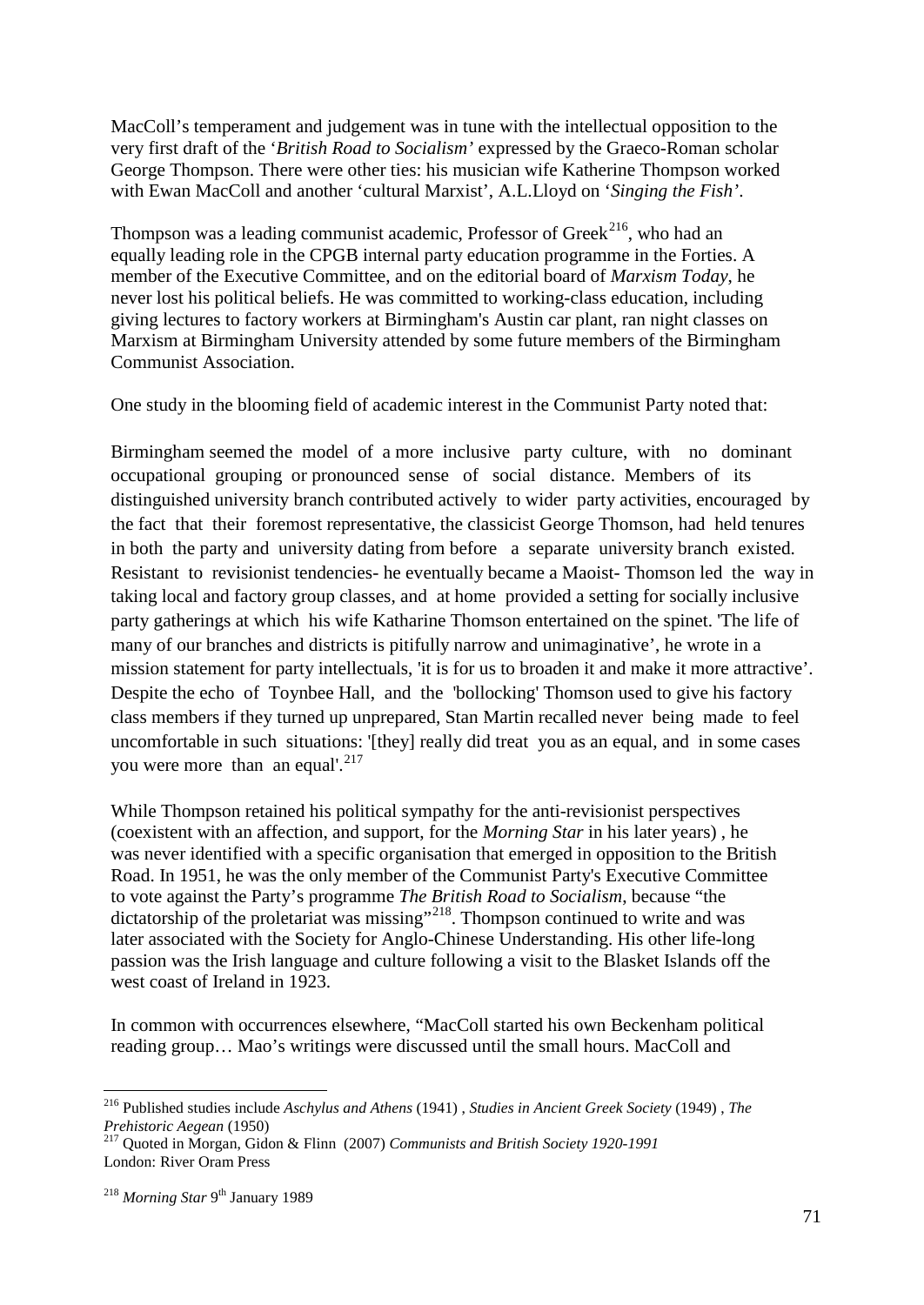MacColl's temperament and judgement was in tune with the intellectual opposition to the very first draft of the '*British Road to Socialism'* expressed by the Graeco-Roman scholar George Thompson. There were other ties: his musician wife Katherine Thompson worked with Ewan MacColl and another 'cultural Marxist', A.L.Lloyd on '*Singing the Fish'*.

Thompson was a leading communist academic, Professor of Greek<sup>[216](#page-70-0)</sup>, who had an equally leading role in the CPGB internal party education programme in the Forties. A member of the Executive Committee, and on the editorial board of *Marxism Today*, he never lost his political beliefs. He was committed to working-class education, including giving lectures to factory workers at Birmingham's Austin car plant, ran night classes on Marxism at Birmingham University attended by some future members of the Birmingham Communist Association.

One study in the blooming field of academic interest in the Communist Party noted that:

Birmingham seemed the model of a more inclusive party culture, with no dominant occupational grouping or pronounced sense of social distance. Members of its distinguished university branch contributed actively to wider party activities, encouraged by the fact that their foremost representative, the classicist George Thomson, had held tenures in both the party and university dating from before a separate university branch existed. Resistant to revisionist tendencies- he eventually became a Maoist- Thomson led the way in taking local and factory group classes, and at home provided a setting for socially inclusive party gatherings at which his wife Katharine Thomson entertained on the spinet. 'The life of many of our branches and districts is pitifully narrow and unimaginative', he wrote in a mission statement for party intellectuals, 'it is for us to broaden it and make it more attractive'. Despite the echo of Toynbee Hall, and the 'bollocking' Thomson used to give his factory class members if they turned up unprepared, Stan Martin recalled never being made to feel uncomfortable in such situations: '[they] really did treat you as an equal, and in some cases you were more than an equal'. $^{217}$  $^{217}$  $^{217}$ 

While Thompson retained his political sympathy for the anti-revisionist perspectives (coexistent with an affection, and support, for the *Morning Star* in his later years) , he was never identified with a specific organisation that emerged in opposition to the British Road. In 1951, he was the only member of the Communist Party's Executive Committee to vote against the Party's programme *The British Road to Socialism*, because "the dictatorship of the proletariat was missing"<sup>[218](#page-70-2)</sup>. Thompson continued to write and was later associated with the Society for Anglo-Chinese Understanding. His other life-long passion was the Irish language and culture following a visit to the Blasket Islands off the west coast of Ireland in 1923.

In common with occurrences elsewhere, "MacColl started his own Beckenham political reading group… Mao's writings were discussed until the small hours. MacColl and

<span id="page-70-0"></span> <sup>216</sup> Published studies include *Aschylus and Athens* (1941) , *Studies in Ancient Greek Society* (1949) , *The Prehistoric Aegean* (1950) <sup>217</sup> Quoted in Morgan, Gidon & Flinn (2007) *Communists and British Society 1920-1991*

<span id="page-70-2"></span><span id="page-70-1"></span>London: River Oram Press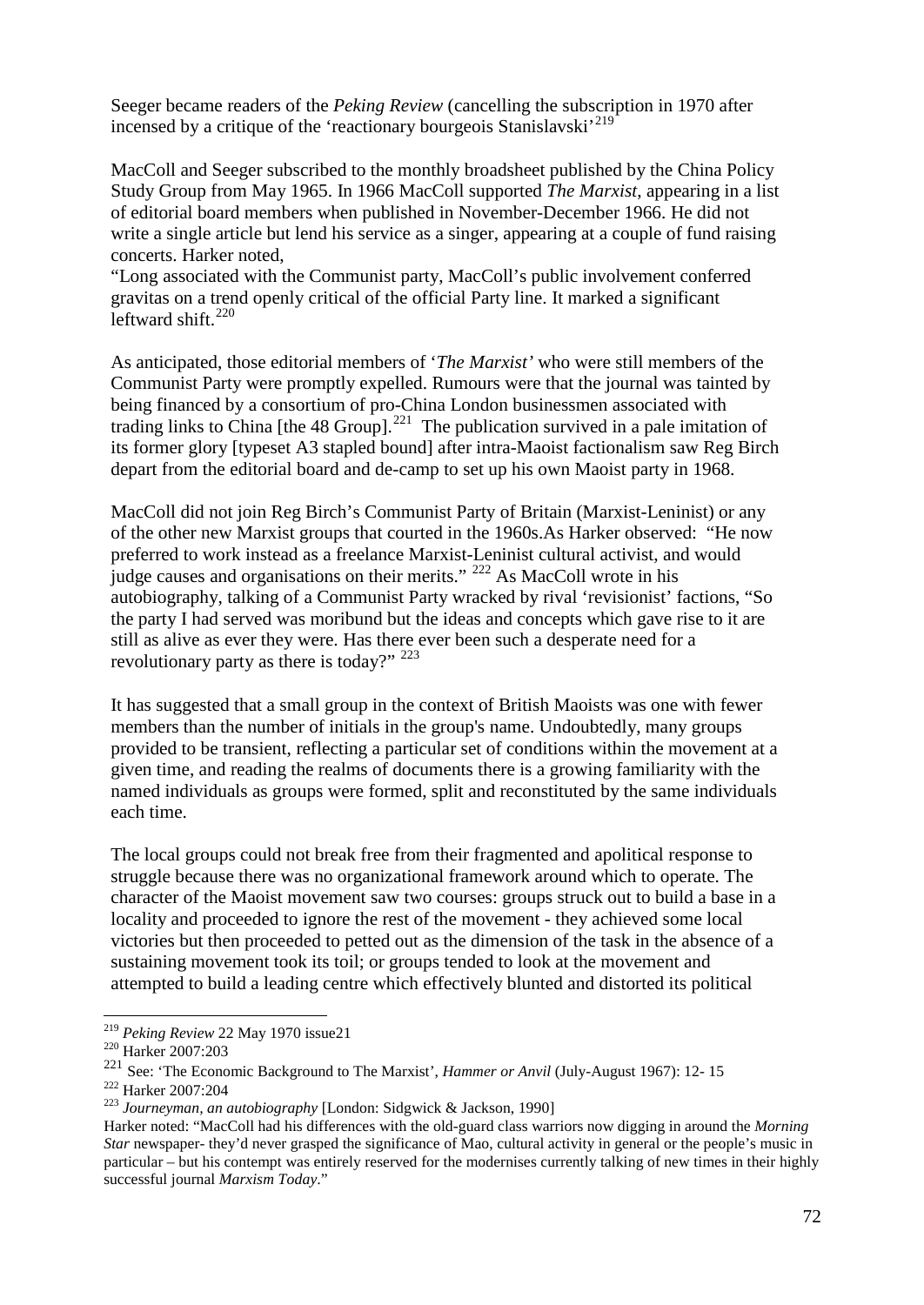Seeger became readers of the *Peking Review* (cancelling the subscription in 1970 after incensed by a critique of the 'reactionary bourgeois Stanislavski'<sup>[219](#page-71-0)</sup>

MacColl and Seeger subscribed to the monthly broadsheet published by the China Policy Study Group from May 1965. In 1966 MacColl supported *The Marxist*, appearing in a list of editorial board members when published in November-December 1966. He did not write a single article but lend his service as a singer, appearing at a couple of fund raising concerts. Harker noted,

"Long associated with the Communist party, MacColl's public involvement conferred gravitas on a trend openly critical of the official Party line. It marked a significant leftward shift. $^{220}$  $^{220}$  $^{220}$ 

As anticipated, those editorial members of '*The Marxist'* who were still members of the Communist Party were promptly expelled. Rumours were that the journal was tainted by being financed by a consortium of pro-China London businessmen associated with trading links to China [the 48 Group].<sup>[221](#page-71-2)</sup> The publication survived in a pale imitation of its former glory [typeset A3 stapled bound] after intra-Maoist factionalism saw Reg Birch depart from the editorial board and de-camp to set up his own Maoist party in 1968.

MacColl did not join Reg Birch's Communist Party of Britain (Marxist-Leninist) or any of the other new Marxist groups that courted in the 1960s.As Harker observed: "He now preferred to work instead as a freelance Marxist-Leninist cultural activist, and would judge causes and organisations on their merits." [222](#page-71-3) As MacColl wrote in his autobiography, talking of a Communist Party wracked by rival 'revisionist' factions, "So the party I had served was moribund but the ideas and concepts which gave rise to it are still as alive as ever they were. Has there ever been such a desperate need for a revolutionary party as there is today?"  $223$ 

It has suggested that a small group in the context of British Maoists was one with fewer members than the number of initials in the group's name. Undoubtedly, many groups provided to be transient, reflecting a particular set of conditions within the movement at a given time, and reading the realms of documents there is a growing familiarity with the named individuals as groups were formed, split and reconstituted by the same individuals each time.

The local groups could not break free from their fragmented and apolitical response to struggle because there was no organizational framework around which to operate. The character of the Maoist movement saw two courses: groups struck out to build a base in a locality and proceeded to ignore the rest of the movement - they achieved some local victories but then proceeded to petted out as the dimension of the task in the absence of a sustaining movement took its toil; or groups tended to look at the movement and attempted to build a leading centre which effectively blunted and distorted its political

<span id="page-71-0"></span><sup>&</sup>lt;sup>219</sup> *Peking Review* 22 May 1970 issue21<br><sup>220</sup> Harker 2007:203

<span id="page-71-2"></span><span id="page-71-1"></span><sup>221</sup> See: 'The Economic Background to The Marxist', *Hammer or Anvil* (July-August 1967): 12-15<br><sup>222</sup> Harker 2007:204

<span id="page-71-4"></span><span id="page-71-3"></span><sup>&</sup>lt;sup>223</sup> Journeyman, an autobiography [London: Sidgwick & Jackson, 1990]

Harker noted: "MacColl had his differences with the old-guard class warriors now digging in around the *Morning Star* newspaper- they'd never grasped the significance of Mao, cultural activity in general or the people's music in particular – but his contempt was entirely reserved for the modernises currently talking of new times in their highly successful journal *Marxism Today*."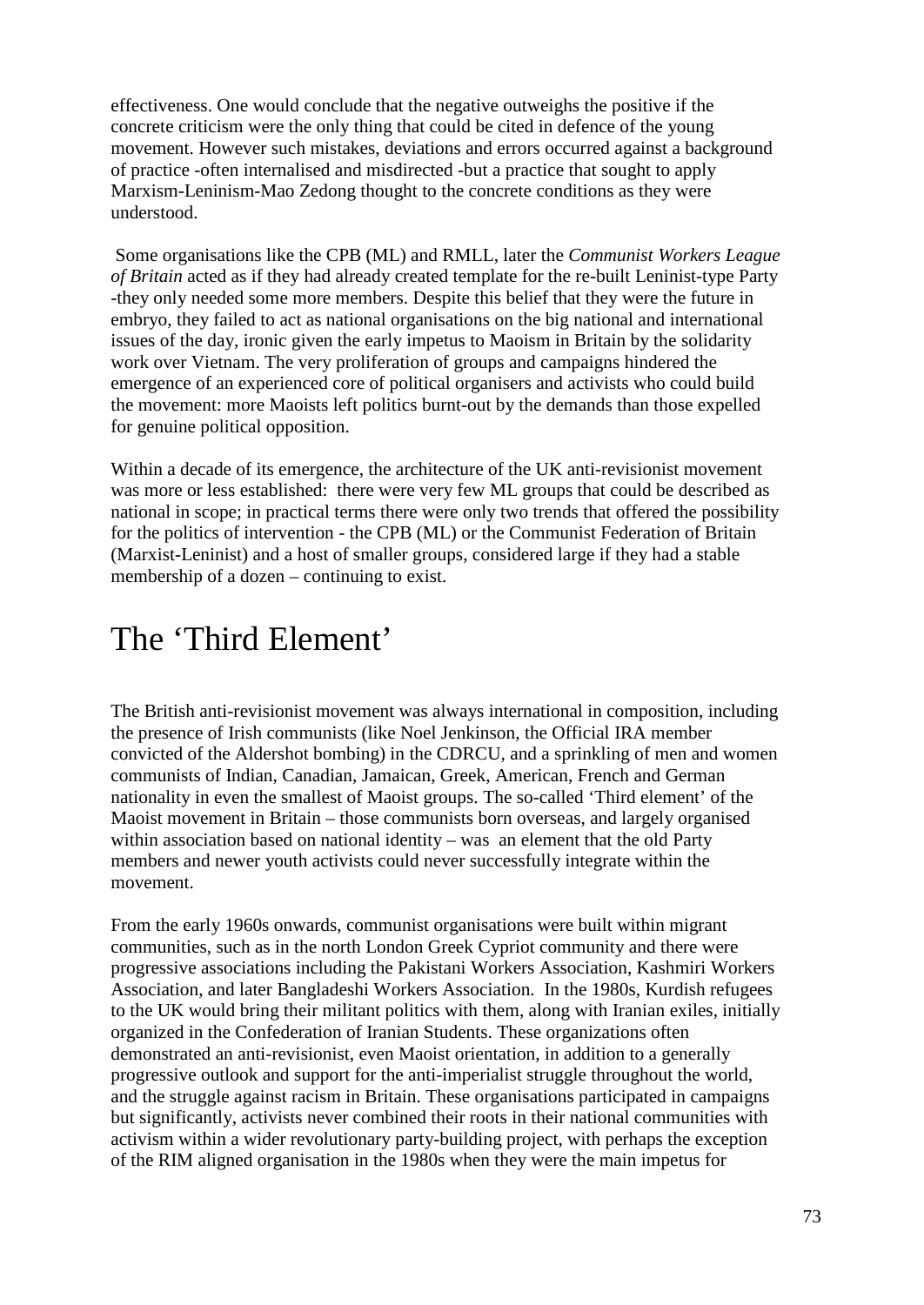effectiveness. One would conclude that the negative outweighs the positive if the concrete criticism were the only thing that could be cited in defence of the young movement. However such mistakes, deviations and errors occurred against a background of practice -often internalised and misdirected -but a practice that sought to apply Marxism-Leninism-Mao Zedong thought to the concrete conditions as they were understood.

Some organisations like the CPB (ML) and RMLL, later the *Communist Workers League of Britain* acted as if they had already created template for the re-built Leninist-type Party -they only needed some more members. Despite this belief that they were the future in embryo, they failed to act as national organisations on the big national and international issues of the day, ironic given the early impetus to Maoism in Britain by the solidarity work over Vietnam. The very proliferation of groups and campaigns hindered the emergence of an experienced core of political organisers and activists who could build the movement: more Maoists left politics burnt-out by the demands than those expelled for genuine political opposition.

Within a decade of its emergence, the architecture of the UK anti-revisionist movement was more or less established: there were very few ML groups that could be described as national in scope; in practical terms there were only two trends that offered the possibility for the politics of intervention - the CPB (ML) or the Communist Federation of Britain (Marxist-Leninist) and a host of smaller groups, considered large if they had a stable membership of a dozen – continuing to exist.

## The 'Third Element'

The British anti-revisionist movement was always international in composition, including the presence of Irish communists (like Noel Jenkinson, the Official IRA member convicted of the Aldershot bombing) in the CDRCU, and a sprinkling of men and women communists of Indian, Canadian, Jamaican, Greek, American, French and German nationality in even the smallest of Maoist groups. The so-called 'Third element' of the Maoist movement in Britain – those communists born overseas, and largely organised within association based on national identity – was an element that the old Party members and newer youth activists could never successfully integrate within the movement.

From the early 1960s onwards, communist organisations were built within migrant communities, such as in the north London Greek Cypriot community and there were progressive associations including the Pakistani Workers Association, Kashmiri Workers Association, and later Bangladeshi Workers Association. In the 1980s, Kurdish refugees to the UK would bring their militant politics with them, along with Iranian exiles, initially organized in the Confederation of Iranian Students. These organizations often demonstrated an anti-revisionist, even Maoist orientation, in addition to a generally progressive outlook and support for the anti-imperialist struggle throughout the world, and the struggle against racism in Britain. These organisations participated in campaigns but significantly, activists never combined their roots in their national communities with activism within a wider revolutionary party-building project, with perhaps the exception of the RIM aligned organisation in the 1980s when they were the main impetus for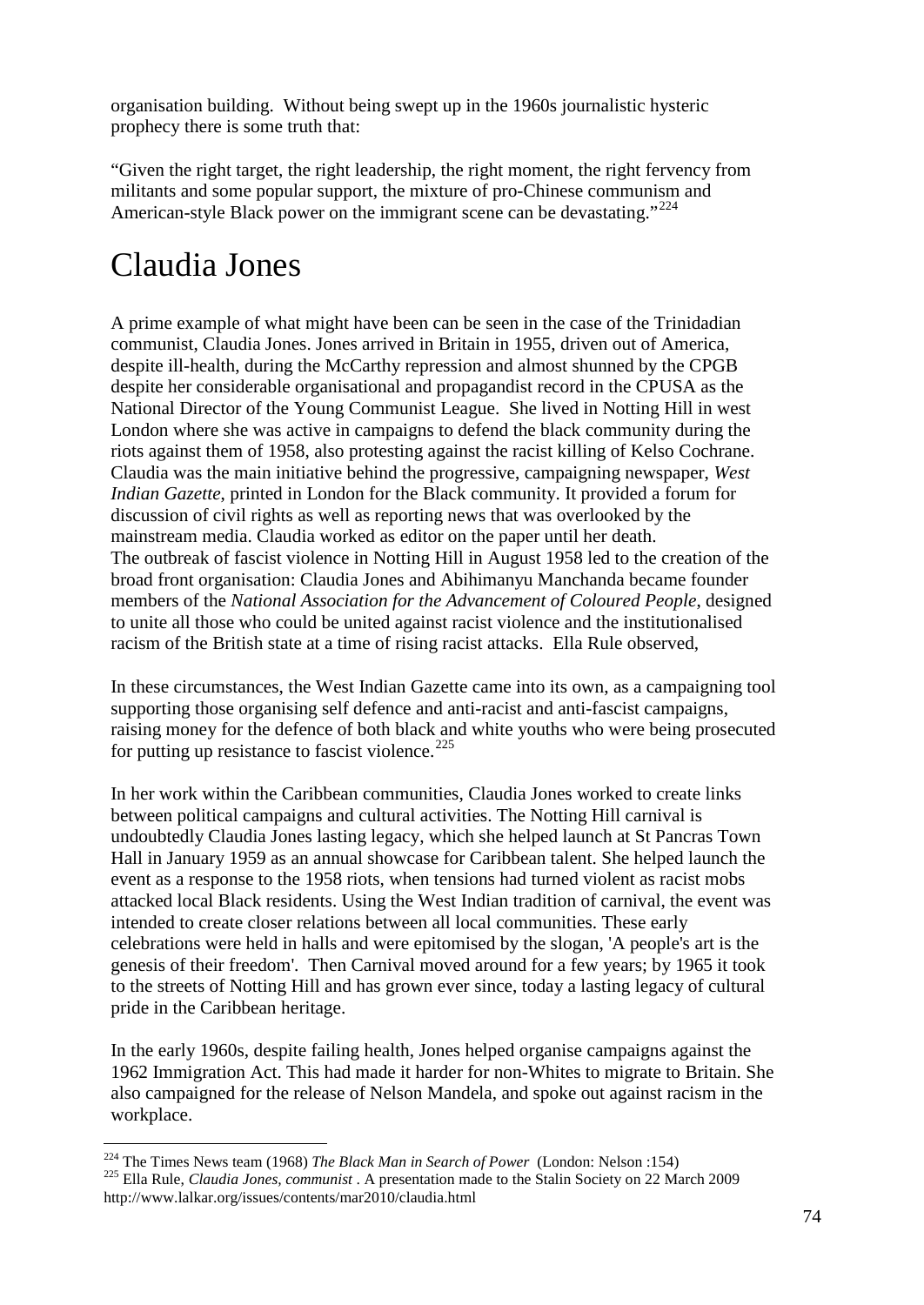organisation building. Without being swept up in the 1960s journalistic hysteric prophecy there is some truth that:

"Given the right target, the right leadership, the right moment, the right fervency from militants and some popular support, the mixture of pro-Chinese communism and American-style Black power on the immigrant scene can be devastating."<sup>[224](#page-73-0)</sup>

## Claudia Jones

A prime example of what might have been can be seen in the case of the Trinidadian communist, Claudia Jones. Jones arrived in Britain in 1955, driven out of America, despite ill-health, during the McCarthy repression and almost shunned by the CPGB despite her considerable organisational and propagandist record in the CPUSA as the National Director of the Young Communist League. She lived in Notting Hill in west London where she was active in campaigns to defend the black community during the riots against them of 1958, also protesting against the racist killing of Kelso Cochrane. Claudia was the main initiative behind the progressive, campaigning newspaper, *West Indian Gazette*, printed in London for the Black community. It provided a forum for discussion of civil rights as well as reporting news that was overlooked by the mainstream media. Claudia worked as editor on the paper until her death. The outbreak of fascist violence in Notting Hill in August 1958 led to the creation of the broad front organisation: Claudia Jones and Abihimanyu Manchanda became founder members of the *National Association for the Advancement of Coloured People*, designed to unite all those who could be united against racist violence and the institutionalised racism of the British state at a time of rising racist attacks. Ella Rule observed,

In these circumstances, the West Indian Gazette came into its own, as a campaigning tool supporting those organising self defence and anti-racist and anti-fascist campaigns, raising money for the defence of both black and white youths who were being prosecuted for putting up resistance to fascist violence. $^{225}$  $^{225}$  $^{225}$ 

In her work within the Caribbean communities, Claudia Jones worked to create links between political campaigns and cultural activities. The Notting Hill carnival is undoubtedly Claudia Jones lasting legacy, which she helped launch at St Pancras Town Hall in January 1959 as an annual showcase for Caribbean talent. She helped launch the event as a response to the 1958 riots, when tensions had turned violent as racist mobs attacked local Black residents. Using the West Indian tradition of carnival, the event was intended to create closer relations between all local communities. These early celebrations were held in halls and were epitomised by the slogan, 'A people's art is the genesis of their freedom'. Then Carnival moved around for a few years; by 1965 it took to the streets of Notting Hill and has grown ever since, today a lasting legacy of cultural pride in the Caribbean heritage.

In the early 1960s, despite failing health, Jones helped organise campaigns against the 1962 Immigration Act. This had made it harder for non-Whites to migrate to Britain. She also campaigned for the release of Nelson Mandela, and spoke out against racism in the workplace.

<span id="page-73-1"></span><span id="page-73-0"></span><sup>&</sup>lt;sup>224</sup> The Times News team (1968) *The Black Man in Search of Power* (London: Nelson :154)<br><sup>225</sup> Ella Rule, *Claudia Jones, communist* . A presentation made to the Stalin Society on 22 March 2009 http://www.lalkar.org/issues/contents/mar2010/claudia.html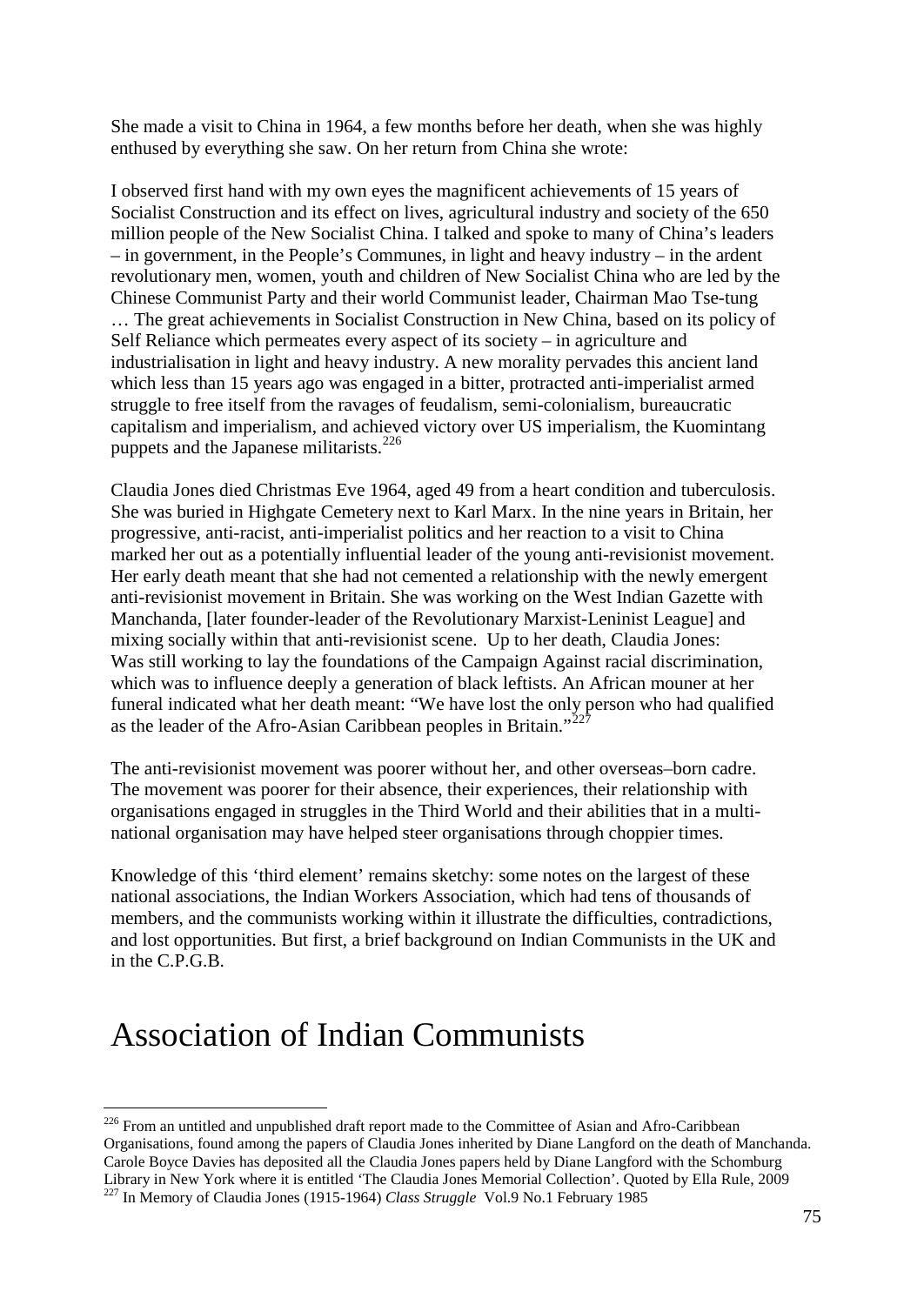She made a visit to China in 1964, a few months before her death, when she was highly enthused by everything she saw. On her return from China she wrote:

I observed first hand with my own eyes the magnificent achievements of 15 years of Socialist Construction and its effect on lives, agricultural industry and society of the 650 million people of the New Socialist China. I talked and spoke to many of China's leaders – in government, in the People's Communes, in light and heavy industry – in the ardent revolutionary men, women, youth and children of New Socialist China who are led by the Chinese Communist Party and their world Communist leader, Chairman Mao Tse-tung … The great achievements in Socialist Construction in New China, based on its policy of Self Reliance which permeates every aspect of its society – in agriculture and industrialisation in light and heavy industry. A new morality pervades this ancient land which less than 15 years ago was engaged in a bitter, protracted anti-imperialist armed struggle to free itself from the ravages of feudalism, semi-colonialism, bureaucratic capitalism and imperialism, and achieved victory over US imperialism, the Kuomintang puppets and the Japanese militarists.<sup>[226](#page-74-0)</sup>

Claudia Jones died Christmas Eve 1964, aged 49 from a heart condition and tuberculosis. She was buried in Highgate Cemetery next to Karl Marx. In the nine years in Britain, her progressive, anti-racist, anti-imperialist politics and her reaction to a visit to China marked her out as a potentially influential leader of the young anti-revisionist movement. Her early death meant that she had not cemented a relationship with the newly emergent anti-revisionist movement in Britain. She was working on the West Indian Gazette with Manchanda, [later founder-leader of the Revolutionary Marxist-Leninist League] and mixing socially within that anti-revisionist scene. Up to her death, Claudia Jones: Was still working to lay the foundations of the Campaign Against racial discrimination, which was to influence deeply a generation of black leftists. An African mouner at her funeral indicated what her death meant: "We have lost the only person who had qualified as the leader of the Afro-Asian Caribbean peoples in Britain."<sup>[227](#page-74-1)</sup>

The anti-revisionist movement was poorer without her, and other overseas–born cadre. The movement was poorer for their absence, their experiences, their relationship with organisations engaged in struggles in the Third World and their abilities that in a multinational organisation may have helped steer organisations through choppier times.

Knowledge of this 'third element' remains sketchy: some notes on the largest of these national associations, the Indian Workers Association, which had tens of thousands of members, and the communists working within it illustrate the difficulties, contradictions, and lost opportunities. But first, a brief background on Indian Communists in the UK and in the C.P.G.B.

## Association of Indian Communists

<span id="page-74-1"></span><span id="page-74-0"></span><sup>&</sup>lt;sup>226</sup> From an untitled and unpublished draft report made to the Committee of Asian and Afro-Caribbean Organisations, found among the papers of Claudia Jones inherited by Diane Langford on the death of Manchanda. Carole Boyce Davies has deposited all the Claudia Jones papers held by Diane Langford with the Schomburg<br>Library in New York where it is entitled 'The Claudia Jones Memorial Collection'. Ouoted by Ella Rule, 2009 <sup>227</sup> In Memory of Claudia Jones (1915-1964) *Class Struggle* Vol.9 No.1 February 1985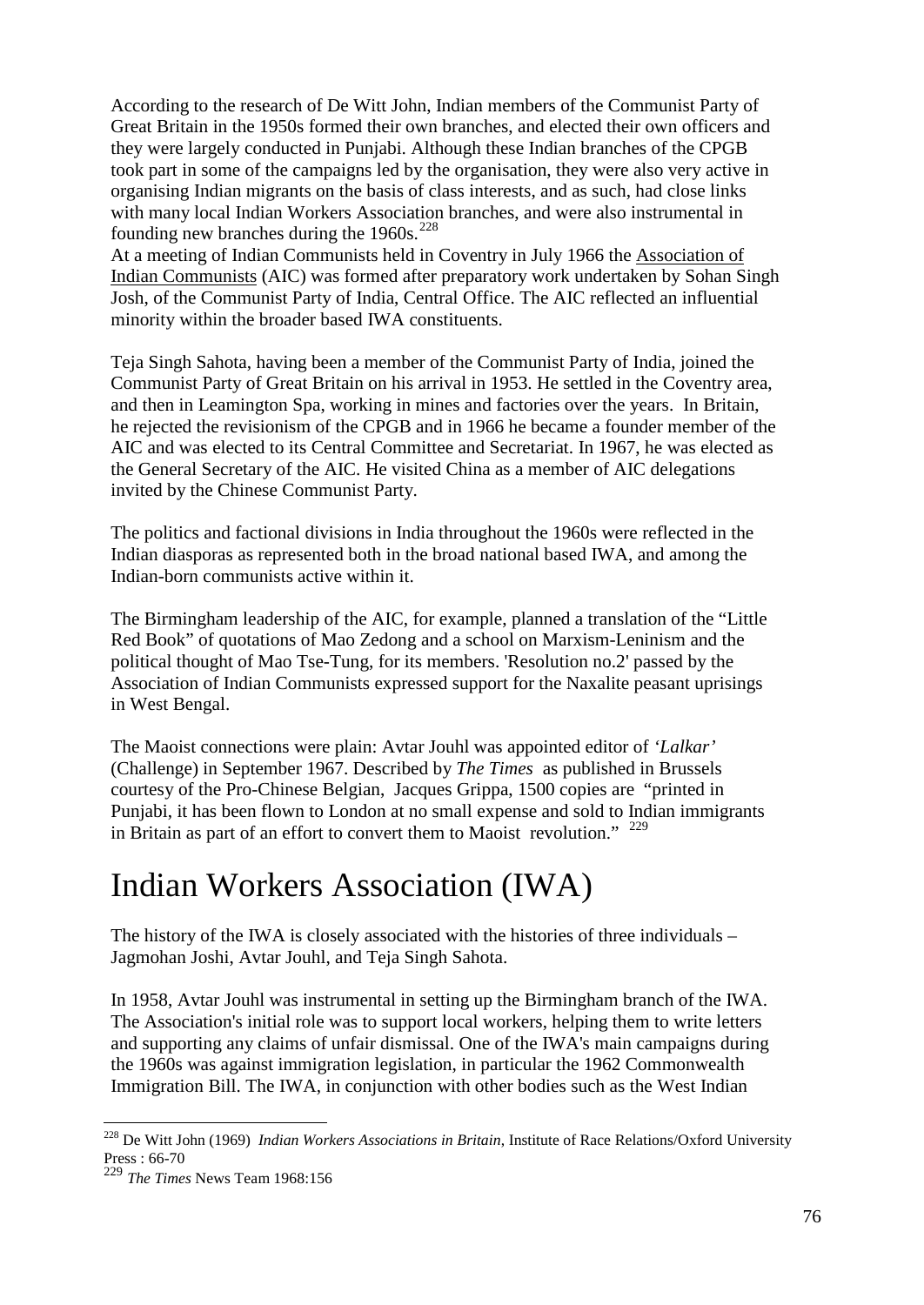According to the research of De Witt John, Indian members of the Communist Party of Great Britain in the 1950s formed their own branches, and elected their own officers and they were largely conducted in Punjabi. Although these Indian branches of the CPGB took part in some of the campaigns led by the organisation, they were also very active in organising Indian migrants on the basis of class interests, and as such, had close links with many local Indian Workers Association branches, and were also instrumental in founding new branches during the  $1960s$ .<sup>[228](#page-75-0)</sup>

At a meeting of Indian Communists held in Coventry in July 1966 the Association of Indian Communists (AIC) was formed after preparatory work undertaken by Sohan Singh Josh, of the Communist Party of India, Central Office. The AIC reflected an influential minority within the broader based IWA constituents.

Teja Singh Sahota, having been a member of the Communist Party of India, joined the Communist Party of Great Britain on his arrival in 1953. He settled in the Coventry area, and then in Leamington Spa, working in mines and factories over the years. In Britain, he rejected the revisionism of the CPGB and in 1966 he became a founder member of the AIC and was elected to its Central Committee and Secretariat. In 1967, he was elected as the General Secretary of the AIC. He visited China as a member of AIC delegations invited by the Chinese Communist Party.

The politics and factional divisions in India throughout the 1960s were reflected in the Indian diasporas as represented both in the broad national based IWA, and among the Indian-born communists active within it.

The Birmingham leadership of the AIC, for example, planned a translation of the "Little Red Book" of quotations of Mao Zedong and a school on Marxism-Leninism and the political thought of Mao Tse-Tung, for its members. 'Resolution no.2' passed by the Association of Indian Communists expressed support for the Naxalite peasant uprisings in West Bengal.

The Maoist connections were plain: Avtar Jouhl was appointed editor of *'Lalkar'* (Challenge) in September 1967. Described by *The Times* as published in Brussels courtesy of the Pro-Chinese Belgian, Jacques Grippa, 1500 copies are "printed in Punjabi, it has been flown to London at no small expense and sold to Indian immigrants in Britain as part of an effort to convert them to Maoist revolution."  $229$ 

## Indian Workers Association (IWA)

The history of the IWA is closely associated with the histories of three individuals – Jagmohan Joshi, Avtar Jouhl, and Teja Singh Sahota.

In 1958, Avtar Jouhl was instrumental in setting up the Birmingham branch of the IWA. The Association's initial role was to support local workers, helping them to write letters and supporting any claims of unfair dismissal. One of the IWA's main campaigns during the 1960s was against immigration legislation, in particular the 1962 Commonwealth Immigration Bill. The IWA, in conjunction with other bodies such as the West Indian

<span id="page-75-0"></span> <sup>228</sup> De Witt John (1969) *Indian Workers Associations in Britain*, Institute of Race Relations/Oxford University Press : 66-70

<span id="page-75-1"></span><sup>229</sup> *The Times* News Team 1968:156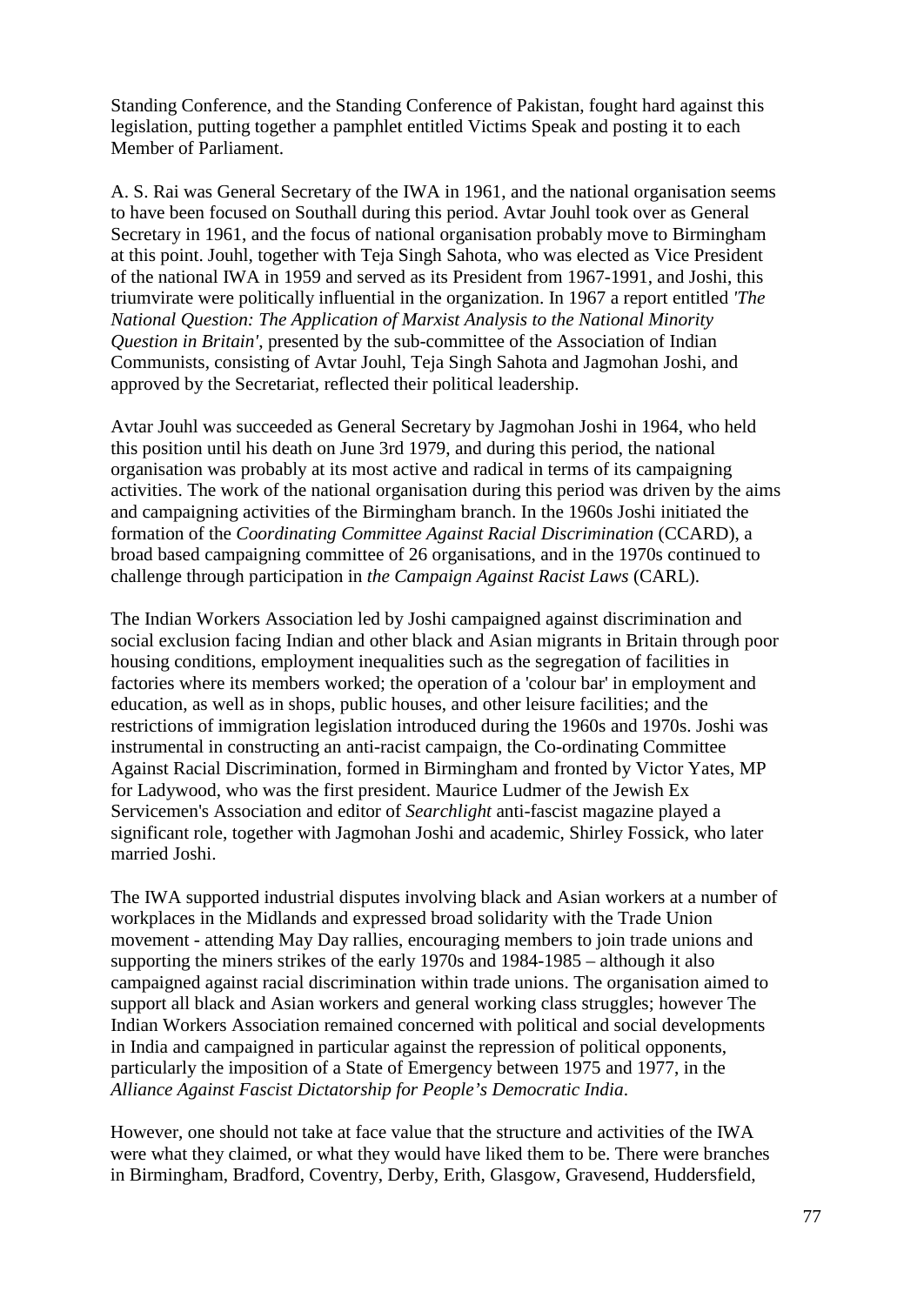Standing Conference, and the Standing Conference of Pakistan, fought hard against this legislation, putting together a pamphlet entitled Victims Speak and posting it to each Member of Parliament.

A. S. Rai was General Secretary of the IWA in 1961, and the national organisation seems to have been focused on Southall during this period. Avtar Jouhl took over as General Secretary in 1961, and the focus of national organisation probably move to Birmingham at this point. Jouhl, together with Teja Singh Sahota, who was elected as Vice President of the national IWA in 1959 and served as its President from 1967-1991, and Joshi, this triumvirate were politically influential in the organization. In 1967 a report entitled *'The National Question: The Application of Marxist Analysis to the National Minority Question in Britain'*, presented by the sub-committee of the Association of Indian Communists, consisting of Avtar Jouhl, Teja Singh Sahota and Jagmohan Joshi, and approved by the Secretariat, reflected their political leadership.

Avtar Jouhl was succeeded as General Secretary by Jagmohan Joshi in 1964, who held this position until his death on June 3rd 1979, and during this period, the national organisation was probably at its most active and radical in terms of its campaigning activities. The work of the national organisation during this period was driven by the aims and campaigning activities of the Birmingham branch. In the 1960s Joshi initiated the formation of the *Coordinating Committee Against Racial Discrimination* (CCARD), a broad based campaigning committee of 26 organisations, and in the 1970s continued to challenge through participation in *the Campaign Against Racist Laws* (CARL).

The Indian Workers Association led by Joshi campaigned against discrimination and social exclusion facing Indian and other black and Asian migrants in Britain through poor housing conditions, employment inequalities such as the segregation of facilities in factories where its members worked; the operation of a 'colour bar' in employment and education, as well as in shops, public houses, and other leisure facilities; and the restrictions of immigration legislation introduced during the 1960s and 1970s. Joshi was instrumental in constructing an anti-racist campaign, the Co-ordinating Committee Against Racial Discrimination, formed in Birmingham and fronted by Victor Yates, MP for Ladywood, who was the first president. Maurice Ludmer of the Jewish Ex Servicemen's Association and editor of *Searchlight* anti-fascist magazine played a significant role, together with Jagmohan Joshi and academic, Shirley Fossick, who later married Joshi.

The IWA supported industrial disputes involving black and Asian workers at a number of workplaces in the Midlands and expressed broad solidarity with the Trade Union movement - attending May Day rallies, encouraging members to join trade unions and supporting the miners strikes of the early 1970s and 1984-1985 – although it also campaigned against racial discrimination within trade unions. The organisation aimed to support all black and Asian workers and general working class struggles; however The Indian Workers Association remained concerned with political and social developments in India and campaigned in particular against the repression of political opponents, particularly the imposition of a State of Emergency between 1975 and 1977, in the *Alliance Against Fascist Dictatorship for People's Democratic India*.

However, one should not take at face value that the structure and activities of the IWA were what they claimed, or what they would have liked them to be. There were branches in Birmingham, Bradford, Coventry, Derby, Erith, Glasgow, Gravesend, Huddersfield,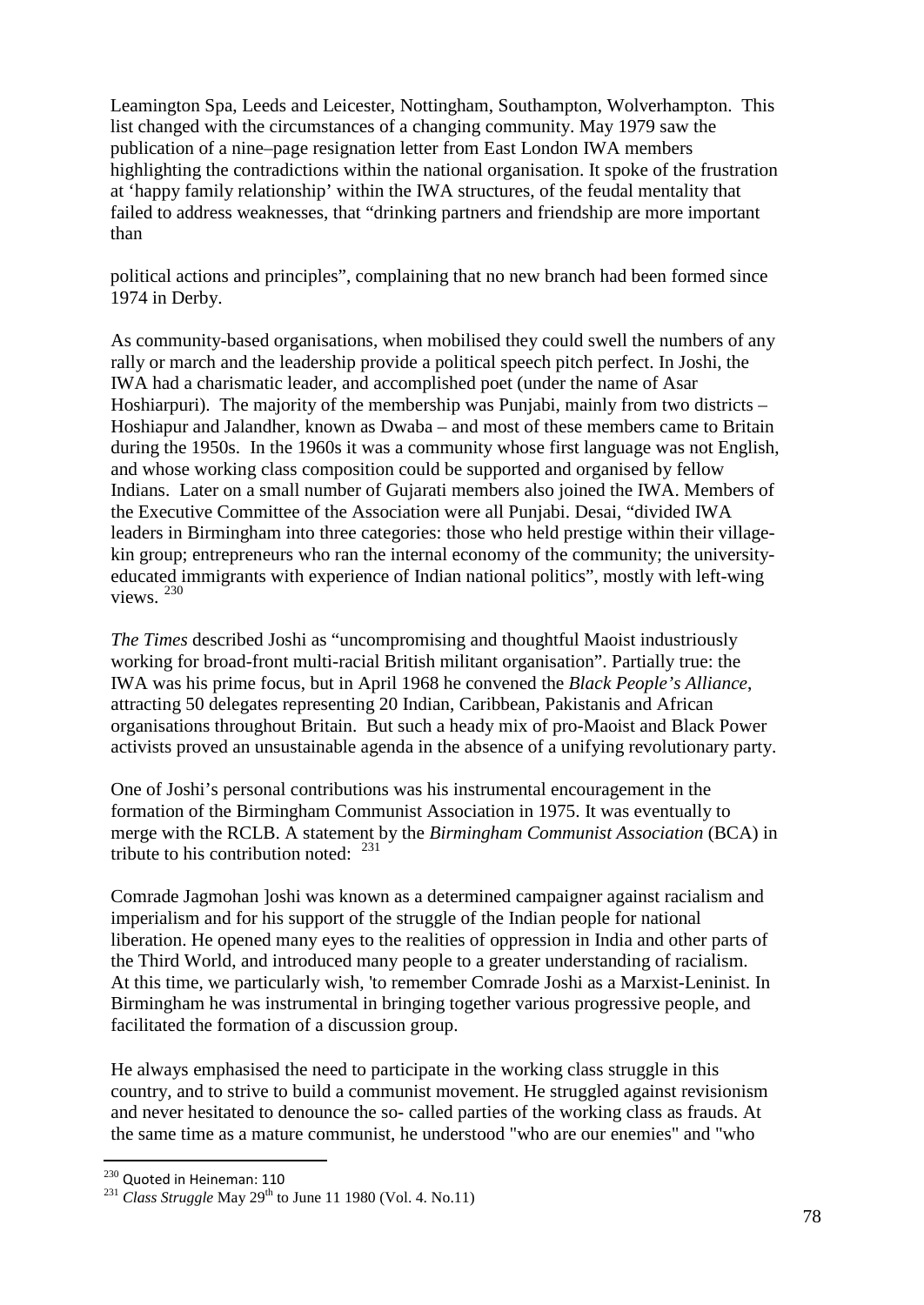Leamington Spa, Leeds and Leicester, Nottingham, Southampton, Wolverhampton. This list changed with the circumstances of a changing community. May 1979 saw the publication of a nine–page resignation letter from East London IWA members highlighting the contradictions within the national organisation. It spoke of the frustration at 'happy family relationship' within the IWA structures, of the feudal mentality that failed to address weaknesses, that "drinking partners and friendship are more important than

political actions and principles", complaining that no new branch had been formed since 1974 in Derby.

As community-based organisations, when mobilised they could swell the numbers of any rally or march and the leadership provide a political speech pitch perfect. In Joshi, the IWA had a charismatic leader, and accomplished poet (under the name of Asar Hoshiarpuri). The majority of the membership was Punjabi, mainly from two districts – Hoshiapur and Jalandher, known as Dwaba – and most of these members came to Britain during the 1950s. In the 1960s it was a community whose first language was not English, and whose working class composition could be supported and organised by fellow Indians. Later on a small number of Gujarati members also joined the IWA. Members of the Executive Committee of the Association were all Punjabi. Desai, "divided IWA leaders in Birmingham into three categories: those who held prestige within their villagekin group; entrepreneurs who ran the internal economy of the community; the universityeducated immigrants with experience of Indian national politics", mostly with left-wing views. [230](#page-77-0)

*The Times* described Joshi as "uncompromising and thoughtful Maoist industriously working for broad-front multi-racial British militant organisation". Partially true: the IWA was his prime focus, but in April 1968 he convened the *Black People's Alliance*, attracting 50 delegates representing 20 Indian, Caribbean, Pakistanis and African organisations throughout Britain. But such a heady mix of pro-Maoist and Black Power activists proved an unsustainable agenda in the absence of a unifying revolutionary party.

One of Joshi's personal contributions was his instrumental encouragement in the formation of the Birmingham Communist Association in 1975. It was eventually to merge with the RCLB. A statement by the *Birmingham Communist Association* (BCA) in tribute to his contribution noted:  $^{231}$  $^{231}$  $^{231}$ 

Comrade Jagmohan ]oshi was known as a determined campaigner against racialism and imperialism and for his support of the struggle of the Indian people for national liberation. He opened many eyes to the realities of oppression in India and other parts of the Third World, and introduced many people to a greater understanding of racialism. At this time, we particularly wish, 'to remember Comrade Joshi as a Marxist-Leninist. In Birmingham he was instrumental in bringing together various progressive people, and facilitated the formation of a discussion group.

He always emphasised the need to participate in the working class struggle in this country, and to strive to build a communist movement. He struggled against revisionism and never hesitated to denounce the so- called parties of the working class as frauds. At the same time as a mature communist, he understood "who are our enemies" and "who

<span id="page-77-1"></span><span id="page-77-0"></span><sup>&</sup>lt;sup>230</sup> Quoted in Heineman: 110<br><sup>231</sup> *Class Struggle* May 29<sup>th</sup> to June 11 1980 (Vol. 4. No.11)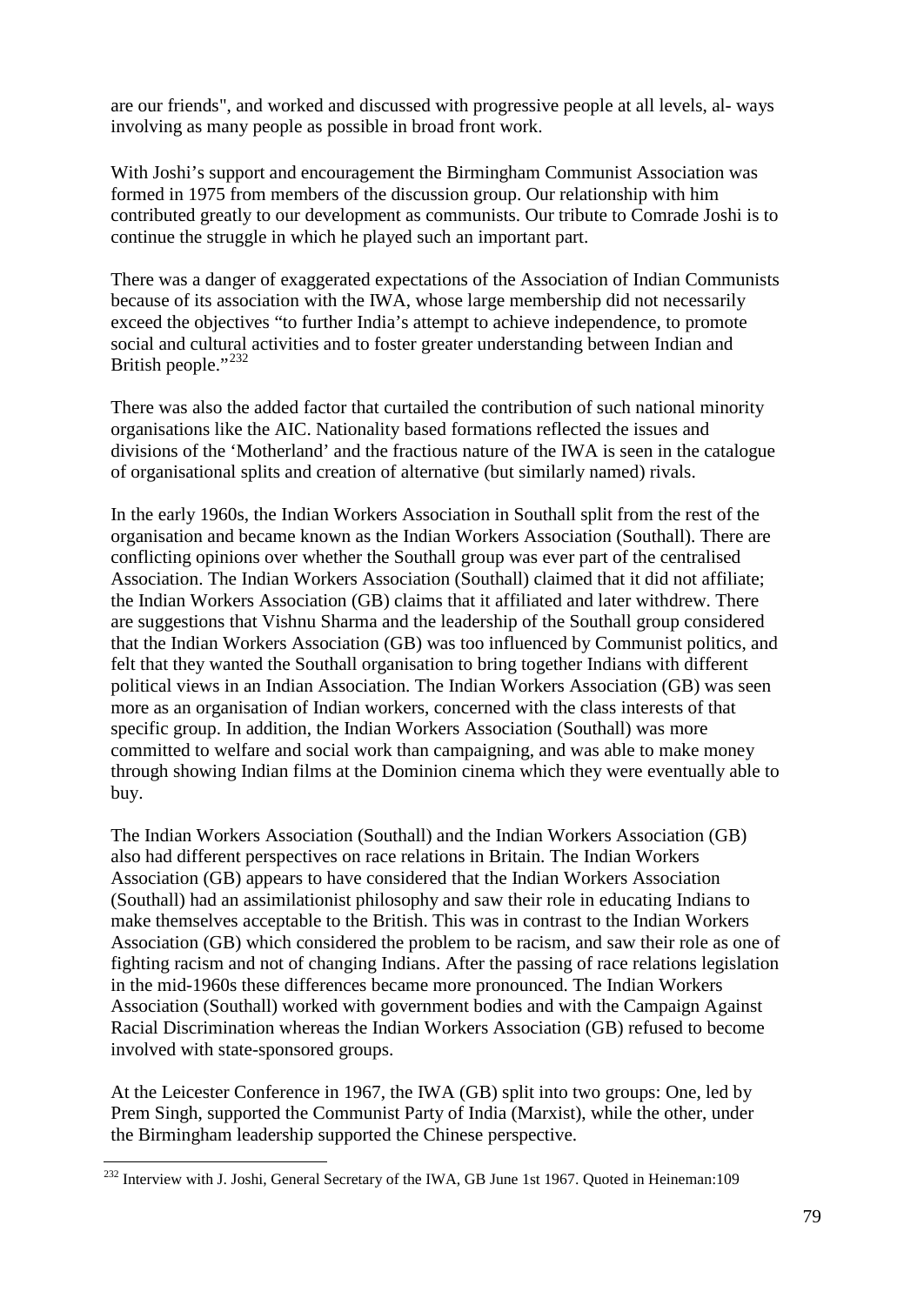are our friends", and worked and discussed with progressive people at all levels, al- ways involving as many people as possible in broad front work.

With Joshi's support and encouragement the Birmingham Communist Association was formed in 1975 from members of the discussion group. Our relationship with him contributed greatly to our development as communists. Our tribute to Comrade Joshi is to continue the struggle in which he played such an important part.

There was a danger of exaggerated expectations of the Association of Indian Communists because of its association with the IWA, whose large membership did not necessarily exceed the objectives "to further India's attempt to achieve independence, to promote social and cultural activities and to foster greater understanding between Indian and British people." $^{232}$  $^{232}$  $^{232}$ 

There was also the added factor that curtailed the contribution of such national minority organisations like the AIC. Nationality based formations reflected the issues and divisions of the 'Motherland' and the fractious nature of the IWA is seen in the catalogue of organisational splits and creation of alternative (but similarly named) rivals.

In the early 1960s, the Indian Workers Association in Southall split from the rest of the organisation and became known as the Indian Workers Association (Southall). There are conflicting opinions over whether the Southall group was ever part of the centralised Association. The Indian Workers Association (Southall) claimed that it did not affiliate; the Indian Workers Association (GB) claims that it affiliated and later withdrew. There are suggestions that Vishnu Sharma and the leadership of the Southall group considered that the Indian Workers Association (GB) was too influenced by Communist politics, and felt that they wanted the Southall organisation to bring together Indians with different political views in an Indian Association. The Indian Workers Association (GB) was seen more as an organisation of Indian workers, concerned with the class interests of that specific group. In addition, the Indian Workers Association (Southall) was more committed to welfare and social work than campaigning, and was able to make money through showing Indian films at the Dominion cinema which they were eventually able to buy.

The Indian Workers Association (Southall) and the Indian Workers Association (GB) also had different perspectives on race relations in Britain. The Indian Workers Association (GB) appears to have considered that the Indian Workers Association (Southall) had an assimilationist philosophy and saw their role in educating Indians to make themselves acceptable to the British. This was in contrast to the Indian Workers Association (GB) which considered the problem to be racism, and saw their role as one of fighting racism and not of changing Indians. After the passing of race relations legislation in the mid-1960s these differences became more pronounced. The Indian Workers Association (Southall) worked with government bodies and with the Campaign Against Racial Discrimination whereas the Indian Workers Association (GB) refused to become involved with state-sponsored groups.

At the Leicester Conference in 1967, the IWA (GB) split into two groups: One, led by Prem Singh, supported the Communist Party of India (Marxist), while the other, under the Birmingham leadership supported the Chinese perspective.

<span id="page-78-0"></span><sup>&</sup>lt;sup>232</sup> Interview with J. Joshi, General Secretary of the IWA, GB June 1st 1967. Quoted in Heineman:109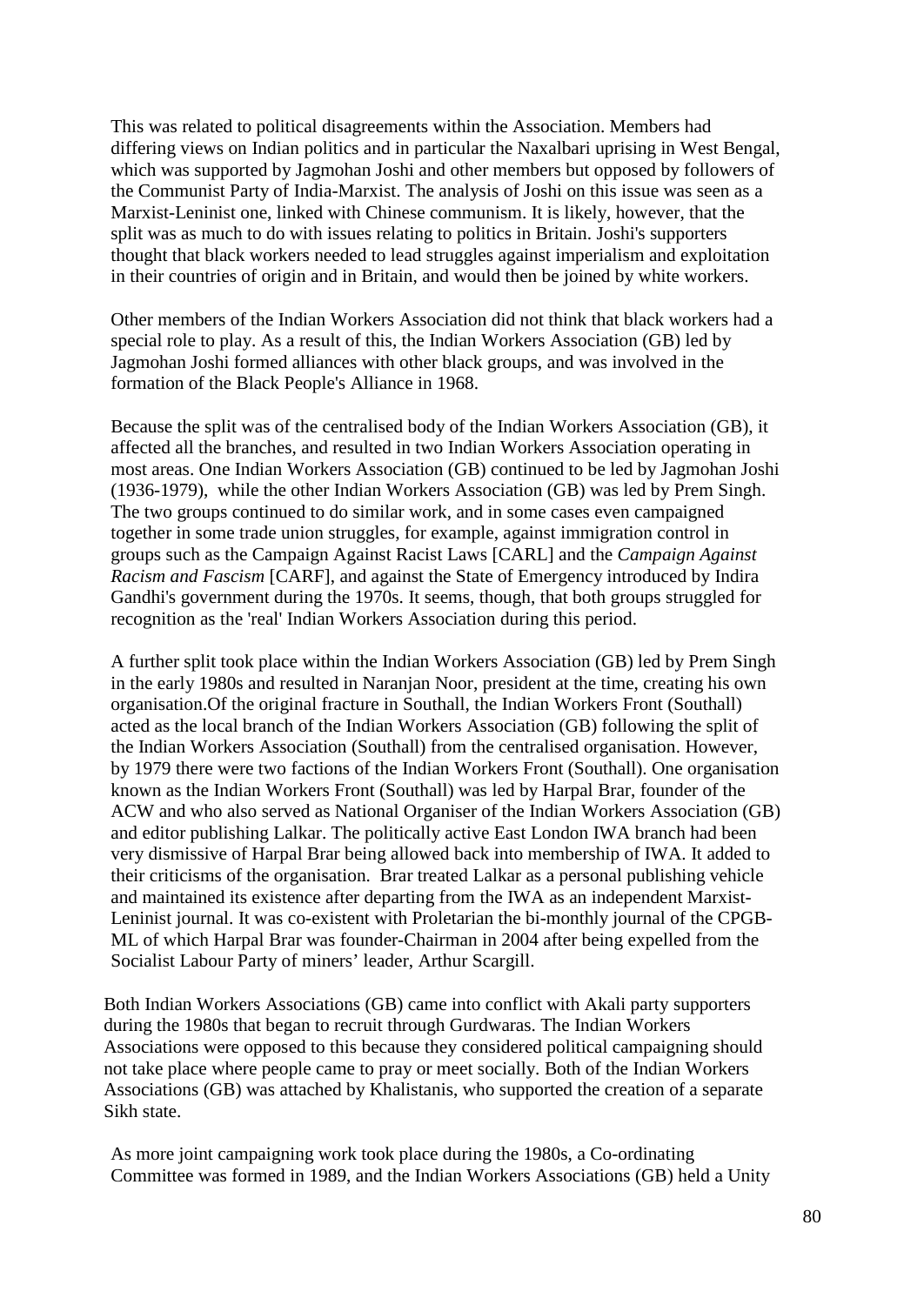This was related to political disagreements within the Association. Members had differing views on Indian politics and in particular the Naxalbari uprising in West Bengal, which was supported by Jagmohan Joshi and other members but opposed by followers of the Communist Party of India-Marxist. The analysis of Joshi on this issue was seen as a Marxist-Leninist one, linked with Chinese communism. It is likely, however, that the split was as much to do with issues relating to politics in Britain. Joshi's supporters thought that black workers needed to lead struggles against imperialism and exploitation in their countries of origin and in Britain, and would then be joined by white workers.

Other members of the Indian Workers Association did not think that black workers had a special role to play. As a result of this, the Indian Workers Association (GB) led by Jagmohan Joshi formed alliances with other black groups, and was involved in the formation of the Black People's Alliance in 1968.

Because the split was of the centralised body of the Indian Workers Association (GB), it affected all the branches, and resulted in two Indian Workers Association operating in most areas. One Indian Workers Association (GB) continued to be led by Jagmohan Joshi (1936-1979), while the other Indian Workers Association (GB) was led by Prem Singh. The two groups continued to do similar work, and in some cases even campaigned together in some trade union struggles, for example, against immigration control in groups such as the Campaign Against Racist Laws [CARL] and the *Campaign Against Racism and Fascism* [CARF], and against the State of Emergency introduced by Indira Gandhi's government during the 1970s. It seems, though, that both groups struggled for recognition as the 'real' Indian Workers Association during this period.

A further split took place within the Indian Workers Association (GB) led by Prem Singh in the early 1980s and resulted in Naranjan Noor, president at the time, creating his own organisation.Of the original fracture in Southall, the Indian Workers Front (Southall) acted as the local branch of the Indian Workers Association (GB) following the split of the Indian Workers Association (Southall) from the centralised organisation. However, by 1979 there were two factions of the Indian Workers Front (Southall). One organisation known as the Indian Workers Front (Southall) was led by Harpal Brar, founder of the ACW and who also served as National Organiser of the Indian Workers Association (GB) and editor publishing Lalkar. The politically active East London IWA branch had been very dismissive of Harpal Brar being allowed back into membership of IWA. It added to their criticisms of the organisation. Brar treated Lalkar as a personal publishing vehicle and maintained its existence after departing from the IWA as an independent Marxist-Leninist journal. It was co-existent with Proletarian the bi-monthly journal of the CPGB-ML of which Harpal Brar was founder-Chairman in 2004 after being expelled from the Socialist Labour Party of miners' leader, Arthur Scargill.

Both Indian Workers Associations (GB) came into conflict with Akali party supporters during the 1980s that began to recruit through Gurdwaras. The Indian Workers Associations were opposed to this because they considered political campaigning should not take place where people came to pray or meet socially. Both of the Indian Workers Associations (GB) was attached by Khalistanis, who supported the creation of a separate Sikh state.

As more joint campaigning work took place during the 1980s, a Co-ordinating Committee was formed in 1989, and the Indian Workers Associations (GB) held a Unity